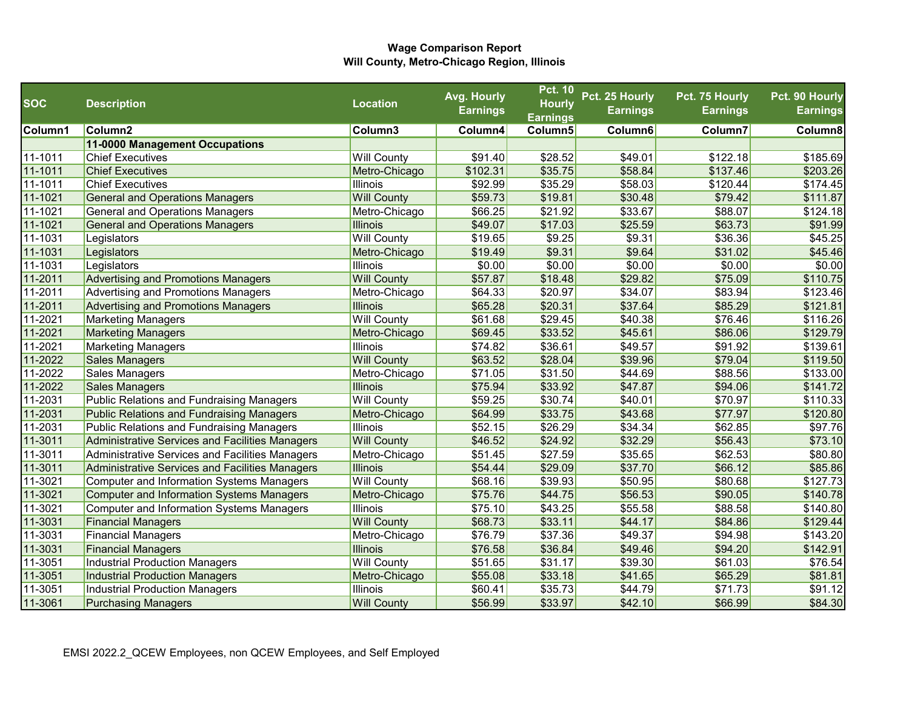|            |                                                  |                    | Avg. Hourly     | <b>Pct. 10</b>  | Pct. 25 Hourly  | Pct. 75 Hourly  | Pct. 90 Hourly  |
|------------|--------------------------------------------------|--------------------|-----------------|-----------------|-----------------|-----------------|-----------------|
| <b>SOC</b> | <b>Description</b>                               | <b>Location</b>    | <b>Earnings</b> | <b>Hourly</b>   | <b>Earnings</b> | <b>Earnings</b> | <b>Earnings</b> |
|            |                                                  |                    |                 | <b>Earnings</b> |                 |                 |                 |
| Column1    | Column <sub>2</sub>                              | Column3            | Column4         | Column5         | Column6         | Column7         | Column8         |
|            | 11-0000 Management Occupations                   |                    |                 |                 |                 |                 |                 |
| 11-1011    | <b>Chief Executives</b>                          | <b>Will County</b> | \$91.40         | \$28.52         | \$49.01         | \$122.18        | \$185.69        |
| 11-1011    | <b>Chief Executives</b>                          | Metro-Chicago      | \$102.31        | \$35.75         | \$58.84         | \$137.46        | \$203.26        |
| 11-1011    | <b>Chief Executives</b>                          | <b>Illinois</b>    | \$92.99         | \$35.29         | \$58.03         | \$120.44        | \$174.45        |
| 11-1021    | <b>General and Operations Managers</b>           | <b>Will County</b> | \$59.73         | \$19.81         | \$30.48         | \$79.42         | \$111.87        |
| 11-1021    | <b>General and Operations Managers</b>           | Metro-Chicago      | \$66.25         | \$21.92         | \$33.67         | \$88.07         | \$124.18        |
| 11-1021    | <b>General and Operations Managers</b>           | <b>Illinois</b>    | \$49.07         | \$17.03         | \$25.59         | \$63.73         | \$91.99         |
| 11-1031    | Legislators                                      | <b>Will County</b> | \$19.65         | \$9.25          | \$9.31          | \$36.36         | \$45.25         |
| 11-1031    | Legislators                                      | Metro-Chicago      | \$19.49         | \$9.31          | \$9.64          | \$31.02         | \$45.46         |
| 11-1031    | Legislators                                      | <b>Illinois</b>    | \$0.00          | \$0.00          | \$0.00          | \$0.00          | \$0.00          |
| 11-2011    | <b>Advertising and Promotions Managers</b>       | <b>Will County</b> | \$57.87         | \$18.48         | \$29.82         | \$75.09         | \$110.75        |
| 11-2011    | Advertising and Promotions Managers              | Metro-Chicago      | \$64.33         | \$20.97         | \$34.07         | \$83.94         | \$123.46        |
| 11-2011    | Advertising and Promotions Managers              | <b>Illinois</b>    | \$65.28         | \$20.31         | \$37.64         | \$85.29         | \$121.81        |
| 11-2021    | <b>Marketing Managers</b>                        | <b>Will County</b> | \$61.68         | \$29.45         | \$40.38         | \$76.46         | \$116.26        |
| 11-2021    | <b>Marketing Managers</b>                        | Metro-Chicago      | \$69.45         | \$33.52         | \$45.61         | \$86.06         | \$129.79        |
| 11-2021    | <b>Marketing Managers</b>                        | <b>Illinois</b>    | \$74.82         | \$36.61         | \$49.57         | \$91.92         | \$139.61        |
| 11-2022    | <b>Sales Managers</b>                            | <b>Will County</b> | \$63.52         | \$28.04         | \$39.96         | \$79.04         | \$119.50        |
| 11-2022    | Sales Managers                                   | Metro-Chicago      | \$71.05         | \$31.50         | \$44.69         | \$88.56         | \$133.00        |
| 11-2022    | Sales Managers                                   | <b>Illinois</b>    | \$75.94         | \$33.92         | \$47.87         | \$94.06         | \$141.72        |
| 11-2031    | Public Relations and Fundraising Managers        | <b>Will County</b> | \$59.25         | \$30.74         | \$40.01         | \$70.97         | \$110.33        |
| 11-2031    | <b>Public Relations and Fundraising Managers</b> | Metro-Chicago      | \$64.99         | \$33.75         | \$43.68         | \$77.97         | \$120.80        |
| 11-2031    | <b>Public Relations and Fundraising Managers</b> | <b>Illinois</b>    | \$52.15         | \$26.29         | \$34.34         | \$62.85         | \$97.76         |
| 11-3011    | Administrative Services and Facilities Managers  | <b>Will County</b> | \$46.52         | \$24.92         | \$32.29         | \$56.43         | \$73.10         |
| 11-3011    | Administrative Services and Facilities Managers  | Metro-Chicago      | \$51.45         | \$27.59         | \$35.65         | \$62.53         | \$80.80         |
| 11-3011    | Administrative Services and Facilities Managers  | <b>Illinois</b>    | \$54.44         | \$29.09         | \$37.70         | \$66.12         | \$85.86         |
| 11-3021    | Computer and Information Systems Managers        | <b>Will County</b> | \$68.16         | \$39.93         | \$50.95         | \$80.68         | \$127.73        |
| 11-3021    | <b>Computer and Information Systems Managers</b> | Metro-Chicago      | \$75.76         | \$44.75         | \$56.53         | \$90.05         | \$140.78        |
| 11-3021    | <b>Computer and Information Systems Managers</b> | <b>Illinois</b>    | \$75.10         | \$43.25         | \$55.58         | \$88.58         | \$140.80        |
| 11-3031    | <b>Financial Managers</b>                        | <b>Will County</b> | \$68.73         | \$33.11         | \$44.17         | \$84.86         | \$129.44        |
| 11-3031    | <b>Financial Managers</b>                        | Metro-Chicago      | \$76.79         | \$37.36         | \$49.37         | \$94.98         | \$143.20        |
| 11-3031    | <b>Financial Managers</b>                        | <b>Illinois</b>    | \$76.58         | \$36.84         | \$49.46         | \$94.20         | \$142.91        |
| 11-3051    | Industrial Production Managers                   | <b>Will County</b> | \$51.65         | \$31.17         | \$39.30         | \$61.03         | \$76.54         |
| 11-3051    | <b>Industrial Production Managers</b>            | Metro-Chicago      | \$55.08         | \$33.18         | \$41.65         | \$65.29         | \$81.81         |
| 11-3051    | Industrial Production Managers                   | <b>Illinois</b>    | \$60.41         | \$35.73         | \$44.79         | \$71.73         | \$91.12         |
| 11-3061    | <b>Purchasing Managers</b>                       | <b>Will County</b> | \$56.99         | \$33.97         | \$42.10         | \$66.99         | \$84.30         |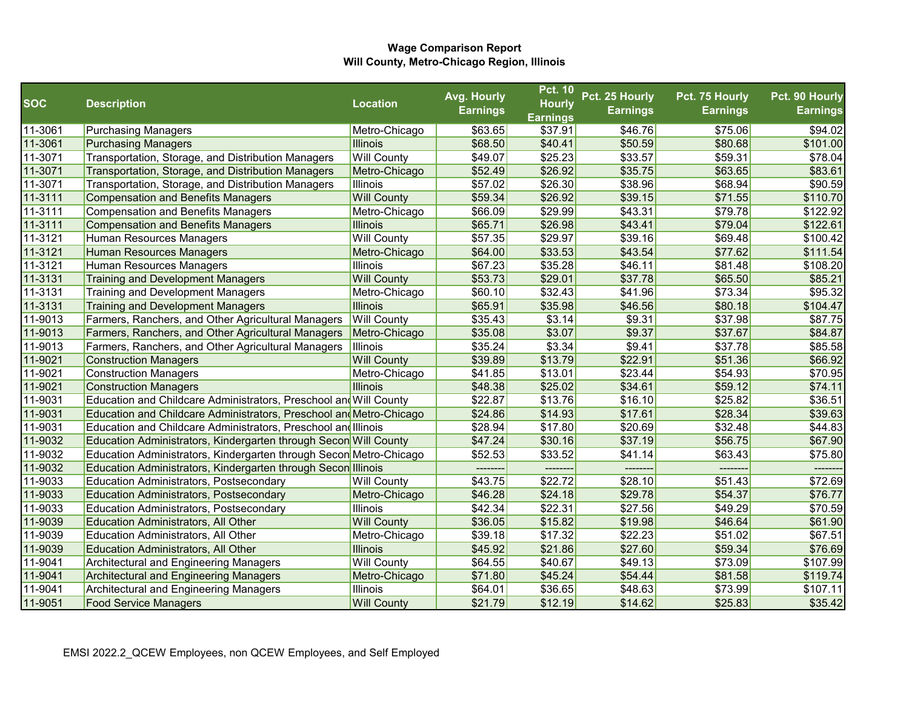|             |                                                                     |                    | Avg. Hourly     | <b>Pct. 10</b>  | Pct. 25 Hourly  | Pct. 75 Hourly  | Pct. 90 Hourly  |
|-------------|---------------------------------------------------------------------|--------------------|-----------------|-----------------|-----------------|-----------------|-----------------|
| <b>SOC</b>  | <b>Description</b>                                                  | <b>Location</b>    | <b>Earnings</b> | <b>Hourly</b>   | <b>Earnings</b> | <b>Earnings</b> | <b>Earnings</b> |
|             |                                                                     |                    |                 | <b>Earnings</b> |                 |                 |                 |
| 11-3061     | <b>Purchasing Managers</b>                                          | Metro-Chicago      | \$63.65         | \$37.91         | \$46.76         | \$75.06         | \$94.02         |
| 11-3061     | <b>Purchasing Managers</b>                                          | <b>Illinois</b>    | \$68.50         | \$40.41         | \$50.59         | \$80.68         | \$101.00        |
| 11-3071     | Transportation, Storage, and Distribution Managers                  | <b>Will County</b> | \$49.07         | \$25.23         | \$33.57         | \$59.31         | \$78.04         |
| 11-3071     | Transportation, Storage, and Distribution Managers                  | Metro-Chicago      | \$52.49         | \$26.92         | \$35.75         | \$63.65         | \$83.61         |
| 11-3071     | Transportation, Storage, and Distribution Managers                  | <b>Illinois</b>    | \$57.02         | \$26.30         | \$38.96         | \$68.94         | \$90.59         |
| 11-3111     | <b>Compensation and Benefits Managers</b>                           | <b>Will County</b> | \$59.34         | \$26.92         | \$39.15         | \$71.55         | \$110.70        |
| 11-3111     | <b>Compensation and Benefits Managers</b>                           | Metro-Chicago      | \$66.09         | \$29.99         | \$43.31         | \$79.78         | \$122.92        |
| 11-3111     | <b>Compensation and Benefits Managers</b>                           | <b>Illinois</b>    | \$65.71         | \$26.98         | \$43.41         | \$79.04         | \$122.61        |
| 11-3121     | Human Resources Managers                                            | <b>Will County</b> | \$57.35         | \$29.97         | \$39.16         | \$69.48         | \$100.42        |
| 11-3121     | <b>Human Resources Managers</b>                                     | Metro-Chicago      | \$64.00         | \$33.53         | \$43.54         | \$77.62         | \$111.54        |
| $11-3121$   | Human Resources Managers                                            | <b>Illinois</b>    | \$67.23         | \$35.28         | \$46.11         | \$81.48         | \$108.20        |
| 11-3131     | <b>Training and Development Managers</b>                            | <b>Will County</b> | \$53.73         | \$29.01         | \$37.78         | \$65.50         | \$85.21         |
| $11 - 3131$ | <b>Training and Development Managers</b>                            | Metro-Chicago      | \$60.10         | \$32.43         | \$41.96         | \$73.34         | \$95.32         |
| 11-3131     | <b>Training and Development Managers</b>                            | <b>Illinois</b>    | \$65.91         | \$35.98         | \$46.56         | \$80.18         | \$104.47        |
| 11-9013     | Farmers, Ranchers, and Other Agricultural Managers                  | <b>Will County</b> | \$35.43         | \$3.14          | \$9.31          | \$37.98         | \$87.75         |
| 11-9013     | Farmers, Ranchers, and Other Agricultural Managers                  | Metro-Chicago      | \$35.08         | \$3.07          | \$9.37          | \$37.67         | \$84.87         |
| 11-9013     | Farmers, Ranchers, and Other Agricultural Managers                  | Illinois           | \$35.24         | \$3.34          | \$9.41          | \$37.78         | \$85.58         |
| 11-9021     | <b>Construction Managers</b>                                        | <b>Will County</b> | \$39.89         | \$13.79         | \$22.91         | \$51.36         | \$66.92         |
| 11-9021     | <b>Construction Managers</b>                                        | Metro-Chicago      | \$41.85         | \$13.01         | \$23.44         | \$54.93         | \$70.95         |
| 11-9021     | <b>Construction Managers</b>                                        | Illinois           | \$48.38         | \$25.02         | \$34.61         | \$59.12         | \$74.11         |
| 11-9031     | Education and Childcare Administrators, Preschool and Will County   |                    | \$22.87         | \$13.76         | \$16.10         | \$25.82         | \$36.51         |
| 11-9031     | Education and Childcare Administrators, Preschool and Metro-Chicago |                    | \$24.86         | \$14.93         | \$17.61         | \$28.34         | \$39.63         |
| 11-9031     | Education and Childcare Administrators, Preschool and Illinois      |                    | \$28.94         | \$17.80         | \$20.69         | \$32.48         | \$44.83         |
| 11-9032     | Education Administrators, Kindergarten through Secon Will County    |                    | \$47.24         | \$30.16         | \$37.19         | \$56.75         | \$67.90         |
| 11-9032     | Education Administrators, Kindergarten through Secon Metro-Chicago  |                    | \$52.53         | \$33.52         | \$41.14         | \$63.43         | \$75.80         |
| 11-9032     | Education Administrators, Kindergarten through Secon Illinois       |                    |                 |                 |                 |                 |                 |
| 11-9033     | Education Administrators, Postsecondary                             | <b>Will County</b> | \$43.75         | \$22.72         | \$28.10         | \$51.43         | \$72.69         |
| 11-9033     | <b>Education Administrators, Postsecondary</b>                      | Metro-Chicago      | \$46.28         | \$24.18         | \$29.78         | \$54.37         | \$76.77         |
| 11-9033     | <b>Education Administrators, Postsecondary</b>                      | <b>Illinois</b>    | \$42.34         | \$22.31         | \$27.56         | \$49.29         | \$70.59         |
| 11-9039     | <b>Education Administrators, All Other</b>                          | <b>Will County</b> | \$36.05         | \$15.82         | \$19.98         | \$46.64         | \$61.90         |
| 11-9039     | Education Administrators, All Other                                 | Metro-Chicago      | \$39.18         | \$17.32         | \$22.23         | \$51.02         | \$67.51         |
| 11-9039     | <b>Education Administrators, All Other</b>                          | <b>Illinois</b>    | \$45.92         | \$21.86         | \$27.60         | \$59.34         | \$76.69         |
| 11-9041     | <b>Architectural and Engineering Managers</b>                       | <b>Will County</b> | \$64.55         | \$40.67         | \$49.13         | \$73.09         | \$107.99        |
| 11-9041     | <b>Architectural and Engineering Managers</b>                       | Metro-Chicago      | \$71.80         | \$45.24         | \$54.44         | \$81.58         | \$119.74        |
| 11-9041     | <b>Architectural and Engineering Managers</b>                       | Illinois           | \$64.01         | \$36.65         | \$48.63         | \$73.99         | \$107.11        |
| 11-9051     | <b>Food Service Managers</b>                                        | <b>Will County</b> | \$21.79         | \$12.19         | \$14.62         | \$25.83         | \$35.42         |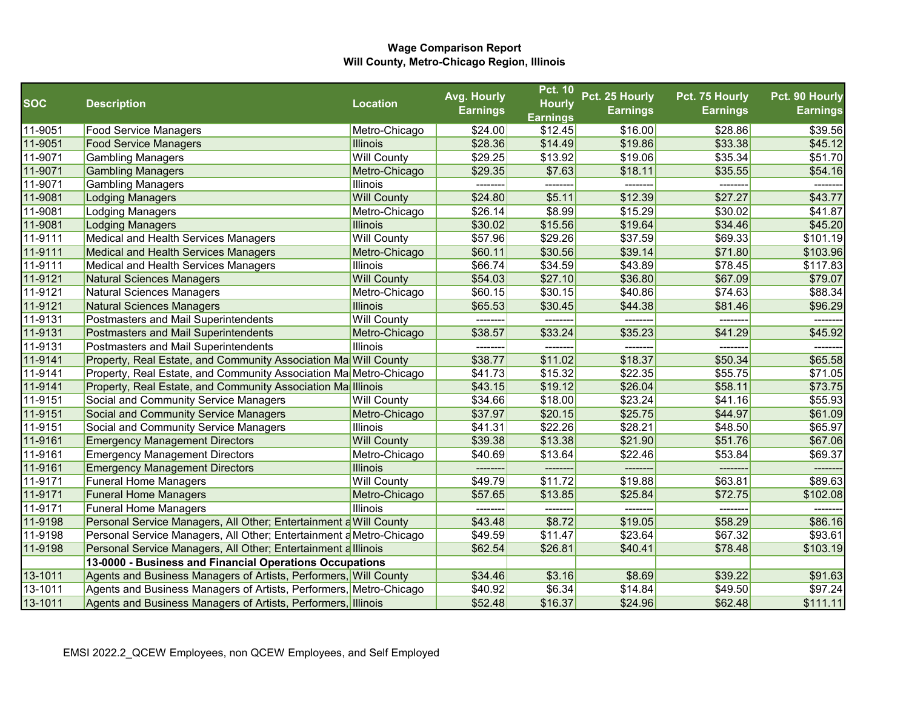|            |                                                                     |                    | Avg. Hourly     | <b>Pct. 10</b>  | Pct. 25 Hourly  | Pct. 75 Hourly  | Pct. 90 Hourly  |
|------------|---------------------------------------------------------------------|--------------------|-----------------|-----------------|-----------------|-----------------|-----------------|
| <b>SOC</b> | <b>Description</b>                                                  | <b>Location</b>    | <b>Earnings</b> | <b>Hourly</b>   | <b>Earnings</b> | <b>Earnings</b> | <b>Earnings</b> |
|            |                                                                     |                    |                 | <b>Earnings</b> |                 |                 |                 |
| 11-9051    | <b>Food Service Managers</b>                                        | Metro-Chicago      | \$24.00         | \$12.45         | \$16.00         | \$28.86         | \$39.56         |
| 11-9051    | <b>Food Service Managers</b>                                        | <b>Illinois</b>    | \$28.36         | \$14.49         | \$19.86         | \$33.38         | \$45.12         |
| 11-9071    | <b>Gambling Managers</b>                                            | <b>Will County</b> | \$29.25         | \$13.92         | \$19.06         | \$35.34         | \$51.70         |
| 11-9071    | <b>Gambling Managers</b>                                            | Metro-Chicago      | \$29.35         | \$7.63          | \$18.11         | \$35.55         | \$54.16         |
| 11-9071    | <b>Gambling Managers</b>                                            | Illinois           | --------        | --------        | --------        | --------        |                 |
| 11-9081    | <b>Lodging Managers</b>                                             | <b>Will County</b> | \$24.80         | \$5.11          | \$12.39         | \$27.27         | \$43.77         |
| 11-9081    | <b>Lodging Managers</b>                                             | Metro-Chicago      | \$26.14         | \$8.99          | \$15.29         | \$30.02         | \$41.87         |
| 11-9081    | <b>Lodging Managers</b>                                             | <b>Illinois</b>    | \$30.02         | \$15.56         | \$19.64         | \$34.46         | \$45.20         |
| 11-9111    | Medical and Health Services Managers                                | <b>Will County</b> | \$57.96         | \$29.26         | \$37.59         | \$69.33         | \$101.19        |
| 11-9111    | Medical and Health Services Managers                                | Metro-Chicago      | \$60.11         | \$30.56         | \$39.14         | \$71.80         | \$103.96        |
| 11-9111    | Medical and Health Services Managers                                | Illinois           | \$66.74         | \$34.59         | \$43.89         | \$78.45         | \$117.83        |
| 11-9121    | <b>Natural Sciences Managers</b>                                    | <b>Will County</b> | \$54.03         | \$27.10         | \$36.80         | \$67.09         | \$79.07         |
| 11-9121    | <b>Natural Sciences Managers</b>                                    | Metro-Chicago      | \$60.15         | \$30.15         | \$40.86         | \$74.63         | \$88.34         |
| 11-9121    | <b>Natural Sciences Managers</b>                                    | <b>Illinois</b>    | \$65.53         | \$30.45         | \$44.38         | \$81.46         | \$96.29         |
| 11-9131    | Postmasters and Mail Superintendents                                | <b>Will County</b> | ---------       | --------        | --------        | --------        | -------         |
| 11-9131    | Postmasters and Mail Superintendents                                | Metro-Chicago      | \$38.57         | \$33.24         | \$35.23         | \$41.29         | \$45.92         |
| 11-9131    | Postmasters and Mail Superintendents                                | Illinois           | --------        | -------         | --------        | -------         |                 |
| 11-9141    | Property, Real Estate, and Community Association Ma Will County     |                    | \$38.77         | \$11.02         | \$18.37         | \$50.34         | \$65.58         |
| 11-9141    | Property, Real Estate, and Community Association Ma Metro-Chicago   |                    | \$41.73         | \$15.32         | \$22.35         | \$55.75         | \$71.05         |
| 11-9141    | Property, Real Estate, and Community Association Malllinois         |                    | \$43.15         | \$19.12         | \$26.04         | \$58.11         | \$73.75         |
| 11-9151    | Social and Community Service Managers                               | <b>Will County</b> | \$34.66         | \$18.00         | \$23.24         | \$41.16         | \$55.93         |
| 11-9151    | Social and Community Service Managers                               | Metro-Chicago      | \$37.97         | \$20.15         | \$25.75         | \$44.97         | \$61.09         |
| 11-9151    | Social and Community Service Managers                               | <b>Illinois</b>    | \$41.31         | \$22.26         | \$28.21         | \$48.50         | \$65.97         |
| 11-9161    | <b>Emergency Management Directors</b>                               | <b>Will County</b> | \$39.38         | \$13.38         | \$21.90         | \$51.76         | \$67.06         |
| 11-9161    | <b>Emergency Management Directors</b>                               | Metro-Chicago      | \$40.69         | \$13.64         | \$22.46         | \$53.84         | \$69.37         |
| 11-9161    | <b>Emergency Management Directors</b>                               | <b>Illinois</b>    | ---             |                 | ------          | ---             |                 |
| 11-9171    | <b>Funeral Home Managers</b>                                        | <b>Will County</b> | \$49.79         | \$11.72         | \$19.88         | \$63.81         | \$89.63         |
| 11-9171    | <b>Funeral Home Managers</b>                                        | Metro-Chicago      | \$57.65         | \$13.85         | \$25.84         | \$72.75         | \$102.08        |
| 11-9171    | <b>Funeral Home Managers</b>                                        | Illinois           | --------        | --------        | -------         | --------        |                 |
| 11-9198    | Personal Service Managers, All Other; Entertainment a Will County   |                    | \$43.48         | \$8.72          | \$19.05         | \$58.29         | \$86.16         |
| 11-9198    | Personal Service Managers, All Other; Entertainment a Metro-Chicago |                    | \$49.59         | \$11.47         | \$23.64         | \$67.32         | \$93.61         |
| 11-9198    | Personal Service Managers, All Other; Entertainment a Illinois      |                    | \$62.54         | \$26.81         | \$40.41         | \$78.48         | \$103.19        |
|            | 13-0000 - Business and Financial Operations Occupations             |                    |                 |                 |                 |                 |                 |
| 13-1011    | Agents and Business Managers of Artists, Performers, Will County    |                    | \$34.46         | \$3.16          | \$8.69          | \$39.22         | \$91.63         |
| 13-1011    | Agents and Business Managers of Artists, Performers, Metro-Chicago  |                    | \$40.92         | \$6.34          | \$14.84         | \$49.50         | \$97.24         |
| 13-1011    | Agents and Business Managers of Artists, Performers, Illinois       |                    | \$52.48         | \$16.37         | \$24.96         | \$62.48         | \$111.11        |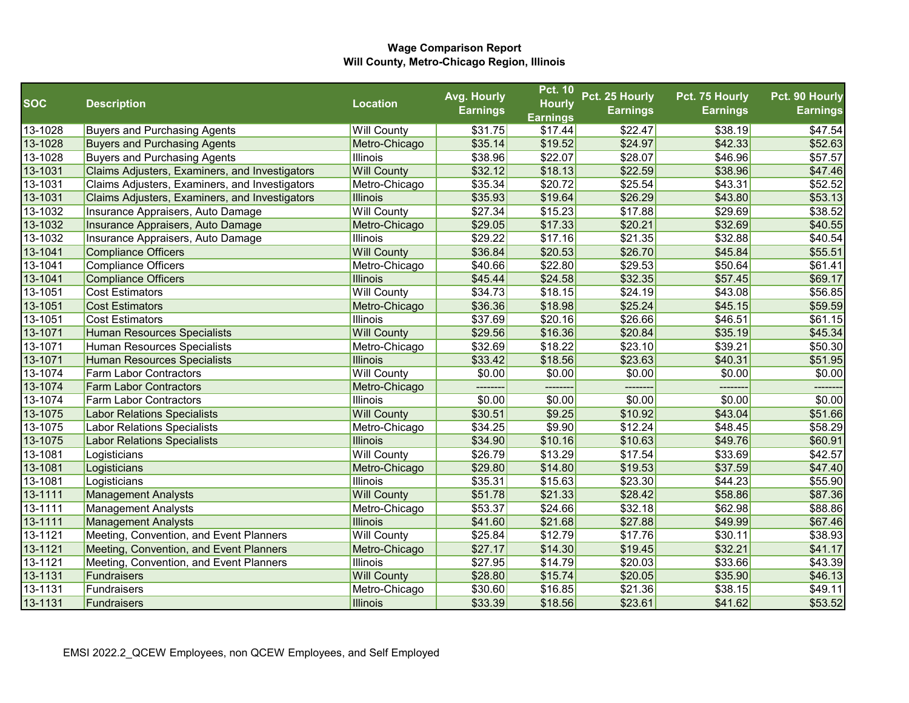|            |                                                |                    | Avg. Hourly     | <b>Pct. 10</b>  | Pct. 25 Hourly  | Pct. 75 Hourly  | Pct. 90 Hourly  |
|------------|------------------------------------------------|--------------------|-----------------|-----------------|-----------------|-----------------|-----------------|
| <b>SOC</b> | <b>Description</b>                             | <b>Location</b>    | <b>Earnings</b> | <b>Hourly</b>   | <b>Earnings</b> | <b>Earnings</b> | <b>Earnings</b> |
|            |                                                |                    |                 | <b>Earnings</b> |                 |                 |                 |
| 13-1028    | <b>Buyers and Purchasing Agents</b>            | <b>Will County</b> | \$31.75         | \$17.44         | \$22.47         | \$38.19         | \$47.54         |
| 13-1028    | <b>Buyers and Purchasing Agents</b>            | Metro-Chicago      | \$35.14         | \$19.52         | \$24.97         | \$42.33         | \$52.63         |
| 13-1028    | <b>Buyers and Purchasing Agents</b>            | <b>Illinois</b>    | \$38.96         | \$22.07         | \$28.07         | \$46.96         | \$57.57         |
| 13-1031    | Claims Adjusters, Examiners, and Investigators | <b>Will County</b> | \$32.12         | \$18.13         | \$22.59         | \$38.96         | \$47.46         |
| 13-1031    | Claims Adjusters, Examiners, and Investigators | Metro-Chicago      | \$35.34         | \$20.72         | \$25.54         | \$43.31         | \$52.52         |
| 13-1031    | Claims Adjusters, Examiners, and Investigators | <b>Illinois</b>    | \$35.93         | \$19.64         | \$26.29         | \$43.80         | \$53.13         |
| 13-1032    | Insurance Appraisers, Auto Damage              | <b>Will County</b> | \$27.34         | \$15.23         | \$17.88         | \$29.69         | \$38.52         |
| 13-1032    | Insurance Appraisers, Auto Damage              | Metro-Chicago      | \$29.05         | \$17.33         | \$20.21         | \$32.69         | \$40.55         |
| 13-1032    | Insurance Appraisers, Auto Damage              | <b>Illinois</b>    | \$29.22         | \$17.16         | \$21.35         | \$32.88         | \$40.54         |
| 13-1041    | Compliance Officers                            | <b>Will County</b> | \$36.84         | \$20.53         | \$26.70         | \$45.84         | \$55.51         |
| 13-1041    | Compliance Officers                            | Metro-Chicago      | \$40.66         | \$22.80         | \$29.53         | \$50.64         | \$61.41         |
| 13-1041    | <b>Compliance Officers</b>                     | <b>Illinois</b>    | \$45.44         | \$24.58         | \$32.35         | \$57.45         | \$69.17         |
| 13-1051    | <b>Cost Estimators</b>                         | <b>Will County</b> | \$34.73         | \$18.15         | \$24.19         | \$43.08         | \$56.85         |
| 13-1051    | <b>Cost Estimators</b>                         | Metro-Chicago      | \$36.36         | \$18.98         | \$25.24         | \$45.15         | \$59.59         |
| 13-1051    | <b>Cost Estimators</b>                         | <b>Illinois</b>    | \$37.69         | \$20.16         | \$26.66         | \$46.51         | \$61.15         |
| 13-1071    | Human Resources Specialists                    | <b>Will County</b> | \$29.56         | \$16.36         | \$20.84         | \$35.19         | \$45.34         |
| 13-1071    | Human Resources Specialists                    | Metro-Chicago      | \$32.69         | \$18.22         | \$23.10         | \$39.21         | \$50.30         |
| 13-1071    | Human Resources Specialists                    | <b>Illinois</b>    | \$33.42         | \$18.56         | \$23.63         | \$40.31         | \$51.95         |
| 13-1074    | <b>Farm Labor Contractors</b>                  | <b>Will County</b> | \$0.00          | \$0.00          | \$0.00          | \$0.00          | \$0.00          |
| 13-1074    | <b>Farm Labor Contractors</b>                  | Metro-Chicago      |                 |                 |                 |                 |                 |
| 13-1074    | <b>Farm Labor Contractors</b>                  | <b>Illinois</b>    | \$0.00          | \$0.00          | \$0.00          | \$0.00          | \$0.00          |
| 13-1075    | <b>Labor Relations Specialists</b>             | <b>Will County</b> | \$30.51         | \$9.25          | \$10.92         | \$43.04         | \$51.66         |
| 13-1075    | Labor Relations Specialists                    | Metro-Chicago      | \$34.25         | \$9.90          | \$12.24         | \$48.45         | \$58.29         |
| 13-1075    | <b>Labor Relations Specialists</b>             | <b>Illinois</b>    | \$34.90         | \$10.16         | \$10.63         | \$49.76         | \$60.91         |
| 13-1081    | Logisticians                                   | <b>Will County</b> | \$26.79         | \$13.29         | \$17.54         | \$33.69         | \$42.57         |
| 13-1081    | Logisticians                                   | Metro-Chicago      | \$29.80         | \$14.80         | \$19.53         | \$37.59         | \$47.40         |
| 13-1081    | Logisticians                                   | Illinois           | \$35.31         | \$15.63         | \$23.30         | \$44.23         | \$55.90         |
| 13-1111    | <b>Management Analysts</b>                     | <b>Will County</b> | \$51.78         | \$21.33         | \$28.42         | \$58.86         | \$87.36         |
| 13-1111    | Management Analysts                            | Metro-Chicago      | \$53.37         | \$24.66         | \$32.18         | \$62.98         | \$88.86         |
| 13-1111    | <b>Management Analysts</b>                     | <b>Illinois</b>    | \$41.60         | \$21.68         | \$27.88         | \$49.99         | \$67.46         |
| 13-1121    | Meeting, Convention, and Event Planners        | <b>Will County</b> | \$25.84         | \$12.79         | \$17.76         | \$30.11         | \$38.93         |
| 13-1121    | Meeting, Convention, and Event Planners        | Metro-Chicago      | \$27.17         | \$14.30         | \$19.45         | \$32.21         | \$41.17         |
| 13-1121    | Meeting, Convention, and Event Planners        | <b>Illinois</b>    | \$27.95         | \$14.79         | \$20.03         | \$33.66         | \$43.39         |
| 13-1131    | Fundraisers                                    | <b>Will County</b> | \$28.80         | \$15.74         | \$20.05         | \$35.90         | \$46.13         |
| 13-1131    | Fundraisers                                    | Metro-Chicago      | \$30.60         | \$16.85         | \$21.36         | \$38.15         | \$49.11         |
| 13-1131    | Fundraisers                                    | Illinois           | \$33.39         | \$18.56         | \$23.61         | \$41.62         | \$53.52         |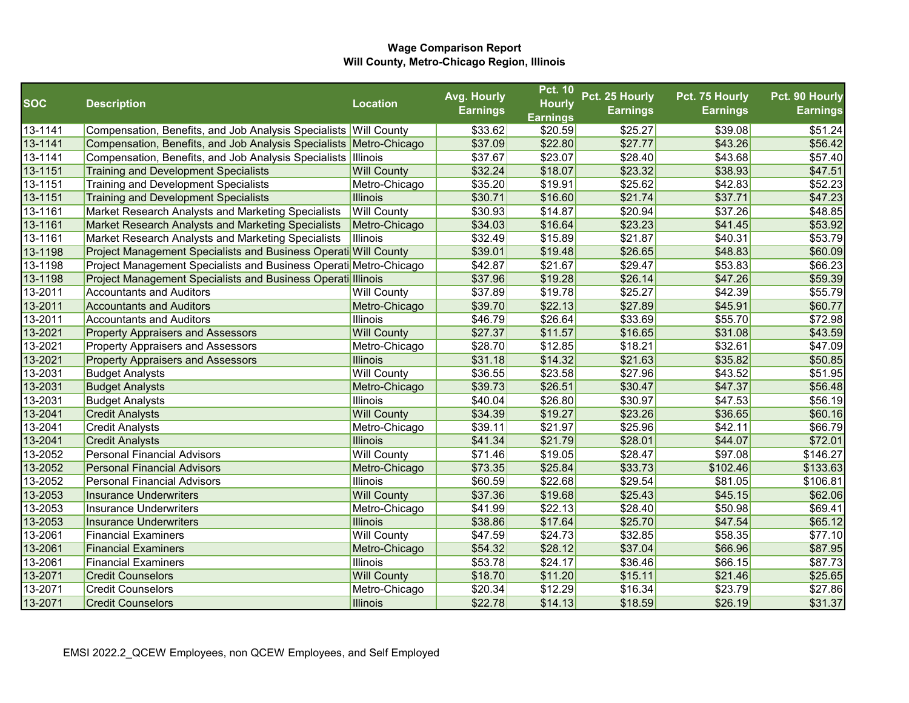|             |                                                                    |                    | Avg. Hourly     | <b>Pct. 10</b>  | Pct. 25 Hourly  | Pct. 75 Hourly  | Pct. 90 Hourly  |
|-------------|--------------------------------------------------------------------|--------------------|-----------------|-----------------|-----------------|-----------------|-----------------|
| <b>SOC</b>  | <b>Description</b>                                                 | <b>Location</b>    | <b>Earnings</b> | <b>Hourly</b>   | <b>Earnings</b> | <b>Earnings</b> | <b>Earnings</b> |
|             |                                                                    |                    |                 | <b>Earnings</b> |                 |                 |                 |
| 13-1141     | Compensation, Benefits, and Job Analysis Specialists Will County   |                    | \$33.62         | \$20.59         | \$25.27         | \$39.08         | \$51.24         |
| 13-1141     | Compensation, Benefits, and Job Analysis Specialists Metro-Chicago |                    | \$37.09         | \$22.80         | \$27.77         | \$43.26         | \$56.42         |
| $13 - 1141$ | Compensation, Benefits, and Job Analysis Specialists Illinois      |                    | \$37.67         | \$23.07         | \$28.40         | \$43.68         | \$57.40         |
| 13-1151     | <b>Training and Development Specialists</b>                        | <b>Will County</b> | \$32.24         | \$18.07         | \$23.32         | \$38.93         | \$47.51         |
| 13-1151     | <b>Training and Development Specialists</b>                        | Metro-Chicago      | \$35.20         | \$19.91         | \$25.62         | \$42.83         | \$52.23         |
| 13-1151     | <b>Training and Development Specialists</b>                        | <b>Illinois</b>    | \$30.71         | \$16.60         | \$21.74         | \$37.71         | \$47.23         |
| 13-1161     | Market Research Analysts and Marketing Specialists                 | <b>Will County</b> | \$30.93         | \$14.87         | \$20.94         | \$37.26         | \$48.85         |
| 13-1161     | Market Research Analysts and Marketing Specialists                 | Metro-Chicago      | \$34.03         | \$16.64         | \$23.23         | \$41.45         | \$53.92         |
| 13-1161     | Market Research Analysts and Marketing Specialists                 | Illinois           | \$32.49         | \$15.89         | \$21.87         | \$40.31         | \$53.79         |
| 13-1198     | Project Management Specialists and Business Operati Will County    |                    | \$39.01         | \$19.48         | \$26.65         | \$48.83         | \$60.09         |
| 13-1198     | Project Management Specialists and Business Operati Metro-Chicago  |                    | \$42.87         | \$21.67         | \$29.47         | \$53.83         | \$66.23         |
| 13-1198     | Project Management Specialists and Business Operati Illinois       |                    | \$37.96         | \$19.28         | \$26.14         | \$47.26         | \$59.39         |
| 13-2011     | <b>Accountants and Auditors</b>                                    | <b>Will County</b> | \$37.89         | \$19.78         | \$25.27         | \$42.39         | \$55.79         |
| 13-2011     | <b>Accountants and Auditors</b>                                    | Metro-Chicago      | \$39.70         | \$22.13         | \$27.89         | \$45.91         | \$60.77         |
| 13-2011     | <b>Accountants and Auditors</b>                                    | Illinois           | \$46.79         | \$26.64         | \$33.69         | \$55.70         | \$72.98         |
| 13-2021     | <b>Property Appraisers and Assessors</b>                           | <b>Will County</b> | \$27.37         | \$11.57         | \$16.65         | \$31.08         | \$43.59         |
| 13-2021     | <b>Property Appraisers and Assessors</b>                           | Metro-Chicago      | \$28.70         | \$12.85         | \$18.21         | \$32.61         | \$47.09         |
| 13-2021     | <b>Property Appraisers and Assessors</b>                           | <b>Illinois</b>    | \$31.18         | \$14.32         | \$21.63         | \$35.82         | \$50.85         |
| 13-2031     | <b>Budget Analysts</b>                                             | <b>Will County</b> | \$36.55         | \$23.58         | \$27.96         | \$43.52         | \$51.95         |
| 13-2031     | <b>Budget Analysts</b>                                             | Metro-Chicago      | \$39.73         | \$26.51         | \$30.47         | \$47.37         | \$56.48         |
| 13-2031     | <b>Budget Analysts</b>                                             | Illinois           | \$40.04         | \$26.80         | \$30.97         | \$47.53         | \$56.19         |
| 13-2041     | <b>Credit Analysts</b>                                             | <b>Will County</b> | \$34.39         | \$19.27         | \$23.26         | \$36.65         | \$60.16         |
| 13-2041     | <b>Credit Analysts</b>                                             | Metro-Chicago      | \$39.11         | \$21.97         | \$25.96         | \$42.11         | \$66.79         |
| 13-2041     | <b>Credit Analysts</b>                                             | Illinois           | \$41.34         | \$21.79         | \$28.01         | \$44.07         | \$72.01         |
| 13-2052     | <b>Personal Financial Advisors</b>                                 | <b>Will County</b> | \$71.46         | \$19.05         | \$28.47         | \$97.08         | \$146.27        |
| 13-2052     | <b>Personal Financial Advisors</b>                                 | Metro-Chicago      | \$73.35         | \$25.84         | \$33.73         | \$102.46        | \$133.63        |
| 13-2052     | <b>Personal Financial Advisors</b>                                 | Illinois           | \$60.59         | \$22.68         | \$29.54         | \$81.05         | \$106.81        |
| 13-2053     | <b>Insurance Underwriters</b>                                      | <b>Will County</b> | \$37.36         | \$19.68         | \$25.43         | \$45.15         | \$62.06         |
| 13-2053     | <b>Insurance Underwriters</b>                                      | Metro-Chicago      | \$41.99         | \$22.13         | \$28.40         | \$50.98         | \$69.41         |
| 13-2053     | <b>Insurance Underwriters</b>                                      | <b>Illinois</b>    | \$38.86         | \$17.64         | \$25.70         | \$47.54         | \$65.12         |
| 13-2061     | <b>Financial Examiners</b>                                         | <b>Will County</b> | \$47.59         | \$24.73         | \$32.85         | \$58.35         | \$77.10         |
| 13-2061     | <b>Financial Examiners</b>                                         | Metro-Chicago      | \$54.32         | \$28.12         | \$37.04         | \$66.96         | \$87.95         |
| 13-2061     | <b>Financial Examiners</b>                                         | Illinois           | \$53.78         | \$24.17         | \$36.46         | \$66.15         | \$87.73         |
| 13-2071     | <b>Credit Counselors</b>                                           | <b>Will County</b> | \$18.70         | \$11.20         | \$15.11         | \$21.46         | \$25.65         |
| 13-2071     | <b>Credit Counselors</b>                                           | Metro-Chicago      | \$20.34         | \$12.29         | \$16.34         | \$23.79         | \$27.86         |
| 13-2071     | <b>Credit Counselors</b>                                           | Illinois           | \$22.78         | \$14.13         | \$18.59         | \$26.19         | \$31.37         |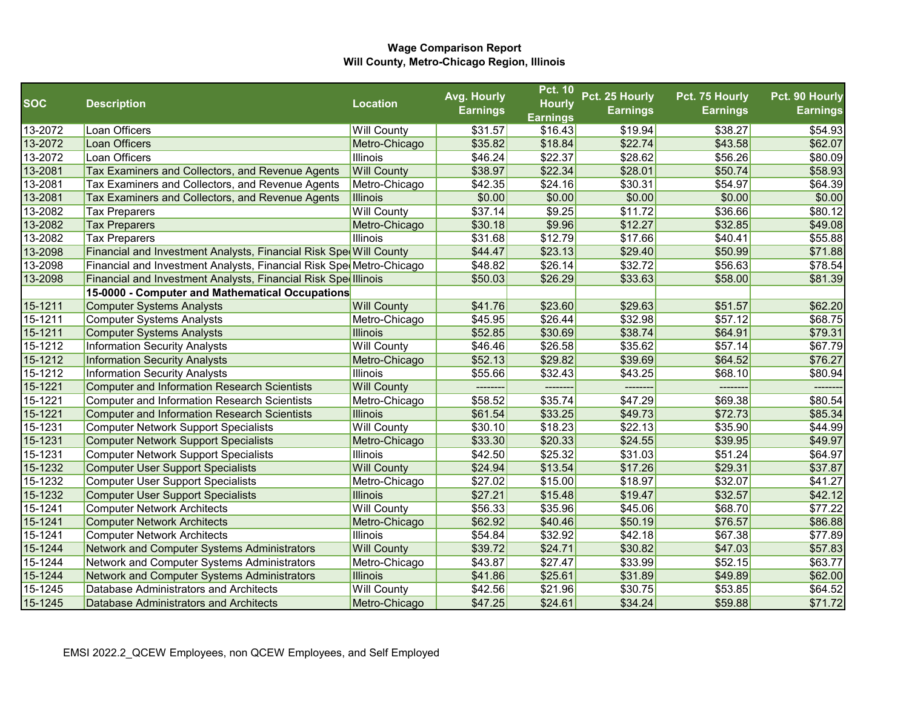|            |                                                                     |                    | Avg. Hourly     | <b>Pct. 10</b>  | Pct. 25 Hourly  | Pct. 75 Hourly  | Pct. 90 Hourly  |
|------------|---------------------------------------------------------------------|--------------------|-----------------|-----------------|-----------------|-----------------|-----------------|
| <b>SOC</b> | <b>Description</b>                                                  | <b>Location</b>    | <b>Earnings</b> | <b>Hourly</b>   | <b>Earnings</b> | <b>Earnings</b> | <b>Earnings</b> |
|            |                                                                     |                    |                 | <b>Earnings</b> |                 |                 |                 |
| 13-2072    | Loan Officers                                                       | <b>Will County</b> | \$31.57         | \$16.43         | \$19.94         | \$38.27         | \$54.93         |
| 13-2072    | Loan Officers                                                       | Metro-Chicago      | \$35.82         | \$18.84         | \$22.74         | \$43.58         | \$62.07         |
| 13-2072    | Loan Officers                                                       | Illinois           | \$46.24         | \$22.37         | \$28.62         | \$56.26         | \$80.09         |
| 13-2081    | Tax Examiners and Collectors, and Revenue Agents                    | <b>Will County</b> | \$38.97         | \$22.34         | \$28.01         | \$50.74         | \$58.93         |
| 13-2081    | Tax Examiners and Collectors, and Revenue Agents                    | Metro-Chicago      | \$42.35         | \$24.16         | \$30.31         | \$54.97         | \$64.39         |
| 13-2081    | Tax Examiners and Collectors, and Revenue Agents                    | <b>Illinois</b>    | \$0.00          | \$0.00          | \$0.00          | \$0.00          | \$0.00          |
| 13-2082    | <b>Tax Preparers</b>                                                | <b>Will County</b> | \$37.14         | \$9.25          | \$11.72         | \$36.66         | \$80.12         |
| 13-2082    | <b>Tax Preparers</b>                                                | Metro-Chicago      | \$30.18         | \$9.96          | \$12.27         | \$32.85         | \$49.08         |
| 13-2082    | <b>Tax Preparers</b>                                                | Illinois           | \$31.68         | \$12.79         | \$17.66         | \$40.41         | \$55.88         |
| 13-2098    | Financial and Investment Analysts, Financial Risk Spe Will County   |                    | \$44.47         | \$23.13         | \$29.40         | \$50.99         | \$71.88         |
| 13-2098    | Financial and Investment Analysts, Financial Risk SpecMetro-Chicago |                    | \$48.82         | \$26.14         | \$32.72         | \$56.63         | \$78.54         |
| 13-2098    | Financial and Investment Analysts, Financial Risk Sped Illinois     |                    | \$50.03         | \$26.29         | \$33.63         | \$58.00         | \$81.39         |
|            | 15-0000 - Computer and Mathematical Occupations                     |                    |                 |                 |                 |                 |                 |
| 15-1211    | <b>Computer Systems Analysts</b>                                    | <b>Will County</b> | \$41.76         | \$23.60         | \$29.63         | \$51.57         | \$62.20         |
| 15-1211    | <b>Computer Systems Analysts</b>                                    | Metro-Chicago      | \$45.95         | \$26.44         | \$32.98         | \$57.12         | \$68.75         |
| 15-1211    | <b>Computer Systems Analysts</b>                                    | <b>Illinois</b>    | \$52.85         | \$30.69         | \$38.74         | \$64.91         | \$79.31         |
| 15-1212    | <b>Information Security Analysts</b>                                | <b>Will County</b> | \$46.46         | \$26.58         | \$35.62         | \$57.14         | \$67.79         |
| 15-1212    | <b>Information Security Analysts</b>                                | Metro-Chicago      | \$52.13         | \$29.82         | \$39.69         | \$64.52         | \$76.27         |
| 15-1212    | <b>Information Security Analysts</b>                                | Illinois           | \$55.66         | \$32.43         | \$43.25         | \$68.10         | \$80.94         |
| 15-1221    | <b>Computer and Information Research Scientists</b>                 | <b>Will County</b> | --------        | -------         | --------        | --------        | -------         |
| 15-1221    | <b>Computer and Information Research Scientists</b>                 | Metro-Chicago      | \$58.52         | \$35.74         | \$47.29         | \$69.38         | \$80.54         |
| 15-1221    | <b>Computer and Information Research Scientists</b>                 | <b>Illinois</b>    | \$61.54         | \$33.25         | \$49.73         | \$72.73         | \$85.34         |
| 15-1231    | <b>Computer Network Support Specialists</b>                         | <b>Will County</b> | \$30.10         | \$18.23         | \$22.13         | \$35.90         | \$44.99         |
| 15-1231    | <b>Computer Network Support Specialists</b>                         | Metro-Chicago      | \$33.30         | \$20.33         | \$24.55         | \$39.95         | \$49.97         |
| 15-1231    | <b>Computer Network Support Specialists</b>                         | Illinois           | \$42.50         | \$25.32         | \$31.03         | \$51.24         | \$64.97         |
| 15-1232    | <b>Computer User Support Specialists</b>                            | <b>Will County</b> | \$24.94         | \$13.54         | \$17.26         | \$29.31         | \$37.87         |
| 15-1232    | <b>Computer User Support Specialists</b>                            | Metro-Chicago      | \$27.02         | \$15.00         | \$18.97         | \$32.07         | \$41.27         |
| 15-1232    | <b>Computer User Support Specialists</b>                            | <b>Illinois</b>    | \$27.21         | \$15.48         | \$19.47         | \$32.57         | \$42.12         |
| 15-1241    | <b>Computer Network Architects</b>                                  | <b>Will County</b> | \$56.33         | \$35.96         | \$45.06         | \$68.70         | \$77.22         |
| 15-1241    | <b>Computer Network Architects</b>                                  | Metro-Chicago      | \$62.92         | \$40.46         | \$50.19         | \$76.57         | \$86.88         |
| 15-1241    | <b>Computer Network Architects</b>                                  | Illinois           | \$54.84         | \$32.92         | \$42.18         | \$67.38         | \$77.89         |
| 15-1244    | Network and Computer Systems Administrators                         | <b>Will County</b> | \$39.72         | \$24.71         | \$30.82         | \$47.03         | \$57.83         |
| 15-1244    | Network and Computer Systems Administrators                         | Metro-Chicago      | \$43.87         | \$27.47         | \$33.99         | \$52.15         | \$63.77         |
| 15-1244    | Network and Computer Systems Administrators                         | <b>Illinois</b>    | \$41.86         | \$25.61         | \$31.89         | \$49.89         | \$62.00         |
| 15-1245    | Database Administrators and Architects                              | <b>Will County</b> | \$42.56         | \$21.96         | \$30.75         | \$53.85         | \$64.52         |
| 15-1245    | Database Administrators and Architects                              | Metro-Chicago      | \$47.25         | \$24.61         | \$34.24         | \$59.88         | \$71.72         |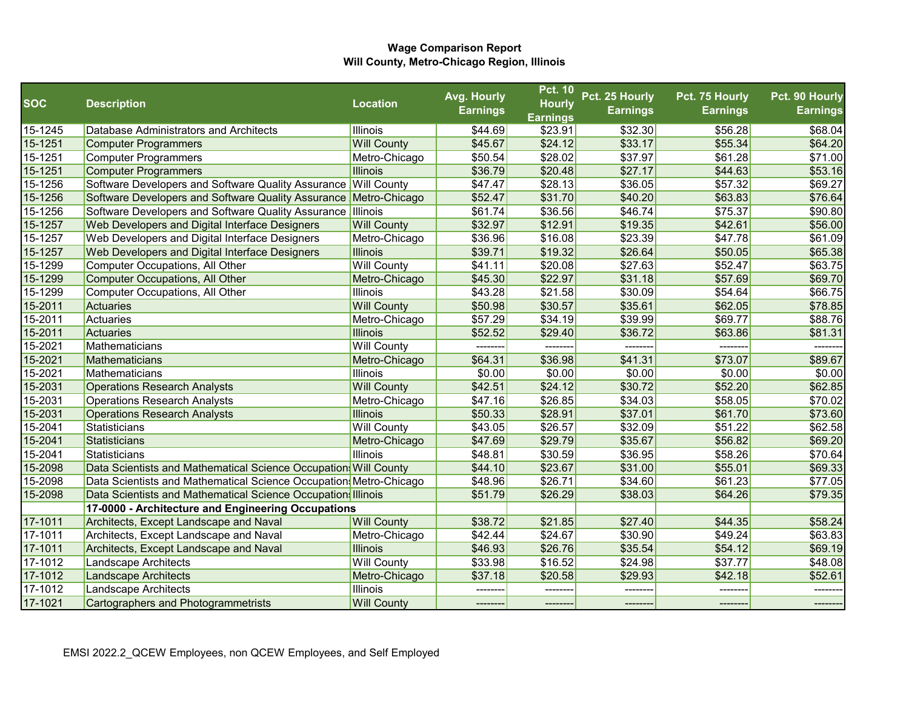| <b>SOC</b> |                                                                   | <b>Location</b>    | Avg. Hourly     | <b>Pct. 10</b><br><b>Hourly</b> | Pct. 25 Hourly  | Pct. 75 Hourly  | Pct. 90 Hourly  |
|------------|-------------------------------------------------------------------|--------------------|-----------------|---------------------------------|-----------------|-----------------|-----------------|
|            | <b>Description</b>                                                |                    | <b>Earnings</b> | <b>Earnings</b>                 | <b>Earnings</b> | <b>Earnings</b> | <b>Earnings</b> |
| 15-1245    | Database Administrators and Architects                            | Illinois           | \$44.69         | \$23.91                         | \$32.30         | \$56.28         | \$68.04         |
| 15-1251    | <b>Computer Programmers</b>                                       | <b>Will County</b> | \$45.67         | \$24.12                         | \$33.17         | \$55.34         | \$64.20         |
| 15-1251    | <b>Computer Programmers</b>                                       | Metro-Chicago      | \$50.54         | \$28.02                         | \$37.97         | \$61.28         | \$71.00         |
| 15-1251    | <b>Computer Programmers</b>                                       | <b>Illinois</b>    | \$36.79         | \$20.48                         | \$27.17         | \$44.63         | \$53.16         |
| 15-1256    | Software Developers and Software Quality Assurance Will County    |                    | \$47.47         | \$28.13                         | \$36.05         | \$57.32         | \$69.27         |
| 15-1256    | Software Developers and Software Quality Assurance Metro-Chicago  |                    | \$52.47         | \$31.70                         | \$40.20         | \$63.83         | \$76.64         |
| 15-1256    | Software Developers and Software Quality Assurance Illinois       |                    | \$61.74         | \$36.56                         | \$46.74         | \$75.37         | \$90.80         |
| 15-1257    | Web Developers and Digital Interface Designers                    | <b>Will County</b> | \$32.97         | \$12.91                         | \$19.35         | \$42.61         | \$56.00         |
| 15-1257    | Web Developers and Digital Interface Designers                    | Metro-Chicago      | \$36.96         | \$16.08                         | \$23.39         | \$47.78         | \$61.09         |
| 15-1257    | Web Developers and Digital Interface Designers                    | <b>Illinois</b>    | \$39.71         | \$19.32                         | \$26.64         | \$50.05         | \$65.38         |
| 15-1299    | <b>Computer Occupations, All Other</b>                            | <b>Will County</b> | \$41.11         | \$20.08                         | \$27.63         | \$52.47         | \$63.75         |
| 15-1299    | <b>Computer Occupations, All Other</b>                            | Metro-Chicago      | \$45.30         | \$22.97                         | \$31.18         | \$57.69         | \$69.70         |
| 15-1299    | Computer Occupations, All Other                                   | Illinois           | \$43.28         | \$21.58                         | \$30.09         | \$54.64         | \$66.75         |
| 15-2011    | <b>Actuaries</b>                                                  | <b>Will County</b> | \$50.98         | \$30.57                         | \$35.61         | \$62.05         | \$78.85         |
| 15-2011    | Actuaries                                                         | Metro-Chicago      | \$57.29         | \$34.19                         | \$39.99         | \$69.77         | \$88.76         |
| 15-2011    | Actuaries                                                         | <b>Illinois</b>    | \$52.52         | \$29.40                         | \$36.72         | \$63.86         | \$81.31         |
| 15-2021    | Mathematicians                                                    | <b>Will County</b> | ---------       |                                 | -------         | --------        |                 |
| 15-2021    | Mathematicians                                                    | Metro-Chicago      | \$64.31         | \$36.98                         | \$41.31         | \$73.07         | \$89.67         |
| 15-2021    | Mathematicians                                                    | Illinois           | \$0.00          | \$0.00                          | \$0.00          | \$0.00          | \$0.00          |
| 15-2031    | <b>Operations Research Analysts</b>                               | <b>Will County</b> | \$42.51         | \$24.12                         | \$30.72         | \$52.20         | \$62.85         |
| 15-2031    | <b>Operations Research Analysts</b>                               | Metro-Chicago      | \$47.16         | \$26.85                         | \$34.03         | \$58.05         | \$70.02         |
| 15-2031    | <b>Operations Research Analysts</b>                               | <b>Illinois</b>    | \$50.33         | \$28.91                         | \$37.01         | \$61.70         | \$73.60         |
| 15-2041    | Statisticians                                                     | <b>Will County</b> | \$43.05         | \$26.57                         | \$32.09         | \$51.22         | \$62.58         |
| 15-2041    | Statisticians                                                     | Metro-Chicago      | \$47.69         | \$29.79                         | \$35.67         | \$56.82         | \$69.20         |
| 15-2041    | Statisticians                                                     | <b>Illinois</b>    | \$48.81         | \$30.59                         | \$36.95         | \$58.26         | \$70.64         |
| 15-2098    | Data Scientists and Mathematical Science Occupation Will County   |                    | \$44.10         | \$23.67                         | \$31.00         | \$55.01         | \$69.33         |
| 15-2098    | Data Scientists and Mathematical Science Occupation Metro-Chicago |                    | \$48.96         | \$26.71                         | \$34.60         | \$61.23         | \$77.05         |
| 15-2098    | Data Scientists and Mathematical Science Occupation Illinois      |                    | \$51.79         | \$26.29                         | \$38.03         | \$64.26         | \$79.35         |
|            | 17-0000 - Architecture and Engineering Occupations                |                    |                 |                                 |                 |                 |                 |
| 17-1011    | Architects, Except Landscape and Naval                            | <b>Will County</b> | \$38.72         | \$21.85                         | \$27.40         | \$44.35         | \$58.24         |
| 17-1011    | Architects, Except Landscape and Naval                            | Metro-Chicago      | \$42.44         | \$24.67                         | \$30.90         | \$49.24         | \$63.83         |
| 17-1011    | Architects, Except Landscape and Naval                            | <b>Illinois</b>    | \$46.93         | \$26.76                         | \$35.54         | \$54.12         | \$69.19         |
| 17-1012    | Landscape Architects                                              | <b>Will County</b> | \$33.98         | \$16.52                         | \$24.98         | \$37.77         | \$48.08         |
| 17-1012    | <b>Landscape Architects</b>                                       | Metro-Chicago      | \$37.18         | \$20.58                         | \$29.93         | \$42.18         | \$52.61         |
| 17-1012    | Landscape Architects                                              | Illinois           |                 |                                 |                 |                 |                 |
| 17-1021    | <b>Cartographers and Photogrammetrists</b>                        | <b>Will County</b> | --------        | -------                         | -------         | --------        | ---------       |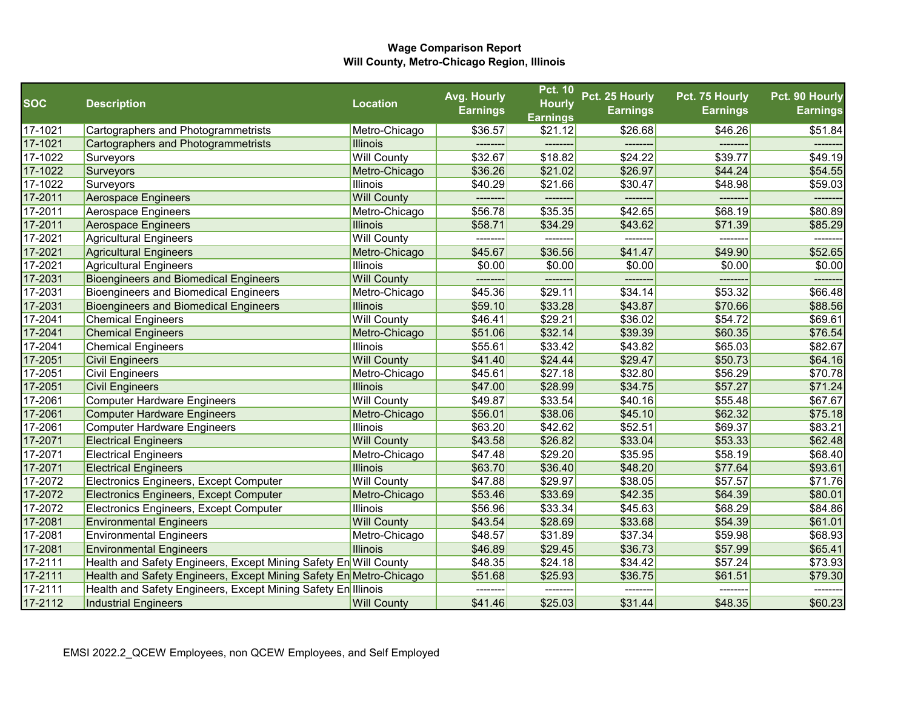|            |                                                                    |                    | Avg. Hourly     | <b>Pct. 10</b>  | Pct. 25 Hourly  | Pct. 75 Hourly  | Pct. 90 Hourly  |
|------------|--------------------------------------------------------------------|--------------------|-----------------|-----------------|-----------------|-----------------|-----------------|
| <b>SOC</b> | <b>Description</b>                                                 | <b>Location</b>    | <b>Earnings</b> | <b>Hourly</b>   | <b>Earnings</b> | <b>Earnings</b> | <b>Earnings</b> |
|            |                                                                    |                    |                 | <b>Earnings</b> |                 |                 |                 |
| 17-1021    | Cartographers and Photogrammetrists                                | Metro-Chicago      | \$36.57         | \$21.12         | \$26.68         | \$46.26         | \$51.84         |
| 17-1021    | <b>Cartographers and Photogrammetrists</b>                         | <b>Illinois</b>    |                 |                 |                 |                 |                 |
| 17-1022    | Surveyors                                                          | <b>Will County</b> | \$32.67         | \$18.82         | \$24.22         | \$39.77         | \$49.19         |
| 17-1022    | <b>Surveyors</b>                                                   | Metro-Chicago      | \$36.26         | \$21.02         | \$26.97         | \$44.24         | \$54.55         |
| 17-1022    | Surveyors                                                          | Illinois           | \$40.29         | \$21.66         | \$30.47         | \$48.98         | \$59.03         |
| 17-2011    | <b>Aerospace Engineers</b>                                         | <b>Will County</b> | --------        | --------        | --------        | --------        | -------         |
| 17-2011    | Aerospace Engineers                                                | Metro-Chicago      | \$56.78         | \$35.35         | \$42.65         | \$68.19         | \$80.89         |
| 17-2011    | <b>Aerospace Engineers</b>                                         | <b>Illinois</b>    | \$58.71         | \$34.29         | \$43.62         | \$71.39         | \$85.29         |
| 17-2021    | <b>Agricultural Engineers</b>                                      | <b>Will County</b> | --------        | --------        | --------        | --------        | -------         |
| 17-2021    | <b>Agricultural Engineers</b>                                      | Metro-Chicago      | \$45.67         | \$36.56         | \$41.47         | \$49.90         | \$52.65         |
| 17-2021    | <b>Agricultural Engineers</b>                                      | Illinois           | \$0.00          | \$0.00          | \$0.00          | \$0.00          | \$0.00          |
| 17-2031    | <b>Bioengineers and Biomedical Engineers</b>                       | <b>Will County</b> | --------        | --------        | -------         | -------         | -------         |
| 17-2031    | <b>Bioengineers and Biomedical Engineers</b>                       | Metro-Chicago      | \$45.36         | \$29.11         | \$34.14         | \$53.32         | \$66.48         |
| 17-2031    | <b>Bioengineers and Biomedical Engineers</b>                       | <b>Illinois</b>    | \$59.10         | \$33.28         | \$43.87         | \$70.66         | \$88.56         |
| 17-2041    | <b>Chemical Engineers</b>                                          | <b>Will County</b> | \$46.41         | \$29.21         | \$36.02         | \$54.72         | \$69.61         |
| 17-2041    | <b>Chemical Engineers</b>                                          | Metro-Chicago      | \$51.06         | \$32.14         | \$39.39         | \$60.35         | \$76.54         |
| 17-2041    | <b>Chemical Engineers</b>                                          | Illinois           | \$55.61         | \$33.42         | \$43.82         | \$65.03         | \$82.67         |
| 17-2051    | <b>Civil Engineers</b>                                             | <b>Will County</b> | \$41.40         | \$24.44         | \$29.47         | \$50.73         | \$64.16         |
| 17-2051    | Civil Engineers                                                    | Metro-Chicago      | \$45.61         | \$27.18         | \$32.80         | \$56.29         | \$70.78         |
| 17-2051    | <b>Civil Engineers</b>                                             | <b>Illinois</b>    | \$47.00         | \$28.99         | \$34.75         | \$57.27         | \$71.24         |
| 17-2061    | Computer Hardware Engineers                                        | <b>Will County</b> | \$49.87         | \$33.54         | \$40.16         | \$55.48         | \$67.67         |
| 17-2061    | <b>Computer Hardware Engineers</b>                                 | Metro-Chicago      | \$56.01         | \$38.06         | \$45.10         | \$62.32         | \$75.18         |
| 17-2061    | <b>Computer Hardware Engineers</b>                                 | Illinois           | \$63.20         | \$42.62         | \$52.51         | \$69.37         | \$83.21         |
| 17-2071    | <b>Electrical Engineers</b>                                        | <b>Will County</b> | \$43.58         | \$26.82         | \$33.04         | \$53.33         | \$62.48         |
| 17-2071    | <b>Electrical Engineers</b>                                        | Metro-Chicago      | \$47.48         | \$29.20         | \$35.95         | \$58.19         | \$68.40         |
| 17-2071    | <b>Electrical Engineers</b>                                        | <b>Illinois</b>    | \$63.70         | \$36.40         | \$48.20         | \$77.64         | \$93.61         |
| 17-2072    | Electronics Engineers, Except Computer                             | <b>Will County</b> | \$47.88         | \$29.97         | \$38.05         | \$57.57         | \$71.76         |
| 17-2072    | Electronics Engineers, Except Computer                             | Metro-Chicago      | \$53.46         | \$33.69         | \$42.35         | \$64.39         | \$80.01         |
| 17-2072    | Electronics Engineers, Except Computer                             | Illinois           | \$56.96         | \$33.34         | \$45.63         | \$68.29         | \$84.86         |
| 17-2081    | <b>Environmental Engineers</b>                                     | <b>Will County</b> | \$43.54         | \$28.69         | \$33.68         | \$54.39         | \$61.01         |
| 17-2081    | <b>Environmental Engineers</b>                                     | Metro-Chicago      | \$48.57         | \$31.89         | \$37.34         | \$59.98         | \$68.93         |
| 17-2081    | <b>Environmental Engineers</b>                                     | <b>Illinois</b>    | \$46.89         | \$29.45         | \$36.73         | \$57.99         | \$65.41         |
| 17-2111    | Health and Safety Engineers, Except Mining Safety En Will County   |                    | \$48.35         | \$24.18         | \$34.42         | \$57.24         | \$73.93         |
| 17-2111    | Health and Safety Engineers, Except Mining Safety En Metro-Chicago |                    | \$51.68         | \$25.93         | \$36.75         | \$61.51         | \$79.30         |
| 17-2111    | Health and Safety Engineers, Except Mining Safety En Illinois      |                    | ---------       | ---------       | --------        | --------        | -------         |
| 17-2112    | <b>Industrial Engineers</b>                                        | <b>Will County</b> | \$41.46         | \$25.03         | \$31.44         | \$48.35         | \$60.23         |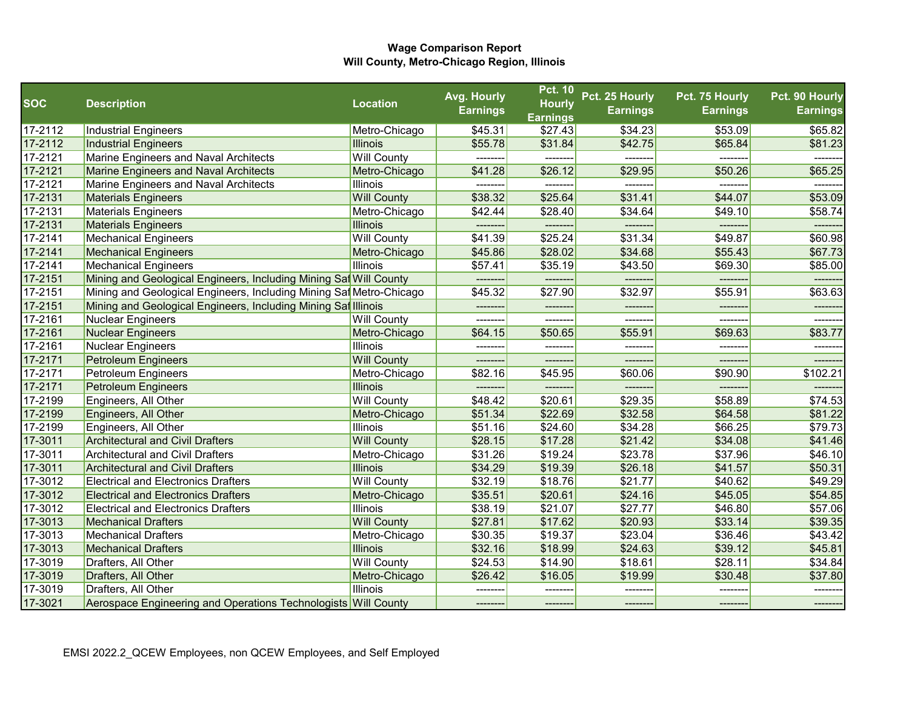|            |                                                                     |                    | Avg. Hourly     | <b>Pct. 10</b>  | Pct. 25 Hourly  | Pct. 75 Hourly  | Pct. 90 Hourly  |
|------------|---------------------------------------------------------------------|--------------------|-----------------|-----------------|-----------------|-----------------|-----------------|
| <b>SOC</b> | <b>Description</b>                                                  | <b>Location</b>    | <b>Earnings</b> | <b>Hourly</b>   | <b>Earnings</b> | <b>Earnings</b> | <b>Earnings</b> |
|            |                                                                     |                    |                 | <b>Earnings</b> |                 |                 |                 |
| 17-2112    | Industrial Engineers                                                | Metro-Chicago      | \$45.31         | \$27.43         | \$34.23         | \$53.09         | \$65.82         |
| 17-2112    | Industrial Engineers                                                | <b>Illinois</b>    | \$55.78         | \$31.84         | \$42.75         | \$65.84         | \$81.23         |
| 17-2121    | Marine Engineers and Naval Architects                               | <b>Will County</b> | --------        | --------        | --------        | --------        | --------        |
| 17-2121    | Marine Engineers and Naval Architects                               | Metro-Chicago      | \$41.28         | \$26.12         | \$29.95         | \$50.26         | \$65.25         |
| 17-2121    | Marine Engineers and Naval Architects                               | <b>Illinois</b>    | --------        | --------        | --------        | --------        | -------         |
| 17-2131    | <b>Materials Engineers</b>                                          | <b>Will County</b> | \$38.32         | \$25.64         | \$31.41         | \$44.07         | \$53.09         |
| 17-2131    | <b>Materials Engineers</b>                                          | Metro-Chicago      | \$42.44         | \$28.40         | \$34.64         | \$49.10         | \$58.74         |
| 17-2131    | <b>Materials Engineers</b>                                          | <b>Illinois</b>    | --------        | --------        | --------        | -------         | -------         |
| 17-2141    | Mechanical Engineers                                                | <b>Will County</b> | \$41.39         | \$25.24         | \$31.34         | \$49.87         | \$60.98         |
| 17-2141    | <b>Mechanical Engineers</b>                                         | Metro-Chicago      | \$45.86         | \$28.02         | \$34.68         | \$55.43         | \$67.73         |
| 17-2141    | <b>Mechanical Engineers</b>                                         | <b>Illinois</b>    | \$57.41         | \$35.19         | \$43.50         | \$69.30         | \$85.00         |
| 17-2151    | Mining and Geological Engineers, Including Mining Saf Will County   |                    | --------        | --------        | -------         | -------         | -------         |
| 17-2151    | Mining and Geological Engineers, Including Mining Saf Metro-Chicago |                    | \$45.32         | \$27.90         | \$32.97         | \$55.91         | \$63.63         |
| 17-2151    | Mining and Geological Engineers, Including Mining Saf Illinois      |                    |                 | --------        | ------          |                 |                 |
| 17-2161    | Nuclear Engineers                                                   | <b>Will County</b> | --------        | ---------       | --------        | --------        | --------        |
| 17-2161    | Nuclear Engineers                                                   | Metro-Chicago      | \$64.15         | \$50.65         | \$55.91         | \$69.63         | \$83.77         |
| 17-2161    | Nuclear Engineers                                                   | <b>Illinois</b>    | --------        | --------        | -------         | $- - - - - - -$ | -------         |
| 17-2171    | <b>Petroleum Engineers</b>                                          | <b>Will County</b> | ---------       | --------        | --------        | --------        | -------         |
| 17-2171    | Petroleum Engineers                                                 | Metro-Chicago      | \$82.16         | \$45.95         | \$60.06         | \$90.90         | \$102.21        |
| 17-2171    | <b>Petroleum Engineers</b>                                          | <b>Illinois</b>    | --------        | --------        | --------        | --------        |                 |
| 17-2199    | Engineers, All Other                                                | <b>Will County</b> | \$48.42         | \$20.61         | \$29.35         | \$58.89         | \$74.53         |
| 17-2199    | Engineers, All Other                                                | Metro-Chicago      | \$51.34         | \$22.69         | \$32.58         | \$64.58         | \$81.22         |
| 17-2199    | Engineers, All Other                                                | <b>Illinois</b>    | \$51.16         | \$24.60         | \$34.28         | \$66.25         | \$79.73         |
| 17-3011    | <b>Architectural and Civil Drafters</b>                             | <b>Will County</b> | \$28.15         | \$17.28         | \$21.42         | \$34.08         | \$41.46         |
| 17-3011    | <b>Architectural and Civil Drafters</b>                             | Metro-Chicago      | \$31.26         | \$19.24         | \$23.78         | \$37.96         | \$46.10         |
| 17-3011    | <b>Architectural and Civil Drafters</b>                             | <b>Illinois</b>    | \$34.29         | \$19.39         | \$26.18         | \$41.57         | \$50.31         |
| 17-3012    | <b>Electrical and Electronics Drafters</b>                          | <b>Will County</b> | \$32.19         | \$18.76         | \$21.77         | \$40.62         | \$49.29         |
| 17-3012    | <b>Electrical and Electronics Drafters</b>                          | Metro-Chicago      | \$35.51         | \$20.61         | \$24.16         | \$45.05         | \$54.85         |
| 17-3012    | <b>Electrical and Electronics Drafters</b>                          | <b>Illinois</b>    | \$38.19         | \$21.07         | \$27.77         | \$46.80         | \$57.06         |
| 17-3013    | <b>Mechanical Drafters</b>                                          | <b>Will County</b> | \$27.81         | \$17.62         | \$20.93         | \$33.14         | \$39.35         |
| 17-3013    | <b>Mechanical Drafters</b>                                          | Metro-Chicago      | \$30.35         | \$19.37         | \$23.04         | \$36.46         | \$43.42         |
| 17-3013    | <b>Mechanical Drafters</b>                                          | <b>Illinois</b>    | \$32.16         | \$18.99         | \$24.63         | \$39.12         | \$45.81         |
| 17-3019    | Drafters, All Other                                                 | <b>Will County</b> | \$24.53         | \$14.90         | \$18.61         | \$28.11         | \$34.84         |
| 17-3019    | Drafters, All Other                                                 | Metro-Chicago      | \$26.42         | \$16.05         | \$19.99         | \$30.48         | \$37.80         |
| 17-3019    | Drafters, All Other                                                 | <b>Illinois</b>    |                 |                 |                 |                 |                 |
| 17-3021    | Aerospace Engineering and Operations Technologists Will County      |                    | ---------       | --------        | --------        | --------        | -------         |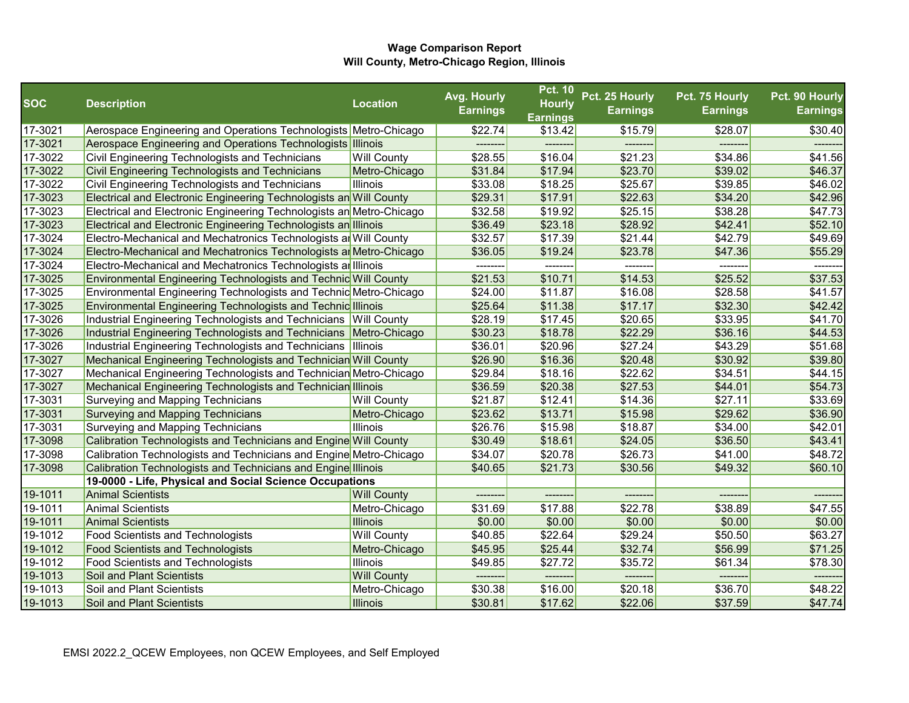|            |                                                                        |                    | Avg. Hourly     | <b>Pct. 10</b>  | Pct. 25 Hourly  | Pct. 75 Hourly  | Pct. 90 Hourly  |
|------------|------------------------------------------------------------------------|--------------------|-----------------|-----------------|-----------------|-----------------|-----------------|
| <b>SOC</b> | <b>Description</b>                                                     | <b>Location</b>    | <b>Earnings</b> | <b>Hourly</b>   | <b>Earnings</b> | <b>Earnings</b> | <b>Earnings</b> |
|            |                                                                        |                    |                 | <b>Earnings</b> |                 |                 |                 |
| 17-3021    | Aerospace Engineering and Operations Technologists Metro-Chicago       |                    | \$22.74         | \$13.42         | \$15.79         | \$28.07         | \$30.40         |
| 17-3021    | Aerospace Engineering and Operations Technologists Illinois            |                    | --------        | --------        | ------          | -------         |                 |
| 17-3022    | Civil Engineering Technologists and Technicians                        | <b>Will County</b> | \$28.55         | \$16.04         | \$21.23         | \$34.86         | \$41.56         |
| 17-3022    | Civil Engineering Technologists and Technicians                        | Metro-Chicago      | \$31.84         | \$17.94         | \$23.70         | \$39.02         | \$46.37         |
| 17-3022    | Civil Engineering Technologists and Technicians                        | <b>Illinois</b>    | \$33.08         | \$18.25         | \$25.67         | \$39.85         | \$46.02         |
| 17-3023    | Electrical and Electronic Engineering Technologists an Will County     |                    | \$29.31         | \$17.91         | \$22.63         | \$34.20         | \$42.96         |
| 17-3023    | Electrical and Electronic Engineering Technologists an Metro-Chicago   |                    | \$32.58         | \$19.92         | \$25.15         | \$38.28         | \$47.73         |
| 17-3023    | Electrical and Electronic Engineering Technologists an Illinois        |                    | \$36.49         | \$23.18         | \$28.92         | \$42.41         | \$52.10         |
| 17-3024    | Electro-Mechanical and Mechatronics Technologists ar Will County       |                    | \$32.57         | \$17.39         | \$21.44         | \$42.79         | \$49.69         |
| 17-3024    | Electro-Mechanical and Mechatronics Technologists ar Metro-Chicago     |                    | \$36.05         | \$19.24         | \$23.78         | \$47.36         | \$55.29         |
| 17-3024    | Electro-Mechanical and Mechatronics Technologists an Illinois          |                    | --------        | --------        | -------         | --------        | -------         |
| 17-3025    | <b>Environmental Engineering Technologists and Technic Will County</b> |                    | \$21.53         | \$10.71         | \$14.53         | \$25.52         | \$37.53         |
| 17-3025    | Environmental Engineering Technologists and Technic Metro-Chicago      |                    | \$24.00         | \$11.87         | \$16.08         | \$28.58         | \$41.57         |
| 17-3025    | <b>Environmental Engineering Technologists and Technic Illinois</b>    |                    | \$25.64         | \$11.38         | \$17.17         | \$32.30         | \$42.42         |
| 17-3026    | Industrial Engineering Technologists and Technicians Will County       |                    | \$28.19         | \$17.45         | \$20.65         | \$33.95         | \$41.70         |
| 17-3026    | Industrial Engineering Technologists and Technicians Metro-Chicago     |                    | \$30.23         | \$18.78         | \$22.29         | \$36.16         | \$44.53         |
| 17-3026    | Industrial Engineering Technologists and Technicians  Illinois         |                    | \$36.01         | \$20.96         | \$27.24         | \$43.29         | \$51.68         |
| 17-3027    | Mechanical Engineering Technologists and Technician Will County        |                    | \$26.90         | \$16.36         | \$20.48         | \$30.92         | \$39.80         |
| 17-3027    | Mechanical Engineering Technologists and Technician Metro-Chicago      |                    | \$29.84         | \$18.16         | \$22.62         | \$34.51         | \$44.15         |
| 17-3027    | Mechanical Engineering Technologists and Technician Illinois           |                    | \$36.59         | \$20.38         | \$27.53         | \$44.01         | \$54.73         |
| 17-3031    | Surveying and Mapping Technicians                                      | <b>Will County</b> | \$21.87         | \$12.41         | \$14.36         | \$27.11         | \$33.69         |
| 17-3031    | Surveying and Mapping Technicians                                      | Metro-Chicago      | \$23.62         | \$13.71         | \$15.98         | \$29.62         | \$36.90         |
| 17-3031    | Surveying and Mapping Technicians                                      | <b>Illinois</b>    | \$26.76         | \$15.98         | \$18.87         | \$34.00         | \$42.01         |
| 17-3098    | Calibration Technologists and Technicians and Engine Will County       |                    | \$30.49         | \$18.61         | \$24.05         | \$36.50         | \$43.41         |
| 17-3098    | Calibration Technologists and Technicians and Engine Metro-Chicago     |                    | \$34.07         | \$20.78         | \$26.73         | \$41.00         | \$48.72         |
| 17-3098    | Calibration Technologists and Technicians and Engine Illinois          |                    | \$40.65         | \$21.73         | \$30.56         | \$49.32         | \$60.10         |
|            | 19-0000 - Life, Physical and Social Science Occupations                |                    |                 |                 |                 |                 |                 |
| 19-1011    | <b>Animal Scientists</b>                                               | <b>Will County</b> | --------        |                 | -------         | -------         | ------          |
| 19-1011    | <b>Animal Scientists</b>                                               | Metro-Chicago      | \$31.69         | \$17.88         | \$22.78         | \$38.89         | \$47.55         |
| 19-1011    | <b>Animal Scientists</b>                                               | <b>Illinois</b>    | \$0.00          | \$0.00          | \$0.00          | \$0.00          | \$0.00          |
| 19-1012    | <b>Food Scientists and Technologists</b>                               | <b>Will County</b> | \$40.85         | \$22.64         | \$29.24         | \$50.50         | \$63.27         |
| 19-1012    | <b>Food Scientists and Technologists</b>                               | Metro-Chicago      | \$45.95         | \$25.44         | \$32.74         | \$56.99         | \$71.25         |
| 19-1012    | <b>Food Scientists and Technologists</b>                               | <b>Illinois</b>    | \$49.85         | \$27.72         | \$35.72         | \$61.34         | \$78.30         |
| 19-1013    | <b>Soil and Plant Scientists</b>                                       | <b>Will County</b> | --------        | --------        | -------         | --------        | --------        |
| 19-1013    | Soil and Plant Scientists                                              | Metro-Chicago      | \$30.38         | \$16.00         | \$20.18         | \$36.70         | \$48.22         |
| 19-1013    | <b>Soil and Plant Scientists</b>                                       | Illinois           | \$30.81         | \$17.62         | \$22.06         | \$37.59         | \$47.74         |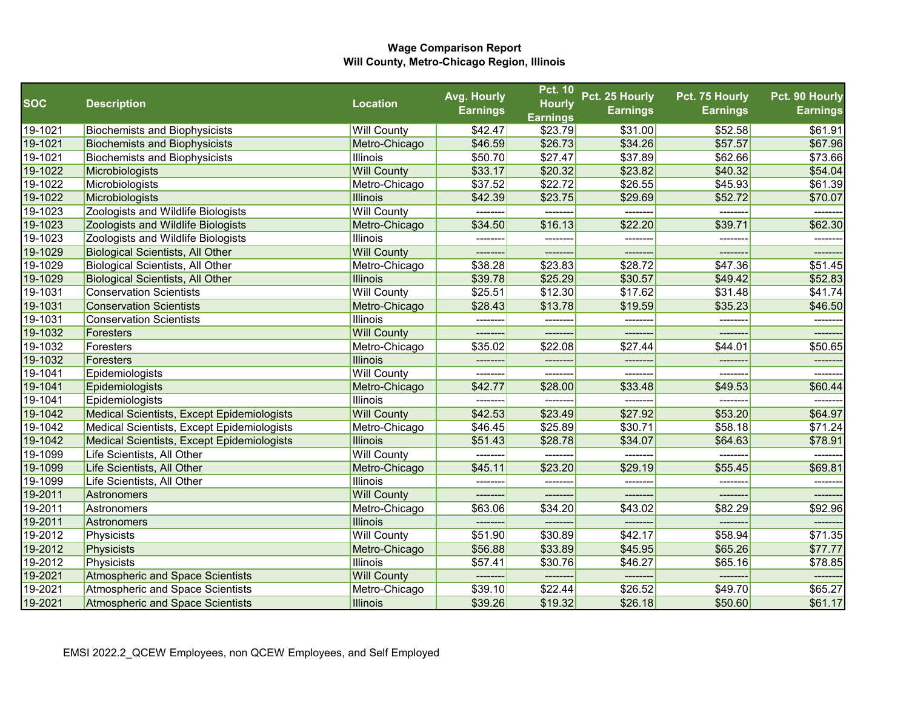|            |                                            |                    | Avg. Hourly     | <b>Pct. 10</b>  | Pct. 25 Hourly  | Pct. 75 Hourly  | Pct. 90 Hourly  |
|------------|--------------------------------------------|--------------------|-----------------|-----------------|-----------------|-----------------|-----------------|
| <b>SOC</b> | <b>Description</b>                         | <b>Location</b>    | <b>Earnings</b> | <b>Hourly</b>   | <b>Earnings</b> | <b>Earnings</b> | <b>Earnings</b> |
|            |                                            |                    |                 | <b>Earnings</b> |                 |                 |                 |
| 19-1021    | <b>Biochemists and Biophysicists</b>       | <b>Will County</b> | \$42.47         | \$23.79         | \$31.00         | \$52.58         | \$61.91         |
| 19-1021    | <b>Biochemists and Biophysicists</b>       | Metro-Chicago      | \$46.59         | \$26.73         | \$34.26         | \$57.57         | \$67.96         |
| 19-1021    | <b>Biochemists and Biophysicists</b>       | Illinois           | \$50.70         | \$27.47         | \$37.89         | \$62.66         | \$73.66         |
| 19-1022    | Microbiologists                            | <b>Will County</b> | \$33.17         | \$20.32         | \$23.82         | \$40.32         | \$54.04         |
| 19-1022    | Microbiologists                            | Metro-Chicago      | \$37.52         | \$22.72         | \$26.55         | \$45.93         | \$61.39         |
| 19-1022    | Microbiologists                            | <b>Illinois</b>    | \$42.39         | \$23.75         | \$29.69         | \$52.72         | \$70.07         |
| 19-1023    | Zoologists and Wildlife Biologists         | <b>Will County</b> | --------        | ---------       | --------        | --------        | -------         |
| 19-1023    | Zoologists and Wildlife Biologists         | Metro-Chicago      | \$34.50         | \$16.13         | \$22.20         | \$39.71         | \$62.30         |
| 19-1023    | Zoologists and Wildlife Biologists         | Illinois           | ---------       | ---------       | --------        | ---------       | --------        |
| 19-1029    | <b>Biological Scientists, All Other</b>    | <b>Will County</b> | ---------       | ---------       | --------        | --------        | --------        |
| 19-1029    | <b>Biological Scientists, All Other</b>    | Metro-Chicago      | \$38.28         | \$23.83         | \$28.72         | \$47.36         | \$51.45         |
| 19-1029    | <b>Biological Scientists, All Other</b>    | <b>Illinois</b>    | \$39.78         | \$25.29         | \$30.57         | \$49.42         | \$52.83         |
| 19-1031    | <b>Conservation Scientists</b>             | <b>Will County</b> | \$25.51         | \$12.30         | \$17.62         | \$31.48         | \$41.74         |
| 19-1031    | <b>Conservation Scientists</b>             | Metro-Chicago      | \$28.43         | \$13.78         | \$19.59         | \$35.23         | \$46.50         |
| 19-1031    | <b>Conservation Scientists</b>             | Illinois           | ---------       | ---------       | --------        | ---------       | ---------       |
| 19-1032    | Foresters                                  | <b>Will County</b> | ---------       | ---------       | --------        | ---------       | -------         |
| 19-1032    | Foresters                                  | Metro-Chicago      | \$35.02         | \$22.08         | \$27.44         | \$44.01         | \$50.65         |
| 19-1032    | Foresters                                  | <b>Illinois</b>    | --------        | --------        | --------        | --------        | --------        |
| 19-1041    | Epidemiologists                            | <b>Will County</b> | --------        |                 | -------         |                 |                 |
| 19-1041    | Epidemiologists                            | Metro-Chicago      | \$42.77         | \$28.00         | \$33.48         | \$49.53         | \$60.44         |
| 19-1041    | Epidemiologists                            | Illinois           | --------        |                 |                 | -------         |                 |
| 19-1042    | Medical Scientists, Except Epidemiologists | <b>Will County</b> | \$42.53         | \$23.49         | \$27.92         | \$53.20         | \$64.97         |
| 19-1042    | Medical Scientists, Except Epidemiologists | Metro-Chicago      | \$46.45         | \$25.89         | \$30.71         | \$58.18         | \$71.24         |
| 19-1042    | Medical Scientists, Except Epidemiologists | <b>Illinois</b>    | \$51.43         | \$28.78         | \$34.07         | \$64.63         | \$78.91         |
| 19-1099    | Life Scientists, All Other                 | <b>Will County</b> | ---------       | ---------       | -------         | -------         | ------          |
| 19-1099    | Life Scientists, All Other                 | Metro-Chicago      | \$45.11         | \$23.20         | \$29.19         | \$55.45         | \$69.81         |
| 19-1099    | Life Scientists, All Other                 | Illinois           |                 |                 | --------        |                 |                 |
| 19-2011    | Astronomers                                | <b>Will County</b> | ---------       | ---------       | ---------       | --------        | -------         |
| 19-2011    | Astronomers                                | Metro-Chicago      | \$63.06         | \$34.20         | \$43.02         | \$82.29         | \$92.96         |
| 19-2011    | Astronomers                                | <b>Illinois</b>    | --------        | --------        | -------         |                 |                 |
| 19-2012    | Physicists                                 | <b>Will County</b> | \$51.90         | \$30.89         | \$42.17         | \$58.94         | \$71.35         |
| 19-2012    | Physicists                                 | Metro-Chicago      | \$56.88         | \$33.89         | \$45.95         | \$65.26         | \$77.77         |
| 19-2012    | Physicists                                 | Illinois           | \$57.41         | \$30.76         | \$46.27         | \$65.16         | \$78.85         |
| 19-2021    | Atmospheric and Space Scientists           | <b>Will County</b> | ---------       | --------        | ---------       | ---------       | --------        |
| 19-2021    | Atmospheric and Space Scientists           | Metro-Chicago      | \$39.10         | \$22.44         | \$26.52         | \$49.70         | \$65.27         |
| 19-2021    | Atmospheric and Space Scientists           | Illinois           | \$39.26         | \$19.32         | \$26.18         | \$50.60         | \$61.17         |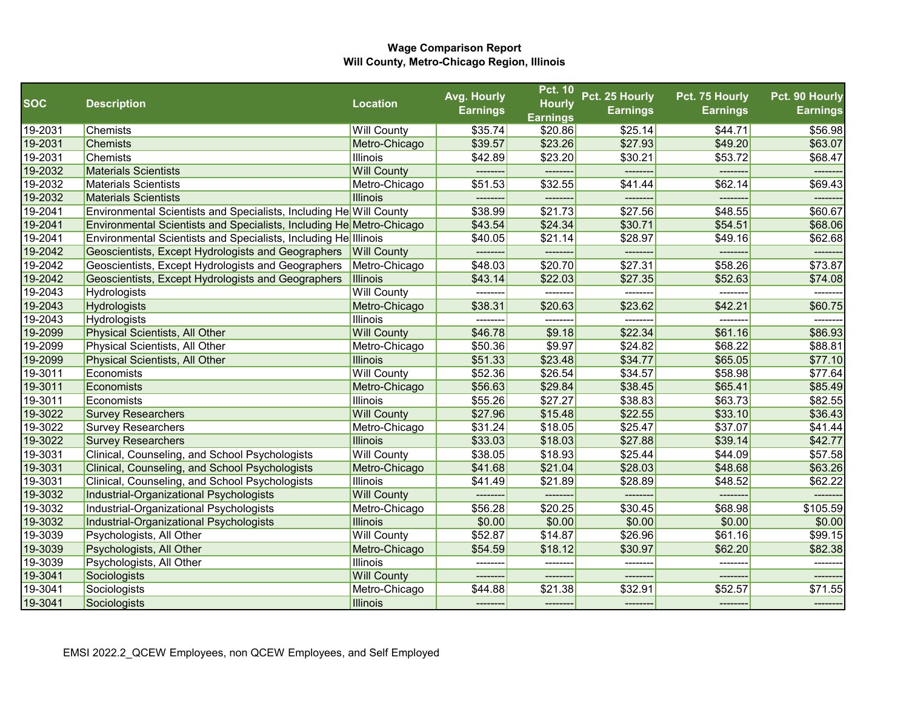|                    |                                                                           |                           | Avg. Hourly     | <b>Pct. 10</b>             | Pct. 25 Hourly  | Pct. 75 Hourly     | Pct. 90 Hourly     |
|--------------------|---------------------------------------------------------------------------|---------------------------|-----------------|----------------------------|-----------------|--------------------|--------------------|
| <b>SOC</b>         | <b>Description</b>                                                        | <b>Location</b>           | <b>Earnings</b> | <b>Hourly</b>              | <b>Earnings</b> | <b>Earnings</b>    | <b>Earnings</b>    |
| 19-2031            | Chemists                                                                  | <b>Will County</b>        | \$35.74         | <b>Earnings</b><br>\$20.86 | \$25.14         | \$44.71            | \$56.98            |
| 19-2031            | <b>Chemists</b>                                                           | Metro-Chicago             | \$39.57         | \$23.26                    | \$27.93         | \$49.20            | \$63.07            |
| 19-2031            | Chemists                                                                  | <b>Illinois</b>           | \$42.89         | \$23.20                    | \$30.21         | \$53.72            | \$68.47            |
| 19-2032            | <b>Materials Scientists</b>                                               | <b>Will County</b>        | --------        |                            |                 |                    |                    |
| 19-2032            | <b>Materials Scientists</b>                                               | Metro-Chicago             | \$51.53         | \$32.55                    | \$41.44         | \$62.14            | \$69.43            |
| 19-2032            | <b>Materials Scientists</b>                                               | <b>Illinois</b>           | ---------       | --------                   | --------        | --------           | -------            |
| 19-2041            | <b>Environmental Scientists and Specialists, Including He</b> Will County |                           | \$38.99         | \$21.73                    | \$27.56         | \$48.55            | \$60.67            |
| 19-2041            | Environmental Scientists and Specialists, Including He Metro-Chicago      |                           | \$43.54         | \$24.34                    | \$30.71         | \$54.51            | \$68.06            |
| 19-2041            | <b>Environmental Scientists and Specialists, Including He</b> lllinois    |                           | \$40.05         | \$21.14                    | \$28.97         | \$49.16            | \$62.68            |
| 19-2042            | Geoscientists, Except Hydrologists and Geographers                        | <b>Will County</b>        | --------        | --------                   | --------        | -------            | -------            |
| 19-2042            | Geoscientists, Except Hydrologists and Geographers                        | Metro-Chicago             | \$48.03         | \$20.70                    | \$27.31         | \$58.26            | \$73.87            |
| 19-2042            | Geoscientists, Except Hydrologists and Geographers                        | Illinois                  | \$43.14         | \$22.03                    | \$27.35         | \$52.63            | \$74.08            |
| 19-2043            | Hydrologists                                                              | <b>Will County</b>        |                 |                            |                 |                    |                    |
| 19-2043            | <b>Hydrologists</b>                                                       | Metro-Chicago             | \$38.31         | \$20.63                    | \$23.62         | \$42.21            | \$60.75            |
| 19-2043            | Hydrologists                                                              | <b>Illinois</b>           | ---------       | --------                   | --------        | ---------          | -------            |
| 19-2099            | Physical Scientists, All Other                                            | <b>Will County</b>        | \$46.78         | \$9.18                     | \$22.34         | \$61.16            | \$86.93            |
| 19-2099            | Physical Scientists, All Other                                            | Metro-Chicago             | \$50.36         | \$9.97                     | \$24.82         | \$68.22            | \$88.81            |
| 19-2099            | Physical Scientists, All Other                                            | <b>Illinois</b>           | \$51.33         | \$23.48                    | \$34.77         | \$65.05            | \$77.10            |
| 19-3011            | Economists                                                                | <b>Will County</b>        | \$52.36         | \$26.54                    | \$34.57         |                    | \$77.64            |
| 19-3011            | Economists                                                                | Metro-Chicago             | \$56.63         | \$29.84                    | \$38.45         | \$58.98<br>\$65.41 | \$85.49            |
| 19-3011            | Economists                                                                | <b>Illinois</b>           | \$55.26         | \$27.27                    | \$38.83         | \$63.73            | \$82.55            |
| 19-3022            |                                                                           | <b>Will County</b>        | \$27.96         | \$15.48                    | \$22.55         | \$33.10            | \$36.43            |
| 19-3022            | <b>Survey Researchers</b><br><b>Survey Researchers</b>                    | Metro-Chicago             | \$31.24         | \$18.05                    | \$25.47         | \$37.07            | \$41.44            |
| 19-3022            | <b>Survey Researchers</b>                                                 | <b>Illinois</b>           | \$33.03         | \$18.03                    | \$27.88         | \$39.14            | \$42.77            |
|                    |                                                                           |                           |                 |                            | \$25.44         |                    |                    |
| 19-3031            | Clinical, Counseling, and School Psychologists                            | <b>Will County</b>        | \$38.05         | \$18.93                    | \$28.03         | \$44.09            | \$57.58            |
| 19-3031<br>19-3031 | Clinical, Counseling, and School Psychologists                            | Metro-Chicago<br>Illinois | \$41.68         | \$21.04<br>\$21.89         | \$28.89         | \$48.68<br>\$48.52 | \$63.26<br>\$62.22 |
| 19-3032            | Clinical, Counseling, and School Psychologists                            |                           | \$41.49         |                            |                 |                    |                    |
|                    | Industrial-Organizational Psychologists                                   | <b>Will County</b>        | --------        | --------                   | --------        | --------           |                    |
| 19-3032            | Industrial-Organizational Psychologists                                   | Metro-Chicago             | \$56.28         | \$20.25                    | \$30.45         | \$68.98            | \$105.59           |
| 19-3032            | Industrial-Organizational Psychologists                                   | <b>Illinois</b>           | \$0.00          | \$0.00                     | \$0.00          | \$0.00             | \$0.00             |
| 19-3039            | Psychologists, All Other                                                  | <b>Will County</b>        | \$52.87         | \$14.87                    | \$26.96         | \$61.16            | \$99.15            |
| 19-3039            | Psychologists, All Other                                                  | Metro-Chicago             | \$54.59         | \$18.12                    | \$30.97         | \$62.20            | \$82.38            |
| 19-3039            | Psychologists, All Other                                                  | Illinois                  | -------         |                            | -------         |                    | ------             |
| 19-3041            | Sociologists                                                              | <b>Will County</b>        | --------        | --------                   | -------         | -------            | --------           |
| 19-3041            | Sociologists                                                              | Metro-Chicago             | \$44.88         | \$21.38                    | \$32.91         | \$52.57            | \$71.55            |
| 19-3041            | Sociologists                                                              | <b>Illinois</b>           | --------        | --------                   | --------        | --------           |                    |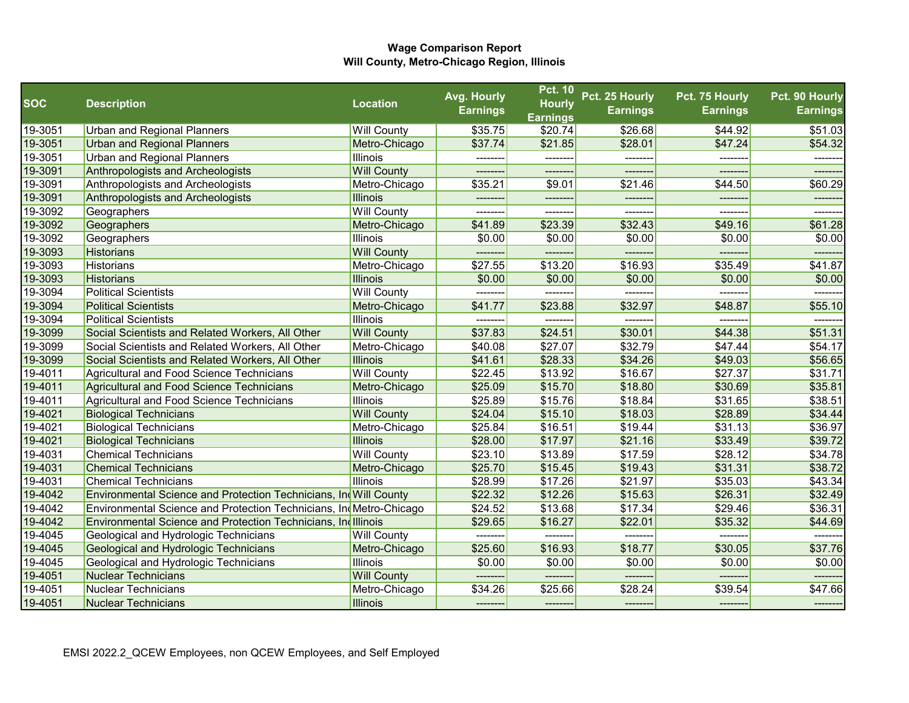| <b>SOC</b> | <b>Description</b>                                                    | <b>Location</b>    | Avg. Hourly     | <b>Pct. 10</b><br><b>Hourly</b> | Pct. 25 Hourly  | Pct. 75 Hourly  | Pct. 90 Hourly  |
|------------|-----------------------------------------------------------------------|--------------------|-----------------|---------------------------------|-----------------|-----------------|-----------------|
|            |                                                                       |                    | <b>Earnings</b> | <b>Earnings</b>                 | <b>Earnings</b> | <b>Earnings</b> | <b>Earnings</b> |
| 19-3051    | <b>Urban and Regional Planners</b>                                    | <b>Will County</b> | \$35.75         | \$20.74]                        | \$26.68         | \$44.92         | \$51.03         |
| 19-3051    | <b>Urban and Regional Planners</b>                                    | Metro-Chicago      | \$37.74         | \$21.85                         | \$28.01         | \$47.24         | \$54.32         |
| 19-3051    | <b>Urban and Regional Planners</b>                                    | <b>Illinois</b>    | --------        | --------                        | --------        | --------        | --------        |
| 19-3091    | Anthropologists and Archeologists                                     | <b>Will County</b> |                 |                                 |                 |                 |                 |
| 19-3091    | Anthropologists and Archeologists                                     | Metro-Chicago      | \$35.21         | \$9.01                          | \$21.46         | \$44.50         | \$60.29         |
| 19-3091    | Anthropologists and Archeologists                                     | <b>Illinois</b>    | -------         | --------                        | --------        | --------        | --------        |
| 19-3092    | Geographers                                                           | <b>Will County</b> |                 |                                 | ------          |                 |                 |
| 19-3092    | Geographers                                                           | Metro-Chicago      | \$41.89         | \$23.39                         | \$32.43         | \$49.16         | \$61.28         |
| 19-3092    | Geographers                                                           | <b>Illinois</b>    | \$0.00          | \$0.00                          | \$0.00          | \$0.00          | \$0.00          |
| 19-3093    | <b>Historians</b>                                                     | <b>Will County</b> |                 |                                 | -------         |                 |                 |
| 19-3093    | Historians                                                            | Metro-Chicago      | \$27.55         | \$13.20                         | \$16.93         | \$35.49         | \$41.87         |
| 19-3093    | Historians                                                            | <b>Illinois</b>    | \$0.00          | \$0.00                          | \$0.00          | \$0.00          | \$0.00          |
| 19-3094    | <b>Political Scientists</b>                                           | <b>Will County</b> |                 |                                 |                 |                 |                 |
| 19-3094    | <b>Political Scientists</b>                                           | Metro-Chicago      | \$41.77         | \$23.88                         | \$32.97         | \$48.87         | \$55.10         |
| 19-3094    | <b>Political Scientists</b>                                           | <b>Illinois</b>    | --------        | --------                        | --------        | --------        | -------         |
| 19-3099    | Social Scientists and Related Workers, All Other                      | <b>Will County</b> | \$37.83         | \$24.51                         | \$30.01         | \$44.38         | \$51.31         |
| 19-3099    | Social Scientists and Related Workers, All Other                      | Metro-Chicago      | \$40.08         | \$27.07                         | \$32.79         | \$47.44         | \$54.17         |
| 19-3099    | Social Scientists and Related Workers, All Other                      | <b>Illinois</b>    | \$41.61         | \$28.33                         | \$34.26         | \$49.03         | \$56.65         |
| 19-4011    | Agricultural and Food Science Technicians                             | <b>Will County</b> | \$22.45         | \$13.92                         | \$16.67         | \$27.37         | \$31.71         |
| 19-4011    | Agricultural and Food Science Technicians                             | Metro-Chicago      | \$25.09         | \$15.70                         | \$18.80         | \$30.69         | \$35.81         |
| 19-4011    | Agricultural and Food Science Technicians                             | <b>Illinois</b>    | \$25.89         | \$15.76                         | \$18.84         | \$31.65         | \$38.51         |
| 19-4021    | <b>Biological Technicians</b>                                         | <b>Will County</b> | \$24.04         | \$15.10                         | \$18.03         | \$28.89         | \$34.44         |
| 19-4021    | <b>Biological Technicians</b>                                         | Metro-Chicago      | \$25.84         | \$16.51                         | \$19.44         | \$31.13         | \$36.97         |
| 19-4021    | <b>Biological Technicians</b>                                         | <b>Illinois</b>    | \$28.00         | \$17.97                         | \$21.16         | \$33.49         | \$39.72         |
| 19-4031    | <b>Chemical Technicians</b>                                           | <b>Will County</b> | \$23.10         | \$13.89                         | \$17.59         | \$28.12         | \$34.78         |
| 19-4031    | <b>Chemical Technicians</b>                                           | Metro-Chicago      | \$25.70         | \$15.45                         | \$19.43         | \$31.31         | \$38.72         |
| 19-4031    | <b>Chemical Technicians</b>                                           | <b>Illinois</b>    | \$28.99         | \$17.26                         | \$21.97         | \$35.03         | \$43.34         |
| 19-4042    | Environmental Science and Protection Technicians, Ind Will County     |                    | \$22.32         | \$12.26                         | \$15.63         | \$26.31         | \$32.49         |
| 19-4042    | Environmental Science and Protection Technicians, In Metro-Chicago    |                    | \$24.52         | \$13.68                         | \$17.34         | \$29.46         | \$36.31         |
| 19-4042    | <b>Environmental Science and Protection Technicians, Ind Illinois</b> |                    | \$29.65         | \$16.27                         | \$22.01         | \$35.32         | \$44.69         |
| 19-4045    | Geological and Hydrologic Technicians                                 | <b>Will County</b> | --------        | --------                        | --------        | --------        | -------         |
| 19-4045    | Geological and Hydrologic Technicians                                 | Metro-Chicago      | \$25.60         | \$16.93                         | \$18.77         | \$30.05         | \$37.76         |
| 19-4045    | Geological and Hydrologic Technicians                                 | <b>Illinois</b>    | \$0.00          | \$0.00                          | \$0.00          | \$0.00          | \$0.00          |
| 19-4051    | <b>Nuclear Technicians</b>                                            | <b>Will County</b> | --------        | --------                        | --------        | -------         | --------        |
| 19-4051    | Nuclear Technicians                                                   | Metro-Chicago      | \$34.26         | \$25.66                         | \$28.24         | \$39.54         | \$47.66         |
| 19-4051    | <b>Nuclear Technicians</b>                                            | <b>Illinois</b>    | --------        | --------                        | --------        | --------        |                 |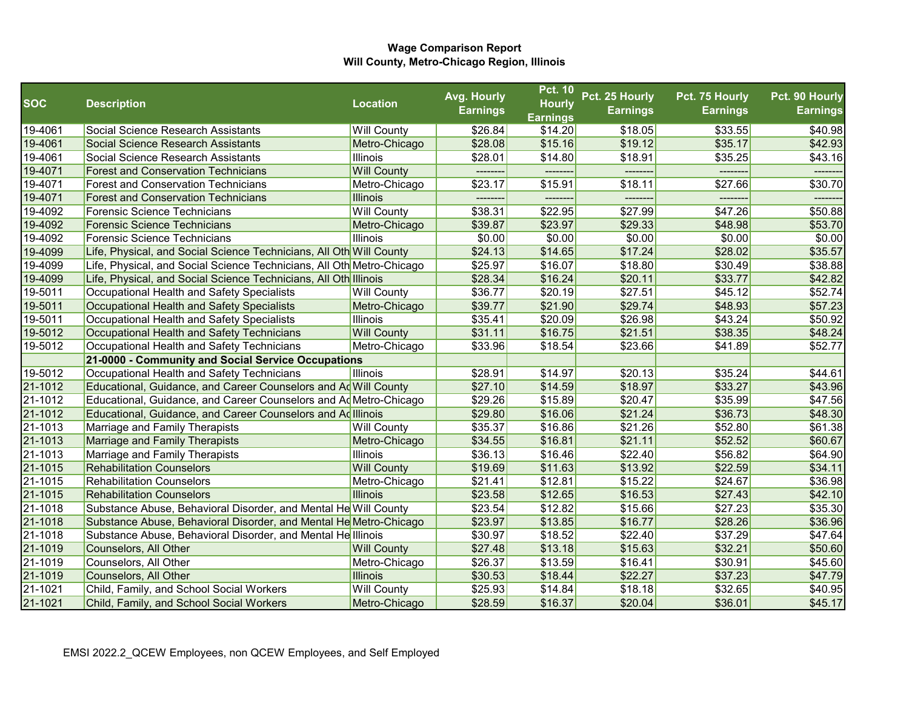|            |                                                                       |                    | Avg. Hourly     | <b>Pct. 10</b>  | Pct. 25 Hourly  | Pct. 75 Hourly  | Pct. 90 Hourly  |
|------------|-----------------------------------------------------------------------|--------------------|-----------------|-----------------|-----------------|-----------------|-----------------|
| <b>SOC</b> | <b>Description</b>                                                    | <b>Location</b>    | <b>Earnings</b> | <b>Hourly</b>   | <b>Earnings</b> | <b>Earnings</b> | <b>Earnings</b> |
|            |                                                                       |                    |                 | <b>Earnings</b> |                 |                 |                 |
| 19-4061    | Social Science Research Assistants                                    | <b>Will County</b> | \$26.84         | \$14.20         | \$18.05         | \$33.55         | \$40.98         |
| 19-4061    | Social Science Research Assistants                                    | Metro-Chicago      | \$28.08         | \$15.16         | \$19.12         | \$35.17         | \$42.93         |
| 19-4061    | Social Science Research Assistants                                    | <b>Illinois</b>    | \$28.01         | \$14.80         | \$18.91         | \$35.25         | \$43.16         |
| 19-4071    | <b>Forest and Conservation Technicians</b>                            | <b>Will County</b> | ---------       |                 | --------        |                 |                 |
| 19-4071    | <b>Forest and Conservation Technicians</b>                            | Metro-Chicago      | \$23.17         | \$15.91         | \$18.11         | \$27.66         | \$30.70         |
| 19-4071    | <b>Forest and Conservation Technicians</b>                            | <b>Illinois</b>    | --------        | -------         | --------        |                 | --------        |
| 19-4092    | Forensic Science Technicians                                          | <b>Will County</b> | \$38.31         | \$22.95         | \$27.99         | \$47.26         | \$50.88         |
| 19-4092    | <b>Forensic Science Technicians</b>                                   | Metro-Chicago      | \$39.87         | \$23.97         | \$29.33         | \$48.98         | \$53.70         |
| 19-4092    | Forensic Science Technicians                                          | <b>Illinois</b>    | \$0.00          | \$0.00          | \$0.00          | \$0.00          | \$0.00          |
| 19-4099    | Life, Physical, and Social Science Technicians, All Oth Will County   |                    | \$24.13         | \$14.65         | \$17.24         | \$28.02         | \$35.57         |
| 19-4099    | Life, Physical, and Social Science Technicians, All Oth Metro-Chicago |                    | \$25.97         | \$16.07         | \$18.80         | \$30.49         | \$38.88         |
| 19-4099    | Life, Physical, and Social Science Technicians, All Oth Illinois      |                    | \$28.34         | \$16.24         | \$20.11         | \$33.77         | \$42.82         |
| 19-5011    | Occupational Health and Safety Specialists                            | <b>Will County</b> | \$36.77         | \$20.19         | \$27.51         | \$45.12         | \$52.74         |
| 19-5011    | Occupational Health and Safety Specialists                            | Metro-Chicago      | \$39.77         | \$21.90         | \$29.74         | \$48.93         | \$57.23         |
| 19-5011    | Occupational Health and Safety Specialists                            | <b>Illinois</b>    | \$35.41         | \$20.09         | \$26.98         | \$43.24         | \$50.92         |
| 19-5012    | Occupational Health and Safety Technicians                            | <b>Will County</b> | \$31.11         | \$16.75         | \$21.51         | \$38.35         | \$48.24         |
| 19-5012    | Occupational Health and Safety Technicians                            | Metro-Chicago      | \$33.96         | \$18.54         | \$23.66         | \$41.89         | \$52.77         |
|            | 21-0000 - Community and Social Service Occupations                    |                    |                 |                 |                 |                 |                 |
| 19-5012    | Occupational Health and Safety Technicians                            | <b>Illinois</b>    | \$28.91         | \$14.97         | \$20.13         | \$35.24         | \$44.61         |
| 21-1012    | Educational, Guidance, and Career Counselors and Ad Will County       |                    | \$27.10         | \$14.59         | \$18.97         | \$33.27         | \$43.96         |
| 21-1012    | Educational, Guidance, and Career Counselors and Ad Metro-Chicago     |                    | \$29.26         | \$15.89         | \$20.47         | \$35.99         | \$47.56         |
| 21-1012    | Educational, Guidance, and Career Counselors and Ad Illinois          |                    | \$29.80         | \$16.06         | \$21.24         | \$36.73         | \$48.30         |
| 21-1013    | Marriage and Family Therapists                                        | <b>Will County</b> | \$35.37         | \$16.86         | \$21.26         | \$52.80         | \$61.38         |
| 21-1013    | Marriage and Family Therapists                                        | Metro-Chicago      | \$34.55         | \$16.81         | \$21.11         | \$52.52         | \$60.67         |
| 21-1013    | Marriage and Family Therapists                                        | <b>Illinois</b>    | \$36.13         | \$16.46         | \$22.40         | \$56.82         | \$64.90         |
| 21-1015    | <b>Rehabilitation Counselors</b>                                      | <b>Will County</b> | \$19.69         | \$11.63         | \$13.92         | \$22.59         | \$34.11         |
| 21-1015    | <b>Rehabilitation Counselors</b>                                      | Metro-Chicago      | \$21.41         | \$12.81         | \$15.22         | \$24.67         | \$36.98         |
| 21-1015    | <b>Rehabilitation Counselors</b>                                      | <b>Illinois</b>    | \$23.58         | \$12.65         | \$16.53         | \$27.43         | \$42.10         |
| 21-1018    | Substance Abuse, Behavioral Disorder, and Mental He Will County       |                    | \$23.54         | \$12.82         | \$15.66         | \$27.23         | \$35.30         |
| 21-1018    | Substance Abuse, Behavioral Disorder, and Mental He Metro-Chicago     |                    | \$23.97         | \$13.85         | \$16.77         | \$28.26         | \$36.96         |
| 21-1018    | Substance Abuse, Behavioral Disorder, and Mental Helllinois           |                    | \$30.97         | \$18.52         | \$22.40         | \$37.29         | \$47.64         |
| 21-1019    | Counselors, All Other                                                 | <b>Will County</b> | \$27.48         | \$13.18         | \$15.63         | \$32.21         | \$50.60         |
| 21-1019    | Counselors, All Other                                                 | Metro-Chicago      | \$26.37         | \$13.59         | \$16.41         | \$30.91         | \$45.60         |
| 21-1019    | Counselors, All Other                                                 | <b>Illinois</b>    | \$30.53         | \$18.44         | \$22.27         | \$37.23         | \$47.79         |
| 21-1021    | Child, Family, and School Social Workers                              | <b>Will County</b> | \$25.93         | \$14.84         | \$18.18         | \$32.65         | \$40.95         |
| 21-1021    | Child, Family, and School Social Workers                              | Metro-Chicago      | \$28.59         | \$16.37         | \$20.04         | \$36.01         | \$45.17         |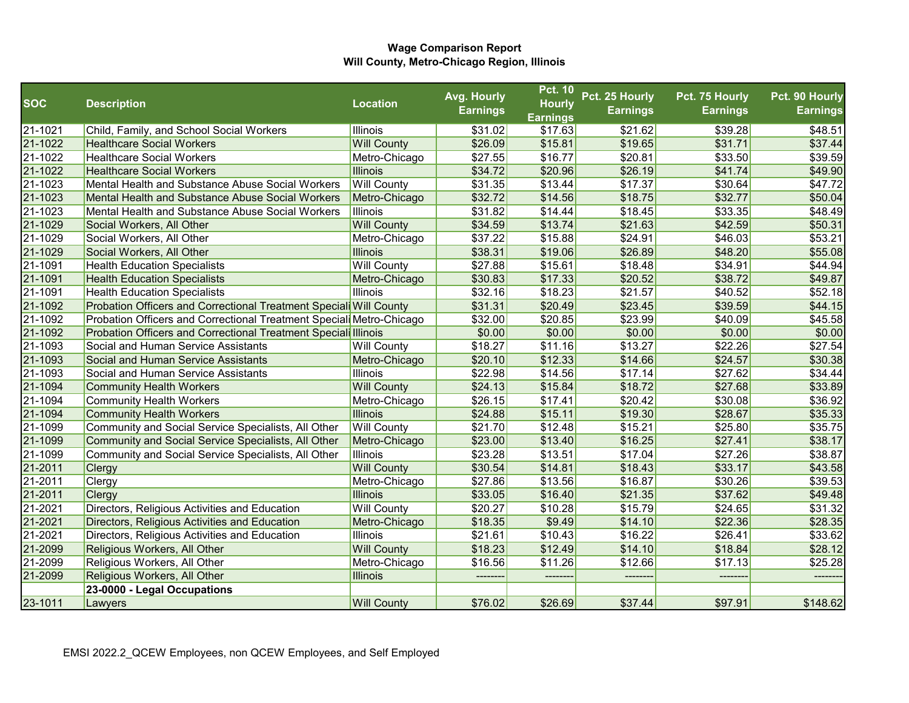|            |                                                                     |                    | Avg. Hourly     | <b>Pct. 10</b>                   | Pct. 25 Hourly  | Pct. 75 Hourly  | Pct. 90 Hourly  |
|------------|---------------------------------------------------------------------|--------------------|-----------------|----------------------------------|-----------------|-----------------|-----------------|
| <b>SOC</b> | <b>Description</b>                                                  | <b>Location</b>    | <b>Earnings</b> | <b>Hourly</b><br><b>Earnings</b> | <b>Earnings</b> | <b>Earnings</b> | <b>Earnings</b> |
| 21-1021    | Child, Family, and School Social Workers                            | Illinois           | \$31.02         | \$17.63                          | \$21.62         | \$39.28         | \$48.51         |
| 21-1022    | <b>Healthcare Social Workers</b>                                    | <b>Will County</b> | \$26.09         | \$15.81                          | \$19.65         | \$31.71         | \$37.44         |
| 21-1022    | <b>Healthcare Social Workers</b>                                    | Metro-Chicago      | \$27.55         | \$16.77                          | \$20.81         | \$33.50         | \$39.59         |
| 21-1022    | <b>Healthcare Social Workers</b>                                    | <b>Illinois</b>    | \$34.72         | \$20.96                          | \$26.19         | \$41.74         | \$49.90         |
| 21-1023    | Mental Health and Substance Abuse Social Workers                    | <b>Will County</b> | \$31.35         | \$13.44                          | \$17.37         | \$30.64         | \$47.72         |
| 21-1023    | Mental Health and Substance Abuse Social Workers                    | Metro-Chicago      | \$32.72         | \$14.56                          | \$18.75         | \$32.77         | \$50.04         |
| 21-1023    | Mental Health and Substance Abuse Social Workers                    | Illinois           | \$31.82         | \$14.44                          | \$18.45         | \$33.35         | \$48.49         |
| 21-1029    | Social Workers, All Other                                           | <b>Will County</b> | \$34.59         | \$13.74                          | \$21.63         | \$42.59         | \$50.31         |
| 21-1029    | Social Workers, All Other                                           | Metro-Chicago      | \$37.22         | \$15.88                          | \$24.91         | \$46.03         | \$53.21         |
| 21-1029    | Social Workers, All Other                                           | <b>Illinois</b>    | \$38.31         | \$19.06                          | \$26.89         | \$48.20         | \$55.08         |
| 21-1091    | <b>Health Education Specialists</b>                                 | <b>Will County</b> | \$27.88         | \$15.61                          | \$18.48         | \$34.91         | \$44.94         |
| 21-1091    | <b>Health Education Specialists</b>                                 | Metro-Chicago      | \$30.83         | \$17.33                          | \$20.52         | \$38.72         | \$49.87         |
| 21-1091    | <b>Health Education Specialists</b>                                 | <b>Illinois</b>    | \$32.16         | \$18.23                          | \$21.57         | \$40.52         | \$52.18         |
| 21-1092    | Probation Officers and Correctional Treatment Speciali Will County  |                    | \$31.31         | \$20.49                          | \$23.45         | \$39.59         | \$44.15         |
| 21-1092    | Probation Officers and Correctional Treatment Special Metro-Chicago |                    | \$32.00         | \$20.85                          | \$23.99         | \$40.09         | \$45.58         |
| 21-1092    | Probation Officers and Correctional Treatment Speciali Illinois     |                    | \$0.00          | \$0.00                           | \$0.00          | \$0.00          | \$0.00          |
| 21-1093    | Social and Human Service Assistants                                 | <b>Will County</b> | \$18.27         | \$11.16                          | \$13.27         | \$22.26         | \$27.54         |
| 21-1093    | Social and Human Service Assistants                                 | Metro-Chicago      | \$20.10         | \$12.33                          | \$14.66         | \$24.57         | \$30.38         |
| 21-1093    | Social and Human Service Assistants                                 | <b>Illinois</b>    | \$22.98         | \$14.56                          | \$17.14         | \$27.62         | \$34.44         |
| 21-1094    | <b>Community Health Workers</b>                                     | <b>Will County</b> | \$24.13         | \$15.84                          | \$18.72         | \$27.68         | \$33.89         |
| 21-1094    | <b>Community Health Workers</b>                                     | Metro-Chicago      | \$26.15         | \$17.41                          | \$20.42         | \$30.08         | \$36.92         |
| 21-1094    | <b>Community Health Workers</b>                                     | <b>Illinois</b>    | \$24.88         | \$15.11                          | \$19.30         | \$28.67         | \$35.33         |
| 21-1099    | Community and Social Service Specialists, All Other                 | <b>Will County</b> | \$21.70         | \$12.48                          | \$15.21         | \$25.80         | \$35.75         |
| 21-1099    | Community and Social Service Specialists, All Other                 | Metro-Chicago      | \$23.00         | \$13.40                          | \$16.25         | \$27.41         | \$38.17         |
| 21-1099    | Community and Social Service Specialists, All Other                 | Illinois           | \$23.28         | \$13.51                          | \$17.04         | \$27.26         | \$38.87         |
| 21-2011    | Clergy                                                              | <b>Will County</b> | \$30.54         | \$14.81                          | \$18.43         | \$33.17         | \$43.58         |
| 21-2011    | Clergy                                                              | Metro-Chicago      | \$27.86         | \$13.56                          | \$16.87         | \$30.26         | \$39.53         |
| 21-2011    | Clergy                                                              | <b>Illinois</b>    | \$33.05         | \$16.40                          | \$21.35         | \$37.62         | \$49.48         |
| 21-2021    | Directors, Religious Activities and Education                       | <b>Will County</b> | \$20.27         | \$10.28                          | \$15.79         | \$24.65         | \$31.32         |
| 21-2021    | Directors, Religious Activities and Education                       | Metro-Chicago      | \$18.35         | \$9.49                           | \$14.10         | \$22.36         | \$28.35         |
| 21-2021    | Directors, Religious Activities and Education                       | <b>Illinois</b>    | \$21.61         | \$10.43                          | \$16.22         | \$26.41         | \$33.62         |
| 21-2099    | Religious Workers, All Other                                        | <b>Will County</b> | \$18.23         | \$12.49                          | \$14.10         | \$18.84         | \$28.12         |
| 21-2099    | Religious Workers, All Other                                        | Metro-Chicago      | \$16.56         | \$11.26                          | \$12.66         | \$17.13         | \$25.28         |
| 21-2099    | Religious Workers, All Other                                        | <b>Illinois</b>    |                 |                                  |                 |                 |                 |
|            | 23-0000 - Legal Occupations                                         |                    |                 |                                  |                 |                 |                 |
| 23-1011    | Lawyers                                                             | <b>Will County</b> | \$76.02         | \$26.69                          | \$37.44         | \$97.91         | \$148.62        |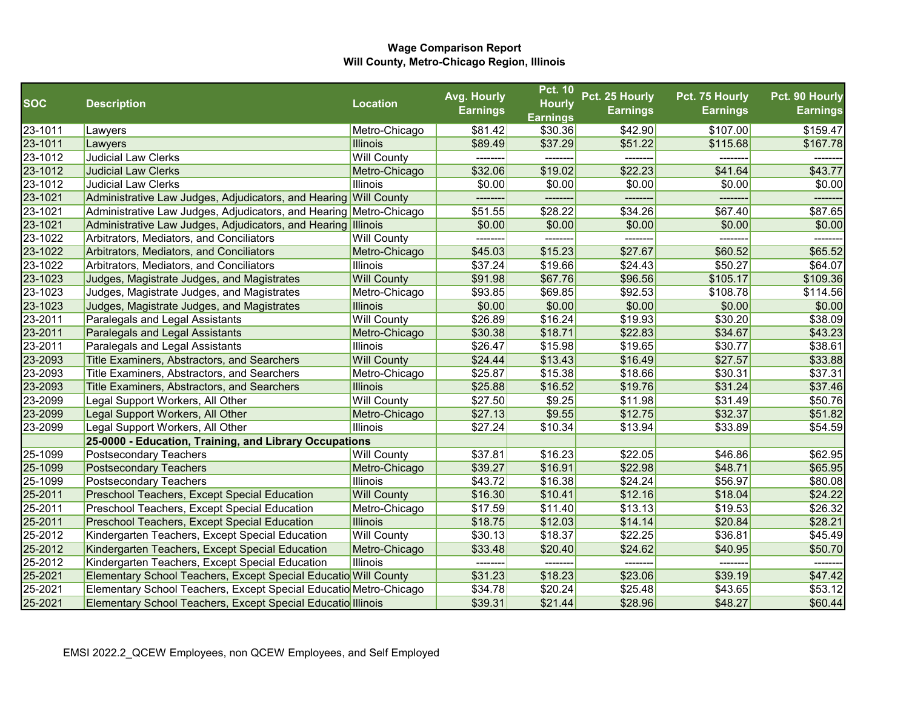|            |                                                                    |                    | Avg. Hourly     | <b>Pct. 10</b>  | Pct. 25 Hourly  | Pct. 75 Hourly  | Pct. 90 Hourly  |
|------------|--------------------------------------------------------------------|--------------------|-----------------|-----------------|-----------------|-----------------|-----------------|
| <b>SOC</b> | <b>Description</b>                                                 | <b>Location</b>    | <b>Earnings</b> | <b>Hourly</b>   | <b>Earnings</b> | <b>Earnings</b> | <b>Earnings</b> |
|            |                                                                    |                    |                 | <b>Earnings</b> |                 |                 |                 |
| 23-1011    | Lawyers                                                            | Metro-Chicago      | \$81.42         | \$30.36         | \$42.90         | \$107.00        | \$159.47        |
| 23-1011    | Lawyers                                                            | <b>Illinois</b>    | \$89.49         | \$37.29         | \$51.22         | \$115.68        | \$167.78        |
| 23-1012    | Judicial Law Clerks                                                | <b>Will County</b> |                 |                 |                 |                 |                 |
| 23-1012    | <b>Judicial Law Clerks</b>                                         | Metro-Chicago      | \$32.06         | \$19.02         | \$22.23         | \$41.64         | \$43.77         |
| 23-1012    | <b>Judicial Law Clerks</b>                                         | <b>Illinois</b>    | \$0.00          | \$0.00          | \$0.00          | \$0.00          | \$0.00          |
| 23-1021    | Administrative Law Judges, Adjudicators, and Hearing Will County   |                    |                 |                 |                 |                 |                 |
| 23-1021    | Administrative Law Judges, Adjudicators, and Hearing Metro-Chicago |                    | \$51.55         | \$28.22         | \$34.26         | \$67.40         | \$87.65         |
| 23-1021    | Administrative Law Judges, Adjudicators, and Hearing Illinois      |                    | \$0.00          | \$0.00          | \$0.00          | \$0.00          | \$0.00          |
| 23-1022    | Arbitrators, Mediators, and Conciliators                           | <b>Will County</b> |                 |                 |                 |                 |                 |
| 23-1022    | Arbitrators, Mediators, and Conciliators                           | Metro-Chicago      | \$45.03         | \$15.23         | \$27.67         | \$60.52         | \$65.52         |
| 23-1022    | Arbitrators, Mediators, and Conciliators                           | <b>Illinois</b>    | \$37.24         | \$19.66         | \$24.43         | \$50.27         | \$64.07         |
| 23-1023    | Judges, Magistrate Judges, and Magistrates                         | <b>Will County</b> | \$91.98         | \$67.76         | \$96.56         | \$105.17        | \$109.36        |
| 23-1023    | Judges, Magistrate Judges, and Magistrates                         | Metro-Chicago      | \$93.85         | \$69.85         | \$92.53         | \$108.78        | \$114.56        |
| 23-1023    | Judges, Magistrate Judges, and Magistrates                         | <b>Illinois</b>    | \$0.00          | \$0.00          | \$0.00          | \$0.00          | \$0.00          |
| 23-2011    | Paralegals and Legal Assistants                                    | <b>Will County</b> | \$26.89         | \$16.24         | \$19.93         | \$30.20         | \$38.09         |
| 23-2011    | Paralegals and Legal Assistants                                    | Metro-Chicago      | \$30.38         | \$18.71         | \$22.83         | \$34.67         | \$43.23         |
| 23-2011    | Paralegals and Legal Assistants                                    | <b>Illinois</b>    | \$26.47         | \$15.98         | \$19.65         | \$30.77         | \$38.61         |
| 23-2093    | Title Examiners, Abstractors, and Searchers                        | <b>Will County</b> | \$24.44         | \$13.43         | \$16.49         | \$27.57         | \$33.88         |
| 23-2093    | Title Examiners, Abstractors, and Searchers                        | Metro-Chicago      | \$25.87         | \$15.38         | \$18.66         | \$30.31         | \$37.31         |
| 23-2093    | Title Examiners, Abstractors, and Searchers                        | <b>Illinois</b>    | \$25.88         | \$16.52         | \$19.76         | \$31.24         | \$37.46         |
| 23-2099    | Legal Support Workers, All Other                                   | <b>Will County</b> | \$27.50         | \$9.25          | \$11.98         | \$31.49         | \$50.76         |
| 23-2099    | Legal Support Workers, All Other                                   | Metro-Chicago      | \$27.13         | \$9.55          | \$12.75         | \$32.37         | \$51.82         |
| 23-2099    | Legal Support Workers, All Other                                   | <b>Illinois</b>    | \$27.24         | \$10.34         | \$13.94         | \$33.89         | \$54.59         |
|            | 25-0000 - Education, Training, and Library Occupations             |                    |                 |                 |                 |                 |                 |
| 25-1099    | Postsecondary Teachers                                             | <b>Will County</b> | \$37.81         | \$16.23         | \$22.05         | \$46.86         | \$62.95         |
| 25-1099    | <b>Postsecondary Teachers</b>                                      | Metro-Chicago      | \$39.27         | \$16.91         | \$22.98         | \$48.71         | \$65.95         |
| 25-1099    | <b>Postsecondary Teachers</b>                                      | <b>Illinois</b>    | \$43.72         | \$16.38         | \$24.24         | \$56.97         | \$80.08         |
| 25-2011    | Preschool Teachers, Except Special Education                       | <b>Will County</b> | \$16.30         | \$10.41         | \$12.16         | \$18.04         | \$24.22         |
| 25-2011    | Preschool Teachers, Except Special Education                       | Metro-Chicago      | \$17.59         | \$11.40         | \$13.13         | \$19.53         | \$26.32         |
| 25-2011    | Preschool Teachers, Except Special Education                       | Illinois           | \$18.75         | \$12.03         | \$14.14         | \$20.84         | \$28.21         |
| 25-2012    | Kindergarten Teachers, Except Special Education                    | <b>Will County</b> | \$30.13         | \$18.37         | \$22.25         | \$36.81         | \$45.49         |
| 25-2012    | Kindergarten Teachers, Except Special Education                    | Metro-Chicago      | \$33.48         | \$20.40         | \$24.62         | \$40.95         | \$50.70         |
| 25-2012    | Kindergarten Teachers, Except Special Education                    | <b>Illinois</b>    | --------        | --------        | --------        | --------        | --------        |
| 25-2021    | Elementary School Teachers, Except Special Educatio Will County    |                    | \$31.23         | \$18.23         | \$23.06         | \$39.19         | \$47.42         |
| 25-2021    | Elementary School Teachers, Except Special Educatio Metro-Chicago  |                    | \$34.78         | \$20.24         | \$25.48         | \$43.65         | \$53.12         |
| 25-2021    | Elementary School Teachers, Except Special Educatio Illinois       |                    | \$39.31         | \$21.44         | \$28.96         | \$48.27         | \$60.44         |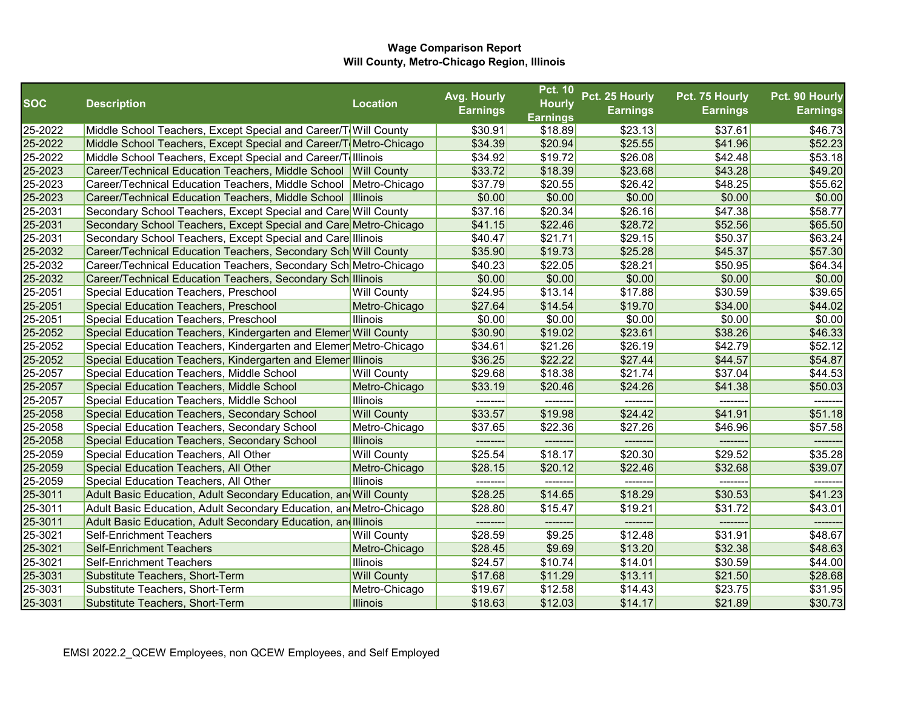|            |                                                                    |                    | Avg. Hourly     | <b>Pct. 10</b>             | Pct. 25 Hourly  | Pct. 75 Hourly  | Pct. 90 Hourly  |
|------------|--------------------------------------------------------------------|--------------------|-----------------|----------------------------|-----------------|-----------------|-----------------|
| <b>SOC</b> | <b>Description</b>                                                 | <b>Location</b>    | <b>Earnings</b> | <b>Hourly</b>              | <b>Earnings</b> | <b>Earnings</b> | <b>Earnings</b> |
| 25-2022    | Middle School Teachers, Except Special and Career/T Will County    |                    | \$30.91         | <b>Earnings</b><br>\$18.89 | \$23.13         | \$37.61         | \$46.73         |
| 25-2022    | Middle School Teachers, Except Special and Career/T Metro-Chicago  |                    | \$34.39         | \$20.94                    | \$25.55         | \$41.96         | \$52.23         |
| 25-2022    | Middle School Teachers, Except Special and Career/T Illinois       |                    | \$34.92         | \$19.72                    | \$26.08         | \$42.48         | \$53.18         |
| 25-2023    | Career/Technical Education Teachers, Middle School Will County     |                    | \$33.72         | \$18.39                    | \$23.68         | \$43.28         | \$49.20         |
| 25-2023    | Career/Technical Education Teachers, Middle School Metro-Chicago   |                    | \$37.79         | \$20.55                    | \$26.42         | \$48.25         | \$55.62         |
| 25-2023    | Career/Technical Education Teachers, Middle School Illinois        |                    | \$0.00          | \$0.00                     | \$0.00          | \$0.00          | \$0.00          |
| 25-2031    | Secondary School Teachers, Except Special and Care Will County     |                    | \$37.16         | \$20.34                    | \$26.16         | \$47.38         | \$58.77         |
| 25-2031    | Secondary School Teachers, Except Special and Care Metro-Chicago   |                    | \$41.15         | \$22.46                    | \$28.72         | \$52.56         | \$65.50         |
| 25-2031    | Secondary School Teachers, Except Special and Care Illinois        |                    | \$40.47         | \$21.71                    | \$29.15         | \$50.37         | \$63.24         |
| 25-2032    | Career/Technical Education Teachers, Secondary Sch Will County     |                    | \$35.90         | \$19.73                    | \$25.28         | \$45.37         | \$57.30         |
| 25-2032    | Career/Technical Education Teachers, Secondary Sch Metro-Chicago   |                    | \$40.23         | \$22.05                    | \$28.21         | \$50.95         | \$64.34         |
| 25-2032    | Career/Technical Education Teachers, Secondary Sch Illinois        |                    | \$0.00          | \$0.00                     | \$0.00          | \$0.00          | \$0.00          |
| 25-2051    | Special Education Teachers, Preschool                              | <b>Will County</b> | \$24.95         | \$13.14                    | \$17.88         | \$30.59         | \$39.65         |
| 25-2051    | Special Education Teachers, Preschool                              | Metro-Chicago      | \$27.64         | \$14.54                    | \$19.70         | \$34.00         | \$44.02         |
| 25-2051    | Special Education Teachers, Preschool                              | Illinois           | \$0.00          | \$0.00                     | \$0.00          | \$0.00          | \$0.00          |
| 25-2052    | Special Education Teachers, Kindergarten and Elemer Will County    |                    | \$30.90         | \$19.02                    | \$23.61         | \$38.26         | \$46.33         |
| 25-2052    | Special Education Teachers, Kindergarten and Elemer Metro-Chicago  |                    | \$34.61         | \$21.26                    | \$26.19         | \$42.79         | \$52.12         |
| 25-2052    | Special Education Teachers, Kindergarten and Elemer Illinois       |                    | \$36.25         | \$22.22                    | \$27.44         | \$44.57         | \$54.87         |
| 25-2057    | Special Education Teachers, Middle School                          | <b>Will County</b> | \$29.68         | \$18.38                    | \$21.74         | \$37.04         | \$44.53         |
| 25-2057    | Special Education Teachers, Middle School                          | Metro-Chicago      | \$33.19         | \$20.46                    | \$24.26         | \$41.38         | \$50.03         |
| 25-2057    | Special Education Teachers, Middle School                          | Illinois           | --------        | --------                   | --------        | --------        | -------         |
| 25-2058    | Special Education Teachers, Secondary School                       | <b>Will County</b> | \$33.57         | \$19.98                    | \$24.42         | \$41.91         | \$51.18         |
| 25-2058    | Special Education Teachers, Secondary School                       | Metro-Chicago      | \$37.65         | \$22.36                    | \$27.26         | \$46.96         | \$57.58         |
| 25-2058    | Special Education Teachers, Secondary School                       | <b>Illinois</b>    |                 | --------                   | -------         |                 |                 |
| 25-2059    | Special Education Teachers, All Other                              | <b>Will County</b> | \$25.54         | \$18.17                    | \$20.30         | \$29.52         | \$35.28         |
| 25-2059    | Special Education Teachers, All Other                              | Metro-Chicago      | \$28.15         | \$20.12                    | \$22.46         | \$32.68         | \$39.07         |
| 25-2059    | Special Education Teachers, All Other                              | Illinois           | --------        | --------                   | -------         | --------        | -------         |
| 25-3011    | Adult Basic Education, Adult Secondary Education, an Will County   |                    | \$28.25         | \$14.65                    | \$18.29         | \$30.53         | \$41.23         |
| 25-3011    | Adult Basic Education, Adult Secondary Education, an Metro-Chicago |                    | \$28.80         | \$15.47                    | \$19.21         | \$31.72         | \$43.01         |
| 25-3011    | Adult Basic Education, Adult Secondary Education, and Illinois     |                    | --------        | --------                   | --------        | --------        | -------         |
| 25-3021    | <b>Self-Enrichment Teachers</b>                                    | <b>Will County</b> | \$28.59         | \$9.25                     | \$12.48         | \$31.91         | \$48.67         |
| 25-3021    | <b>Self-Enrichment Teachers</b>                                    | Metro-Chicago      | \$28.45         | \$9.69                     | \$13.20         | \$32.38         | \$48.63         |
| 25-3021    | <b>Self-Enrichment Teachers</b>                                    | Illinois           | \$24.57         | \$10.74                    | \$14.01         | \$30.59         | \$44.00         |
| 25-3031    | Substitute Teachers, Short-Term                                    | <b>Will County</b> | \$17.68         | \$11.29                    | \$13.11         | \$21.50         | \$28.68         |
| 25-3031    | Substitute Teachers, Short-Term                                    | Metro-Chicago      | \$19.67         | \$12.58                    | \$14.43         | \$23.75         | \$31.95         |
| 25-3031    | Substitute Teachers, Short-Term                                    | Illinois           | \$18.63         | \$12.03                    | \$14.17         | \$21.89         | \$30.73         |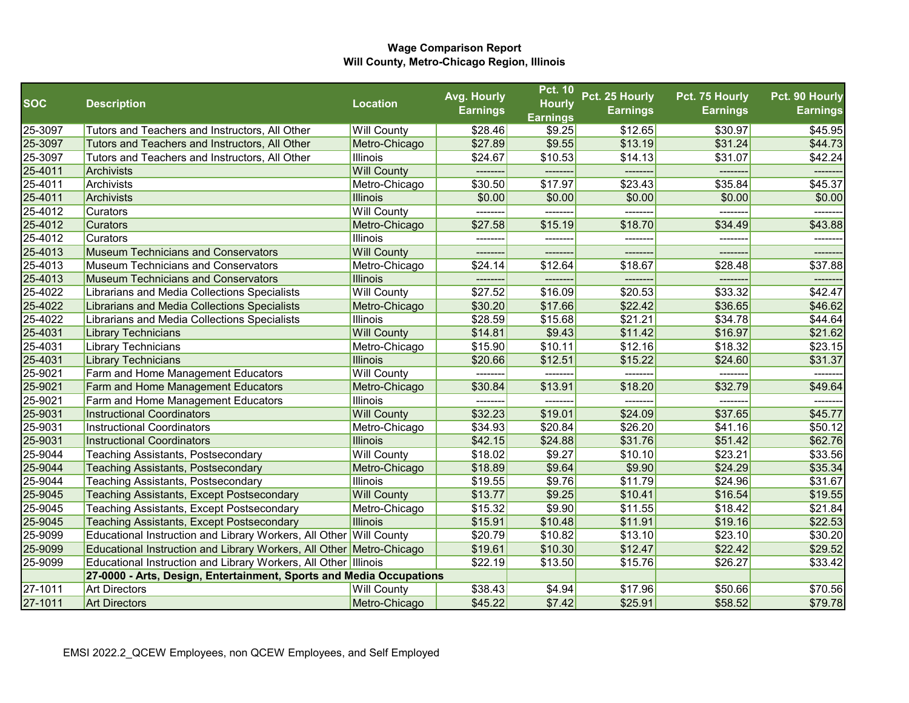|            |                                                                      |                    | Avg. Hourly     | <b>Pct. 10</b>                   | Pct. 25 Hourly  | Pct. 75 Hourly  | Pct. 90 Hourly  |
|------------|----------------------------------------------------------------------|--------------------|-----------------|----------------------------------|-----------------|-----------------|-----------------|
| <b>SOC</b> | <b>Description</b>                                                   | <b>Location</b>    | <b>Earnings</b> | <b>Hourly</b><br><b>Earnings</b> | <b>Earnings</b> | <b>Earnings</b> | <b>Earnings</b> |
| 25-3097    | Tutors and Teachers and Instructors, All Other                       | <b>Will County</b> | \$28.46         | \$9.25                           | \$12.65         | \$30.97         | \$45.95         |
| 25-3097    | Tutors and Teachers and Instructors, All Other                       | Metro-Chicago      | \$27.89         | \$9.55                           | \$13.19         | \$31.24         | \$44.73         |
| 25-3097    | Tutors and Teachers and Instructors, All Other                       | <b>Illinois</b>    | \$24.67         | \$10.53                          | \$14.13         | \$31.07         | \$42.24         |
| 25-4011    | Archivists                                                           | <b>Will County</b> |                 |                                  |                 |                 |                 |
| 25-4011    | Archivists                                                           | Metro-Chicago      | \$30.50         | \$17.97                          | \$23.43         | \$35.84         | \$45.37         |
| 25-4011    | Archivists                                                           | <b>Illinois</b>    | \$0.00          | \$0.00                           | \$0.00          | \$0.00          | \$0.00          |
| 25-4012    | <b>Curators</b>                                                      | <b>Will County</b> |                 |                                  | -------         |                 |                 |
| 25-4012    | <b>Curators</b>                                                      | Metro-Chicago      | \$27.58         | \$15.19                          | \$18.70         | \$34.49         | \$43.88         |
| 25-4012    | <b>Curators</b>                                                      | Illinois           | --------        | --------                         | --------        | --------        | --------        |
| 25-4013    | <b>Museum Technicians and Conservators</b>                           | <b>Will County</b> | ---------       | --------                         | --------        | --------        | --------        |
| 25-4013    | Museum Technicians and Conservators                                  | Metro-Chicago      | \$24.14         | \$12.64                          | \$18.67         | \$28.48         | \$37.88         |
| 25-4013    | Museum Technicians and Conservators                                  | <b>Illinois</b>    | --------        | --------                         | -------         | -------         | -------         |
| 25-4022    | Librarians and Media Collections Specialists                         | <b>Will County</b> | \$27.52         | \$16.09                          | \$20.53         | \$33.32         | \$42.47         |
| 25-4022    | Librarians and Media Collections Specialists                         | Metro-Chicago      | \$30.20         | \$17.66                          | \$22.42         | \$36.65         | \$46.62         |
| 25-4022    | Librarians and Media Collections Specialists                         | <b>Illinois</b>    | \$28.59         | \$15.68                          | \$21.21         | \$34.78         | \$44.64         |
| 25-4031    | <b>Library Technicians</b>                                           | <b>Will County</b> | \$14.81         | \$9.43                           | \$11.42         | \$16.97         | \$21.62         |
| 25-4031    | <b>Library Technicians</b>                                           | Metro-Chicago      | \$15.90         | \$10.11                          | \$12.16         | \$18.32         | \$23.15         |
| 25-4031    | <b>Library Technicians</b>                                           | <b>Illinois</b>    | \$20.66         | \$12.51                          | \$15.22         | \$24.60         | \$31.37         |
| 25-9021    | Farm and Home Management Educators                                   | <b>Will County</b> |                 |                                  |                 |                 |                 |
| 25-9021    | Farm and Home Management Educators                                   | Metro-Chicago      | \$30.84         | \$13.91                          | \$18.20         | \$32.79         | \$49.64         |
| 25-9021    | Farm and Home Management Educators                                   | <b>Illinois</b>    | --------        | --------                         | --------        | -------         | -------         |
| 25-9031    | <b>Instructional Coordinators</b>                                    | <b>Will County</b> | \$32.23         | \$19.01                          | \$24.09         | \$37.65         | \$45.77         |
| 25-9031    | <b>Instructional Coordinators</b>                                    | Metro-Chicago      | \$34.93         | \$20.84                          | \$26.20         | \$41.16         | \$50.12         |
| 25-9031    | <b>Instructional Coordinators</b>                                    | <b>Illinois</b>    | \$42.15         | \$24.88                          | \$31.76         | \$51.42         | \$62.76         |
| 25-9044    | <b>Teaching Assistants, Postsecondary</b>                            | <b>Will County</b> | \$18.02         | \$9.27                           | \$10.10         | \$23.21         | \$33.56         |
| 25-9044    | <b>Teaching Assistants, Postsecondary</b>                            | Metro-Chicago      | \$18.89         | \$9.64                           | \$9.90          | \$24.29         | \$35.34         |
| 25-9044    | <b>Teaching Assistants, Postsecondary</b>                            | <b>Illinois</b>    | \$19.55         | \$9.76                           | \$11.79         | \$24.96         | \$31.67         |
| 25-9045    | <b>Teaching Assistants, Except Postsecondary</b>                     | <b>Will County</b> | \$13.77         | \$9.25                           | \$10.41         | \$16.54         | \$19.55         |
| 25-9045    | Teaching Assistants, Except Postsecondary                            | Metro-Chicago      | \$15.32         | \$9.90                           | \$11.55         | \$18.42         | \$21.84         |
| 25-9045    | <b>Teaching Assistants, Except Postsecondary</b>                     | <b>Illinois</b>    | \$15.91         | \$10.48                          | \$11.91         | \$19.16         | \$22.53         |
| 25-9099    | Educational Instruction and Library Workers, All Other Will County   |                    | \$20.79         | \$10.82                          | \$13.10         | \$23.10         | \$30.20         |
| 25-9099    | Educational Instruction and Library Workers, All Other Metro-Chicago |                    | \$19.61         | \$10.30                          | \$12.47         | \$22.42         | \$29.52         |
| 25-9099    | Educational Instruction and Library Workers, All Other Illinois      |                    | \$22.19         | \$13.50                          | \$15.76         | \$26.27         | \$33.42         |
|            | 27-0000 - Arts, Design, Entertainment, Sports and Media Occupations  |                    |                 |                                  |                 |                 |                 |
| 27-1011    | <b>Art Directors</b>                                                 | <b>Will County</b> | \$38.43         | \$4.94                           | \$17.96         | \$50.66         | \$70.56         |
| 27-1011    | <b>Art Directors</b>                                                 | Metro-Chicago      | \$45.22         | \$7.42                           | \$25.91         | \$58.52         | \$79.78         |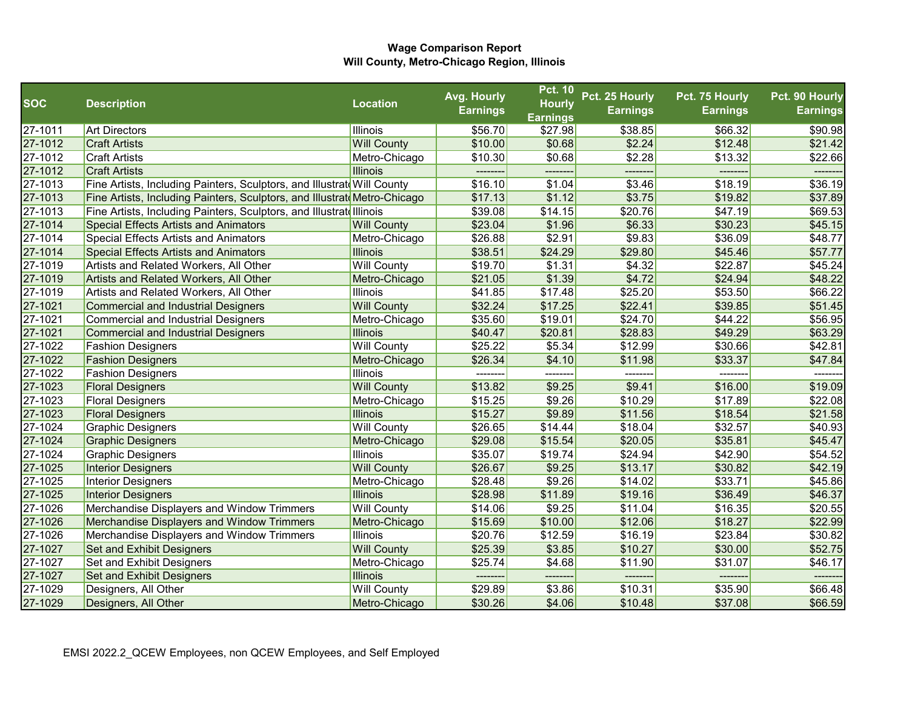|             |                                                                          |                    | Avg. Hourly     | <b>Pct. 10</b>  | Pct. 25 Hourly  | Pct. 75 Hourly  | Pct. 90 Hourly  |
|-------------|--------------------------------------------------------------------------|--------------------|-----------------|-----------------|-----------------|-----------------|-----------------|
| <b>SOC</b>  | <b>Description</b>                                                       | <b>Location</b>    | <b>Earnings</b> | <b>Hourly</b>   | <b>Earnings</b> | <b>Earnings</b> | <b>Earnings</b> |
|             |                                                                          |                    |                 | <b>Earnings</b> |                 |                 |                 |
| 27-1011     | <b>Art Directors</b>                                                     | <b>Illinois</b>    | \$56.70         | \$27.98         | \$38.85         | \$66.32         | \$90.98         |
| 27-1012     | <b>Craft Artists</b>                                                     | <b>Will County</b> | \$10.00         | \$0.68          | \$2.24          | \$12.48         | \$21.42         |
| 27-1012     | <b>Craft Artists</b>                                                     | Metro-Chicago      | \$10.30         | \$0.68          | \$2.28          | \$13.32         | \$22.66         |
| 27-1012     | <b>Craft Artists</b>                                                     | <b>Illinois</b>    | --------        | --------        | -------         | --------        | --------        |
| 27-1013     | Fine Artists, Including Painters, Sculptors, and Illustratd Will County  |                    | \$16.10         | \$1.04          | \$3.46          | \$18.19         | \$36.19         |
| 27-1013     | Fine Artists, Including Painters, Sculptors, and Illustrat Metro-Chicago |                    | \$17.13         | \$1.12          | \$3.75          | \$19.82         | \$37.89         |
| $27 - 1013$ | Fine Artists, Including Painters, Sculptors, and Illustrate Illinois     |                    | \$39.08         | \$14.15         | \$20.76         | \$47.19         | \$69.53         |
| 27-1014     | <b>Special Effects Artists and Animators</b>                             | <b>Will County</b> | \$23.04         | \$1.96          | \$6.33          | \$30.23         | \$45.15         |
| 27-1014     | <b>Special Effects Artists and Animators</b>                             | Metro-Chicago      | \$26.88         | \$2.91          | \$9.83          | \$36.09         | \$48.77         |
| 27-1014     | <b>Special Effects Artists and Animators</b>                             | <b>Illinois</b>    | \$38.51         | \$24.29         | \$29.80         | \$45.46         | \$57.77         |
| 27-1019     | Artists and Related Workers, All Other                                   | <b>Will County</b> | \$19.70         | \$1.31          | \$4.32          | \$22.87         | \$45.24         |
| 27-1019     | <b>Artists and Related Workers, All Other</b>                            | Metro-Chicago      | \$21.05         | \$1.39          | \$4.72          | \$24.94         | \$48.22         |
| 27-1019     | Artists and Related Workers, All Other                                   | <b>Illinois</b>    | \$41.85         | \$17.48         | \$25.20         | \$53.50         | \$66.22         |
| 27-1021     | <b>Commercial and Industrial Designers</b>                               | <b>Will County</b> | \$32.24         | \$17.25         | \$22.41         | \$39.85         | \$51.45         |
| 27-1021     | <b>Commercial and Industrial Designers</b>                               | Metro-Chicago      | \$35.60         | \$19.01         | \$24.70         | \$44.22         | \$56.95         |
| 27-1021     | <b>Commercial and Industrial Designers</b>                               | <b>Illinois</b>    | \$40.47         | \$20.81         | \$28.83         | \$49.29         | \$63.29         |
| 27-1022     | <b>Fashion Designers</b>                                                 | <b>Will County</b> | \$25.22         | \$5.34          | \$12.99         | \$30.66         | \$42.81         |
| 27-1022     | <b>Fashion Designers</b>                                                 | Metro-Chicago      | \$26.34         | \$4.10          | \$11.98         | \$33.37         | \$47.84         |
| 27-1022     | <b>Fashion Designers</b>                                                 | <b>Illinois</b>    |                 |                 |                 |                 |                 |
| 27-1023     | <b>Floral Designers</b>                                                  | <b>Will County</b> | \$13.82         | \$9.25          | \$9.41          | \$16.00         | \$19.09         |
| 27-1023     | <b>Floral Designers</b>                                                  | Metro-Chicago      | \$15.25         | \$9.26          | \$10.29         | \$17.89         | \$22.08         |
| 27-1023     | <b>Floral Designers</b>                                                  | <b>Illinois</b>    | \$15.27         | \$9.89          | \$11.56         | \$18.54         | \$21.58         |
| 27-1024     | <b>Graphic Designers</b>                                                 | <b>Will County</b> | \$26.65         | \$14.44         | \$18.04         | \$32.57         | \$40.93         |
| 27-1024     | <b>Graphic Designers</b>                                                 | Metro-Chicago      | \$29.08         | \$15.54         | \$20.05         | \$35.81         | \$45.47         |
| 27-1024     | <b>Graphic Designers</b>                                                 | <b>Illinois</b>    | \$35.07         | \$19.74         | \$24.94         | \$42.90         | \$54.52         |
| 27-1025     | <b>Interior Designers</b>                                                | <b>Will County</b> | \$26.67         | \$9.25          | \$13.17         | \$30.82         | \$42.19         |
| 27-1025     | Interior Designers                                                       | Metro-Chicago      | \$28.48         | \$9.26          | \$14.02         | \$33.71         | \$45.86         |
| 27-1025     | <b>Interior Designers</b>                                                | <b>Illinois</b>    | \$28.98         | \$11.89         | \$19.16         | \$36.49         | \$46.37         |
| 27-1026     | Merchandise Displayers and Window Trimmers                               | <b>Will County</b> | \$14.06         | \$9.25          | \$11.04         | \$16.35         | \$20.55         |
| 27-1026     | Merchandise Displayers and Window Trimmers                               | Metro-Chicago      | \$15.69         | \$10.00         | \$12.06         | \$18.27         | \$22.99         |
| 27-1026     | Merchandise Displayers and Window Trimmers                               | <b>Illinois</b>    | \$20.76         | \$12.59         | \$16.19         | \$23.84         | \$30.82         |
| 27-1027     | <b>Set and Exhibit Designers</b>                                         | <b>Will County</b> | \$25.39         | \$3.85          | \$10.27         | \$30.00         | \$52.75         |
| 27-1027     | Set and Exhibit Designers                                                | Metro-Chicago      | \$25.74         | \$4.68          | \$11.90         | \$31.07         | \$46.17         |
| 27-1027     | <b>Set and Exhibit Designers</b>                                         | <b>Illinois</b>    | --------        | --------        | -------         | --------        | --------        |
| 27-1029     | Designers, All Other                                                     | <b>Will County</b> | \$29.89         | \$3.86          | \$10.31         | \$35.90         | \$66.48         |
| 27-1029     | Designers, All Other                                                     | Metro-Chicago      | \$30.26         | \$4.06          | \$10.48         | \$37.08         | \$66.59         |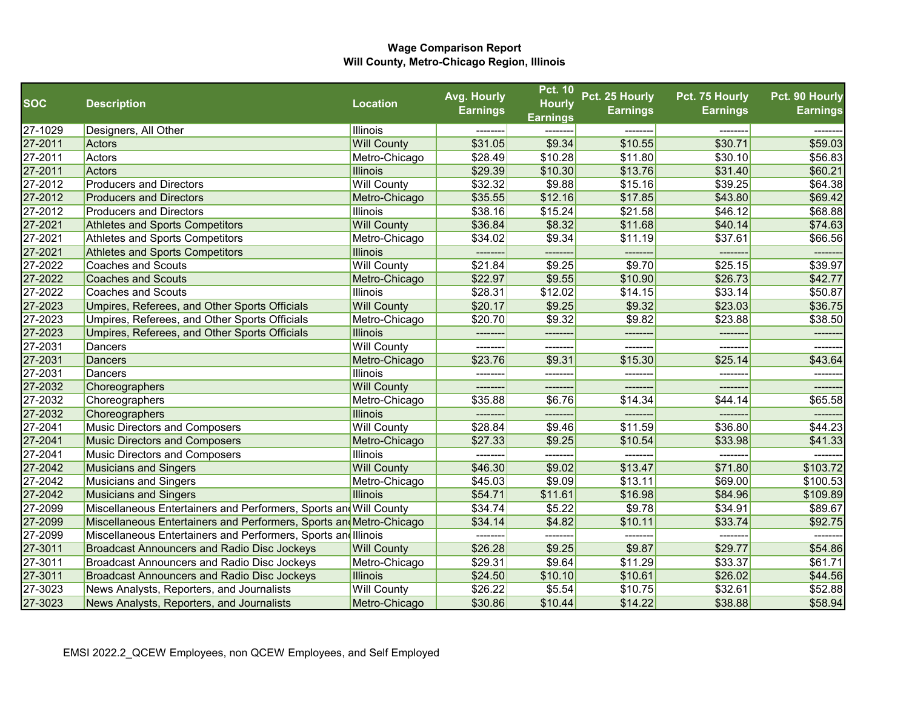|            |                                                                     |                    | Avg. Hourly     | <b>Pct. 10</b>  | Pct. 25 Hourly  | Pct. 75 Hourly  | Pct. 90 Hourly  |
|------------|---------------------------------------------------------------------|--------------------|-----------------|-----------------|-----------------|-----------------|-----------------|
| <b>SOC</b> | <b>Description</b>                                                  | <b>Location</b>    | <b>Earnings</b> | <b>Hourly</b>   | <b>Earnings</b> | <b>Earnings</b> | <b>Earnings</b> |
|            |                                                                     |                    |                 | <b>Earnings</b> |                 |                 |                 |
| 27-1029    | Designers, All Other                                                | Illinois           |                 |                 |                 |                 |                 |
| 27-2011    | Actors                                                              | <b>Will County</b> | \$31.05         | \$9.34          | \$10.55         | \$30.71         | \$59.03         |
| 27-2011    | Actors                                                              | Metro-Chicago      | \$28.49         | \$10.28         | \$11.80         | \$30.10         | \$56.83         |
| 27-2011    | Actors                                                              | <b>Illinois</b>    | \$29.39         | \$10.30         | \$13.76         | \$31.40         | \$60.21         |
| 27-2012    | <b>Producers and Directors</b>                                      | <b>Will County</b> | \$32.32         | \$9.88          | \$15.16         | \$39.25         | \$64.38         |
| 27-2012    | <b>Producers and Directors</b>                                      | Metro-Chicago      | \$35.55         | \$12.16         | \$17.85         | \$43.80         | \$69.42         |
| 27-2012    | <b>Producers and Directors</b>                                      | Illinois           | \$38.16         | \$15.24         | \$21.58         | \$46.12         | \$68.88         |
| 27-2021    | Athletes and Sports Competitors                                     | <b>Will County</b> | \$36.84         | \$8.32          | \$11.68         | \$40.14         | \$74.63         |
| 27-2021    | Athletes and Sports Competitors                                     | Metro-Chicago      | \$34.02         | \$9.34          | \$11.19         | \$37.61         | \$66.56         |
| 27-2021    | <b>Athletes and Sports Competitors</b>                              | <b>Illinois</b>    | ---------       | --------        | --------        | --------        | -------         |
| 27-2022    | <b>Coaches and Scouts</b>                                           | <b>Will County</b> | \$21.84         | \$9.25          | \$9.70          | \$25.15         | \$39.97         |
| 27-2022    | <b>Coaches and Scouts</b>                                           | Metro-Chicago      | \$22.97         | \$9.55          | \$10.90         | \$26.73         | \$42.77         |
| 27-2022    | <b>Coaches and Scouts</b>                                           | <b>Illinois</b>    | \$28.31         | \$12.02         | \$14.15         | \$33.14         | \$50.87         |
| 27-2023    | Umpires, Referees, and Other Sports Officials                       | <b>Will County</b> | \$20.17         | \$9.25          | \$9.32          | \$23.03         | \$36.75         |
| 27-2023    | Umpires, Referees, and Other Sports Officials                       | Metro-Chicago      | \$20.70         | \$9.32          | \$9.82          | \$23.88         | \$38.50         |
| 27-2023    | Umpires, Referees, and Other Sports Officials                       | <b>Illinois</b>    | --------        | --------        | --------        | --------        | -------         |
| 27-2031    | Dancers                                                             | <b>Will County</b> | --------        | --------        | --------        | -------         | -------         |
| 27-2031    | <b>Dancers</b>                                                      | Metro-Chicago      | \$23.76         | \$9.31          | \$15.30         | \$25.14         | \$43.64         |
| 27-2031    | Dancers                                                             | Illinois           |                 |                 |                 |                 |                 |
| 27-2032    | Choreographers                                                      | <b>Will County</b> | -------         | -------         | -------         | -------         | -------         |
| 27-2032    | Choreographers                                                      | Metro-Chicago      | \$35.88         | \$6.76          | \$14.34         | \$44.14         | \$65.58         |
| 27-2032    | Choreographers                                                      | <b>Illinois</b>    | --------        | --------        | -------         | -------         | -------         |
| 27-2041    | Music Directors and Composers                                       | <b>Will County</b> | \$28.84         | \$9.46          | \$11.59         | \$36.80         | \$44.23         |
| 27-2041    | <b>Music Directors and Composers</b>                                | Metro-Chicago      | \$27.33         | \$9.25          | \$10.54         | \$33.98         | \$41.33         |
| 27-2041    | <b>Music Directors and Composers</b>                                | Illinois           | -------         |                 | ------          | -----           |                 |
| 27-2042    | <b>Musicians and Singers</b>                                        | <b>Will County</b> | \$46.30         | \$9.02          | \$13.47         | \$71.80         | \$103.72        |
| 27-2042    | <b>Musicians and Singers</b>                                        | Metro-Chicago      | \$45.03         | \$9.09          | \$13.11         | \$69.00         | \$100.53        |
| 27-2042    | <b>Musicians and Singers</b>                                        | Illinois           | \$54.71         | \$11.61         | \$16.98         | \$84.96         | \$109.89        |
| 27-2099    | Miscellaneous Entertainers and Performers, Sports and Will County   |                    | \$34.74         | \$5.22          | \$9.78          | \$34.91         | \$89.67         |
| 27-2099    | Miscellaneous Entertainers and Performers, Sports and Metro-Chicago |                    | \$34.14         | \$4.82          | \$10.11         | \$33.74         | \$92.75         |
| 27-2099    | Miscellaneous Entertainers and Performers, Sports and Illinois      |                    | --------        | --------        | -------         | --------        |                 |
| 27-3011    | <b>Broadcast Announcers and Radio Disc Jockeys</b>                  | <b>Will County</b> | \$26.28         | \$9.25          | \$9.87          | \$29.77         | \$54.86         |
| 27-3011    | Broadcast Announcers and Radio Disc Jockeys                         | Metro-Chicago      | \$29.31         | \$9.64          | \$11.29         | \$33.37         | \$61.71         |
| 27-3011    | <b>Broadcast Announcers and Radio Disc Jockeys</b>                  | <b>Illinois</b>    | \$24.50         | \$10.10         | \$10.61         | \$26.02         | \$44.56         |
| 27-3023    | News Analysts, Reporters, and Journalists                           | <b>Will County</b> | \$26.22         | \$5.54          | \$10.75         | \$32.61         | \$52.88         |
| 27-3023    | News Analysts, Reporters, and Journalists                           | Metro-Chicago      | \$30.86         | \$10.44         | \$14.22         | \$38.88         | \$58.94         |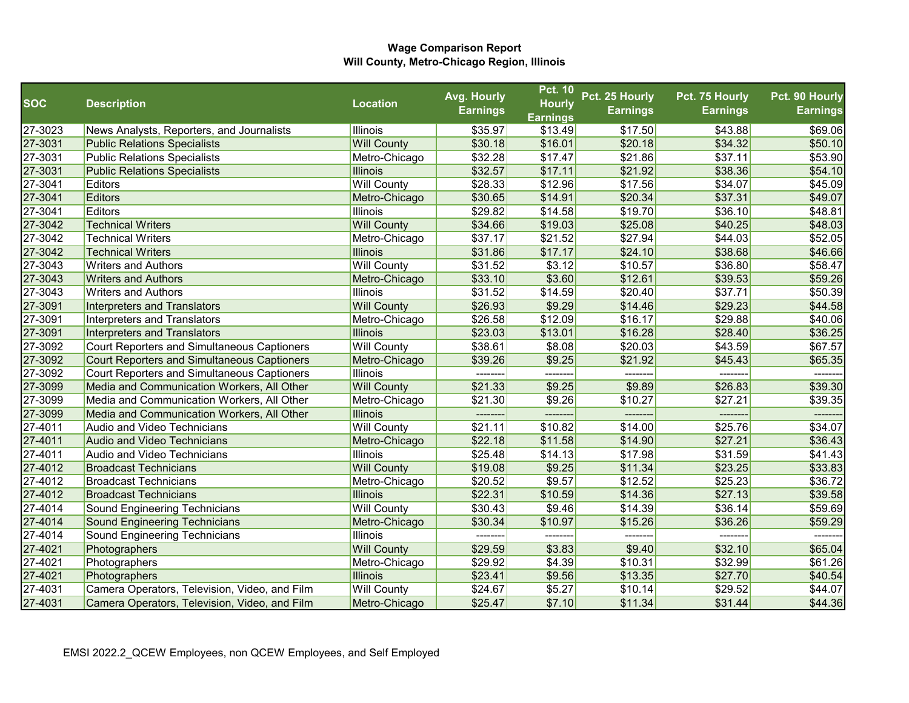|            |                                                    |                    | Avg. Hourly     | <b>Pct. 10</b>  | Pct. 25 Hourly  | Pct. 75 Hourly  | Pct. 90 Hourly  |
|------------|----------------------------------------------------|--------------------|-----------------|-----------------|-----------------|-----------------|-----------------|
| <b>SOC</b> | <b>Description</b>                                 | <b>Location</b>    | <b>Earnings</b> | <b>Hourly</b>   | <b>Earnings</b> | <b>Earnings</b> | <b>Earnings</b> |
|            |                                                    |                    |                 | <b>Earnings</b> |                 |                 |                 |
| 27-3023    | News Analysts, Reporters, and Journalists          | <b>Illinois</b>    | \$35.97         | \$13.49         | \$17.50         | \$43.88         | \$69.06         |
| 27-3031    | <b>Public Relations Specialists</b>                | <b>Will County</b> | \$30.18         | \$16.01         | \$20.18         | \$34.32         | \$50.10         |
| 27-3031    | <b>Public Relations Specialists</b>                | Metro-Chicago      | \$32.28         | \$17.47         | \$21.86         | \$37.11         | \$53.90         |
| 27-3031    | <b>Public Relations Specialists</b>                | <b>Illinois</b>    | \$32.57         | \$17.11         | \$21.92         | \$38.36         | \$54.10         |
| 27-3041    | Editors                                            | <b>Will County</b> | \$28.33         | \$12.96         | \$17.56         | \$34.07         | \$45.09         |
| 27-3041    | Editors                                            | Metro-Chicago      | \$30.65         | \$14.91         | \$20.34         | \$37.31         | \$49.07         |
| 27-3041    | Editors                                            | Illinois           | \$29.82         | \$14.58         | \$19.70         | \$36.10         | \$48.81         |
| 27-3042    | <b>Technical Writers</b>                           | <b>Will County</b> | \$34.66         | \$19.03         | \$25.08         | \$40.25         | \$48.03         |
| 27-3042    | <b>Technical Writers</b>                           | Metro-Chicago      | \$37.17         | \$21.52         | \$27.94         | \$44.03         | \$52.05         |
| 27-3042    | <b>Technical Writers</b>                           | <b>Illinois</b>    | \$31.86         | \$17.17         | \$24.10         | \$38.68         | \$46.66         |
| 27-3043    | <b>Writers and Authors</b>                         | <b>Will County</b> | \$31.52         | \$3.12          | \$10.57         | \$36.80         | \$58.47         |
| 27-3043    | <b>Writers and Authors</b>                         | Metro-Chicago      | \$33.10         | \$3.60          | \$12.61         | \$39.53         | \$59.26         |
| 27-3043    | <b>Writers and Authors</b>                         | Illinois           | \$31.52         | \$14.59         | \$20.40         | \$37.71         | \$50.39         |
| 27-3091    | Interpreters and Translators                       | <b>Will County</b> | \$26.93         | \$9.29          | \$14.46         | \$29.23         | \$44.58         |
| 27-3091    | Interpreters and Translators                       | Metro-Chicago      | \$26.58         | \$12.09         | \$16.17         | \$29.88         | \$40.06         |
| 27-3091    | <b>Interpreters and Translators</b>                | <b>Illinois</b>    | \$23.03         | \$13.01         | \$16.28         | \$28.40         | \$36.25         |
| 27-3092    | Court Reporters and Simultaneous Captioners        | <b>Will County</b> | \$38.61         | \$8.08          | \$20.03         | \$43.59         | \$67.57         |
| 27-3092    | <b>Court Reporters and Simultaneous Captioners</b> | Metro-Chicago      | \$39.26         | \$9.25          | \$21.92         | \$45.43         | \$65.35         |
| 27-3092    | <b>Court Reporters and Simultaneous Captioners</b> | Illinois           |                 |                 |                 |                 |                 |
| 27-3099    | Media and Communication Workers, All Other         | <b>Will County</b> | \$21.33         | \$9.25          | \$9.89          | \$26.83         | \$39.30         |
| 27-3099    | Media and Communication Workers, All Other         | Metro-Chicago      | \$21.30         | \$9.26          | \$10.27         | \$27.21         | \$39.35         |
| 27-3099    | Media and Communication Workers, All Other         | <b>Illinois</b>    | --------        | ---------       | -------         | --------        | -------         |
| 27-4011    | <b>Audio and Video Technicians</b>                 | <b>Will County</b> | \$21.11         | \$10.82         | \$14.00         | \$25.76         | \$34.07         |
| 27-4011    | <b>Audio and Video Technicians</b>                 | Metro-Chicago      | \$22.18         | \$11.58         | \$14.90         | \$27.21         | \$36.43         |
| 27-4011    | <b>Audio and Video Technicians</b>                 | Illinois           | \$25.48         | \$14.13         | \$17.98         | \$31.59         | \$41.43         |
| 27-4012    | <b>Broadcast Technicians</b>                       | <b>Will County</b> | \$19.08         | \$9.25          | \$11.34         | \$23.25         | \$33.83         |
| 27-4012    | <b>Broadcast Technicians</b>                       | Metro-Chicago      | \$20.52         | \$9.57          | \$12.52         | \$25.23         | \$36.72         |
| 27-4012    | <b>Broadcast Technicians</b>                       | <b>Illinois</b>    | \$22.31         | \$10.59         | \$14.36         | \$27.13         | \$39.58         |
| 27-4014    | Sound Engineering Technicians                      | <b>Will County</b> | \$30.43         | \$9.46          | \$14.39         | \$36.14         | \$59.69         |
| 27-4014    | <b>Sound Engineering Technicians</b>               | Metro-Chicago      | \$30.34         | \$10.97         | \$15.26         | \$36.26         | \$59.29         |
| 27-4014    | Sound Engineering Technicians                      | Illinois           | --------        | --------        | --------        | --------        | -------         |
| 27-4021    | Photographers                                      | <b>Will County</b> | \$29.59         | \$3.83          | \$9.40          | \$32.10         | \$65.04         |
| 27-4021    | Photographers                                      | Metro-Chicago      | \$29.92         | \$4.39          | \$10.31         | \$32.99         | \$61.26         |
| 27-4021    | Photographers                                      | <b>Illinois</b>    | \$23.41         | \$9.56          | \$13.35         | \$27.70         | \$40.54         |
| 27-4031    | Camera Operators, Television, Video, and Film      | <b>Will County</b> | \$24.67         | \$5.27          | \$10.14         | \$29.52         | \$44.07         |
| 27-4031    | Camera Operators, Television, Video, and Film      | Metro-Chicago      | \$25.47         | \$7.10          | \$11.34         | \$31.44         | \$44.36         |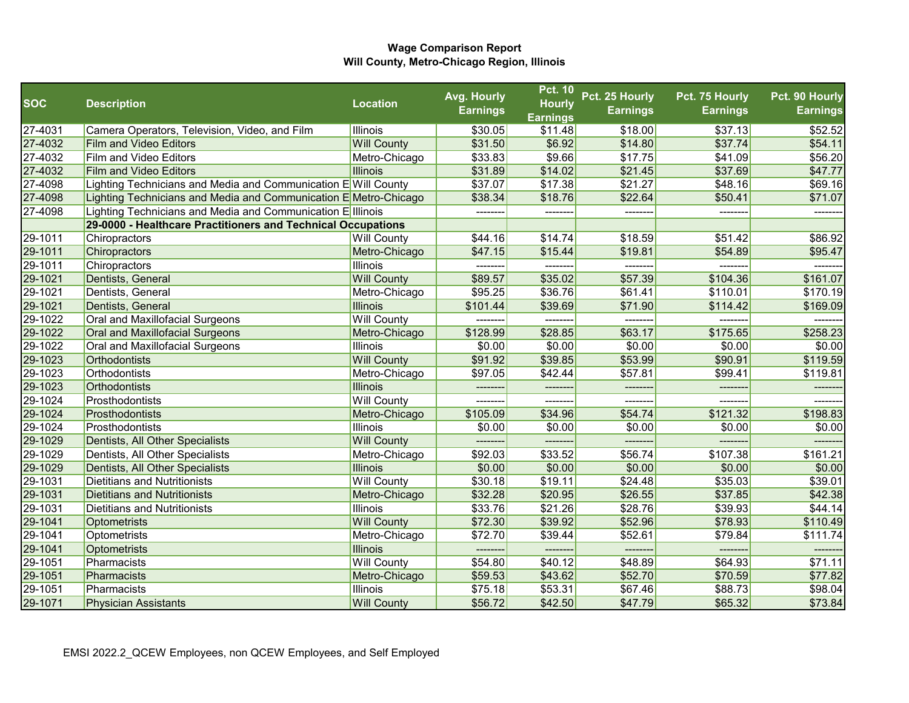|            |                                                                  |                    | Avg. Hourly     | <b>Pct. 10</b>             | Pct. 25 Hourly  | Pct. 75 Hourly  | Pct. 90 Hourly  |
|------------|------------------------------------------------------------------|--------------------|-----------------|----------------------------|-----------------|-----------------|-----------------|
| <b>SOC</b> | <b>Description</b>                                               | <b>Location</b>    | <b>Earnings</b> | <b>Hourly</b>              | <b>Earnings</b> | <b>Earnings</b> | <b>Earnings</b> |
| 27-4031    | Camera Operators, Television, Video, and Film                    | <b>Illinois</b>    | \$30.05         | <b>Earnings</b><br>\$11.48 | \$18.00         | \$37.13         | \$52.52         |
| 27-4032    | <b>Film and Video Editors</b>                                    | <b>Will County</b> | \$31.50         | \$6.92                     | \$14.80         | \$37.74         | \$54.11         |
| 27-4032    | <b>Film and Video Editors</b>                                    | Metro-Chicago      | \$33.83         | \$9.66                     | \$17.75         | \$41.09         | \$56.20         |
| 27-4032    | <b>Film and Video Editors</b>                                    | <b>Illinois</b>    | \$31.89         | \$14.02                    | \$21.45         | \$37.69         | \$47.77         |
| 27-4098    | Lighting Technicians and Media and Communication EWill County    |                    | \$37.07         | \$17.38                    | \$21.27         | \$48.16         | \$69.16         |
| 27-4098    | Lighting Technicians and Media and Communication E Metro-Chicago |                    | \$38.34         | \$18.76                    | \$22.64         | \$50.41         | \$71.07         |
| 27-4098    | Lighting Technicians and Media and Communication Elllinois       |                    |                 |                            |                 |                 |                 |
|            | 29-0000 - Healthcare Practitioners and Technical Occupations     |                    |                 |                            |                 |                 |                 |
| 29-1011    | Chiropractors                                                    | <b>Will County</b> | \$44.16         | \$14.74                    | \$18.59         | \$51.42         | \$86.92         |
| 29-1011    | Chiropractors                                                    | Metro-Chicago      | \$47.15         | \$15.44                    | \$19.81         | \$54.89         | \$95.47         |
| 29-1011    | Chiropractors                                                    | <b>Illinois</b>    | --------        | --------                   | -------         | --------        | -------         |
| 29-1021    | Dentists, General                                                | <b>Will County</b> | \$89.57         | \$35.02                    | \$57.39         | \$104.36        | \$161.07        |
| 29-1021    | Dentists, General                                                | Metro-Chicago      | \$95.25         | \$36.76                    | \$61.41         | \$110.01        | \$170.19        |
| 29-1021    | Dentists, General                                                | <b>Illinois</b>    | \$101.44        | \$39.69                    | \$71.90         | \$114.42        | \$169.09        |
| 29-1022    | Oral and Maxillofacial Surgeons                                  | <b>Will County</b> | --------        | --------                   | --------        | --------        | -------         |
| 29-1022    | Oral and Maxillofacial Surgeons                                  | Metro-Chicago      | \$128.99        | \$28.85                    | \$63.17         | \$175.65        | \$258.23        |
| 29-1022    | Oral and Maxillofacial Surgeons                                  | <b>Illinois</b>    | \$0.00          | \$0.00                     | \$0.00          | \$0.00          | \$0.00          |
| 29-1023    | <b>Orthodontists</b>                                             | <b>Will County</b> | \$91.92         | \$39.85                    | \$53.99         | \$90.91         | \$119.59        |
| 29-1023    | Orthodontists                                                    | Metro-Chicago      | \$97.05         | \$42.44                    | \$57.81         | \$99.41         | \$119.81        |
| 29-1023    | <b>Orthodontists</b>                                             | <b>Illinois</b>    |                 |                            | -------         |                 | -------         |
| 29-1024    | Prosthodontists                                                  | <b>Will County</b> | --------        | --------                   | --------        | --------        | -------         |
| 29-1024    | Prosthodontists                                                  | Metro-Chicago      | \$105.09        | \$34.96                    | \$54.74         | \$121.32        | \$198.83        |
| 29-1024    | Prosthodontists                                                  | <b>Illinois</b>    | \$0.00          | \$0.00                     | \$0.00          | \$0.00          | \$0.00          |
| 29-1029    | Dentists, All Other Specialists                                  | <b>Will County</b> | --------        | --------                   | -------         |                 |                 |
| 29-1029    | Dentists, All Other Specialists                                  | Metro-Chicago      | \$92.03         | \$33.52                    | \$56.74         | \$107.38        | \$161.21        |
| 29-1029    | Dentists, All Other Specialists                                  | <b>Illinois</b>    | \$0.00          | \$0.00                     | \$0.00          | \$0.00          | \$0.00          |
| 29-1031    | <b>Dietitians and Nutritionists</b>                              | <b>Will County</b> | \$30.18         | \$19.11                    | \$24.48         | \$35.03         | \$39.01         |
| 29-1031    | Dietitians and Nutritionists                                     | Metro-Chicago      | \$32.28         | \$20.95                    | \$26.55         | \$37.85         | \$42.38         |
| 29-1031    | <b>Dietitians and Nutritionists</b>                              | <b>Illinois</b>    | \$33.76         | \$21.26                    | \$28.76         | \$39.93         | \$44.14         |
| 29-1041    | Optometrists                                                     | <b>Will County</b> | \$72.30         | \$39.92                    | \$52.96         | \$78.93         | \$110.49        |
| 29-1041    | Optometrists                                                     | Metro-Chicago      | \$72.70         | \$39.44                    | \$52.61         | \$79.84         | \$111.74        |
| 29-1041    | Optometrists                                                     | <b>Illinois</b>    | --------        |                            | --------        | --------        |                 |
| 29-1051    | Pharmacists                                                      | <b>Will County</b> | \$54.80         | \$40.12                    | \$48.89         | \$64.93         | \$71.11         |
| 29-1051    | Pharmacists                                                      | Metro-Chicago      | \$59.53         | \$43.62                    | \$52.70         | \$70.59         | \$77.82         |
| 29-1051    | Pharmacists                                                      | Illinois           | \$75.18         | \$53.31                    | \$67.46         | \$88.73         | \$98.04         |
| 29-1071    | <b>Physician Assistants</b>                                      | <b>Will County</b> | \$56.72         | \$42.50                    | \$47.79         | \$65.32         | \$73.84         |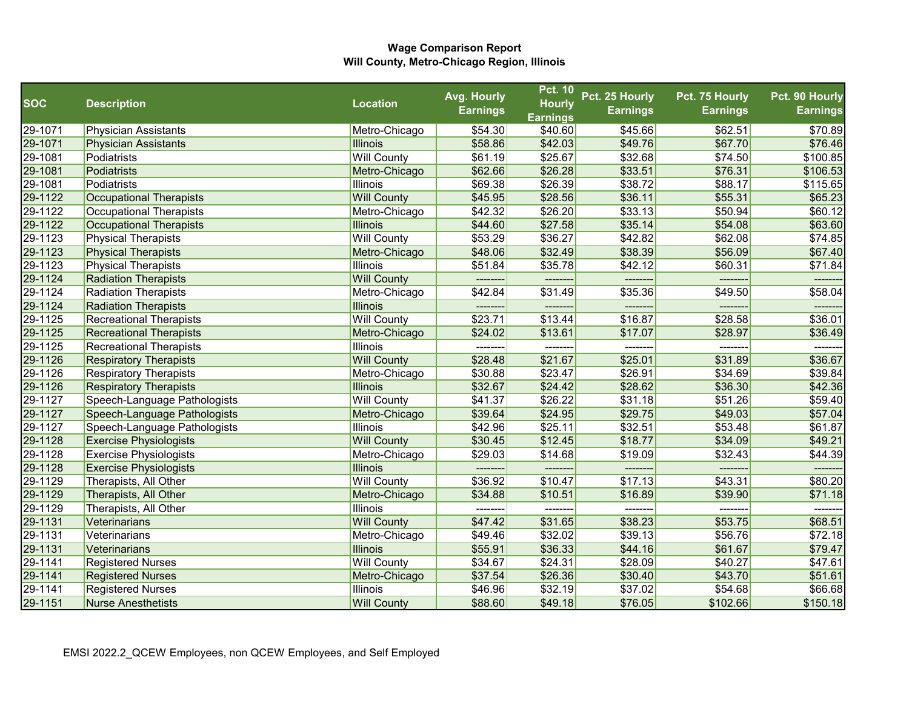|            |                                |                    | Avg. Hourly     | <b>Pct. 10</b>    | Pct. 25 Hourly  | Pct. 75 Hourly  | Pct. 90 Hourly  |
|------------|--------------------------------|--------------------|-----------------|-------------------|-----------------|-----------------|-----------------|
| <b>SOC</b> | <b>Description</b>             | <b>Location</b>    | <b>Earnings</b> | <b>Hourly</b>     | <b>Earnings</b> | <b>Earnings</b> | <b>Earnings</b> |
|            |                                |                    |                 | <b>Earnings</b>   |                 |                 |                 |
| 29-1071    | <b>Physician Assistants</b>    | Metro-Chicago      | \$54.30         | \$40.60           | \$45.66         | \$62.51         | \$70.89         |
| 29-1071    | <b>Physician Assistants</b>    | <b>Illinois</b>    | \$58.86         | \$42.03           | \$49.76         | \$67.70         | \$76.46         |
| 29-1081    | Podiatrists                    | <b>Will County</b> | \$61.19         | \$25.67           | \$32.68         | \$74.50         | \$100.85        |
| 29-1081    | Podiatrists                    | Metro-Chicago      | \$62.66         | \$26.28           | \$33.51         | \$76.31         | \$106.53        |
| 29-1081    | Podiatrists                    | <b>Illinois</b>    | \$69.38         | \$26.39           | \$38.72         | \$88.17         | \$115.65        |
| 29-1122    | <b>Occupational Therapists</b> | <b>Will County</b> | \$45.95         | \$28.56           | \$36.11         | \$55.31         | \$65.23         |
| 29-1122    | <b>Occupational Therapists</b> | Metro-Chicago      | \$42.32         | \$26.20           | \$33.13         | \$50.94         | \$60.12         |
| 29-1122    | <b>Occupational Therapists</b> | <b>Illinois</b>    | \$44.60         | \$27.58           | \$35.14         | \$54.08         | \$63.60         |
| 29-1123    | <b>Physical Therapists</b>     | <b>Will County</b> | \$53.29         | \$36.27           | \$42.82         | \$62.08         | \$74.85         |
| 29-1123    | <b>Physical Therapists</b>     | Metro-Chicago      | \$48.06         | \$32.49           | \$38.39         | \$56.09         | \$67.40         |
| 29-1123    | <b>Physical Therapists</b>     | <b>Illinois</b>    | \$51.84         | \$35.78           | \$42.12         | \$60.31         | \$71.84         |
| 29-1124    | Radiation Therapists           | <b>Will County</b> | --------        | --------          | --------        | --------        | -------         |
| 29-1124    | Radiation Therapists           | Metro-Chicago      | \$42.84         | \$31.49           | \$35.36         | \$49.50         | \$58.04         |
| 29-1124    | <b>Radiation Therapists</b>    | <b>Illinois</b>    | --------        | --------          | -------         | $---$           | ------          |
| 29-1125    | <b>Recreational Therapists</b> | <b>Will County</b> | \$23.71         | \$13.44           | \$16.87         | \$28.58         | \$36.01         |
| 29-1125    | <b>Recreational Therapists</b> | Metro-Chicago      | \$24.02         | \$13.61           | \$17.07         | \$28.97         | \$36.49         |
| 29-1125    | <b>Recreational Therapists</b> | <b>Illinois</b>    | ---------       | $- - - - - - - -$ | --------        | ---------       | -------         |
| 29-1126    | <b>Respiratory Therapists</b>  | <b>Will County</b> | \$28.48         | \$21.67           | \$25.01         | \$31.89         | \$36.67         |
| 29-1126    | <b>Respiratory Therapists</b>  | Metro-Chicago      | \$30.88         | \$23.47           | \$26.91         | \$34.69         | \$39.84         |
| 29-1126    | <b>Respiratory Therapists</b>  | <b>Illinois</b>    | \$32.67         | \$24.42           | \$28.62         | \$36.30         | \$42.36         |
| 29-1127    | Speech-Language Pathologists   | <b>Will County</b> | \$41.37         | \$26.22           | \$31.18         | \$51.26         | \$59.40         |
| 29-1127    | Speech-Language Pathologists   | Metro-Chicago      | \$39.64         | \$24.95           | \$29.75         | \$49.03         | \$57.04         |
| 29-1127    | Speech-Language Pathologists   | <b>Illinois</b>    | \$42.96         | \$25.11           | \$32.51         | \$53.48         | \$61.87         |
| 29-1128    | <b>Exercise Physiologists</b>  | <b>Will County</b> | \$30.45         | \$12.45           | \$18.77         | \$34.09         | \$49.21         |
| 29-1128    | <b>Exercise Physiologists</b>  | Metro-Chicago      | \$29.03         | \$14.68           | \$19.09         | \$32.43         | \$44.39         |
| 29-1128    | <b>Exercise Physiologists</b>  | <b>Illinois</b>    | --------        |                   | ------          |                 | ------          |
| 29-1129    | Therapists, All Other          | <b>Will County</b> | \$36.92         | \$10.47           | \$17.13         | \$43.31         | \$80.20         |
| 29-1129    | Therapists, All Other          | Metro-Chicago      | \$34.88         | \$10.51           | \$16.89         | \$39.90         | \$71.18         |
| 29-1129    | Therapists, All Other          | <b>Illinois</b>    | --------        | --------          | --------        | --------        | -------         |
| 29-1131    | Veterinarians                  | <b>Will County</b> | \$47.42         | \$31.65           | \$38.23         | \$53.75         | \$68.51         |
| 29-1131    | Veterinarians                  | Metro-Chicago      | \$49.46         | \$32.02           | \$39.13         | \$56.76         | \$72.18         |
| 29-1131    | Veterinarians                  | <b>Illinois</b>    | \$55.91         | \$36.33           | \$44.16         | \$61.67         | \$79.47         |
| 29-1141    | <b>Registered Nurses</b>       | <b>Will County</b> | \$34.67         | \$24.31           | \$28.09         | \$40.27         | \$47.61         |
| 29-1141    | <b>Registered Nurses</b>       | Metro-Chicago      | \$37.54         | \$26.36           | \$30.40         | \$43.70         | \$51.61         |
| 29-1141    | <b>Registered Nurses</b>       | <b>Illinois</b>    | \$46.96         | \$32.19           | \$37.02         | \$54.68         | \$66.68         |
| 29-1151    | <b>Nurse Anesthetists</b>      | <b>Will County</b> | \$88.60         | \$49.18           | \$76.05         | \$102.66        | \$150.18        |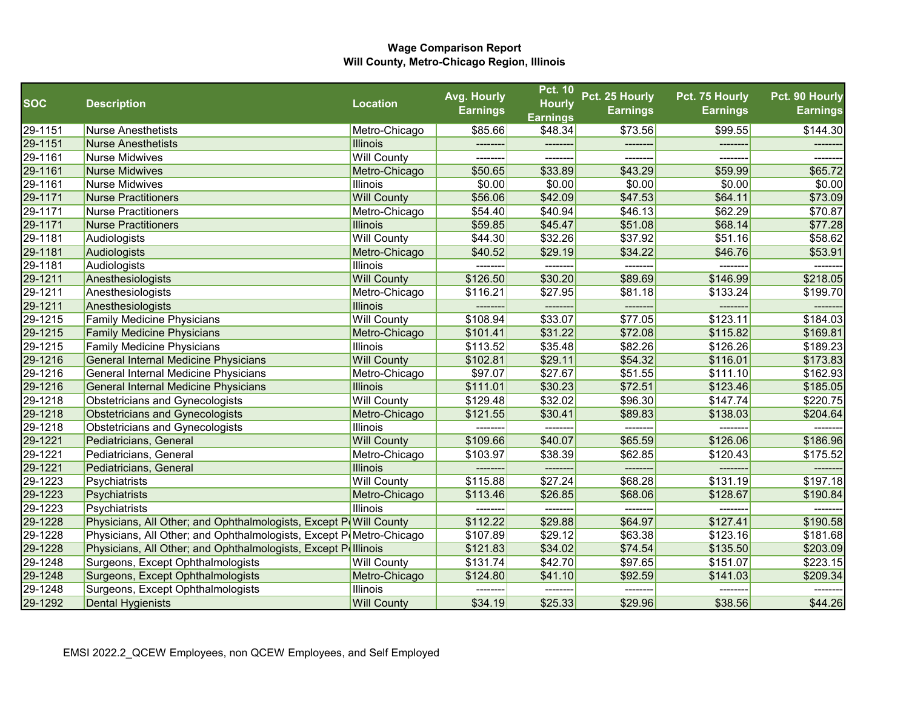|            |                                                                     |                    | Avg. Hourly     | <b>Pct. 10</b>  | Pct. 25 Hourly  | Pct. 75 Hourly  | Pct. 90 Hourly  |
|------------|---------------------------------------------------------------------|--------------------|-----------------|-----------------|-----------------|-----------------|-----------------|
| <b>SOC</b> | <b>Description</b>                                                  | <b>Location</b>    | <b>Earnings</b> | <b>Hourly</b>   | <b>Earnings</b> | <b>Earnings</b> | <b>Earnings</b> |
|            |                                                                     |                    |                 | <b>Earnings</b> |                 |                 |                 |
| 29-1151    | <b>Nurse Anesthetists</b>                                           | Metro-Chicago      | \$85.66         | \$48.34         | \$73.56         | \$99.55         | \$144.30        |
| 29-1151    | <b>Nurse Anesthetists</b>                                           | <b>Illinois</b>    |                 |                 |                 |                 |                 |
| 29-1161    | <b>Nurse Midwives</b>                                               | <b>Will County</b> |                 |                 |                 |                 |                 |
| 29-1161    | <b>Nurse Midwives</b>                                               | Metro-Chicago      | \$50.65         | \$33.89         | \$43.29         | \$59.99         | \$65.72         |
| 29-1161    | Nurse Midwives                                                      | Illinois           | \$0.00          | \$0.00          | \$0.00          | \$0.00          | \$0.00          |
| 29-1171    | <b>Nurse Practitioners</b>                                          | <b>Will County</b> | \$56.06         | \$42.09         | \$47.53         | \$64.11         | \$73.09         |
| 29-1171    | <b>Nurse Practitioners</b>                                          | Metro-Chicago      | \$54.40         | \$40.94         | \$46.13         | \$62.29         | \$70.87         |
| 29-1171    | <b>Nurse Practitioners</b>                                          | <b>Illinois</b>    | \$59.85         | \$45.47         | \$51.08         | \$68.14         | \$77.28         |
| 29-1181    | Audiologists                                                        | <b>Will County</b> | \$44.30         | \$32.26         | \$37.92         | \$51.16         | \$58.62         |
| 29-1181    | Audiologists                                                        | Metro-Chicago      | \$40.52         | \$29.19         | \$34.22         | \$46.76         | \$53.91         |
| 29-1181    | Audiologists                                                        | Illinois           | --------        | --------        | -------         | -------         |                 |
| 29-1211    | Anesthesiologists                                                   | <b>Will County</b> | \$126.50        | \$30.20         | \$89.69         | \$146.99        | \$218.05        |
| 29-1211    | Anesthesiologists                                                   | Metro-Chicago      | \$116.21        | \$27.95         | \$81.18         | \$133.24        | \$199.70        |
| 29-1211    | Anesthesiologists                                                   | <b>Illinois</b>    |                 | -------         |                 |                 | ------          |
| 29-1215    | <b>Family Medicine Physicians</b>                                   | <b>Will County</b> | \$108.94        | \$33.07         | \$77.05         | \$123.11        | \$184.03        |
| 29-1215    | <b>Family Medicine Physicians</b>                                   | Metro-Chicago      | \$101.41        | \$31.22         | \$72.08         | \$115.82        | \$169.81        |
| 29-1215    | <b>Family Medicine Physicians</b>                                   | Illinois           | \$113.52        | \$35.48         | \$82.26         | \$126.26        | \$189.23        |
| 29-1216    | <b>General Internal Medicine Physicians</b>                         | <b>Will County</b> | \$102.81        | \$29.11         | \$54.32         | \$116.01        | \$173.83        |
| 29-1216    | General Internal Medicine Physicians                                | Metro-Chicago      | \$97.07         | \$27.67         | \$51.55         | \$111.10        | \$162.93        |
| 29-1216    | <b>General Internal Medicine Physicians</b>                         | <b>Illinois</b>    | \$111.01        | \$30.23         | \$72.51         | \$123.46        | \$185.05        |
| 29-1218    | Obstetricians and Gynecologists                                     | <b>Will County</b> | \$129.48        | \$32.02         | \$96.30         | \$147.74        | \$220.75        |
| 29-1218    | <b>Obstetricians and Gynecologists</b>                              | Metro-Chicago      | \$121.55        | \$30.41         | \$89.83         | \$138.03        | \$204.64        |
| 29-1218    | Obstetricians and Gynecologists                                     | Illinois           |                 |                 | -------         | -------         |                 |
| 29-1221    | Pediatricians, General                                              | <b>Will County</b> | \$109.66        | \$40.07         | \$65.59         | \$126.06        | \$186.96        |
| 29-1221    | Pediatricians, General                                              | Metro-Chicago      | \$103.97        | \$38.39         | \$62.85         | \$120.43        | \$175.52        |
| 29-1221    | Pediatricians, General                                              | <b>Illinois</b>    |                 |                 |                 |                 |                 |
| 29-1223    | Psychiatrists                                                       | <b>Will County</b> | \$115.88        | \$27.24         | \$68.28         | \$131.19        | \$197.18        |
| 29-1223    | Psychiatrists                                                       | Metro-Chicago      | \$113.46        | \$26.85         | \$68.06         | \$128.67        | \$190.84        |
| 29-1223    | Psychiatrists                                                       | Illinois           |                 |                 | --------        | --------        |                 |
| 29-1228    | Physicians, All Other; and Ophthalmologists, Except P(Will County   |                    | \$112.22        | \$29.88         | \$64.97         | \$127.41        | \$190.58        |
| 29-1228    | Physicians, All Other; and Ophthalmologists, Except P(Metro-Chicago |                    | \$107.89        | \$29.12         | \$63.38         | \$123.16        | \$181.68        |
| 29-1228    | Physicians, All Other; and Ophthalmologists, Except Pollinois       |                    | \$121.83        | \$34.02         | \$74.54         | \$135.50        | \$203.09        |
| 29-1248    | Surgeons, Except Ophthalmologists                                   | <b>Will County</b> | \$131.74        | \$42.70         | \$97.65         | \$151.07        | \$223.15        |
| 29-1248    | Surgeons, Except Ophthalmologists                                   | Metro-Chicago      | \$124.80        | \$41.10         | \$92.59         | \$141.03        | \$209.34        |
| 29-1248    | Surgeons, Except Ophthalmologists                                   | Illinois           | ---------       | --------        | --------        | --------        | --------        |
| 29-1292    | <b>Dental Hygienists</b>                                            | <b>Will County</b> | \$34.19         | \$25.33         | \$29.96         | \$38.56         | \$44.26         |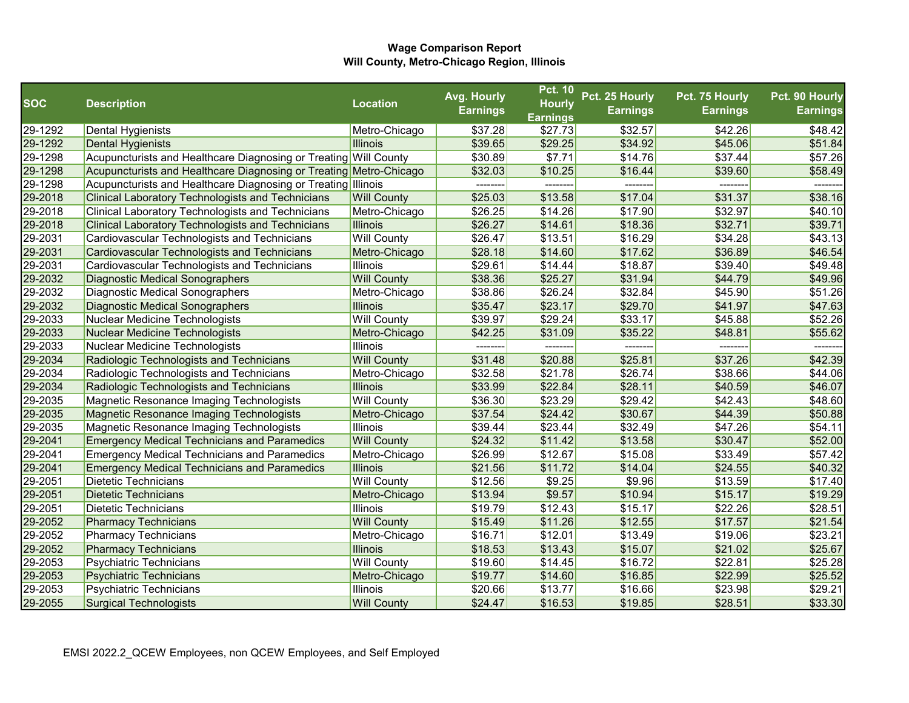|            |                                                                    |                    | Avg. Hourly     | <b>Pct. 10</b>  | Pct. 25 Hourly  | Pct. 75 Hourly  | Pct. 90 Hourly  |
|------------|--------------------------------------------------------------------|--------------------|-----------------|-----------------|-----------------|-----------------|-----------------|
| <b>SOC</b> | <b>Description</b>                                                 | <b>Location</b>    | <b>Earnings</b> | <b>Hourly</b>   | <b>Earnings</b> | <b>Earnings</b> | <b>Earnings</b> |
|            |                                                                    |                    |                 | <b>Earnings</b> |                 |                 |                 |
| 29-1292    | <b>Dental Hygienists</b>                                           | Metro-Chicago      | \$37.28         | \$27.73         | \$32.57         | \$42.26         | \$48.42         |
| 29-1292    | Dental Hygienists                                                  | <b>Illinois</b>    | \$39.65         | \$29.25         | \$34.92         | \$45.06         | \$51.84         |
| 29-1298    | Acupuncturists and Healthcare Diagnosing or Treating Will County   |                    | \$30.89         | \$7.71          | \$14.76         | \$37.44         | \$57.26         |
| 29-1298    | Acupuncturists and Healthcare Diagnosing or Treating Metro-Chicago |                    | \$32.03         | \$10.25         | \$16.44         | \$39.60         | \$58.49         |
| 29-1298    | Acupuncturists and Healthcare Diagnosing or Treating Illinois      |                    | --------        | --------        | --------        | --------        | --------        |
| 29-2018    | <b>Clinical Laboratory Technologists and Technicians</b>           | <b>Will County</b> | \$25.03         | \$13.58         | \$17.04         | \$31.37         | \$38.16         |
| 29-2018    | <b>Clinical Laboratory Technologists and Technicians</b>           | Metro-Chicago      | \$26.25         | \$14.26         | \$17.90         | \$32.97         | \$40.10         |
| 29-2018    | <b>Clinical Laboratory Technologists and Technicians</b>           | <b>Illinois</b>    | \$26.27         | \$14.61         | \$18.36         | \$32.71         | \$39.71         |
| 29-2031    | Cardiovascular Technologists and Technicians                       | <b>Will County</b> | \$26.47         | \$13.51         | \$16.29         | \$34.28         | \$43.13         |
| 29-2031    | <b>Cardiovascular Technologists and Technicians</b>                | Metro-Chicago      | \$28.18         | \$14.60         | \$17.62         | \$36.89         | \$46.54         |
| 29-2031    | Cardiovascular Technologists and Technicians                       | <b>Illinois</b>    | \$29.61         | \$14.44         | \$18.87         | \$39.40         | \$49.48         |
| 29-2032    | <b>Diagnostic Medical Sonographers</b>                             | <b>Will County</b> | \$38.36         | \$25.27         | \$31.94         | \$44.79         | \$49.96         |
| 29-2032    | Diagnostic Medical Sonographers                                    | Metro-Chicago      | \$38.86         | \$26.24         | \$32.84         | \$45.90         | \$51.26         |
| 29-2032    | Diagnostic Medical Sonographers                                    | <b>Illinois</b>    | \$35.47         | \$23.17         | \$29.70         | \$41.97         | \$47.63         |
| 29-2033    | Nuclear Medicine Technologists                                     | <b>Will County</b> | \$39.97         | \$29.24         | \$33.17         | \$45.88         | \$52.26         |
| 29-2033    | Nuclear Medicine Technologists                                     | Metro-Chicago      | \$42.25         | \$31.09         | \$35.22         | \$48.81         | \$55.62         |
| 29-2033    | Nuclear Medicine Technologists                                     | <b>Illinois</b>    | ---------       | --------        | --------        | --------        | ------          |
| 29-2034    | Radiologic Technologists and Technicians                           | <b>Will County</b> | \$31.48         | \$20.88         | \$25.81         | \$37.26         | \$42.39         |
| 29-2034    | Radiologic Technologists and Technicians                           | Metro-Chicago      | \$32.58         | \$21.78         | \$26.74         | \$38.66         | \$44.06         |
| 29-2034    | Radiologic Technologists and Technicians                           | <b>Illinois</b>    | \$33.99         | \$22.84         | \$28.11         | \$40.59         | \$46.07         |
| 29-2035    | Magnetic Resonance Imaging Technologists                           | <b>Will County</b> | \$36.30         | \$23.29         | \$29.42         | \$42.43         | \$48.60         |
| 29-2035    | Magnetic Resonance Imaging Technologists                           | Metro-Chicago      | \$37.54         | \$24.42         | \$30.67         | \$44.39         | \$50.88         |
| 29-2035    | Magnetic Resonance Imaging Technologists                           | <b>Illinois</b>    | \$39.44         | \$23.44         | \$32.49         | \$47.26         | \$54.11         |
| 29-2041    | <b>Emergency Medical Technicians and Paramedics</b>                | <b>Will County</b> | \$24.32         | \$11.42         | \$13.58         | \$30.47         | \$52.00         |
| 29-2041    | <b>Emergency Medical Technicians and Paramedics</b>                | Metro-Chicago      | \$26.99         | \$12.67         | \$15.08         | \$33.49         | \$57.42         |
| 29-2041    | <b>Emergency Medical Technicians and Paramedics</b>                | <b>Illinois</b>    | \$21.56         | \$11.72         | \$14.04         | \$24.55         | \$40.32         |
| 29-2051    | Dietetic Technicians                                               | <b>Will County</b> | \$12.56         | \$9.25          | \$9.96          | \$13.59         | \$17.40         |
| 29-2051    | <b>Dietetic Technicians</b>                                        | Metro-Chicago      | \$13.94         | \$9.57          | \$10.94         | \$15.17         | \$19.29         |
| 29-2051    | <b>Dietetic Technicians</b>                                        | <b>Illinois</b>    | \$19.79         | \$12.43         | \$15.17         | \$22.26         | \$28.51         |
| 29-2052    | <b>Pharmacy Technicians</b>                                        | <b>Will County</b> | \$15.49         | \$11.26         | \$12.55         | \$17.57         | \$21.54         |
| 29-2052    | <b>Pharmacy Technicians</b>                                        | Metro-Chicago      | \$16.71         | \$12.01         | \$13.49         | \$19.06         | \$23.21         |
| 29-2052    | <b>Pharmacy Technicians</b>                                        | <b>Illinois</b>    | \$18.53         | \$13.43         | \$15.07         | \$21.02         | \$25.67         |
| 29-2053    | <b>Psychiatric Technicians</b>                                     | <b>Will County</b> | \$19.60         | \$14.45         | \$16.72         | \$22.81         | \$25.28         |
| 29-2053    | <b>Psychiatric Technicians</b>                                     | Metro-Chicago      | \$19.77         | \$14.60         | \$16.85         | \$22.99         | \$25.52         |
| 29-2053    | <b>Psychiatric Technicians</b>                                     | <b>Illinois</b>    | \$20.66         | \$13.77         | \$16.66         | \$23.98         | \$29.21         |
| 29-2055    | <b>Surgical Technologists</b>                                      | <b>Will County</b> | \$24.47         | \$16.53         | \$19.85         | \$28.51         | \$33.30         |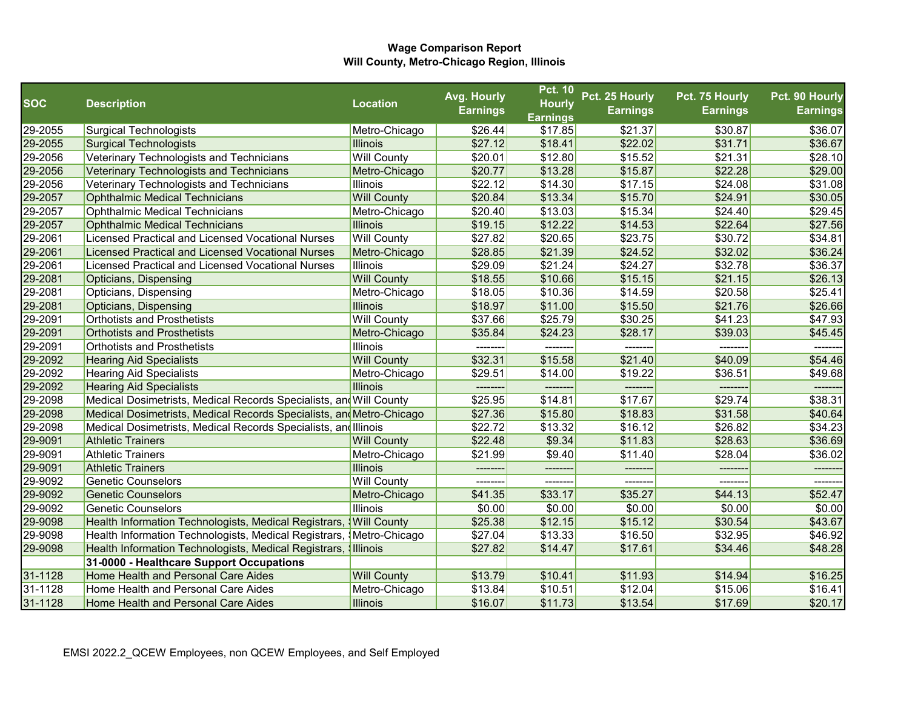|            |                                                                      |                    | Avg. Hourly     | <b>Pct. 10</b>  | Pct. 25 Hourly  | Pct. 75 Hourly  | Pct. 90 Hourly  |
|------------|----------------------------------------------------------------------|--------------------|-----------------|-----------------|-----------------|-----------------|-----------------|
| <b>SOC</b> | <b>Description</b>                                                   | <b>Location</b>    | <b>Earnings</b> | <b>Hourly</b>   | <b>Earnings</b> | <b>Earnings</b> | <b>Earnings</b> |
|            |                                                                      |                    |                 | <b>Earnings</b> |                 |                 |                 |
| 29-2055    | <b>Surgical Technologists</b>                                        | Metro-Chicago      | \$26.44         | \$17.85         | \$21.37         | \$30.87         | \$36.07         |
| 29-2055    | Surgical Technologists                                               | Illinois           | \$27.12         | \$18.41         | \$22.02         | \$31.71         | \$36.67         |
| 29-2056    | Veterinary Technologists and Technicians                             | <b>Will County</b> | \$20.01         | \$12.80         | \$15.52         | \$21.31         | \$28.10         |
| 29-2056    | Veterinary Technologists and Technicians                             | Metro-Chicago      | \$20.77         | \$13.28         | \$15.87         | \$22.28         | \$29.00         |
| 29-2056    | Veterinary Technologists and Technicians                             | Illinois           | \$22.12         | \$14.30         | \$17.15         | \$24.08         | \$31.08         |
| 29-2057    | <b>Ophthalmic Medical Technicians</b>                                | <b>Will County</b> | \$20.84         | \$13.34         | \$15.70         | \$24.91         | \$30.05         |
| 29-2057    | <b>Ophthalmic Medical Technicians</b>                                | Metro-Chicago      | \$20.40         | \$13.03         | \$15.34         | \$24.40         | \$29.45         |
| 29-2057    | <b>Ophthalmic Medical Technicians</b>                                | <b>Illinois</b>    | \$19.15         | \$12.22         | \$14.53         | \$22.64         | \$27.56         |
| 29-2061    | <b>Licensed Practical and Licensed Vocational Nurses</b>             | <b>Will County</b> | \$27.82         | \$20.65         | \$23.75         | \$30.72         | \$34.81         |
| 29-2061    | <b>Licensed Practical and Licensed Vocational Nurses</b>             | Metro-Chicago      | \$28.85         | \$21.39         | \$24.52         | \$32.02         | \$36.24         |
| 29-2061    | Licensed Practical and Licensed Vocational Nurses                    | <b>Illinois</b>    | \$29.09         | \$21.24         | \$24.27         | \$32.78         | \$36.37         |
| 29-2081    | Opticians, Dispensing                                                | <b>Will County</b> | \$18.55         | \$10.66         | \$15.15         | \$21.15         | \$26.13         |
| 29-2081    | Opticians, Dispensing                                                | Metro-Chicago      | \$18.05         | \$10.36         | \$14.59         | \$20.58         | \$25.41         |
| 29-2081    | Opticians, Dispensing                                                | <b>Illinois</b>    | \$18.97         | \$11.00         | \$15.50         | \$21.76         | \$26.66         |
| 29-2091    | <b>Orthotists and Prosthetists</b>                                   | <b>Will County</b> | \$37.66         | \$25.79         | \$30.25         | \$41.23         | \$47.93         |
| 29-2091    | <b>Orthotists and Prosthetists</b>                                   | Metro-Chicago      | \$35.84         | \$24.23         | \$28.17         | \$39.03         | \$45.45         |
| 29-2091    | <b>Orthotists and Prosthetists</b>                                   | <b>Illinois</b>    | --------        | --------        | --------        | --------        | -------         |
| 29-2092    | <b>Hearing Aid Specialists</b>                                       | <b>Will County</b> | \$32.31         | \$15.58         | \$21.40         | \$40.09         | \$54.46         |
| 29-2092    | <b>Hearing Aid Specialists</b>                                       | Metro-Chicago      | \$29.51         | \$14.00         | \$19.22         | \$36.51         | \$49.68         |
| 29-2092    | <b>Hearing Aid Specialists</b>                                       | <b>Illinois</b>    | --------        | --------        | -------         | --------        | -------         |
| 29-2098    | Medical Dosimetrists, Medical Records Specialists, and Will County   |                    | \$25.95         | \$14.81         | \$17.67         | \$29.74         | \$38.31         |
| 29-2098    | Medical Dosimetrists, Medical Records Specialists, and Metro-Chicago |                    | \$27.36         | \$15.80         | \$18.83         | \$31.58         | \$40.64         |
| 29-2098    | Medical Dosimetrists, Medical Records Specialists, and Illinois      |                    | \$22.72         | \$13.32         | \$16.12         | \$26.82         | \$34.23         |
| 29-9091    | <b>Athletic Trainers</b>                                             | <b>Will County</b> | \$22.48         | \$9.34          | \$11.83         | \$28.63         | \$36.69         |
| 29-9091    | <b>Athletic Trainers</b>                                             | Metro-Chicago      | \$21.99         | \$9.40          | \$11.40         | \$28.04         | \$36.02         |
| 29-9091    | <b>Athletic Trainers</b>                                             | <b>Illinois</b>    |                 | --------        |                 |                 | --------        |
| 29-9092    | <b>Genetic Counselors</b>                                            | <b>Will County</b> | --------        | --------        | -------         | --------        | -------         |
| 29-9092    | <b>Genetic Counselors</b>                                            | Metro-Chicago      | \$41.35         | \$33.17         | \$35.27         | \$44.13         | \$52.47         |
| 29-9092    | <b>Genetic Counselors</b>                                            | Illinois           | \$0.00          | \$0.00          | \$0.00          | \$0.00          | \$0.00          |
| 29-9098    | Health Information Technologists, Medical Registrars,                | <b>Will County</b> | \$25.38         | \$12.15         | \$15.12         | \$30.54         | \$43.67         |
| 29-9098    | Health Information Technologists, Medical Registrars,                | Metro-Chicago      | \$27.04         | \$13.33         | \$16.50         | \$32.95         | \$46.92         |
| 29-9098    | Health Information Technologists, Medical Registrars,                | <b>Illinois</b>    | \$27.82         | \$14.47         | \$17.61         | \$34.46         | \$48.28         |
|            | 31-0000 - Healthcare Support Occupations                             |                    |                 |                 |                 |                 |                 |
| 31-1128    | Home Health and Personal Care Aides                                  | <b>Will County</b> | \$13.79         | \$10.41         | \$11.93         | \$14.94         | \$16.25         |
| 31-1128    | Home Health and Personal Care Aides                                  | Metro-Chicago      | \$13.84         | \$10.51         | \$12.04         | \$15.06         | \$16.41         |
| 31-1128    | Home Health and Personal Care Aides                                  | <b>Illinois</b>    | \$16.07         | \$11.73         | \$13.54         | \$17.69         | \$20.17         |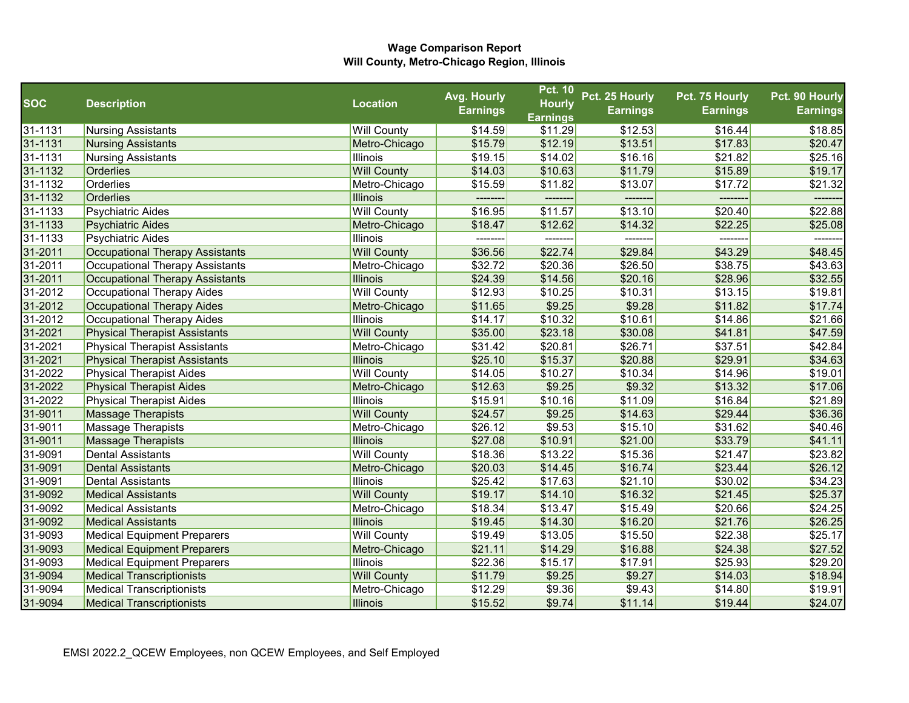|            |                                      |                    | Avg. Hourly     | <b>Pct. 10</b>  | Pct. 25 Hourly  | Pct. 75 Hourly  | Pct. 90 Hourly  |
|------------|--------------------------------------|--------------------|-----------------|-----------------|-----------------|-----------------|-----------------|
| <b>SOC</b> | <b>Description</b>                   | <b>Location</b>    | <b>Earnings</b> | <b>Hourly</b>   | <b>Earnings</b> | <b>Earnings</b> | <b>Earnings</b> |
|            |                                      |                    |                 | <b>Earnings</b> |                 |                 |                 |
| 31-1131    | <b>Nursing Assistants</b>            | <b>Will County</b> | \$14.59         | \$11.29         | \$12.53         | \$16.44         | \$18.85         |
| 31-1131    | <b>Nursing Assistants</b>            | Metro-Chicago      | \$15.79         | \$12.19         | \$13.51         | \$17.83         | \$20.47         |
| 31-1131    | <b>Nursing Assistants</b>            | <b>Illinois</b>    | \$19.15         | \$14.02         | \$16.16         | \$21.82         | \$25.16         |
| 31-1132    | <b>Orderlies</b>                     | <b>Will County</b> | \$14.03         | \$10.63         | \$11.79         | \$15.89         | \$19.17         |
| 31-1132    | Orderlies                            | Metro-Chicago      | \$15.59         | \$11.82         | \$13.07         | \$17.72         | \$21.32         |
| 31-1132    | <b>Orderlies</b>                     | <b>Illinois</b>    |                 |                 | -------         |                 |                 |
| 31-1133    | <b>Psychiatric Aides</b>             | <b>Will County</b> | \$16.95         | \$11.57         | \$13.10         | \$20.40         | \$22.88         |
| 31-1133    | <b>Psychiatric Aides</b>             | Metro-Chicago      | \$18.47         | \$12.62         | \$14.32         | \$22.25         | \$25.08         |
| 31-1133    | <b>Psychiatric Aides</b>             | <b>Illinois</b>    | ---------       | --------        | --------        | --------        | --------        |
| 31-2011    | Occupational Therapy Assistants      | <b>Will County</b> | \$36.56         | \$22.74         | \$29.84         | \$43.29         | \$48.45         |
| 31-2011    | Occupational Therapy Assistants      | Metro-Chicago      | \$32.72         | \$20.36         | \$26.50         | \$38.75         | \$43.63         |
| 31-2011    | Occupational Therapy Assistants      | <b>Illinois</b>    | \$24.39         | \$14.56         | \$20.16         | \$28.96         | \$32.55         |
| 31-2012    | Occupational Therapy Aides           | <b>Will County</b> | \$12.93         | \$10.25         | \$10.31         | \$13.15         | \$19.81         |
| 31-2012    | Occupational Therapy Aides           | Metro-Chicago      | \$11.65         | \$9.25          | \$9.28          | \$11.82         | \$17.74         |
| 31-2012    | Occupational Therapy Aides           | <b>Illinois</b>    | \$14.17         | \$10.32         | \$10.61         | \$14.86         | \$21.66         |
| 31-2021    | <b>Physical Therapist Assistants</b> | <b>Will County</b> | \$35.00         | \$23.18         | \$30.08         | \$41.81         | \$47.59         |
| 31-2021    | <b>Physical Therapist Assistants</b> | Metro-Chicago      | \$31.42         | \$20.81         | \$26.71         | \$37.51         | \$42.84         |
| 31-2021    | <b>Physical Therapist Assistants</b> | <b>Illinois</b>    | \$25.10         | \$15.37         | \$20.88         | \$29.91         | \$34.63         |
| 31-2022    | <b>Physical Therapist Aides</b>      | <b>Will County</b> | \$14.05         | \$10.27         | \$10.34         | \$14.96         | \$19.01         |
| 31-2022    | <b>Physical Therapist Aides</b>      | Metro-Chicago      | \$12.63         | \$9.25          | \$9.32          | \$13.32         | \$17.06         |
| 31-2022    | <b>Physical Therapist Aides</b>      | <b>Illinois</b>    | \$15.91         | \$10.16         | \$11.09         | \$16.84         | \$21.89         |
| 31-9011    | <b>Massage Therapists</b>            | <b>Will County</b> | \$24.57         | \$9.25          | \$14.63         | \$29.44         | \$36.36         |
| 31-9011    | Massage Therapists                   | Metro-Chicago      | \$26.12         | \$9.53          | \$15.10         | \$31.62         | \$40.46         |
| 31-9011    | <b>Massage Therapists</b>            | <b>Illinois</b>    | \$27.08         | \$10.91         | \$21.00         | \$33.79         | \$41.11         |
| 31-9091    | <b>Dental Assistants</b>             | <b>Will County</b> | \$18.36         | \$13.22         | \$15.36         | \$21.47         | \$23.82         |
| 31-9091    | <b>Dental Assistants</b>             | Metro-Chicago      | \$20.03         | \$14.45         | \$16.74         | \$23.44         | \$26.12         |
| 31-9091    | <b>Dental Assistants</b>             | <b>Illinois</b>    | \$25.42         | \$17.63         | \$21.10         | \$30.02         | \$34.23         |
| 31-9092    | <b>Medical Assistants</b>            | <b>Will County</b> | \$19.17         | \$14.10         | \$16.32         | \$21.45         | \$25.37         |
| 31-9092    | <b>Medical Assistants</b>            | Metro-Chicago      | \$18.34         | \$13.47         | \$15.49         | \$20.66         | \$24.25         |
| 31-9092    | <b>Medical Assistants</b>            | <b>Illinois</b>    | \$19.45         | \$14.30         | \$16.20         | \$21.76         | \$26.25         |
| 31-9093    | <b>Medical Equipment Preparers</b>   | <b>Will County</b> | \$19.49         | \$13.05         | \$15.50         | \$22.38         | \$25.17         |
| 31-9093    | <b>Medical Equipment Preparers</b>   | Metro-Chicago      | \$21.11         | \$14.29         | \$16.88         | \$24.38         | \$27.52         |
| 31-9093    | <b>Medical Equipment Preparers</b>   | <b>Illinois</b>    | \$22.36         | \$15.17         | \$17.91         | \$25.93         | \$29.20         |
| 31-9094    | <b>Medical Transcriptionists</b>     | <b>Will County</b> | \$11.79         | \$9.25          | \$9.27          | \$14.03         | \$18.94         |
| 31-9094    | <b>Medical Transcriptionists</b>     | Metro-Chicago      | \$12.29         | \$9.36          | \$9.43          | \$14.80         | \$19.91         |
| 31-9094    | <b>Medical Transcriptionists</b>     | <b>Illinois</b>    | \$15.52         | \$9.74          | \$11.14         | \$19.44         | \$24.07         |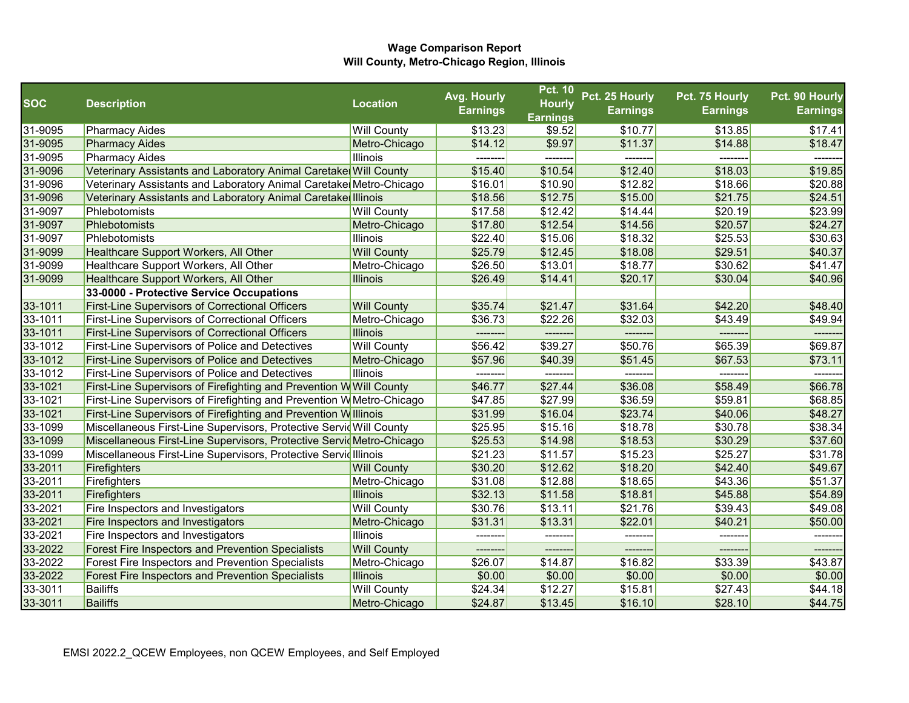|             |                                                                              |                    | Avg. Hourly     | <b>Pct. 10</b>                   | Pct. 25 Hourly  | Pct. 75 Hourly  | Pct. 90 Hourly  |
|-------------|------------------------------------------------------------------------------|--------------------|-----------------|----------------------------------|-----------------|-----------------|-----------------|
| <b>SOC</b>  | <b>Description</b>                                                           | <b>Location</b>    | <b>Earnings</b> | <b>Hourly</b><br><b>Earnings</b> | <b>Earnings</b> | <b>Earnings</b> | <b>Earnings</b> |
| 31-9095     | <b>Pharmacy Aides</b>                                                        | <b>Will County</b> | \$13.23         | \$9.52                           | \$10.77         | \$13.85         | \$17.41         |
| 31-9095     | <b>Pharmacy Aides</b>                                                        | Metro-Chicago      | \$14.12         | \$9.97                           | \$11.37         | \$14.88         | \$18.47         |
| 31-9095     | <b>Pharmacy Aides</b>                                                        | <b>Illinois</b>    |                 | --------                         | --------        |                 | -------         |
| 31-9096     | Veterinary Assistants and Laboratory Animal Caretake Will County             |                    | \$15.40         | \$10.54                          | \$12.40         | \$18.03         | \$19.85         |
| 31-9096     | Veterinary Assistants and Laboratory Animal Caretake Metro-Chicago           |                    | \$16.01         | \$10.90                          | \$12.82         | \$18.66         | \$20.88         |
| 31-9096     | Veterinary Assistants and Laboratory Animal Caretake Illinois                |                    | \$18.56         | \$12.75                          | \$15.00         | \$21.75         | \$24.51         |
| 31-9097     | Phlebotomists                                                                | <b>Will County</b> | \$17.58         | \$12.42                          | \$14.44         | \$20.19         | \$23.99         |
| 31-9097     | Phlebotomists                                                                | Metro-Chicago      | \$17.80         | \$12.54                          | \$14.56         | \$20.57         | \$24.27         |
| 31-9097     | Phlebotomists                                                                | Illinois           | \$22.40         | \$15.06                          | \$18.32         | \$25.53         | \$30.63         |
| 31-9099     | Healthcare Support Workers, All Other                                        | <b>Will County</b> | \$25.79         | \$12.45                          | \$18.08         | \$29.51         | \$40.37         |
| 31-9099     | Healthcare Support Workers, All Other                                        | Metro-Chicago      | \$26.50         | \$13.01                          | \$18.77         | \$30.62         | \$41.47         |
| 31-9099     | Healthcare Support Workers, All Other                                        | <b>Illinois</b>    | \$26.49         | \$14.41                          | \$20.17         | \$30.04         | \$40.96         |
|             | 33-0000 - Protective Service Occupations                                     |                    |                 |                                  |                 |                 |                 |
| 33-1011     | <b>First-Line Supervisors of Correctional Officers</b>                       | <b>Will County</b> | \$35.74         | \$21.47                          | \$31.64         | \$42.20         | \$48.40         |
| 33-1011     | <b>First-Line Supervisors of Correctional Officers</b>                       | Metro-Chicago      | \$36.73         | \$22.26                          | \$32.03         | \$43.49         | \$49.94         |
| 33-1011     | <b>First-Line Supervisors of Correctional Officers</b>                       | <b>Illinois</b>    | ---------       | ---------                        | --------        | ---------       | -------         |
| 33-1012     | <b>First-Line Supervisors of Police and Detectives</b>                       | <b>Will County</b> | \$56.42         | \$39.27                          | \$50.76         | \$65.39         | \$69.87         |
| 33-1012     | <b>First-Line Supervisors of Police and Detectives</b>                       | Metro-Chicago      | \$57.96         | \$40.39                          | \$51.45         | \$67.53         | \$73.11         |
| $33 - 1012$ | <b>First-Line Supervisors of Police and Detectives</b>                       | <b>Illinois</b>    |                 |                                  |                 | -------         |                 |
| 33-1021     | <b>First-Line Supervisors of Firefighting and Prevention W</b> Will County   |                    | \$46.77         | \$27.44                          | \$36.08         | \$58.49         | \$66.78         |
| 33-1021     | <b>First-Line Supervisors of Firefighting and Prevention W</b> Metro-Chicago |                    | \$47.85         | \$27.99                          | \$36.59         | \$59.81         | \$68.85         |
| 33-1021     | <b>First-Line Supervisors of Firefighting and Prevention Willinois</b>       |                    | \$31.99         | \$16.04                          | \$23.74         | \$40.06         | \$48.27         |
| 33-1099     | Miscellaneous First-Line Supervisors, Protective Servid Will County          |                    | \$25.95         | \$15.16                          | \$18.78         | \$30.78         | \$38.34         |
| 33-1099     | Miscellaneous First-Line Supervisors, Protective Servid Metro-Chicago        |                    | \$25.53         | \$14.98                          | \$18.53         | \$30.29         | \$37.60         |
| 33-1099     | Miscellaneous First-Line Supervisors, Protective Servid Illinois             |                    | \$21.23         | \$11.57                          | \$15.23         | \$25.27         | \$31.78         |
| 33-2011     | Firefighters                                                                 | <b>Will County</b> | \$30.20         | \$12.62                          | \$18.20         | \$42.40         | \$49.67         |
| 33-2011     | Firefighters                                                                 | Metro-Chicago      | \$31.08         | \$12.88                          | \$18.65         | \$43.36         | \$51.37         |
| 33-2011     | Firefighters                                                                 | <b>Illinois</b>    | \$32.13         | \$11.58                          | \$18.81         | \$45.88         | \$54.89         |
| 33-2021     | Fire Inspectors and Investigators                                            | <b>Will County</b> | \$30.76         | \$13.11                          | \$21.76         | \$39.43         | \$49.08         |
| 33-2021     | Fire Inspectors and Investigators                                            | Metro-Chicago      | \$31.31         | \$13.31                          | \$22.01         | \$40.21         | \$50.00         |
| 33-2021     | Fire Inspectors and Investigators                                            | Illinois           |                 |                                  | --------        |                 | -------         |
| 33-2022     | Forest Fire Inspectors and Prevention Specialists                            | <b>Will County</b> | -------         |                                  | --------        | -------         | -------         |
| 33-2022     | Forest Fire Inspectors and Prevention Specialists                            | Metro-Chicago      | \$26.07         | \$14.87                          | \$16.82         | \$33.39         | \$43.87         |
| 33-2022     | <b>Forest Fire Inspectors and Prevention Specialists</b>                     | <b>Illinois</b>    | \$0.00          | \$0.00                           | \$0.00          | \$0.00          | \$0.00          |
| 33-3011     | Bailiffs                                                                     | <b>Will County</b> | \$24.34         | \$12.27                          | \$15.81         | \$27.43         | \$44.18         |
| 33-3011     | Bailiffs                                                                     | Metro-Chicago      | \$24.87         | \$13.45                          | \$16.10         | \$28.10         | \$44.75         |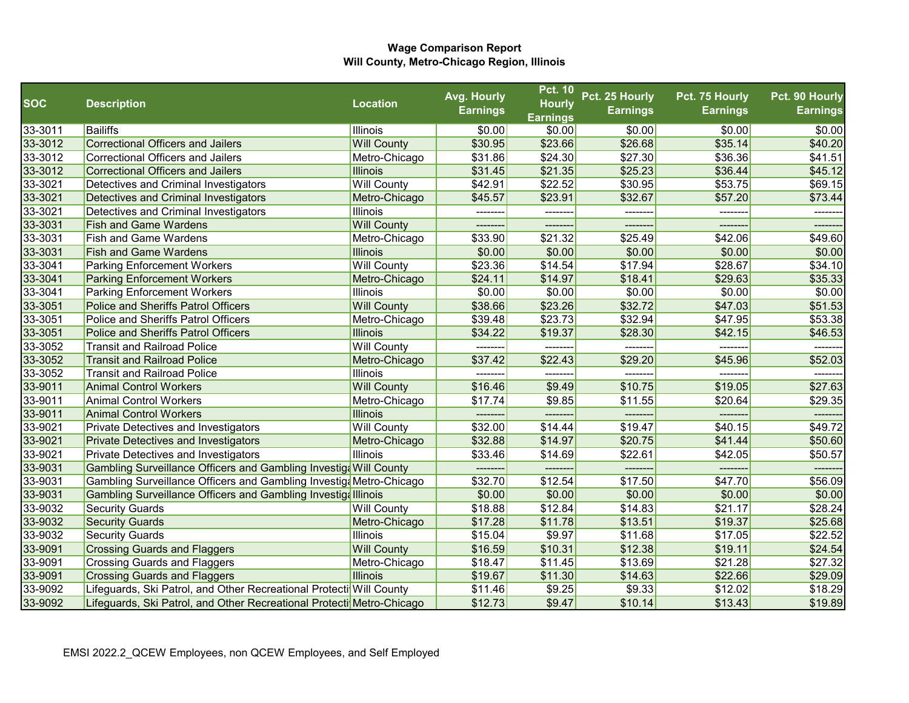|            |                                                                       |                    | Avg. Hourly     | <b>Pct. 10</b>  | Pct. 25 Hourly  | Pct. 75 Hourly  | Pct. 90 Hourly  |
|------------|-----------------------------------------------------------------------|--------------------|-----------------|-----------------|-----------------|-----------------|-----------------|
| <b>SOC</b> | <b>Description</b>                                                    | <b>Location</b>    | <b>Earnings</b> | <b>Hourly</b>   | <b>Earnings</b> | <b>Earnings</b> | <b>Earnings</b> |
|            |                                                                       |                    |                 | <b>Earnings</b> |                 |                 |                 |
| 33-3011    | Bailiffs                                                              | <b>Illinois</b>    | \$0.00          | \$0.00          | \$0.00          | \$0.00          | \$0.00          |
| 33-3012    | Correctional Officers and Jailers                                     | <b>Will County</b> | \$30.95         | \$23.66         | \$26.68         | \$35.14         | \$40.20         |
| 33-3012    | Correctional Officers and Jailers                                     | Metro-Chicago      | \$31.86         | \$24.30         | \$27.30         | \$36.36         | \$41.51         |
| 33-3012    | <b>Correctional Officers and Jailers</b>                              | <b>Illinois</b>    | \$31.45         | \$21.35         | \$25.23         | \$36.44         | \$45.12         |
| 33-3021    | Detectives and Criminal Investigators                                 | <b>Will County</b> | \$42.91         | \$22.52         | \$30.95         | \$53.75         | \$69.15         |
| 33-3021    | Detectives and Criminal Investigators                                 | Metro-Chicago      | \$45.57         | \$23.91         | \$32.67         | \$57.20         | \$73.44         |
| 33-3021    | Detectives and Criminal Investigators                                 | <b>Illinois</b>    |                 |                 | -------         |                 |                 |
| 33-3031    | <b>Fish and Game Wardens</b>                                          | <b>Will County</b> |                 |                 | --------        |                 | --------        |
| 33-3031    | <b>Fish and Game Wardens</b>                                          | Metro-Chicago      | \$33.90         | \$21.32         | \$25.49         | \$42.06         | \$49.60         |
| 33-3031    | <b>Fish and Game Wardens</b>                                          | <b>Illinois</b>    | \$0.00          | \$0.00          | \$0.00          | \$0.00          | \$0.00          |
| 33-3041    | <b>Parking Enforcement Workers</b>                                    | <b>Will County</b> | \$23.36         | \$14.54         | \$17.94         | \$28.67         | \$34.10         |
| 33-3041    | <b>Parking Enforcement Workers</b>                                    | Metro-Chicago      | \$24.11         | \$14.97         | \$18.41         | \$29.63         | \$35.33         |
| 33-3041    | <b>Parking Enforcement Workers</b>                                    | <b>Illinois</b>    | \$0.00          | \$0.00          | \$0.00          | \$0.00          | \$0.00          |
| 33-3051    | Police and Sheriffs Patrol Officers                                   | <b>Will County</b> | \$38.66         | \$23.26         | \$32.72         | \$47.03         | \$51.53         |
| 33-3051    | Police and Sheriffs Patrol Officers                                   | Metro-Chicago      | \$39.48         | \$23.73         | \$32.94         | \$47.95         | \$53.38         |
| 33-3051    | <b>Police and Sheriffs Patrol Officers</b>                            | <b>Illinois</b>    | \$34.22         | \$19.37         | \$28.30         | \$42.15         | \$46.53         |
| 33-3052    | <b>Transit and Railroad Police</b>                                    | <b>Will County</b> | --------        | --------        | --------        | --------        |                 |
| 33-3052    | <b>Transit and Railroad Police</b>                                    | Metro-Chicago      | \$37.42         | \$22.43         | \$29.20         | \$45.96         | \$52.03         |
| 33-3052    | <b>Transit and Railroad Police</b>                                    | <b>Illinois</b>    | --------        |                 | --------        | -------         |                 |
| 33-9011    | <b>Animal Control Workers</b>                                         | <b>Will County</b> | \$16.46         | \$9.49          | \$10.75         | \$19.05         | \$27.63         |
| 33-9011    | <b>Animal Control Workers</b>                                         | Metro-Chicago      | \$17.74         | \$9.85          | \$11.55         | \$20.64         | \$29.35         |
| 33-9011    | <b>Animal Control Workers</b>                                         | <b>Illinois</b>    | --------        | ---------       | -------         | -------         | --------        |
| 33-9021    | <b>Private Detectives and Investigators</b>                           | <b>Will County</b> | \$32.00         | \$14.44         | \$19.47         | \$40.15         | \$49.72         |
| 33-9021    | <b>Private Detectives and Investigators</b>                           | Metro-Chicago      | \$32.88         | \$14.97         | \$20.75         | \$41.44         | \$50.60         |
| 33-9021    | <b>Private Detectives and Investigators</b>                           | <b>Illinois</b>    | \$33.46         | \$14.69         | \$22.61         | \$42.05         | \$50.57         |
| 33-9031    | Gambling Surveillance Officers and Gambling Investiga Will County     |                    |                 |                 | ------          |                 |                 |
| 33-9031    | Gambling Surveillance Officers and Gambling Investig Metro-Chicago    |                    | \$32.70         | \$12.54         | \$17.50         | \$47.70         | \$56.09         |
| 33-9031    | Gambling Surveillance Officers and Gambling Investiga Illinois        |                    | \$0.00          | \$0.00          | \$0.00          | \$0.00          | \$0.00          |
| 33-9032    | <b>Security Guards</b>                                                | <b>Will County</b> | \$18.88         | \$12.84         | \$14.83         | \$21.17         | \$28.24         |
| 33-9032    | <b>Security Guards</b>                                                | Metro-Chicago      | \$17.28         | \$11.78         | \$13.51         | \$19.37         | \$25.68         |
| 33-9032    | <b>Security Guards</b>                                                | <b>Illinois</b>    | \$15.04         | \$9.97          | \$11.68         | \$17.05         | \$22.52         |
| 33-9091    | <b>Crossing Guards and Flaggers</b>                                   | <b>Will County</b> | \$16.59         | \$10.31         | \$12.38         | \$19.11         | \$24.54         |
| 33-9091    | <b>Crossing Guards and Flaggers</b>                                   | Metro-Chicago      | \$18.47         | \$11.45         | \$13.69         | \$21.28         | \$27.32         |
| 33-9091    | <b>Crossing Guards and Flaggers</b>                                   | <b>Illinois</b>    | \$19.67         | \$11.30         | \$14.63         | \$22.66         | \$29.09         |
| 33-9092    | Lifeguards, Ski Patrol, and Other Recreational Protecti Will County   |                    | \$11.46         | \$9.25          | \$9.33          | \$12.02         | \$18.29         |
| 33-9092    | Lifeguards, Ski Patrol, and Other Recreational Protecti Metro-Chicago |                    | \$12.73         | \$9.47          | \$10.14         | \$13.43         | \$19.89         |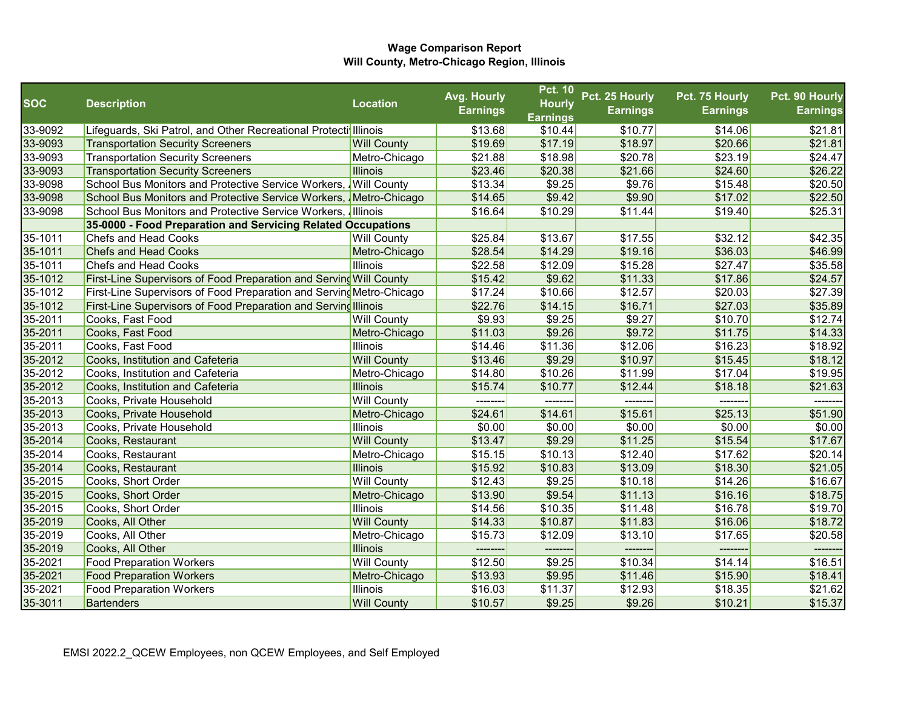|            |                                                                      |                    | Avg. Hourly     | <b>Pct. 10</b>  | Pct. 25 Hourly  | Pct. 75 Hourly  | Pct. 90 Hourly  |
|------------|----------------------------------------------------------------------|--------------------|-----------------|-----------------|-----------------|-----------------|-----------------|
| <b>SOC</b> | <b>Description</b>                                                   | <b>Location</b>    | <b>Earnings</b> | <b>Hourly</b>   | <b>Earnings</b> | <b>Earnings</b> | <b>Earnings</b> |
|            |                                                                      |                    |                 | <b>Earnings</b> |                 |                 |                 |
| 33-9092    | Lifeguards, Ski Patrol, and Other Recreational Protecti Illinois     |                    | \$13.68         | \$10.44         | \$10.77         | \$14.06         | \$21.81         |
| 33-9093    | <b>Transportation Security Screeners</b>                             | <b>Will County</b> | \$19.69         | \$17.19         | \$18.97         | \$20.66         | \$21.81         |
| 33-9093    | <b>Transportation Security Screeners</b>                             | Metro-Chicago      | \$21.88         | \$18.98         | \$20.78         | \$23.19         | \$24.47         |
| 33-9093    | <b>Transportation Security Screeners</b>                             | <b>Illinois</b>    | \$23.46         | \$20.38         | \$21.66         | \$24.60         | \$26.22         |
| 33-9098    | School Bus Monitors and Protective Service Workers, Will County      |                    | \$13.34         | \$9.25          | \$9.76          | \$15.48         | \$20.50         |
| 33-9098    | School Bus Monitors and Protective Service Workers, Metro-Chicago    |                    | \$14.65         | \$9.42          | \$9.90          | \$17.02         | \$22.50         |
| 33-9098    | School Bus Monitors and Protective Service Workers, Illinois         |                    | \$16.64         | \$10.29         | \$11.44         | \$19.40         | \$25.31         |
|            | 35-0000 - Food Preparation and Servicing Related Occupations         |                    |                 |                 |                 |                 |                 |
| 35-1011    | <b>Chefs and Head Cooks</b>                                          | <b>Will County</b> | \$25.84         | \$13.67         | \$17.55         | \$32.12         | \$42.35         |
| 35-1011    | <b>Chefs and Head Cooks</b>                                          | Metro-Chicago      | \$28.54         | \$14.29         | \$19.16         | \$36.03         | \$46.99         |
| 35-1011    | <b>Chefs and Head Cooks</b>                                          | Illinois           | \$22.58         | \$12.09         | \$15.28         | \$27.47         | \$35.58         |
| 35-1012    | First-Line Supervisors of Food Preparation and Serving Will County   |                    | \$15.42         | \$9.62          | \$11.33         | \$17.86         | \$24.57         |
| 35-1012    | First-Line Supervisors of Food Preparation and Serving Metro-Chicago |                    | \$17.24         | \$10.66         | \$12.57         | \$20.03         | \$27.39         |
| 35-1012    | First-Line Supervisors of Food Preparation and Serving Illinois      |                    | \$22.76         | \$14.15         | \$16.71         | \$27.03         | \$35.89         |
| 35-2011    | Cooks, Fast Food                                                     | <b>Will County</b> | \$9.93          | \$9.25          | \$9.27          | \$10.70         | \$12.74         |
| 35-2011    | Cooks, Fast Food                                                     | Metro-Chicago      | \$11.03         | \$9.26          | \$9.72          | \$11.75         | \$14.33         |
| 35-2011    | Cooks, Fast Food                                                     | Illinois           | \$14.46         | \$11.36         | \$12.06         | \$16.23         | \$18.92         |
| 35-2012    | Cooks, Institution and Cafeteria                                     | <b>Will County</b> | \$13.46         | \$9.29          | \$10.97         | \$15.45         | \$18.12         |
| 35-2012    | Cooks, Institution and Cafeteria                                     | Metro-Chicago      | \$14.80         | \$10.26         | \$11.99         | \$17.04         | \$19.95         |
| 35-2012    | Cooks, Institution and Cafeteria                                     | <b>Illinois</b>    | \$15.74         | \$10.77         | \$12.44         | \$18.18         | \$21.63         |
| 35-2013    | Cooks, Private Household                                             | <b>Will County</b> | ---------       | --------        | --------        | --------        | -------         |
| 35-2013    | Cooks, Private Household                                             | Metro-Chicago      | \$24.61         | \$14.61         | \$15.61         | \$25.13         | \$51.90         |
| 35-2013    | Cooks, Private Household                                             | <b>Illinois</b>    | \$0.00          | \$0.00          | \$0.00          | \$0.00          | \$0.00          |
| 35-2014    | Cooks, Restaurant                                                    | <b>Will County</b> | \$13.47         | \$9.29          | \$11.25         | \$15.54         | \$17.67         |
| 35-2014    | Cooks, Restaurant                                                    | Metro-Chicago      | \$15.15         | \$10.13         | \$12.40         | \$17.62         | \$20.14         |
| 35-2014    | Cooks, Restaurant                                                    | <b>Illinois</b>    | \$15.92         | \$10.83         | \$13.09         | \$18.30         | \$21.05         |
| 35-2015    | Cooks, Short Order                                                   | <b>Will County</b> | \$12.43         | \$9.25          | \$10.18         | \$14.26         | \$16.67         |
| 35-2015    | Cooks, Short Order                                                   | Metro-Chicago      | \$13.90         | \$9.54          | \$11.13         | \$16.16         | \$18.75         |
| 35-2015    | Cooks, Short Order                                                   | Illinois           | \$14.56         | \$10.35         | \$11.48         | \$16.78         | \$19.70         |
| 35-2019    | Cooks, All Other                                                     | <b>Will County</b> | \$14.33         | \$10.87         | \$11.83         | \$16.06         | \$18.72         |
| 35-2019    | Cooks, All Other                                                     | Metro-Chicago      | \$15.73         | \$12.09         | \$13.10         | \$17.65         | \$20.58         |
| 35-2019    | Cooks, All Other                                                     | <b>Illinois</b>    | --------        |                 | -------         | --------        |                 |
| 35-2021    | <b>Food Preparation Workers</b>                                      | <b>Will County</b> | \$12.50         | \$9.25          | \$10.34         | \$14.14         | \$16.51         |
| 35-2021    | <b>Food Preparation Workers</b>                                      | Metro-Chicago      | \$13.93         | \$9.95          | \$11.46         | \$15.90         | \$18.41         |
| 35-2021    | <b>Food Preparation Workers</b>                                      | Illinois           | \$16.03         | \$11.37         | \$12.93         | \$18.35         | \$21.62         |
| 35-3011    | <b>Bartenders</b>                                                    | <b>Will County</b> | \$10.57         | \$9.25          | \$9.26          | \$10.21         | \$15.37         |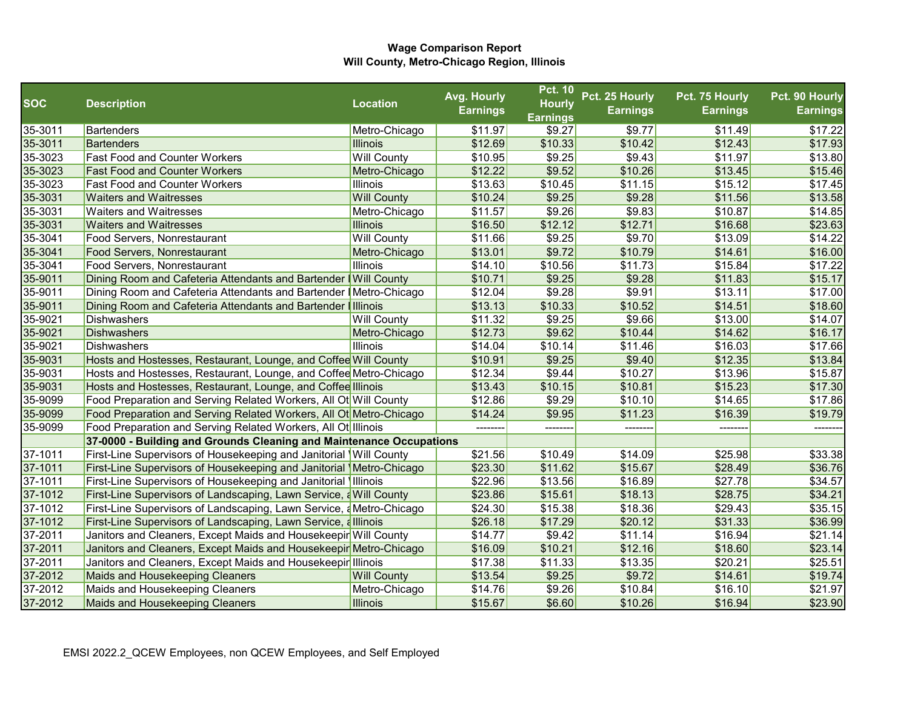|            |                                                                             |                    | Avg. Hourly     | <b>Pct. 10</b>  | Pct. 25 Hourly  | Pct. 75 Hourly | Pct. 90 Hourly  |
|------------|-----------------------------------------------------------------------------|--------------------|-----------------|-----------------|-----------------|----------------|-----------------|
| <b>SOC</b> | <b>Description</b>                                                          | <b>Location</b>    | <b>Earnings</b> | <b>Hourly</b>   | <b>Earnings</b> | Earnings       | <b>Earnings</b> |
|            |                                                                             |                    |                 | <b>Earnings</b> |                 |                |                 |
| 35-3011    | Bartenders                                                                  | Metro-Chicago      | \$11.97         | \$9.27          | \$9.77          | \$11.49        | \$17.22         |
| 35-3011    | Bartenders                                                                  | <b>Illinois</b>    | \$12.69         | \$10.33         | \$10.42         | \$12.43        | \$17.93         |
| 35-3023    | <b>Fast Food and Counter Workers</b>                                        | <b>Will County</b> | \$10.95         | \$9.25          | \$9.43          | \$11.97        | \$13.80         |
| 35-3023    | <b>Fast Food and Counter Workers</b>                                        | Metro-Chicago      | \$12.22         | \$9.52          | \$10.26         | \$13.45        | \$15.46         |
| 35-3023    | <b>Fast Food and Counter Workers</b>                                        | Illinois           | \$13.63         | \$10.45         | \$11.15         | \$15.12        | \$17.45         |
| 35-3031    | <b>Waiters and Waitresses</b>                                               | <b>Will County</b> | \$10.24         | \$9.25          | \$9.28          | \$11.56        | \$13.58         |
| 35-3031    | <b>Waiters and Waitresses</b>                                               | Metro-Chicago      | \$11.57         | \$9.26          | \$9.83          | \$10.87        | \$14.85         |
| 35-3031    | <b>Waiters and Waitresses</b>                                               | <b>Illinois</b>    | \$16.50         | \$12.12         | \$12.71         | \$16.68        | \$23.63         |
| 35-3041    | Food Servers, Nonrestaurant                                                 | <b>Will County</b> | \$11.66         | \$9.25          | \$9.70          | \$13.09        | \$14.22         |
| 35-3041    | Food Servers, Nonrestaurant                                                 | Metro-Chicago      | \$13.01         | \$9.72          | \$10.79         | \$14.61        | \$16.00         |
| 35-3041    | Food Servers, Nonrestaurant                                                 | Illinois           | \$14.10         | \$10.56         | \$11.73         | \$15.84        | \$17.22         |
| 35-9011    | Dining Room and Cafeteria Attendants and Bartender   Will County            |                    | \$10.71         | \$9.25          | \$9.28          | \$11.83        | \$15.17         |
| 35-9011    | Dining Room and Cafeteria Attendants and Bartender IMetro-Chicago           |                    | \$12.04         | \$9.28          | \$9.91          | \$13.11        | \$17.00         |
| 35-9011    | Dining Room and Cafeteria Attendants and Bartender   Illinois               |                    | \$13.13         | \$10.33         | \$10.52         | \$14.51        | \$18.60         |
| 35-9021    | Dishwashers                                                                 | <b>Will County</b> | \$11.32         | \$9.25          | \$9.66          | \$13.00        | \$14.07         |
| 35-9021    | Dishwashers                                                                 | Metro-Chicago      | \$12.73         | \$9.62          | \$10.44         | \$14.62        | \$16.17         |
| 35-9021    | <b>Dishwashers</b>                                                          | <b>Illinois</b>    | \$14.04         | \$10.14         | \$11.46         | \$16.03        | \$17.66         |
| 35-9031    | Hosts and Hostesses, Restaurant, Lounge, and Coffee Will County             |                    | \$10.91         | \$9.25          | \$9.40          | \$12.35        | \$13.84         |
| 35-9031    | Hosts and Hostesses, Restaurant, Lounge, and Coffee Metro-Chicago           |                    | \$12.34         | \$9.44          | \$10.27         | \$13.96        | \$15.87         |
| 35-9031    | Hosts and Hostesses, Restaurant, Lounge, and Coffee Illinois                |                    | \$13.43         | \$10.15         | \$10.81         | \$15.23        | \$17.30         |
| 35-9099    | Food Preparation and Serving Related Workers, All Ot Will County            |                    | \$12.86         | \$9.29          | \$10.10         | \$14.65        | \$17.86         |
| 35-9099    | Food Preparation and Serving Related Workers, All Ot Metro-Chicago          |                    | \$14.24         | \$9.95          | \$11.23         | \$16.39        | \$19.79         |
| 35-9099    | Food Preparation and Serving Related Workers, All Ot Illinois               |                    |                 |                 | -------         |                |                 |
|            | 37-0000 - Building and Grounds Cleaning and Maintenance Occupations         |                    |                 |                 |                 |                |                 |
| 37-1011    | <b>First-Line Supervisors of Housekeeping and Janitorial Will County</b>    |                    | \$21.56         | \$10.49         | \$14.09         | \$25.98        | \$33.38         |
| 37-1011    | <b>First-Line Supervisors of Housekeeping and Janitorial \Metro-Chicago</b> |                    | \$23.30         | \$11.62         | \$15.67         | \$28.49        | \$36.76         |
| 37-1011    | <b>First-Line Supervisors of Housekeeping and Janitorial Illinois</b>       |                    | \$22.96         | \$13.56         | \$16.89         | \$27.78        | \$34.57         |
| 37-1012    | <b>First-Line Supervisors of Landscaping, Lawn Service, a Will County</b>   |                    | \$23.86         | \$15.61         | \$18.13         | \$28.75        | \$34.21         |
| 37-1012    | First-Line Supervisors of Landscaping, Lawn Service, aMetro-Chicago         |                    | \$24.30         | \$15.38         | \$18.36         | \$29.43        | \$35.15         |
| 37-1012    | <b>First-Line Supervisors of Landscaping, Lawn Service, allinois</b>        |                    | \$26.18         | \$17.29         | \$20.12         | \$31.33        | \$36.99         |
| 37-2011    | Janitors and Cleaners, Except Maids and Housekeepir Will County             |                    | \$14.77         | \$9.42          | \$11.14         | \$16.94        | \$21.14         |
| 37-2011    | Janitors and Cleaners, Except Maids and Housekeepir Metro-Chicago           |                    | \$16.09         | \$10.21         | \$12.16         | \$18.60        | \$23.14         |
| 37-2011    | Janitors and Cleaners, Except Maids and Housekeepir Illinois                |                    | \$17.38         | \$11.33         | \$13.35         | \$20.21        | \$25.51         |
| 37-2012    | Maids and Housekeeping Cleaners                                             | <b>Will County</b> | \$13.54         | \$9.25          | \$9.72          | \$14.61        | \$19.74         |
| 37-2012    | Maids and Housekeeping Cleaners                                             | Metro-Chicago      | \$14.76         | \$9.26          | \$10.84         | \$16.10        | \$21.97         |
| 37-2012    | Maids and Housekeeping Cleaners                                             | <b>Illinois</b>    | \$15.67         | \$6.60          | \$10.26         | \$16.94        | \$23.90         |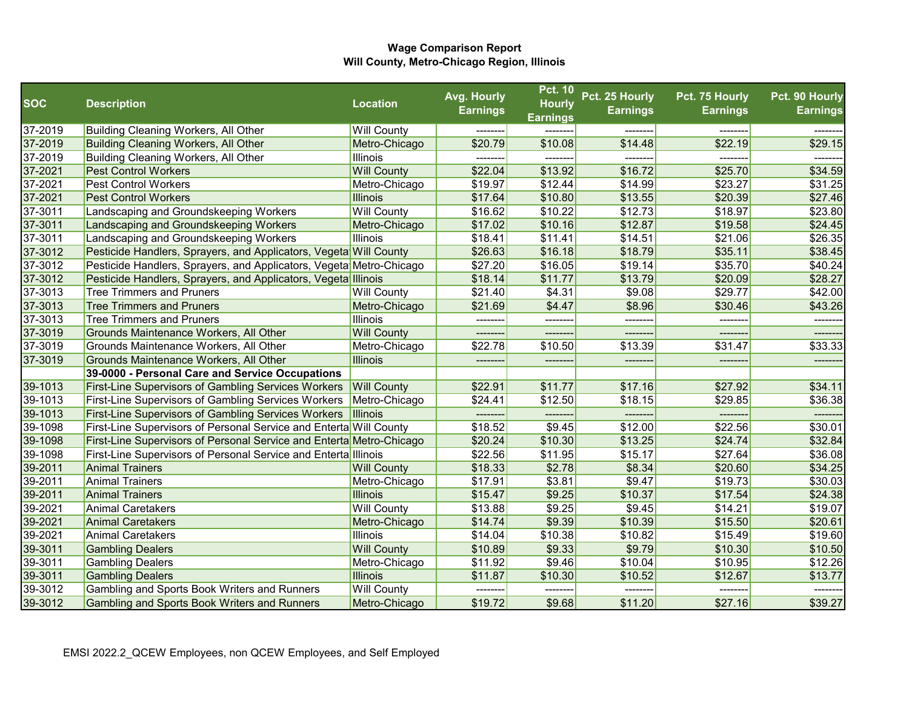|            |                                                                           |                    | Avg. Hourly     | Pct. 10         | Pct. 25 Hourly  | Pct. 75 Hourly  | Pct. 90 Hourly  |
|------------|---------------------------------------------------------------------------|--------------------|-----------------|-----------------|-----------------|-----------------|-----------------|
| <b>SOC</b> | <b>Description</b>                                                        | <b>Location</b>    | <b>Earnings</b> | <b>Hourly</b>   | <b>Earnings</b> | <b>Earnings</b> | <b>Earnings</b> |
| 37-2019    | Building Cleaning Workers, All Other                                      | <b>Will County</b> |                 | <b>Earnings</b> |                 |                 |                 |
| 37-2019    | <b>Building Cleaning Workers, All Other</b>                               | Metro-Chicago      | \$20.79         | \$10.08         | \$14.48         | \$22.19         | \$29.15         |
| 37-2019    | Building Cleaning Workers, All Other                                      | Illinois           |                 |                 | -------         |                 |                 |
| 37-2021    | <b>Pest Control Workers</b>                                               | <b>Will County</b> | \$22.04         | \$13.92         | \$16.72         | \$25.70         | \$34.59         |
| 37-2021    | <b>Pest Control Workers</b>                                               | Metro-Chicago      | \$19.97         | \$12.44         | \$14.99         | \$23.27         | \$31.25         |
| 37-2021    | <b>Pest Control Workers</b>                                               | <b>Illinois</b>    | \$17.64         | \$10.80         | \$13.55         | \$20.39         | \$27.46         |
| 37-3011    | Landscaping and Groundskeeping Workers                                    | <b>Will County</b> | \$16.62         | \$10.22         | \$12.73         | \$18.97         | \$23.80         |
| 37-3011    | Landscaping and Groundskeeping Workers                                    | Metro-Chicago      | \$17.02         | \$10.16         | \$12.87         | \$19.58         | \$24.45         |
| 37-3011    | Landscaping and Groundskeeping Workers                                    | Illinois           | \$18.41         | \$11.41         | \$14.51         | \$21.06         | \$26.35         |
| 37-3012    | Pesticide Handlers, Sprayers, and Applicators, Vegeta Will County         |                    | \$26.63         | \$16.18         | \$18.79         | \$35.11         | \$38.45         |
| 37-3012    | Pesticide Handlers, Sprayers, and Applicators, Vegeta Metro-Chicago       |                    | \$27.20         | \$16.05         | \$19.14         | \$35.70         | \$40.24         |
| 37-3012    | Pesticide Handlers, Sprayers, and Applicators, Vegeta Illinois            |                    | \$18.14         | \$11.77         | \$13.79         | \$20.09         | \$28.27         |
| 37-3013    | <b>Tree Trimmers and Pruners</b>                                          | <b>Will County</b> | \$21.40         | \$4.31          | \$9.08          | \$29.77         | \$42.00         |
| 37-3013    | <b>Tree Trimmers and Pruners</b>                                          | Metro-Chicago      | \$21.69         | \$4.47          | \$8.96          | \$30.46         | \$43.26         |
| 37-3013    | <b>Tree Trimmers and Pruners</b>                                          | Illinois           | ---------       | ---------       | --------        | ---------       | --------        |
| 37-3019    | Grounds Maintenance Workers, All Other                                    | <b>Will County</b> | --------        | ---------       | --------        | --------        | --------        |
| 37-3019    | Grounds Maintenance Workers, All Other                                    | Metro-Chicago      | \$22.78         | \$10.50         | \$13.39         | \$31.47         | \$33.33         |
| 37-3019    | Grounds Maintenance Workers, All Other                                    | <b>Illinois</b>    | --------        | --------        | -------         | -------         | -------         |
|            | 39-0000 - Personal Care and Service Occupations                           |                    |                 |                 |                 |                 |                 |
| 39-1013    | <b>First-Line Supervisors of Gambling Services Workers</b>                | <b>Will County</b> | \$22.91         | \$11.77         | \$17.16         | \$27.92         | \$34.11         |
| 39-1013    | First-Line Supervisors of Gambling Services Workers                       | Metro-Chicago      | \$24.41         | \$12.50         | \$18.15         | \$29.85         | \$36.38         |
| 39-1013    | <b>First-Line Supervisors of Gambling Services Workers  Illinois</b>      |                    | --------        | --------        | --------        | -------         | --------        |
| 39-1098    | <b>First-Line Supervisors of Personal Service and Enterta Will County</b> |                    | \$18.52         | \$9.45          | \$12.00         | \$22.56         | \$30.01         |
| 39-1098    | First-Line Supervisors of Personal Service and Enterta Metro-Chicago      |                    | \$20.24         | \$10.30         | \$13.25         | \$24.74         | \$32.84         |
| 39-1098    | <b>First-Line Supervisors of Personal Service and Enterta Illinois</b>    |                    | \$22.56         | \$11.95         | \$15.17         | \$27.64         | \$36.08         |
| 39-2011    | <b>Animal Trainers</b>                                                    | <b>Will County</b> | \$18.33         | \$2.78          | \$8.34          | \$20.60         | \$34.25         |
| 39-2011    | <b>Animal Trainers</b>                                                    | Metro-Chicago      | \$17.91         | \$3.81          | \$9.47          | \$19.73         | \$30.03         |
| 39-2011    | <b>Animal Trainers</b>                                                    | <b>Illinois</b>    | \$15.47         | \$9.25          | \$10.37         | \$17.54         | \$24.38         |
| 39-2021    | <b>Animal Caretakers</b>                                                  | <b>Will County</b> | \$13.88         | \$9.25          | \$9.45          | \$14.21         | \$19.07         |
| 39-2021    | <b>Animal Caretakers</b>                                                  | Metro-Chicago      | \$14.74         | \$9.39          | \$10.39         | \$15.50         | \$20.61         |
| 39-2021    | <b>Animal Caretakers</b>                                                  | Illinois           | \$14.04         | \$10.38         | \$10.82         | \$15.49         | \$19.60         |
| 39-3011    | <b>Gambling Dealers</b>                                                   | <b>Will County</b> | \$10.89         | \$9.33          | \$9.79          | \$10.30         | \$10.50         |
| 39-3011    | <b>Gambling Dealers</b>                                                   | Metro-Chicago      | \$11.92         | \$9.46          | \$10.04         | \$10.95         | \$12.26         |
| 39-3011    | <b>Gambling Dealers</b>                                                   | Illinois           | \$11.87         | \$10.30         | \$10.52         | \$12.67         | \$13.77         |
| 39-3012    | Gambling and Sports Book Writers and Runners                              | <b>Will County</b> | ---------       | ---------       | --------        | --------        | --------        |
| 39-3012    | Gambling and Sports Book Writers and Runners                              | Metro-Chicago      | \$19.72         | \$9.68          | \$11.20         | \$27.16         | \$39.27         |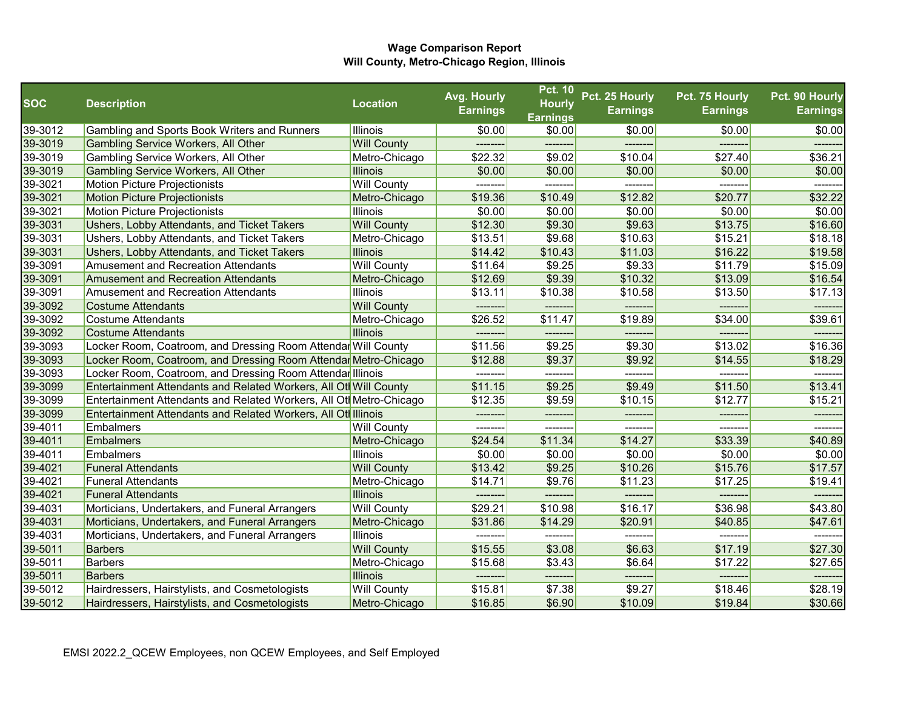|            |                                                                    |                    | Avg. Hourly     | <b>Pct. 10</b>  | Pct. 25 Hourly  | Pct. 75 Hourly  | Pct. 90 Hourly  |
|------------|--------------------------------------------------------------------|--------------------|-----------------|-----------------|-----------------|-----------------|-----------------|
| <b>SOC</b> | <b>Description</b>                                                 | <b>Location</b>    | <b>Earnings</b> | <b>Hourly</b>   | <b>Earnings</b> | <b>Earnings</b> | <b>Earnings</b> |
|            |                                                                    |                    |                 | <b>Earnings</b> |                 |                 |                 |
| 39-3012    | Gambling and Sports Book Writers and Runners                       | Illinois           | \$0.00          | \$0.00          | \$0.00          | \$0.00          | \$0.00          |
| 39-3019    | Gambling Service Workers, All Other                                | <b>Will County</b> | --------        | --------        | -------         | --------        | -------         |
| 39-3019    | Gambling Service Workers, All Other                                | Metro-Chicago      | \$22.32         | \$9.02          | \$10.04         | \$27.40         | \$36.21         |
| 39-3019    | Gambling Service Workers, All Other                                | <b>Illinois</b>    | \$0.00          | \$0.00          | \$0.00          | \$0.00          | \$0.00          |
| 39-3021    | Motion Picture Projectionists                                      | <b>Will County</b> | --------        | --------        | --------        | --------        | -------         |
| 39-3021    | <b>Motion Picture Projectionists</b>                               | Metro-Chicago      | \$19.36         | \$10.49         | \$12.82         | \$20.77         | \$32.22         |
| 39-3021    | <b>Motion Picture Projectionists</b>                               | Illinois           | \$0.00          | \$0.00          | \$0.00          | \$0.00          | \$0.00          |
| 39-3031    | Ushers, Lobby Attendants, and Ticket Takers                        | <b>Will County</b> | \$12.30         | \$9.30          | \$9.63          | \$13.75         | \$16.60         |
| 39-3031    | Ushers, Lobby Attendants, and Ticket Takers                        | Metro-Chicago      | \$13.51         | \$9.68          | \$10.63         | \$15.21         | \$18.18         |
| 39-3031    | Ushers, Lobby Attendants, and Ticket Takers                        | <b>Illinois</b>    | \$14.42         | \$10.43         | \$11.03         | \$16.22         | \$19.58         |
| 39-3091    | <b>Amusement and Recreation Attendants</b>                         | <b>Will County</b> | \$11.64         | \$9.25          | \$9.33          | \$11.79         | \$15.09         |
| 39-3091    | <b>Amusement and Recreation Attendants</b>                         | Metro-Chicago      | \$12.69         | \$9.39          | \$10.32         | \$13.09         | \$16.54         |
| 39-3091    | <b>Amusement and Recreation Attendants</b>                         | Illinois           | \$13.11         | \$10.38         | \$10.58         | \$13.50         | \$17.13         |
| 39-3092    | <b>Costume Attendants</b>                                          | <b>Will County</b> | -------         |                 |                 |                 | ------          |
| 39-3092    | <b>Costume Attendants</b>                                          | Metro-Chicago      | \$26.52         | \$11.47         | \$19.89         | \$34.00         | \$39.61         |
| 39-3092    | <b>Costume Attendants</b>                                          | <b>Illinois</b>    | --------        | --------        | --------        | ---------       | -------         |
| 39-3093    | Locker Room, Coatroom, and Dressing Room Attendar Will County      |                    | \$11.56         | \$9.25          | \$9.30          | \$13.02         | \$16.36         |
| 39-3093    | Locker Room, Coatroom, and Dressing Room Attendar Metro-Chicago    |                    | \$12.88         | \$9.37          | \$9.92          | \$14.55         | \$18.29         |
| 39-3093    | Locker Room, Coatroom, and Dressing Room Attendar Illinois         |                    |                 | --------        | -------         | -------         |                 |
| 39-3099    | Entertainment Attendants and Related Workers, All Otl Will County  |                    | \$11.15         | \$9.25          | \$9.49          | \$11.50         | \$13.41         |
| 39-3099    | Entertainment Attendants and Related Workers, All Ot Metro-Chicago |                    | \$12.35         | \$9.59          | \$10.15         | \$12.77         | \$15.21         |
| 39-3099    | Entertainment Attendants and Related Workers, All Oth Illinois     |                    | ---------       | --------        | --------        | --------        | --------        |
| 39-4011    | Embalmers                                                          | <b>Will County</b> | -------         | -------         | --------        | ------          | ------          |
| 39-4011    | <b>Embalmers</b>                                                   | Metro-Chicago      | \$24.54         | \$11.34         | \$14.27         | \$33.39         | \$40.89         |
| 39-4011    | <b>Embalmers</b>                                                   | Illinois           | \$0.00          | \$0.00          | \$0.00          | \$0.00          | \$0.00          |
| 39-4021    | <b>Funeral Attendants</b>                                          | <b>Will County</b> | \$13.42         | \$9.25          | \$10.26         | \$15.76         | \$17.57         |
| 39-4021    | <b>Funeral Attendants</b>                                          | Metro-Chicago      | \$14.71         | \$9.76          | \$11.23         | \$17.25         | \$19.41         |
| 39-4021    | <b>Funeral Attendants</b>                                          | <b>Illinois</b>    |                 |                 |                 |                 |                 |
| 39-4031    | Morticians, Undertakers, and Funeral Arrangers                     | <b>Will County</b> | \$29.21         | \$10.98         | \$16.17         | \$36.98         | \$43.80         |
| 39-4031    | Morticians, Undertakers, and Funeral Arrangers                     | Metro-Chicago      | \$31.86         | \$14.29         | \$20.91         | \$40.85         | \$47.61         |
| 39-4031    | Morticians, Undertakers, and Funeral Arrangers                     | Illinois           |                 |                 | -------         |                 |                 |
| 39-5011    | <b>Barbers</b>                                                     | <b>Will County</b> | \$15.55         | \$3.08          | \$6.63          | \$17.19         | \$27.30         |
| 39-5011    | <b>Barbers</b>                                                     | Metro-Chicago      | \$15.68         | \$3.43          | \$6.64          | \$17.22         | \$27.65         |
| 39-5011    | <b>Barbers</b>                                                     | <b>Illinois</b>    | --------        | --------        | -------         | --------        | --------        |
| 39-5012    | Hairdressers, Hairstylists, and Cosmetologists                     | <b>Will County</b> | \$15.81         | \$7.38          | \$9.27          | \$18.46         | \$28.19         |
| 39-5012    | Hairdressers, Hairstylists, and Cosmetologists                     | Metro-Chicago      | \$16.85         | \$6.90          | \$10.09         | \$19.84         | \$30.66         |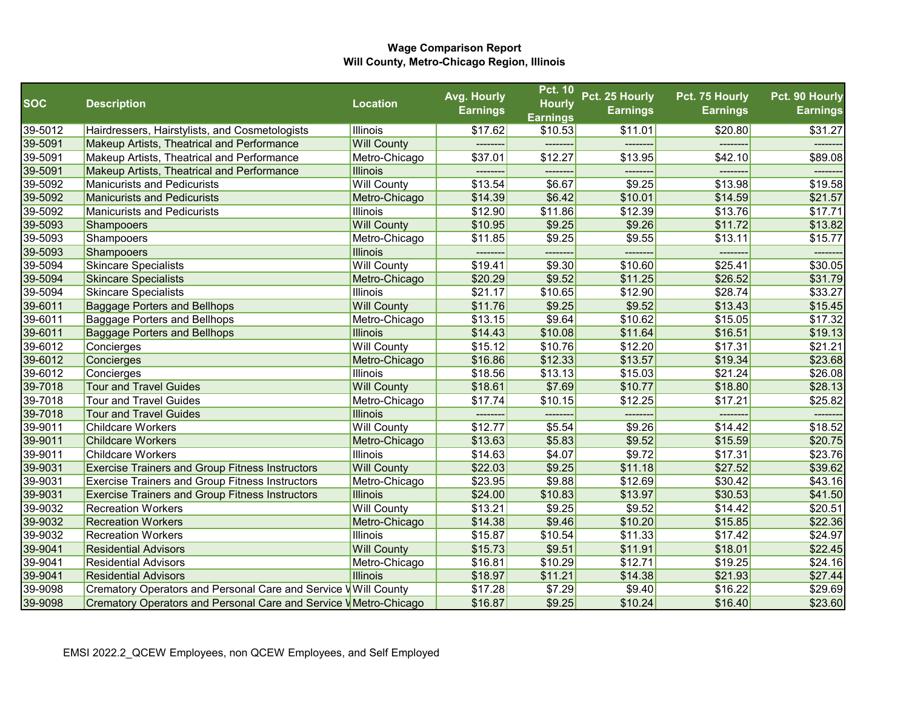|            |                                                                  |                    | Avg. Hourly     | <b>Pct. 10</b>  | Pct. 25 Hourly     | Pct. 75 Hourly  | Pct. 90 Hourly  |
|------------|------------------------------------------------------------------|--------------------|-----------------|-----------------|--------------------|-----------------|-----------------|
| <b>SOC</b> | <b>Description</b>                                               | <b>Location</b>    | <b>Earnings</b> | <b>Hourly</b>   | <b>Earnings</b>    | <b>Earnings</b> | <b>Earnings</b> |
|            |                                                                  |                    |                 | <b>Earnings</b> |                    |                 |                 |
| 39-5012    | Hairdressers, Hairstylists, and Cosmetologists                   | Illinois           | \$17.62         | \$10.53         | \$11.01            | \$20.80         | \$31.27         |
| 39-5091    | Makeup Artists, Theatrical and Performance                       | <b>Will County</b> | ---------       | --------        | -------            | -------         | --------        |
| 39-5091    | Makeup Artists, Theatrical and Performance                       | Metro-Chicago      | \$37.01         | \$12.27         | \$13.95            | \$42.10         | \$89.08         |
| 39-5091    | Makeup Artists, Theatrical and Performance                       | <b>Illinois</b>    | ---------       | --------        | --------           | --------        | -------         |
| 39-5092    | <b>Manicurists and Pedicurists</b>                               | <b>Will County</b> | \$13.54         | \$6.67          | \$9.25             | \$13.98         | \$19.58         |
| 39-5092    | <b>Manicurists and Pedicurists</b>                               | Metro-Chicago      | \$14.39         | \$6.42          | \$10.01            | \$14.59         | \$21.57         |
| 39-5092    | <b>Manicurists and Pedicurists</b>                               | Illinois           | \$12.90         | \$11.86         | \$12.39            | \$13.76         | \$17.71         |
| 39-5093    | Shampooers                                                       | <b>Will County</b> | \$10.95         | \$9.25          | \$9.26             | \$11.72         | \$13.82         |
| 39-5093    | Shampooers                                                       | Metro-Chicago      | \$11.85         | \$9.25          | \$9.55             | \$13.11         | \$15.77         |
| 39-5093    | Shampooers                                                       | <b>Illinois</b>    | --------        | --------        | -------            | --------        | -------         |
| 39-5094    | <b>Skincare Specialists</b>                                      | <b>Will County</b> | \$19.41         | \$9.30          | \$10.60            | \$25.41         | \$30.05         |
| 39-5094    | <b>Skincare Specialists</b>                                      | Metro-Chicago      | \$20.29         | \$9.52          | \$11.25            | \$26.52         | \$31.79         |
| 39-5094    | <b>Skincare Specialists</b>                                      | Illinois           | \$21.17         | \$10.65         | \$12.90            | \$28.74         | \$33.27         |
| 39-6011    | <b>Baggage Porters and Bellhops</b>                              | <b>Will County</b> | \$11.76         | \$9.25          | \$9.52             | \$13.43         | \$15.45         |
| 39-6011    | Baggage Porters and Bellhops                                     | Metro-Chicago      | \$13.15         | \$9.64          | \$10.62            | \$15.05         | \$17.32         |
| 39-6011    | <b>Baggage Porters and Bellhops</b>                              | <b>Illinois</b>    | \$14.43         | \$10.08         | \$11.64            | \$16.51         | \$19.13         |
| 39-6012    | Concierges                                                       | <b>Will County</b> | \$15.12         | \$10.76         | \$12.20            | \$17.31         | \$21.21         |
| 39-6012    | Concierges                                                       | Metro-Chicago      | \$16.86         | \$12.33         | \$13.57            | \$19.34         | \$23.68         |
| 39-6012    | Concierges                                                       | Illinois           | \$18.56         | \$13.13         | \$15.03            | \$21.24         | \$26.08         |
| 39-7018    | <b>Tour and Travel Guides</b>                                    | <b>Will County</b> | \$18.61         | \$7.69          | \$10.77            | \$18.80         | \$28.13         |
| 39-7018    | <b>Tour and Travel Guides</b>                                    | Metro-Chicago      | \$17.74         | \$10.15         | \$12.25            | \$17.21         | \$25.82         |
| 39-7018    | <b>Tour and Travel Guides</b>                                    | <b>Illinois</b>    | --------        |                 |                    | -------         |                 |
| 39-9011    | <b>Childcare Workers</b>                                         | <b>Will County</b> | \$12.77         | \$5.54          | \$9.26             | \$14.42         | \$18.52         |
| 39-9011    | <b>Childcare Workers</b>                                         | Metro-Chicago      | \$13.63         | \$5.83          | \$9.52             | \$15.59         | \$20.75         |
| 39-9011    | <b>Childcare Workers</b>                                         | Illinois           | \$14.63         | \$4.07          | \$9.72             | \$17.31         | \$23.76         |
| 39-9031    | <b>Exercise Trainers and Group Fitness Instructors</b>           | <b>Will County</b> | \$22.03         | \$9.25          | \$11.18            | \$27.52         | \$39.62         |
| 39-9031    | <b>Exercise Trainers and Group Fitness Instructors</b>           | Metro-Chicago      | \$23.95         | \$9.88          | \$12.69            | \$30.42         | \$43.16         |
| 39-9031    | <b>Exercise Trainers and Group Fitness Instructors</b>           | <b>Illinois</b>    | \$24.00         | \$10.83         | \$13.97            | \$30.53         | \$41.50         |
| 39-9032    | <b>Recreation Workers</b>                                        | <b>Will County</b> | \$13.21         | \$9.25          | \$9.52             | \$14.42         | \$20.51         |
| 39-9032    | <b>Recreation Workers</b>                                        | Metro-Chicago      | \$14.38         | \$9.46          | \$10.20            | \$15.85         | \$22.36         |
| 39-9032    | <b>Recreation Workers</b>                                        | Illinois           | \$15.87         | \$10.54         | \$11.33            | \$17.42         | \$24.97         |
| 39-9041    | <b>Residential Advisors</b>                                      | <b>Will County</b> | \$15.73         | \$9.51          | \$11.91            | \$18.01         | \$22.45         |
| 39-9041    | <b>Residential Advisors</b>                                      | Metro-Chicago      | \$16.81         | \$10.29         | \$12.71            | \$19.25         | \$24.16         |
| 39-9041    | <b>Residential Advisors</b>                                      | <b>Illinois</b>    | \$18.97         | \$11.21         | \$14.38            | \$21.93         | \$27.44         |
| 39-9098    | Crematory Operators and Personal Care and Service VWill County   |                    | \$17.28         | \$7.29          | $\overline{$9.40}$ | \$16.22         | \$29.69         |
| 39-9098    | Crematory Operators and Personal Care and Service VMetro-Chicago |                    | \$16.87         | \$9.25          | \$10.24            | \$16.40         | \$23.60         |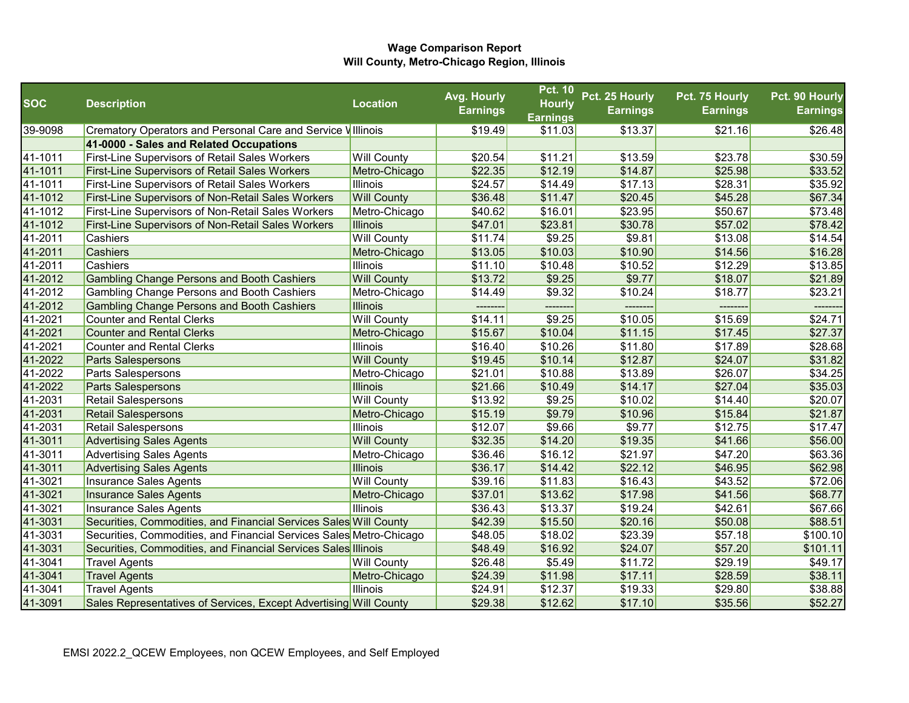|            |                                                                     |                    | Avg. Hourly     | <b>Pct. 10</b>  | Pct. 25 Hourly  | Pct. 75 Hourly  | Pct. 90 Hourly  |
|------------|---------------------------------------------------------------------|--------------------|-----------------|-----------------|-----------------|-----------------|-----------------|
| <b>SOC</b> | <b>Description</b>                                                  | Location           | <b>Earnings</b> | <b>Hourly</b>   | <b>Earnings</b> | <b>Earnings</b> | <b>Earnings</b> |
|            |                                                                     |                    |                 | <b>Earnings</b> |                 |                 |                 |
| 39-9098    | Crematory Operators and Personal Care and Service Villinois         |                    | \$19.49         | \$11.03         | \$13.37         | \$21.16         | \$26.48         |
|            | 41-0000 - Sales and Related Occupations                             |                    |                 |                 |                 |                 |                 |
| 41-1011    | <b>First-Line Supervisors of Retail Sales Workers</b>               | <b>Will County</b> | \$20.54         | \$11.21         | \$13.59         | \$23.78         | \$30.59         |
| 41-1011    | <b>First-Line Supervisors of Retail Sales Workers</b>               | Metro-Chicago      | \$22.35         | \$12.19         | \$14.87         | \$25.98         | \$33.52         |
| 41-1011    | <b>First-Line Supervisors of Retail Sales Workers</b>               | Illinois           | \$24.57         | \$14.49         | \$17.13         | \$28.31         | \$35.92         |
| 41-1012    | <b>First-Line Supervisors of Non-Retail Sales Workers</b>           | <b>Will County</b> | \$36.48         | \$11.47         | \$20.45         | \$45.28         | \$67.34         |
| 41-1012    | First-Line Supervisors of Non-Retail Sales Workers                  | Metro-Chicago      | \$40.62         | \$16.01         | \$23.95         | \$50.67         | \$73.48         |
| 41-1012    | <b>First-Line Supervisors of Non-Retail Sales Workers</b>           | <b>Illinois</b>    | \$47.01         | \$23.81         | \$30.78         | \$57.02         | \$78.42         |
| 41-2011    | Cashiers                                                            | <b>Will County</b> | \$11.74         | \$9.25          | \$9.81          | \$13.08         | \$14.54         |
| 41-2011    | Cashiers                                                            | Metro-Chicago      | \$13.05         | \$10.03         | \$10.90         | \$14.56         | \$16.28         |
| 41-2011    | Cashiers                                                            | Illinois           | \$11.10         | \$10.48         | \$10.52         | \$12.29         | \$13.85         |
| 41-2012    | <b>Gambling Change Persons and Booth Cashiers</b>                   | <b>Will County</b> | \$13.72         | \$9.25          | \$9.77          | \$18.07         | \$21.89         |
| 41-2012    | Gambling Change Persons and Booth Cashiers                          | Metro-Chicago      | \$14.49         | \$9.32          | \$10.24         | \$18.77         | \$23.21         |
| 41-2012    | <b>Gambling Change Persons and Booth Cashiers</b>                   | <b>Illinois</b>    | -------         |                 |                 |                 | ------          |
| 41-2021    | <b>Counter and Rental Clerks</b>                                    | <b>Will County</b> | \$14.11         | \$9.25          | \$10.05         | \$15.69         | \$24.71         |
| 41-2021    | <b>Counter and Rental Clerks</b>                                    | Metro-Chicago      | \$15.67         | \$10.04         | \$11.15         | \$17.45         | \$27.37         |
| 41-2021    | <b>Counter and Rental Clerks</b>                                    | <b>Illinois</b>    | \$16.40         | \$10.26         | \$11.80         | \$17.89         | \$28.68         |
| 41-2022    | Parts Salespersons                                                  | <b>Will County</b> | \$19.45         | \$10.14         | \$12.87         | \$24.07         | \$31.82         |
| 41-2022    | Parts Salespersons                                                  | Metro-Chicago      | \$21.01         | \$10.88         | \$13.89         | \$26.07         | \$34.25         |
| 41-2022    | <b>Parts Salespersons</b>                                           | <b>Illinois</b>    | \$21.66         | \$10.49         | \$14.17         | \$27.04         | \$35.03         |
| 41-2031    | <b>Retail Salespersons</b>                                          | <b>Will County</b> | \$13.92         | \$9.25          | \$10.02         | \$14.40         | \$20.07         |
| 41-2031    | Retail Salespersons                                                 | Metro-Chicago      | \$15.19         | \$9.79          | \$10.96         | \$15.84         | \$21.87         |
| 41-2031    | <b>Retail Salespersons</b>                                          | <b>Illinois</b>    | \$12.07         | \$9.66          | \$9.77          | \$12.75         | \$17.47         |
| 41-3011    | <b>Advertising Sales Agents</b>                                     | <b>Will County</b> | \$32.35         | \$14.20         | \$19.35         | \$41.66         | \$56.00         |
| 41-3011    | <b>Advertising Sales Agents</b>                                     | Metro-Chicago      | \$36.46         | \$16.12         | \$21.97         | \$47.20         | \$63.36         |
| 41-3011    | <b>Advertising Sales Agents</b>                                     | <b>Illinois</b>    | \$36.17         | \$14.42         | \$22.12         | \$46.95         | \$62.98         |
| 41-3021    | Insurance Sales Agents                                              | <b>Will County</b> | \$39.16         | \$11.83         | \$16.43         | \$43.52         | \$72.06         |
| 41-3021    | Insurance Sales Agents                                              | Metro-Chicago      | \$37.01         | \$13.62         | \$17.98         | \$41.56         | \$68.77         |
| 41-3021    | Insurance Sales Agents                                              | <b>Illinois</b>    | \$36.43         | \$13.37         | \$19.24         | \$42.61         | \$67.66         |
| 41-3031    | Securities, Commodities, and Financial Services Sales Will County   |                    | \$42.39         | \$15.50         | \$20.16         | \$50.08         | \$88.51         |
| 41-3031    | Securities, Commodities, and Financial Services Sales Metro-Chicago |                    | \$48.05         | \$18.02         | \$23.39         | \$57.18         | \$100.10        |
| 41-3031    | Securities, Commodities, and Financial Services Sales Illinois      |                    | \$48.49         | \$16.92         | \$24.07         | \$57.20         | \$101.11        |
| 41-3041    | <b>Travel Agents</b>                                                | <b>Will County</b> | \$26.48         | \$5.49          | \$11.72         | \$29.19         | \$49.17         |
| 41-3041    | <b>Travel Agents</b>                                                | Metro-Chicago      | \$24.39         | \$11.98         | \$17.11         | \$28.59         | \$38.11         |
| 41-3041    | <b>Travel Agents</b>                                                | <b>Illinois</b>    | \$24.91         | \$12.37         | \$19.33         | \$29.80         | \$38.88         |
| 41-3091    | Sales Representatives of Services, Except Advertising Will County   |                    | \$29.38         | \$12.62         | \$17.10         | \$35.56         | \$52.27         |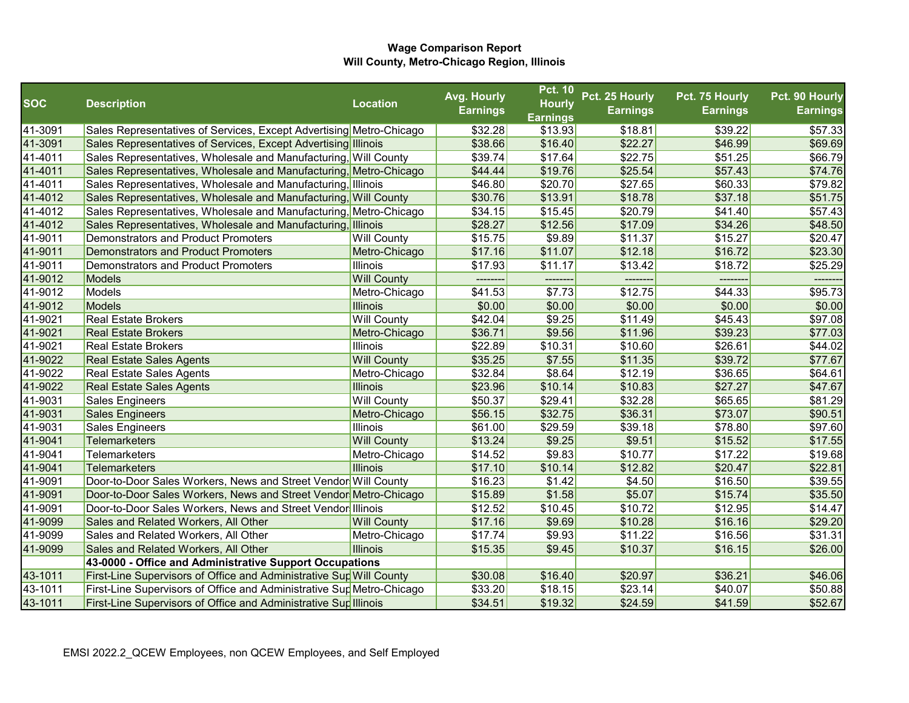|            |                                                                       |                    | Avg. Hourly     | <b>Pct. 10</b>     | Pct. 25 Hourly  | Pct. 75 Hourly  | Pct. 90 Hourly  |
|------------|-----------------------------------------------------------------------|--------------------|-----------------|--------------------|-----------------|-----------------|-----------------|
| <b>SOC</b> | <b>Description</b>                                                    | <b>Location</b>    | <b>Earnings</b> | <b>Hourly</b>      | <b>Earnings</b> | <b>Earnings</b> | <b>Earnings</b> |
|            |                                                                       |                    |                 | <b>Earnings</b>    |                 |                 |                 |
| 41-3091    | Sales Representatives of Services, Except Advertising Metro-Chicago   |                    | \$32.28         | \$13.93            | \$18.81         | \$39.22         | \$57.33         |
| 41-3091    | Sales Representatives of Services, Except Advertising Illinois        |                    | \$38.66         | \$16.40            | \$22.27         | \$46.99         | \$69.69         |
| 41-4011    | Sales Representatives, Wholesale and Manufacturing, Will County       |                    | \$39.74         | \$17.64            | \$22.75         | \$51.25         | \$66.79         |
| 41-4011    | Sales Representatives, Wholesale and Manufacturing, Metro-Chicago     |                    | \$44.44         | \$19.76            | \$25.54         | \$57.43         | \$74.76         |
| 41-4011    | Sales Representatives, Wholesale and Manufacturing, Illinois          |                    | \$46.80         | \$20.70            | \$27.65         | \$60.33         | \$79.82         |
| 41-4012    | Sales Representatives, Wholesale and Manufacturing, Will County       |                    | \$30.76         | \$13.91            | \$18.78         | \$37.18         | \$51.75         |
| 41-4012    | Sales Representatives, Wholesale and Manufacturing, Metro-Chicago     |                    | \$34.15         | \$15.45            | \$20.79         | \$41.40         | \$57.43         |
| 41-4012    | Sales Representatives, Wholesale and Manufacturing, Illinois          |                    | \$28.27         | \$12.56            | \$17.09         | \$34.26         | \$48.50         |
| 41-9011    | Demonstrators and Product Promoters                                   | <b>Will County</b> | \$15.75         | \$9.89             | \$11.37         | \$15.27         | \$20.47         |
| 41-9011    | <b>Demonstrators and Product Promoters</b>                            | Metro-Chicago      | \$17.16         | \$11.07            | \$12.18         | \$16.72         | \$23.30         |
| 41-9011    | Demonstrators and Product Promoters                                   | <b>Illinois</b>    | \$17.93         | \$11.17            | \$13.42         | \$18.72         | \$25.29         |
| 41-9012    | Models                                                                | <b>Will County</b> |                 |                    |                 |                 |                 |
| 41-9012    | Models                                                                | Metro-Chicago      | \$41.53         | \$7.73             | \$12.75         | \$44.33         | \$95.73         |
| 41-9012    | Models                                                                | <b>Illinois</b>    | \$0.00          | \$0.00             | \$0.00          | \$0.00          | \$0.00          |
| 41-9021    | <b>Real Estate Brokers</b>                                            | <b>Will County</b> | \$42.04         | $\overline{$9.25}$ | \$11.49         | \$45.43         | \$97.08         |
| 41-9021    | <b>Real Estate Brokers</b>                                            | Metro-Chicago      | \$36.71         | \$9.56             | \$11.96         | \$39.23         | \$77.03         |
| 41-9021    | <b>Real Estate Brokers</b>                                            | <b>Illinois</b>    | \$22.89         | \$10.31            | \$10.60         | \$26.61         | \$44.02         |
| 41-9022    | <b>Real Estate Sales Agents</b>                                       | <b>Will County</b> | \$35.25         | \$7.55             | \$11.35         | \$39.72         | \$77.67         |
| 41-9022    | <b>Real Estate Sales Agents</b>                                       | Metro-Chicago      | \$32.84         | \$8.64             | \$12.19         | \$36.65         | \$64.61         |
| 41-9022    | <b>Real Estate Sales Agents</b>                                       | <b>Illinois</b>    | \$23.96         | \$10.14            | \$10.83         | \$27.27         | \$47.67         |
| 41-9031    | <b>Sales Engineers</b>                                                | <b>Will County</b> | \$50.37         | \$29.41            | \$32.28         | \$65.65         | \$81.29         |
| 41-9031    | <b>Sales Engineers</b>                                                | Metro-Chicago      | \$56.15         | \$32.75            | \$36.31         | \$73.07         | \$90.51         |
| 41-9031    | <b>Sales Engineers</b>                                                | <b>Illinois</b>    | \$61.00         | \$29.59            | \$39.18         | \$78.80         | \$97.60         |
| 41-9041    | <b>Telemarketers</b>                                                  | <b>Will County</b> | \$13.24         | \$9.25             | \$9.51          | \$15.52         | \$17.55         |
| 41-9041    | <b>Telemarketers</b>                                                  | Metro-Chicago      | \$14.52         | \$9.83             | \$10.77         | \$17.22         | \$19.68         |
| 41-9041    | Telemarketers                                                         | Illinois           | \$17.10         | \$10.14            | \$12.82         | \$20.47         | \$22.81         |
| 41-9091    | Door-to-Door Sales Workers, News and Street Vendor Will County        |                    | \$16.23         | \$1.42             | \$4.50          | \$16.50         | \$39.55         |
| 41-9091    | Door-to-Door Sales Workers, News and Street Vendor Metro-Chicago      |                    | \$15.89         | \$1.58             | \$5.07          | \$15.74         | \$35.50         |
| 41-9091    | Door-to-Door Sales Workers, News and Street Vendor Illinois           |                    | \$12.52         | \$10.45            | \$10.72         | \$12.95         | \$14.47         |
| 41-9099    | Sales and Related Workers, All Other                                  | <b>Will County</b> | \$17.16         | \$9.69             | \$10.28         | \$16.16         | \$29.20         |
| 41-9099    | Sales and Related Workers, All Other                                  | Metro-Chicago      | \$17.74         | \$9.93             | \$11.22         | \$16.56         | \$31.31         |
| 41-9099    | Sales and Related Workers, All Other                                  | <b>Illinois</b>    | \$15.35         | \$9.45             | \$10.37         | \$16.15         | \$26.00         |
|            | 43-0000 - Office and Administrative Support Occupations               |                    |                 |                    |                 |                 |                 |
| 43-1011    | First-Line Supervisors of Office and Administrative Sup Will County   |                    | \$30.08         | \$16.40            | \$20.97         | \$36.21         | \$46.06         |
| 43-1011    | First-Line Supervisors of Office and Administrative Sup Metro-Chicago |                    | \$33.20         | \$18.15            | \$23.14         | \$40.07         | \$50.88         |
| 43-1011    | First-Line Supervisors of Office and Administrative Sup Illinois      |                    | \$34.51         | \$19.32            | \$24.59         | \$41.59         | \$52.67         |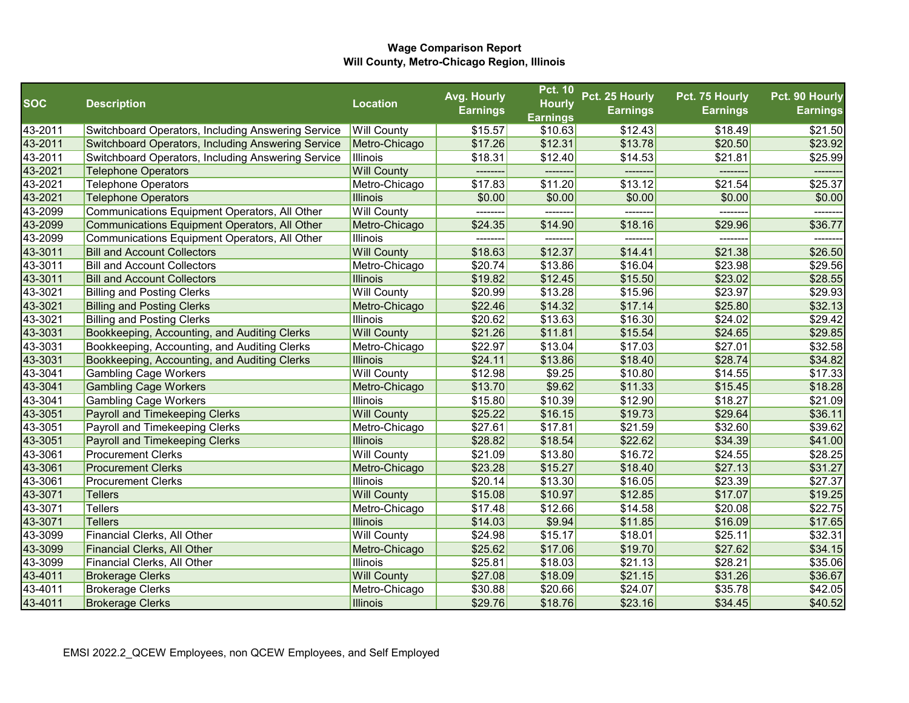|            |                                                           |                    | Avg. Hourly     | <b>Pct. 10</b>  | Pct. 25 Hourly  | Pct. 75 Hourly  | Pct. 90 Hourly  |
|------------|-----------------------------------------------------------|--------------------|-----------------|-----------------|-----------------|-----------------|-----------------|
| <b>SOC</b> | <b>Description</b>                                        | <b>Location</b>    | <b>Earnings</b> | <b>Hourly</b>   | <b>Earnings</b> | <b>Earnings</b> | <b>Earnings</b> |
|            |                                                           |                    |                 | <b>Earnings</b> |                 |                 |                 |
| 43-2011    | <b>Switchboard Operators, Including Answering Service</b> | <b>Will County</b> | \$15.57         | \$10.63         | \$12.43         | \$18.49         | \$21.50         |
| 43-2011    | <b>Switchboard Operators, Including Answering Service</b> | Metro-Chicago      | \$17.26         | \$12.31         | \$13.78         | \$20.50         | \$23.92         |
| 43-2011    | Switchboard Operators, Including Answering Service        | Illinois           | \$18.31         | \$12.40         | \$14.53         | \$21.81         | \$25.99         |
| 43-2021    | <b>Telephone Operators</b>                                | <b>Will County</b> |                 |                 | --------        | --------        | -------         |
| 43-2021    | Telephone Operators                                       | Metro-Chicago      | \$17.83         | \$11.20         | \$13.12         | \$21.54         | \$25.37         |
| 43-2021    | <b>Telephone Operators</b>                                | <b>Illinois</b>    | \$0.00          | \$0.00          | \$0.00          | \$0.00          | \$0.00          |
| 43-2099    | Communications Equipment Operators, All Other             | <b>Will County</b> | -------         |                 | -------         |                 |                 |
| 43-2099    | Communications Equipment Operators, All Other             | Metro-Chicago      | \$24.35         | \$14.90         | \$18.16         | \$29.96         | \$36.77         |
| 43-2099    | Communications Equipment Operators, All Other             | <b>Illinois</b>    | --------        | --------        | -------         | -------         | -------         |
| 43-3011    | <b>Bill and Account Collectors</b>                        | <b>Will County</b> | \$18.63         | \$12.37         | \$14.41         | \$21.38         | \$26.50         |
| 43-3011    | <b>Bill and Account Collectors</b>                        | Metro-Chicago      | \$20.74         | \$13.86         | \$16.04         | \$23.98         | \$29.56         |
| 43-3011    | <b>Bill and Account Collectors</b>                        | <b>Illinois</b>    | \$19.82         | \$12.45         | \$15.50         | \$23.02         | \$28.55         |
| 43-3021    | <b>Billing and Posting Clerks</b>                         | <b>Will County</b> | \$20.99         | \$13.28         | \$15.96         | \$23.97         | \$29.93         |
| 43-3021    | <b>Billing and Posting Clerks</b>                         | Metro-Chicago      | \$22.46         | \$14.32         | \$17.14         | \$25.80         | \$32.13         |
| 43-3021    | <b>Billing and Posting Clerks</b>                         | <b>Illinois</b>    | \$20.62         | \$13.63         | \$16.30         | \$24.02         | \$29.42         |
| 43-3031    | Bookkeeping, Accounting, and Auditing Clerks              | <b>Will County</b> | \$21.26         | \$11.81         | \$15.54         | \$24.65         | \$29.85         |
| 43-3031    | Bookkeeping, Accounting, and Auditing Clerks              | Metro-Chicago      | \$22.97         | \$13.04         | \$17.03         | \$27.01         | \$32.58         |
| 43-3031    | Bookkeeping, Accounting, and Auditing Clerks              | <b>Illinois</b>    | \$24.11         | \$13.86         | \$18.40         | \$28.74         | \$34.82         |
| 43-3041    | <b>Gambling Cage Workers</b>                              | <b>Will County</b> | \$12.98         | \$9.25          | \$10.80         | \$14.55         | \$17.33         |
| 43-3041    | <b>Gambling Cage Workers</b>                              | Metro-Chicago      | \$13.70         | \$9.62          | \$11.33         | \$15.45         | \$18.28         |
| 43-3041    | <b>Gambling Cage Workers</b>                              | <b>Illinois</b>    | \$15.80         | \$10.39         | \$12.90         | \$18.27         | \$21.09         |
| 43-3051    | Payroll and Timekeeping Clerks                            | <b>Will County</b> | \$25.22         | \$16.15         | \$19.73         | \$29.64         | \$36.11         |
| 43-3051    | Payroll and Timekeeping Clerks                            | Metro-Chicago      | \$27.61         | \$17.81         | \$21.59         | \$32.60         | \$39.62         |
| 43-3051    | Payroll and Timekeeping Clerks                            | <b>Illinois</b>    | \$28.82         | \$18.54         | \$22.62         | \$34.39         | \$41.00         |
| 43-3061    | <b>Procurement Clerks</b>                                 | <b>Will County</b> | \$21.09         | \$13.80         | \$16.72         | \$24.55         | \$28.25         |
| 43-3061    | <b>Procurement Clerks</b>                                 | Metro-Chicago      | \$23.28         | \$15.27         | \$18.40         | \$27.13         | \$31.27         |
| 43-3061    | <b>Procurement Clerks</b>                                 | <b>Illinois</b>    | \$20.14         | \$13.30         | \$16.05         | \$23.39         | \$27.37         |
| 43-3071    | Tellers                                                   | <b>Will County</b> | \$15.08         | \$10.97         | \$12.85         | \$17.07         | \$19.25         |
| 43-3071    | Tellers                                                   | Metro-Chicago      | \$17.48         | \$12.66         | \$14.58         | \$20.08         | \$22.75         |
| 43-3071    | <b>Tellers</b>                                            | <b>Illinois</b>    | \$14.03         | \$9.94          | \$11.85         | \$16.09         | \$17.65         |
| 43-3099    | Financial Clerks, All Other                               | <b>Will County</b> | \$24.98         | \$15.17         | \$18.01         | \$25.11         | \$32.31         |
| 43-3099    | Financial Clerks, All Other                               | Metro-Chicago      | \$25.62         | \$17.06         | \$19.70         | \$27.62         | \$34.15         |
| 43-3099    | Financial Clerks, All Other                               | Illinois           | \$25.81         | \$18.03         | \$21.13         | \$28.21         | \$35.06         |
| 43-4011    | <b>Brokerage Clerks</b>                                   | <b>Will County</b> | \$27.08         | \$18.09         | \$21.15         | \$31.26         | \$36.67         |
| 43-4011    | <b>Brokerage Clerks</b>                                   | Metro-Chicago      | \$30.88         | \$20.66         | \$24.07         | \$35.78         | \$42.05         |
| 43-4011    | <b>Brokerage Clerks</b>                                   | <b>Illinois</b>    | \$29.76         | \$18.76         | \$23.16         | \$34.45         | \$40.52         |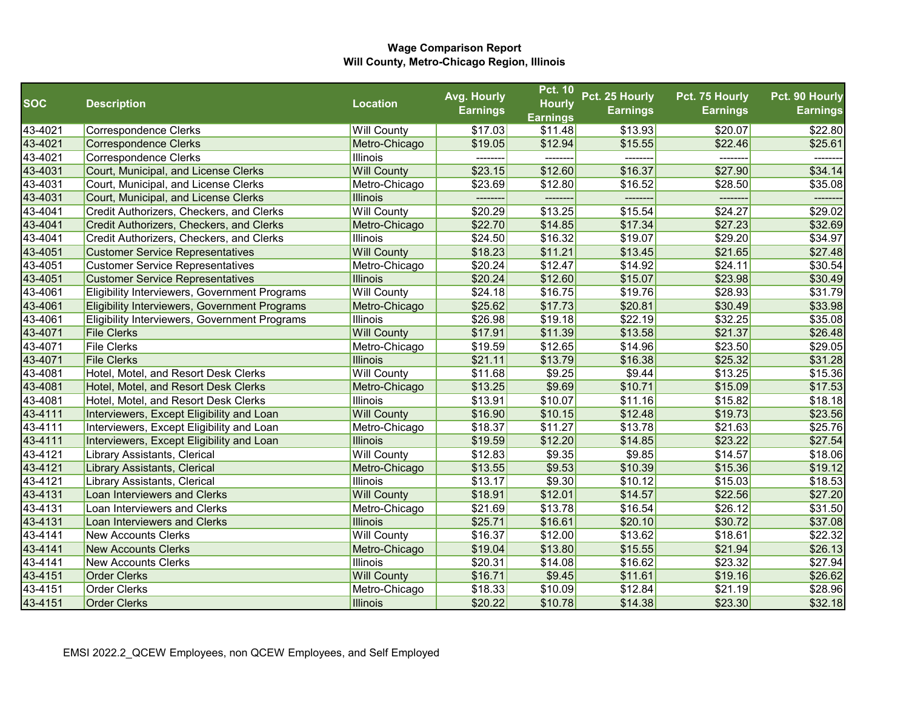|            |                                               |                    | Avg. Hourly     | <b>Pct. 10</b>  | Pct. 25 Hourly  | Pct. 75 Hourly  | Pct. 90 Hourly  |
|------------|-----------------------------------------------|--------------------|-----------------|-----------------|-----------------|-----------------|-----------------|
| <b>SOC</b> | <b>Description</b>                            | <b>Location</b>    | <b>Earnings</b> | <b>Hourly</b>   | <b>Earnings</b> | <b>Earnings</b> | <b>Earnings</b> |
|            |                                               |                    |                 | <b>Earnings</b> |                 |                 |                 |
| 43-4021    | Correspondence Clerks                         | <b>Will County</b> | \$17.03         | \$11.48         | \$13.93         | \$20.07         | \$22.80         |
| 43-4021    | <b>Correspondence Clerks</b>                  | Metro-Chicago      | \$19.05         | \$12.94         | \$15.55         | \$22.46         | \$25.61         |
| 43-4021    | <b>Correspondence Clerks</b>                  | Illinois           |                 |                 | -------         |                 |                 |
| 43-4031    | Court, Municipal, and License Clerks          | <b>Will County</b> | \$23.15         | \$12.60         | \$16.37         | \$27.90         | \$34.14         |
| 43-4031    | Court, Municipal, and License Clerks          | Metro-Chicago      | \$23.69         | \$12.80         | \$16.52         | \$28.50         | \$35.08         |
| 43-4031    | Court, Municipal, and License Clerks          | <b>Illinois</b>    |                 |                 | --------        |                 |                 |
| 43-4041    | Credit Authorizers, Checkers, and Clerks      | <b>Will County</b> | \$20.29         | \$13.25         | \$15.54         | \$24.27         | \$29.02         |
| 43-4041    | Credit Authorizers, Checkers, and Clerks      | Metro-Chicago      | \$22.70         | \$14.85         | \$17.34         | \$27.23         | \$32.69         |
| 43-4041    | Credit Authorizers, Checkers, and Clerks      | <b>Illinois</b>    | \$24.50         | \$16.32         | \$19.07         | \$29.20         | \$34.97         |
| 43-4051    | <b>Customer Service Representatives</b>       | <b>Will County</b> | \$18.23         | \$11.21         | \$13.45         | \$21.65         | \$27.48         |
| 43-4051    | <b>Customer Service Representatives</b>       | Metro-Chicago      | \$20.24         | \$12.47         | \$14.92         | \$24.11         | \$30.54         |
| 43-4051    | <b>Customer Service Representatives</b>       | <b>Illinois</b>    | \$20.24         | \$12.60         | \$15.07         | \$23.98         | \$30.49         |
| 43-4061    | Eligibility Interviewers, Government Programs | <b>Will County</b> | \$24.18         | \$16.75         | \$19.76         | \$28.93         | \$31.79         |
| 43-4061    | Eligibility Interviewers, Government Programs | Metro-Chicago      | \$25.62         | \$17.73         | \$20.81         | \$30.49         | \$33.98         |
| 43-4061    | Eligibility Interviewers, Government Programs | Illinois           | \$26.98         | \$19.18         | \$22.19         | \$32.25         | \$35.08         |
| 43-4071    | <b>File Clerks</b>                            | <b>Will County</b> | \$17.91         | \$11.39         | \$13.58         | \$21.37         | \$26.48         |
| 43-4071    | <b>File Clerks</b>                            | Metro-Chicago      | \$19.59         | \$12.65         | \$14.96         | \$23.50         | \$29.05         |
| 43-4071    | <b>File Clerks</b>                            | <b>Illinois</b>    | \$21.11         | \$13.79         | \$16.38         | \$25.32         | \$31.28         |
| 43-4081    | Hotel, Motel, and Resort Desk Clerks          | <b>Will County</b> | \$11.68         | \$9.25          | \$9.44          | \$13.25         | \$15.36         |
| 43-4081    | Hotel, Motel, and Resort Desk Clerks          | Metro-Chicago      | \$13.25         | \$9.69          | \$10.71         | \$15.09         | \$17.53         |
| 43-4081    | Hotel, Motel, and Resort Desk Clerks          | Illinois           | \$13.91         | \$10.07         | \$11.16         | \$15.82         | \$18.18         |
| 43-4111    | Interviewers, Except Eligibility and Loan     | <b>Will County</b> | \$16.90         | \$10.15         | \$12.48         | \$19.73         | \$23.56         |
| 43-4111    | Interviewers, Except Eligibility and Loan     | Metro-Chicago      | \$18.37         | \$11.27         | \$13.78         | \$21.63         | \$25.76         |
| 43-4111    | Interviewers, Except Eligibility and Loan     | <b>Illinois</b>    | \$19.59         | \$12.20         | \$14.85         | \$23.22         | \$27.54         |
| 43-4121    | Library Assistants, Clerical                  | <b>Will County</b> | \$12.83         | \$9.35          | \$9.85          | \$14.57         | \$18.06         |
| 43-4121    | <b>Library Assistants, Clerical</b>           | Metro-Chicago      | \$13.55         | \$9.53          | \$10.39         | \$15.36         | \$19.12         |
| 43-4121    | Library Assistants, Clerical                  | Illinois           | \$13.17         | \$9.30          | \$10.12         | \$15.03         | \$18.53         |
| 43-4131    | Loan Interviewers and Clerks                  | <b>Will County</b> | \$18.91         | \$12.01         | \$14.57         | \$22.56         | \$27.20         |
| 43-4131    | Loan Interviewers and Clerks                  | Metro-Chicago      | \$21.69         | \$13.78         | \$16.54         | \$26.12         | \$31.50         |
| 43-4131    | Loan Interviewers and Clerks                  | <b>Illinois</b>    | \$25.71         | \$16.61         | \$20.10         | \$30.72         | \$37.08         |
| 43-4141    | <b>New Accounts Clerks</b>                    | <b>Will County</b> | \$16.37         | \$12.00         | \$13.62         | \$18.61         | \$22.32         |
| 43-4141    | <b>New Accounts Clerks</b>                    | Metro-Chicago      | \$19.04         | \$13.80         | \$15.55         | \$21.94         | \$26.13         |
| 43-4141    | <b>New Accounts Clerks</b>                    | Illinois           | \$20.31         | \$14.08         | \$16.62         | \$23.32         | \$27.94         |
| 43-4151    | <b>Order Clerks</b>                           | <b>Will County</b> | \$16.71         | \$9.45          | \$11.61         | \$19.16         | \$26.62         |
| 43-4151    | <b>Order Clerks</b>                           | Metro-Chicago      | \$18.33         | \$10.09         | \$12.84         | \$21.19         | \$28.96         |
| 43-4151    | <b>Order Clerks</b>                           | <b>Illinois</b>    | \$20.22         | \$10.78         | \$14.38         | \$23.30         | \$32.18         |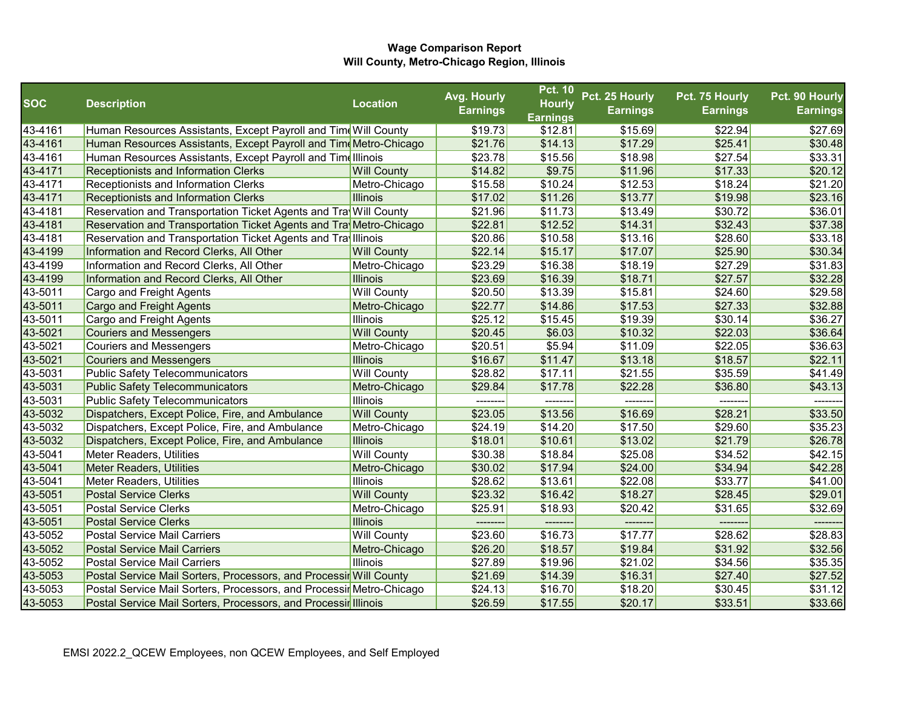|            |                                                                      |                    | Avg. Hourly     | <b>Pct. 10</b>  | Pct. 25 Hourly  | Pct. 75 Hourly  | Pct. 90 Hourly  |
|------------|----------------------------------------------------------------------|--------------------|-----------------|-----------------|-----------------|-----------------|-----------------|
| <b>SOC</b> | <b>Description</b>                                                   | <b>Location</b>    | <b>Earnings</b> | <b>Hourly</b>   | <b>Earnings</b> | <b>Earnings</b> | <b>Earnings</b> |
|            |                                                                      |                    |                 | <b>Earnings</b> |                 |                 |                 |
| 43-4161    | Human Resources Assistants, Except Payroll and Time Will County      |                    | \$19.73         | \$12.81         | \$15.69         | \$22.94         | \$27.69         |
| 43-4161    | Human Resources Assistants, Except Payroll and Time Metro-Chicago    |                    | \$21.76         | \$14.13         | \$17.29         | \$25.41         | \$30.48         |
| 43-4161    | Human Resources Assistants, Except Payroll and Timelllinois          |                    | \$23.78         | \$15.56         | \$18.98         | \$27.54         | \$33.31         |
| 43-4171    | <b>Receptionists and Information Clerks</b>                          | <b>Will County</b> | \$14.82         | \$9.75          | \$11.96         | \$17.33         | \$20.12         |
| 43-4171    | Receptionists and Information Clerks                                 | Metro-Chicago      | \$15.58         | \$10.24         | \$12.53         | \$18.24         | \$21.20         |
| 43-4171    | <b>Receptionists and Information Clerks</b>                          | Illinois           | \$17.02         | \$11.26         | \$13.77         | \$19.98         | \$23.16         |
| 43-4181    | Reservation and Transportation Ticket Agents and Tra Will County     |                    | \$21.96         | \$11.73         | \$13.49         | \$30.72         | \$36.01         |
| 43-4181    | Reservation and Transportation Ticket Agents and Tra Metro-Chicago   |                    | \$22.81         | \$12.52         | \$14.31         | \$32.43         | \$37.38         |
| 43-4181    | Reservation and Transportation Ticket Agents and Tray Illinois       |                    | \$20.86         | \$10.58         | \$13.16         | \$28.60         | \$33.18         |
| 43-4199    | Information and Record Clerks, All Other                             | <b>Will County</b> | \$22.14         | \$15.17         | \$17.07         | \$25.90         | \$30.34         |
| 43-4199    | Information and Record Clerks, All Other                             | Metro-Chicago      | \$23.29         | \$16.38         | \$18.19         | \$27.29         | \$31.83         |
| 43-4199    | Information and Record Clerks, All Other                             | <b>Illinois</b>    | \$23.69         | \$16.39         | \$18.71         | \$27.57         | \$32.28         |
| 43-5011    | <b>Cargo and Freight Agents</b>                                      | <b>Will County</b> | \$20.50         | \$13.39         | \$15.81         | \$24.60         | \$29.58         |
| 43-5011    | Cargo and Freight Agents                                             | Metro-Chicago      | \$22.77         | \$14.86         | \$17.53         | \$27.33         | \$32.88         |
| 43-5011    | Cargo and Freight Agents                                             | <b>Illinois</b>    | \$25.12         | \$15.45         | \$19.39         | \$30.14         | \$36.27         |
| 43-5021    | <b>Couriers and Messengers</b>                                       | <b>Will County</b> | \$20.45         | \$6.03          | \$10.32         | \$22.03         | \$36.64         |
| 43-5021    | <b>Couriers and Messengers</b>                                       | Metro-Chicago      | \$20.51         | \$5.94          | \$11.09         | \$22.05         | \$36.63         |
| 43-5021    | <b>Couriers and Messengers</b>                                       | <b>Illinois</b>    | \$16.67         | \$11.47         | \$13.18         | \$18.57         | \$22.11         |
| 43-5031    | <b>Public Safety Telecommunicators</b>                               | <b>Will County</b> | \$28.82         | \$17.11         | \$21.55         | \$35.59         | \$41.49         |
| 43-5031    | <b>Public Safety Telecommunicators</b>                               | Metro-Chicago      | \$29.84         | \$17.78         | \$22.28         | \$36.80         | \$43.13         |
| 43-5031    | Public Safety Telecommunicators                                      | <b>Illinois</b>    |                 |                 |                 |                 |                 |
| 43-5032    | Dispatchers, Except Police, Fire, and Ambulance                      | <b>Will County</b> | \$23.05         | \$13.56         | \$16.69         | \$28.21         | \$33.50         |
| 43-5032    | Dispatchers, Except Police, Fire, and Ambulance                      | Metro-Chicago      | \$24.19         | \$14.20         | \$17.50         | \$29.60         | \$35.23         |
| 43-5032    | Dispatchers, Except Police, Fire, and Ambulance                      | Illinois           | \$18.01         | \$10.61         | \$13.02         | \$21.79         | \$26.78         |
| 43-5041    | Meter Readers, Utilities                                             | <b>Will County</b> | \$30.38         | \$18.84         | \$25.08         | \$34.52         | \$42.15         |
| 43-5041    | <b>Meter Readers, Utilities</b>                                      | Metro-Chicago      | \$30.02         | \$17.94         | \$24.00         | \$34.94         | \$42.28         |
| 43-5041    | Meter Readers, Utilities                                             | <b>Illinois</b>    | \$28.62         | \$13.61         | \$22.08         | \$33.77         | \$41.00         |
| 43-5051    | <b>Postal Service Clerks</b>                                         | <b>Will County</b> | \$23.32         | \$16.42         | \$18.27         | \$28.45         | \$29.01         |
| 43-5051    | Postal Service Clerks                                                | Metro-Chicago      | \$25.91         | \$18.93         | \$20.42         | \$31.65         | \$32.69         |
| 43-5051    | <b>Postal Service Clerks</b>                                         | Illinois           |                 |                 |                 |                 |                 |
| 43-5052    | <b>Postal Service Mail Carriers</b>                                  | <b>Will County</b> | \$23.60         | \$16.73         | \$17.77         | \$28.62         | \$28.83         |
| 43-5052    | <b>Postal Service Mail Carriers</b>                                  | Metro-Chicago      | \$26.20         | \$18.57         | \$19.84         | \$31.92         | \$32.56         |
| 43-5052    | <b>Postal Service Mail Carriers</b>                                  | <b>Illinois</b>    | \$27.89         | \$19.96         | \$21.02         | \$34.56         | \$35.35         |
| 43-5053    | Postal Service Mail Sorters, Processors, and Processir Will County   |                    | \$21.69         | \$14.39         | \$16.31         | \$27.40         | \$27.52         |
| 43-5053    | Postal Service Mail Sorters, Processors, and Processir Metro-Chicago |                    | \$24.13         | \$16.70         | \$18.20         | \$30.45         | \$31.12         |
| 43-5053    | Postal Service Mail Sorters, Processors, and Processir Illinois      |                    | \$26.59         | \$17.55         | \$20.17         | \$33.51         | \$33.66         |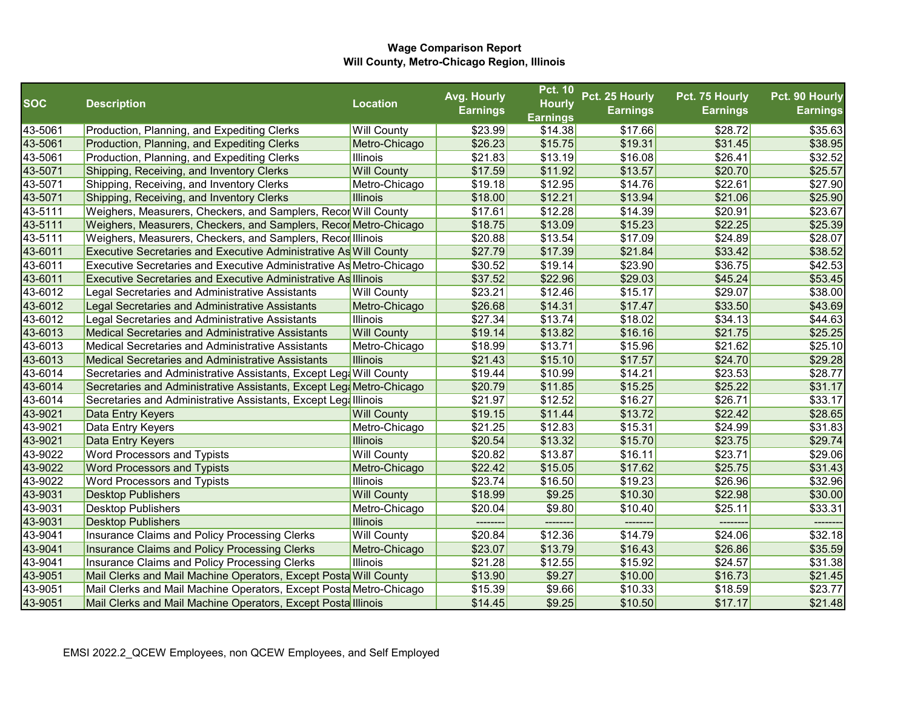|            |                                                                       |                    | Avg. Hourly     | <b>Pct. 10</b>  | Pct. 25 Hourly  | Pct. 75 Hourly  | Pct. 90 Hourly  |
|------------|-----------------------------------------------------------------------|--------------------|-----------------|-----------------|-----------------|-----------------|-----------------|
| <b>SOC</b> | <b>Description</b>                                                    | <b>Location</b>    | <b>Earnings</b> | <b>Hourly</b>   | <b>Earnings</b> | <b>Earnings</b> | <b>Earnings</b> |
|            |                                                                       |                    |                 | <b>Earnings</b> |                 |                 |                 |
| 43-5061    | Production, Planning, and Expediting Clerks                           | <b>Will County</b> | \$23.99         | \$14.38         | \$17.66         | \$28.72         | \$35.63         |
| 43-5061    | Production, Planning, and Expediting Clerks                           | Metro-Chicago      | \$26.23         | \$15.75         | \$19.31         | \$31.45         | \$38.95         |
| 43-5061    | Production, Planning, and Expediting Clerks                           | <b>Illinois</b>    | \$21.83         | \$13.19         | \$16.08         | \$26.41         | \$32.52         |
| 43-5071    | Shipping, Receiving, and Inventory Clerks                             | <b>Will County</b> | \$17.59         | \$11.92         | \$13.57         | \$20.70         | \$25.57         |
| 43-5071    | Shipping, Receiving, and Inventory Clerks                             | Metro-Chicago      | \$19.18         | \$12.95         | \$14.76         | \$22.61         | \$27.90         |
| 43-5071    | Shipping, Receiving, and Inventory Clerks                             | <b>Illinois</b>    | \$18.00         | \$12.21         | \$13.94         | \$21.06         | \$25.90         |
| 43-5111    | Weighers, Measurers, Checkers, and Samplers, RecorN Will County       |                    | \$17.61         | \$12.28         | \$14.39         | \$20.91         | \$23.67         |
| 43-5111    | Weighers, Measurers, Checkers, and Samplers, Recor Metro-Chicago      |                    | \$18.75         | \$13.09         | \$15.23         | \$22.25         | \$25.39         |
| 43-5111    | Weighers, Measurers, Checkers, and Samplers, Recorl Illinois          |                    | \$20.88         | \$13.54         | \$17.09         | \$24.89         | \$28.07         |
| 43-6011    | Executive Secretaries and Executive Administrative As Will County     |                    | \$27.79         | \$17.39         | \$21.84         | \$33.42         | \$38.52         |
| 43-6011    | Executive Secretaries and Executive Administrative As Metro-Chicago   |                    | \$30.52         | \$19.14         | \$23.90         | \$36.75         | \$42.53         |
| 43-6011    | <b>Executive Secretaries and Executive Administrative As Illinois</b> |                    | \$37.52         | \$22.96         | \$29.03         | \$45.24         | \$53.45         |
| 43-6012    | Legal Secretaries and Administrative Assistants                       | <b>Will County</b> | \$23.21         | \$12.46         | \$15.17         | \$29.07         | \$38.00         |
| 43-6012    | Legal Secretaries and Administrative Assistants                       | Metro-Chicago      | \$26.68         | \$14.31         | \$17.47         | \$33.50         | \$43.69         |
| 43-6012    | Legal Secretaries and Administrative Assistants                       | <b>Illinois</b>    | \$27.34         | \$13.74         | \$18.02         | \$34.13         | \$44.63         |
| 43-6013    | Medical Secretaries and Administrative Assistants                     | <b>Will County</b> | \$19.14         | \$13.82         | \$16.16         | \$21.75         | \$25.25         |
| 43-6013    | <b>Medical Secretaries and Administrative Assistants</b>              | Metro-Chicago      | \$18.99         | \$13.71         | \$15.96         | \$21.62         | \$25.10         |
| 43-6013    | Medical Secretaries and Administrative Assistants                     | <b>Illinois</b>    | \$21.43         | \$15.10         | \$17.57         | \$24.70         | \$29.28         |
| 43-6014    | Secretaries and Administrative Assistants, Except Leg& Will County    |                    | \$19.44         | \$10.99         | \$14.21         | \$23.53         | \$28.77         |
| 43-6014    | Secretaries and Administrative Assistants, Except Leg Metro-Chicago   |                    | \$20.79         | \$11.85         | \$15.25         | \$25.22         | \$31.17         |
| 43-6014    | Secretaries and Administrative Assistants, Except Legalllinois        |                    | \$21.97         | \$12.52         | \$16.27         | \$26.71         | \$33.17         |
| 43-9021    | Data Entry Keyers                                                     | <b>Will County</b> | \$19.15         | \$11.44         | \$13.72         | \$22.42         | \$28.65         |
| 43-9021    | Data Entry Keyers                                                     | Metro-Chicago      | \$21.25         | \$12.83         | \$15.31         | \$24.99         | \$31.83         |
| 43-9021    | Data Entry Keyers                                                     | <b>Illinois</b>    | \$20.54         | \$13.32         | \$15.70         | \$23.75         | \$29.74         |
| 43-9022    | <b>Word Processors and Typists</b>                                    | <b>Will County</b> | \$20.82         | \$13.87         | \$16.11         | \$23.71         | \$29.06         |
| 43-9022    | <b>Word Processors and Typists</b>                                    | Metro-Chicago      | \$22.42         | \$15.05         | \$17.62         | \$25.75         | \$31.43         |
| 43-9022    | Word Processors and Typists                                           | <b>Illinois</b>    | \$23.74         | \$16.50         | \$19.23         | \$26.96         | \$32.96         |
| 43-9031    | <b>Desktop Publishers</b>                                             | <b>Will County</b> | \$18.99         | \$9.25          | \$10.30         | \$22.98         | \$30.00         |
| 43-9031    | <b>Desktop Publishers</b>                                             | Metro-Chicago      | \$20.04         | \$9.80          | \$10.40         | \$25.11         | \$33.31         |
| 43-9031    | <b>Desktop Publishers</b>                                             | Illinois           |                 |                 |                 |                 |                 |
| 43-9041    | Insurance Claims and Policy Processing Clerks                         | <b>Will County</b> | \$20.84         | \$12.36         | \$14.79         | \$24.06         | \$32.18         |
| 43-9041    | Insurance Claims and Policy Processing Clerks                         | Metro-Chicago      | \$23.07         | \$13.79         | \$16.43         | \$26.86         | \$35.59         |
| 43-9041    | Insurance Claims and Policy Processing Clerks                         | <b>Illinois</b>    | \$21.28         | \$12.55         | \$15.92         | \$24.57         | \$31.38         |
| 43-9051    | Mail Clerks and Mail Machine Operators, Except Posta Will County      |                    | \$13.90         | \$9.27          | \$10.00         | \$16.73         | \$21.45         |
| 43-9051    | Mail Clerks and Mail Machine Operators, Except Posta Metro-Chicago    |                    | \$15.39         | \$9.66          | \$10.33         | \$18.59         | \$23.77         |
| 43-9051    | Mail Clerks and Mail Machine Operators, Except Posta Illinois         |                    | \$14.45         | \$9.25          | \$10.50         | \$17.17         | \$21.48         |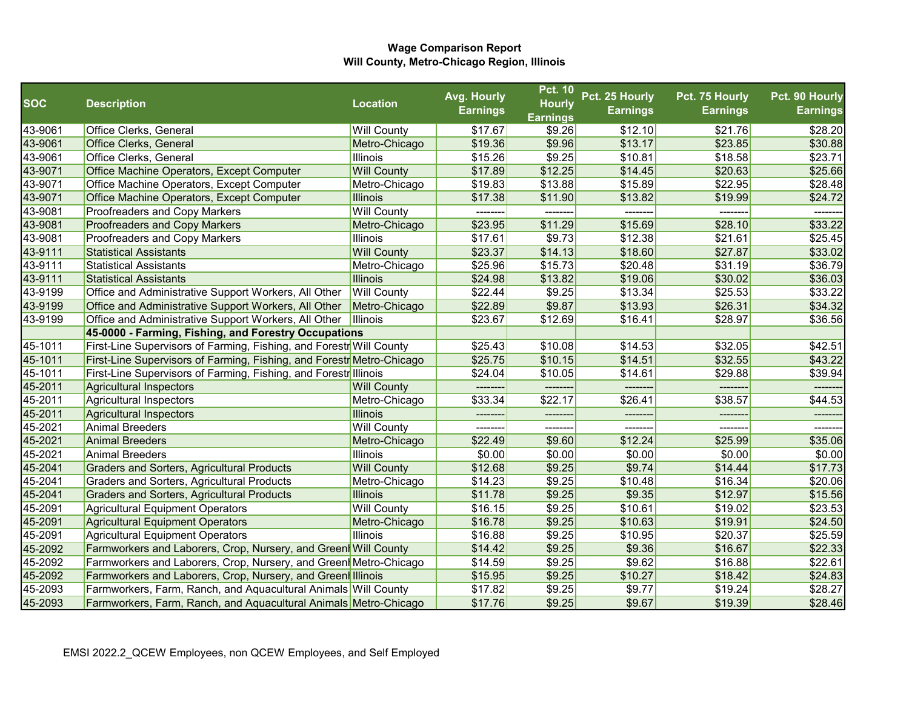|            |                                                                            |                    | Avg. Hourly     | <b>Pct. 10</b>  | Pct. 25 Hourly  | Pct. 75 Hourly  | Pct. 90 Hourly  |
|------------|----------------------------------------------------------------------------|--------------------|-----------------|-----------------|-----------------|-----------------|-----------------|
| <b>SOC</b> | <b>Description</b>                                                         | <b>Location</b>    | <b>Earnings</b> | <b>Hourly</b>   | <b>Earnings</b> | <b>Earnings</b> | <b>Earnings</b> |
|            |                                                                            |                    |                 | <b>Earnings</b> |                 |                 |                 |
| 43-9061    | Office Clerks, General                                                     | <b>Will County</b> | \$17.67         | \$9.26          | \$12.10         | \$21.76         | \$28.20         |
| 43-9061    | <b>Office Clerks, General</b>                                              | Metro-Chicago      | \$19.36         | \$9.96          | \$13.17         | \$23.85         | \$30.88         |
| 43-9061    | Office Clerks, General                                                     | <b>Illinois</b>    | \$15.26         | \$9.25          | \$10.81         | \$18.58         | \$23.71         |
| 43-9071    | Office Machine Operators, Except Computer                                  | <b>Will County</b> | \$17.89         | \$12.25         | \$14.45         | \$20.63         | \$25.66         |
| 43-9071    | Office Machine Operators, Except Computer                                  | Metro-Chicago      | \$19.83         | \$13.88         | \$15.89         | \$22.95         | \$28.48         |
| 43-9071    | Office Machine Operators, Except Computer                                  | <b>Illinois</b>    | \$17.38         | \$11.90         | \$13.82         | \$19.99         | \$24.72         |
| 43-9081    | <b>Proofreaders and Copy Markers</b>                                       | <b>Will County</b> |                 |                 |                 |                 |                 |
| 43-9081    | <b>Proofreaders and Copy Markers</b>                                       | Metro-Chicago      | \$23.95         | \$11.29         | \$15.69         | \$28.10         | \$33.22         |
| 43-9081    | <b>Proofreaders and Copy Markers</b>                                       | <b>Illinois</b>    | \$17.61         | \$9.73          | \$12.38         | \$21.61         | \$25.45         |
| 43-9111    | <b>Statistical Assistants</b>                                              | <b>Will County</b> | \$23.37         | \$14.13         | \$18.60         | \$27.87         | \$33.02         |
| 43-9111    | <b>Statistical Assistants</b>                                              | Metro-Chicago      | \$25.96         | \$15.73         | \$20.48         | \$31.19         | \$36.79         |
| 43-9111    | <b>Statistical Assistants</b>                                              | <b>Illinois</b>    | \$24.98         | \$13.82         | \$19.06         | \$30.02         | \$36.03         |
| 43-9199    | Office and Administrative Support Workers, All Other                       | <b>Will County</b> | \$22.44         | \$9.25          | \$13.34         | \$25.53         | \$33.22         |
| 43-9199    | Office and Administrative Support Workers, All Other                       | Metro-Chicago      | \$22.89         | \$9.87          | \$13.93         | \$26.31         | \$34.32         |
| 43-9199    | Office and Administrative Support Workers, All Other                       | <b>Illinois</b>    | \$23.67         | \$12.69         | \$16.41         | \$28.97         | \$36.56         |
|            | 45-0000 - Farming, Fishing, and Forestry Occupations                       |                    |                 |                 |                 |                 |                 |
| 45-1011    | <b>First-Line Supervisors of Farming, Fishing, and Forestr</b> Will County |                    | \$25.43         | \$10.08         | \$14.53         | \$32.05         | \$42.51         |
| 45-1011    | First-Line Supervisors of Farming, Fishing, and Forestr Metro-Chicago      |                    | \$25.75         | \$10.15         | \$14.51         | \$32.55         | \$43.22         |
| 45-1011    | <b>First-Line Supervisors of Farming, Fishing, and Forestr</b> Illinois    |                    | \$24.04         | \$10.05         | \$14.61         | \$29.88         | \$39.94         |
| 45-2011    | Agricultural Inspectors                                                    | <b>Will County</b> |                 |                 |                 |                 |                 |
| 45-2011    | Agricultural Inspectors                                                    | Metro-Chicago      | \$33.34         | \$22.17         | \$26.41         | \$38.57         | \$44.53         |
| 45-2011    | Agricultural Inspectors                                                    | <b>Illinois</b>    |                 |                 | -------         |                 |                 |
| 45-2021    | <b>Animal Breeders</b>                                                     | <b>Will County</b> | ---------       | ---------       | --------        | -------         | -------         |
| 45-2021    | <b>Animal Breeders</b>                                                     | Metro-Chicago      | \$22.49         | \$9.60          | \$12.24         | \$25.99         | \$35.06         |
| 45-2021    | <b>Animal Breeders</b>                                                     | <b>Illinois</b>    | \$0.00          | \$0.00          | \$0.00          | \$0.00          | \$0.00          |
| 45-2041    | <b>Graders and Sorters, Agricultural Products</b>                          | <b>Will County</b> | \$12.68         | \$9.25          | \$9.74          | \$14.44         | \$17.73         |
| 45-2041    | Graders and Sorters, Agricultural Products                                 | Metro-Chicago      | \$14.23         | \$9.25          | \$10.48         | \$16.34         | \$20.06         |
| 45-2041    | <b>Graders and Sorters, Agricultural Products</b>                          | <b>Illinois</b>    | \$11.78         | \$9.25          | \$9.35          | \$12.97         | \$15.56         |
| 45-2091    | Agricultural Equipment Operators                                           | <b>Will County</b> | \$16.15         | \$9.25          | \$10.61         | \$19.02         | \$23.53         |
| 45-2091    | Agricultural Equipment Operators                                           | Metro-Chicago      | \$16.78         | \$9.25          | \$10.63         | \$19.91         | \$24.50         |
| 45-2091    | Agricultural Equipment Operators                                           | <b>Illinois</b>    | \$16.88         | \$9.25          | \$10.95         | \$20.37         | \$25.59         |
| 45-2092    | Farmworkers and Laborers, Crop, Nursery, and Green Will County             |                    | \$14.42         | \$9.25          | \$9.36          | \$16.67         | \$22.33         |
| 45-2092    | Farmworkers and Laborers, Crop, Nursery, and Green Metro-Chicago           |                    | \$14.59         | \$9.25          | \$9.62          | \$16.88         | \$22.61         |
| 45-2092    | Farmworkers and Laborers, Crop, Nursery, and Green Illinois                |                    | \$15.95         | \$9.25          | \$10.27         | \$18.42         | \$24.83         |
| 45-2093    | <b>Farmworkers, Farm, Ranch, and Aquacultural Animals Will County</b>      |                    | \$17.82         | \$9.25          | \$9.77          | \$19.24         | \$28.27         |
| 45-2093    | Farmworkers, Farm, Ranch, and Aquacultural Animals Metro-Chicago           |                    | \$17.76         | \$9.25          | \$9.67          | \$19.39         | \$28.46         |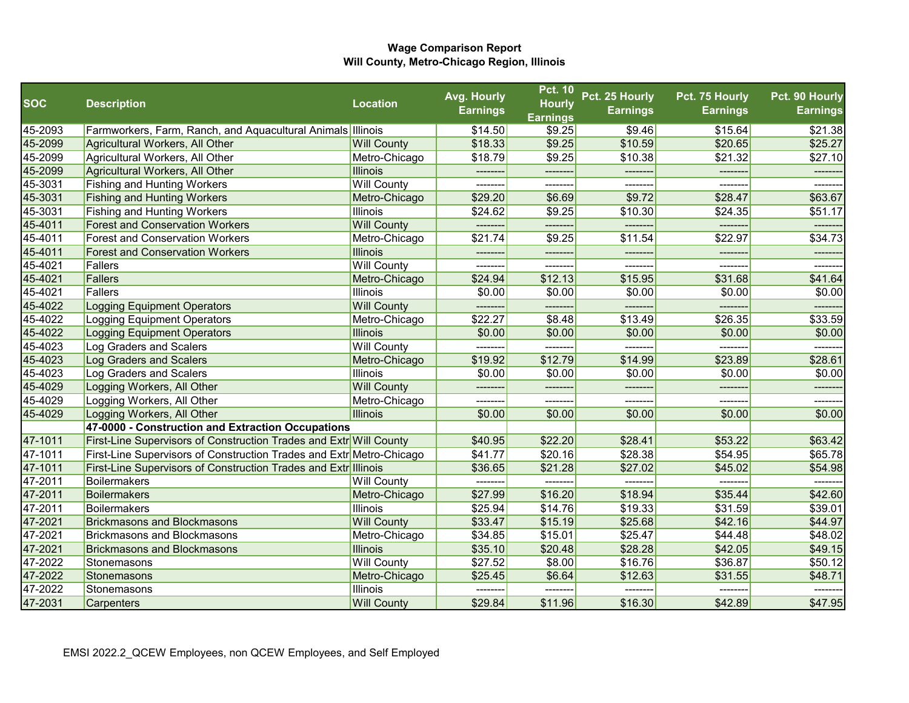|            |                                                                             |                    | Avg. Hourly     | <b>Pct. 10</b>                   | Pct. 25 Hourly  | Pct. 75 Hourly  | Pct. 90 Hourly  |
|------------|-----------------------------------------------------------------------------|--------------------|-----------------|----------------------------------|-----------------|-----------------|-----------------|
| <b>SOC</b> | <b>Description</b>                                                          | <b>Location</b>    | <b>Earnings</b> | <b>Hourly</b><br><b>Earnings</b> | <b>Earnings</b> | <b>Earnings</b> | <b>Earnings</b> |
| 45-2093    | <b>Farmworkers, Farm, Ranch, and Aquacultural Animals Illinois</b>          |                    | \$14.50         | \$9.25                           | \$9.46          | \$15.64         | \$21.38         |
| 45-2099    | Agricultural Workers, All Other                                             | <b>Will County</b> | \$18.33         | \$9.25                           | \$10.59         | \$20.65         | \$25.27         |
| 45-2099    | Agricultural Workers, All Other                                             | Metro-Chicago      | \$18.79         | \$9.25                           | \$10.38         | \$21.32         | \$27.10         |
| 45-2099    | Agricultural Workers, All Other                                             | <b>Illinois</b>    |                 | --------                         |                 |                 |                 |
| 45-3031    | <b>Fishing and Hunting Workers</b>                                          | <b>Will County</b> | -------         | --------                         | -------         | -------         | -------         |
| 45-3031    | <b>Fishing and Hunting Workers</b>                                          | Metro-Chicago      | \$29.20         | \$6.69                           | \$9.72          | \$28.47         | \$63.67         |
| 45-3031    | <b>Fishing and Hunting Workers</b>                                          | <b>Illinois</b>    | \$24.62         | \$9.25                           | \$10.30         | \$24.35         | \$51.17         |
| 45-4011    | <b>Forest and Conservation Workers</b>                                      | <b>Will County</b> |                 | --------                         | -------         |                 |                 |
| 45-4011    | <b>Forest and Conservation Workers</b>                                      | Metro-Chicago      | \$21.74         | \$9.25                           | \$11.54         | \$22.97         | \$34.73         |
| 45-4011    | <b>Forest and Conservation Workers</b>                                      | <b>Illinois</b>    |                 |                                  |                 |                 |                 |
| 45-4021    | Fallers                                                                     | <b>Will County</b> | --------        | --------                         | --------        | -------         | -------         |
| 45-4021    | Fallers                                                                     | Metro-Chicago      | \$24.94         | \$12.13                          | \$15.95         | \$31.68         | \$41.64         |
| 45-4021    | Fallers                                                                     | <b>Illinois</b>    | \$0.00          | \$0.00                           | \$0.00          | \$0.00          | \$0.00          |
| 45-4022    | <b>Logging Equipment Operators</b>                                          | <b>Will County</b> | --------        |                                  | ------          | ----            |                 |
| 45-4022    | Logging Equipment Operators                                                 | Metro-Chicago      | \$22.27         | \$8.48                           | \$13.49         | \$26.35         | \$33.59         |
| 45-4022    | <b>Logging Equipment Operators</b>                                          | <b>Illinois</b>    | \$0.00          | \$0.00                           | \$0.00          | \$0.00          | \$0.00          |
| 45-4023    | Log Graders and Scalers                                                     | <b>Will County</b> | ---------       | --------                         | -------         | --------        |                 |
| 45-4023    | Log Graders and Scalers                                                     | Metro-Chicago      | \$19.92         | \$12.79                          | \$14.99         | \$23.89         | \$28.61         |
| 45-4023    | Log Graders and Scalers                                                     | <b>Illinois</b>    | \$0.00          | \$0.00                           | \$0.00          | \$0.00          | \$0.00          |
| 45-4029    | Logging Workers, All Other                                                  | <b>Will County</b> |                 |                                  | -------         |                 |                 |
| 45-4029    | Logging Workers, All Other                                                  | Metro-Chicago      |                 |                                  |                 |                 |                 |
| 45-4029    | Logging Workers, All Other                                                  | Illinois           | \$0.00          | \$0.00                           | \$0.00          | \$0.00          | \$0.00          |
|            | 47-0000 - Construction and Extraction Occupations                           |                    |                 |                                  |                 |                 |                 |
| 47-1011    | First-Line Supervisors of Construction Trades and Extro Will County         |                    | \$40.95         | \$22.20                          | \$28.41         | \$53.22         | \$63.42         |
| 47-1011    | <b>First-Line Supervisors of Construction Trades and Extr</b> Metro-Chicago |                    | \$41.77         | \$20.16                          | \$28.38         | \$54.95         | \$65.78         |
| 47-1011    | <b>First-Line Supervisors of Construction Trades and Extre</b> Illinois     |                    | \$36.65         | \$21.28                          | \$27.02         | \$45.02         | \$54.98         |
| 47-2011    | Boilermakers                                                                | <b>Will County</b> |                 |                                  | -------         |                 |                 |
| 47-2011    | Boilermakers                                                                | Metro-Chicago      | \$27.99         | \$16.20                          | \$18.94         | \$35.44         | \$42.60         |
| 47-2011    | Boilermakers                                                                | <b>Illinois</b>    | \$25.94         | \$14.76                          | \$19.33         | \$31.59         | \$39.01         |
| 47-2021    | <b>Brickmasons and Blockmasons</b>                                          | <b>Will County</b> | \$33.47         | \$15.19                          | \$25.68         | \$42.16         | \$44.97         |
| 47-2021    | <b>Brickmasons and Blockmasons</b>                                          | Metro-Chicago      | \$34.85         | \$15.01                          | \$25.47         | \$44.48         | \$48.02         |
| 47-2021    | <b>Brickmasons and Blockmasons</b>                                          | <b>Illinois</b>    | \$35.10         | \$20.48                          | \$28.28         | \$42.05         | \$49.15         |
| 47-2022    | Stonemasons                                                                 | <b>Will County</b> | \$27.52         | \$8.00                           | \$16.76         | \$36.87         | \$50.12         |
| 47-2022    | Stonemasons                                                                 | Metro-Chicago      | \$25.45         | \$6.64                           | \$12.63         | \$31.55         | \$48.71         |
| 47-2022    | Stonemasons                                                                 | Illinois           |                 |                                  |                 |                 |                 |
| 47-2031    | Carpenters                                                                  | <b>Will County</b> | \$29.84         | \$11.96                          | \$16.30         | \$42.89         | \$47.95         |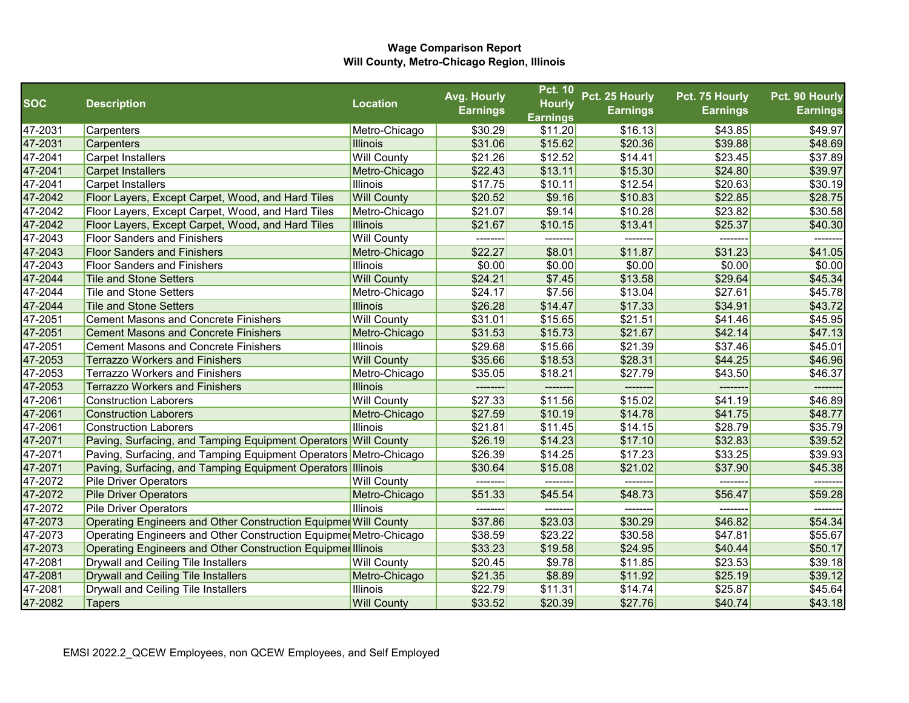|            |                                                                   |                    | Avg. Hourly     | <b>Pct. 10</b>  | Pct. 25 Hourly  | Pct. 75 Hourly  | Pct. 90 Hourly  |
|------------|-------------------------------------------------------------------|--------------------|-----------------|-----------------|-----------------|-----------------|-----------------|
| <b>SOC</b> | <b>Description</b>                                                | <b>Location</b>    | <b>Earnings</b> | <b>Hourly</b>   | <b>Earnings</b> | <b>Earnings</b> | <b>Earnings</b> |
|            |                                                                   |                    |                 | <b>Earnings</b> |                 |                 |                 |
| 47-2031    | Carpenters                                                        | Metro-Chicago      | \$30.29         | \$11.20         | \$16.13         | \$43.85         | \$49.97         |
| 47-2031    | Carpenters                                                        | <b>Illinois</b>    | \$31.06         | \$15.62         | \$20.36         | \$39.88         | \$48.69         |
| 47-2041    | <b>Carpet Installers</b>                                          | <b>Will County</b> | \$21.26         | \$12.52         | \$14.41         | \$23.45         | \$37.89         |
| 47-2041    | <b>Carpet Installers</b>                                          | Metro-Chicago      | \$22.43         | \$13.11         | \$15.30         | \$24.80         | \$39.97         |
| 47-2041    | <b>Carpet Installers</b>                                          | Illinois           | \$17.75         | \$10.11         | \$12.54         | \$20.63         | \$30.19         |
| 47-2042    | Floor Layers, Except Carpet, Wood, and Hard Tiles                 | <b>Will County</b> | \$20.52         | \$9.16          | \$10.83         | \$22.85         | \$28.75         |
| 47-2042    | Floor Layers, Except Carpet, Wood, and Hard Tiles                 | Metro-Chicago      | \$21.07         | \$9.14          | \$10.28         | \$23.82         | \$30.58         |
| 47-2042    | Floor Layers, Except Carpet, Wood, and Hard Tiles                 | <b>Illinois</b>    | \$21.67         | \$10.15         | \$13.41         | \$25.37         | \$40.30         |
| 47-2043    | <b>Floor Sanders and Finishers</b>                                | <b>Will County</b> | --------        | --------        | -------         | --------        | --------        |
| 47-2043    | <b>Floor Sanders and Finishers</b>                                | Metro-Chicago      | \$22.27         | \$8.01          | \$11.87         | \$31.23         | \$41.05         |
| 47-2043    | <b>Floor Sanders and Finishers</b>                                | Illinois           | \$0.00          | \$0.00          | \$0.00          | \$0.00          | \$0.00          |
| 47-2044    | <b>Tile and Stone Setters</b>                                     | <b>Will County</b> | \$24.21         | \$7.45          | \$13.58         | \$29.64         | \$45.34         |
| 47-2044    | <b>Tile and Stone Setters</b>                                     | Metro-Chicago      | \$24.17         | \$7.56          | \$13.04         | \$27.61         | \$45.78         |
| 47-2044    | <b>Tile and Stone Setters</b>                                     | <b>Illinois</b>    | \$26.28         | \$14.47         | \$17.33         | \$34.91         | \$43.72         |
| 47-2051    | <b>Cement Masons and Concrete Finishers</b>                       | <b>Will County</b> | \$31.01         | \$15.65         | \$21.51         | \$41.46         | \$45.95         |
| 47-2051    | <b>Cement Masons and Concrete Finishers</b>                       | Metro-Chicago      | \$31.53         | \$15.73         | \$21.67         | \$42.14         | \$47.13         |
| 47-2051    | <b>Cement Masons and Concrete Finishers</b>                       | Illinois           | \$29.68         | \$15.66         | \$21.39         | \$37.46         | \$45.01         |
| 47-2053    | <b>Terrazzo Workers and Finishers</b>                             | <b>Will County</b> | \$35.66         | \$18.53         | \$28.31         | \$44.25         | \$46.96         |
| 47-2053    | <b>Terrazzo Workers and Finishers</b>                             | Metro-Chicago      | \$35.05         | \$18.21         | \$27.79         | \$43.50         | \$46.37         |
| 47-2053    | <b>Terrazzo Workers and Finishers</b>                             | <b>Illinois</b>    |                 |                 |                 | -------         |                 |
| 47-2061    | <b>Construction Laborers</b>                                      | <b>Will County</b> | \$27.33         | \$11.56         | \$15.02         | \$41.19         | \$46.89         |
| 47-2061    | <b>Construction Laborers</b>                                      | Metro-Chicago      | \$27.59         | \$10.19         | \$14.78         | \$41.75         | \$48.77         |
| 47-2061    | <b>Construction Laborers</b>                                      | Illinois           | \$21.81         | \$11.45         | \$14.15         | \$28.79         | \$35.79         |
| 47-2071    | Paving, Surfacing, and Tamping Equipment Operators Will County    |                    | \$26.19         | \$14.23         | \$17.10         | \$32.83         | \$39.52         |
| 47-2071    | Paving, Surfacing, and Tamping Equipment Operators Metro-Chicago  |                    | \$26.39         | \$14.25         | \$17.23         | \$33.25         | \$39.93         |
| 47-2071    | Paving, Surfacing, and Tamping Equipment Operators Illinois       |                    | \$30.64         | \$15.08         | \$21.02         | \$37.90         | \$45.38         |
| 47-2072    | <b>Pile Driver Operators</b>                                      | <b>Will County</b> | --------        | --------        | -------         | --------        | -------         |
| 47-2072    | <b>Pile Driver Operators</b>                                      | Metro-Chicago      | \$51.33         | \$45.54         | \$48.73         | \$56.47         | \$59.28         |
| 47-2072    | <b>Pile Driver Operators</b>                                      | Illinois           | --------        |                 | -------         | --------        | -------         |
| 47-2073    | Operating Engineers and Other Construction Equipmer Will County   |                    | \$37.86         | \$23.03         | \$30.29         | \$46.82         | \$54.34         |
| 47-2073    | Operating Engineers and Other Construction Equipmer Metro-Chicago |                    | \$38.59         | \$23.22         | \$30.58         | \$47.81         | \$55.67         |
| 47-2073    | Operating Engineers and Other Construction Equipmer Illinois      |                    | \$33.23         | \$19.58         | \$24.95         | \$40.44         | \$50.17         |
| 47-2081    | Drywall and Ceiling Tile Installers                               | <b>Will County</b> | \$20.45         | \$9.78          | \$11.85         | \$23.53         | \$39.18         |
| 47-2081    | <b>Drywall and Ceiling Tile Installers</b>                        | Metro-Chicago      | \$21.35         | \$8.89          | \$11.92         | \$25.19         | \$39.12         |
| 47-2081    | Drywall and Ceiling Tile Installers                               | Illinois           | \$22.79         | \$11.31         | \$14.74         | \$25.87         | \$45.64         |
| 47-2082    | <b>Tapers</b>                                                     | <b>Will County</b> | \$33.52         | \$20.39         | \$27.76         | \$40.74         | \$43.18         |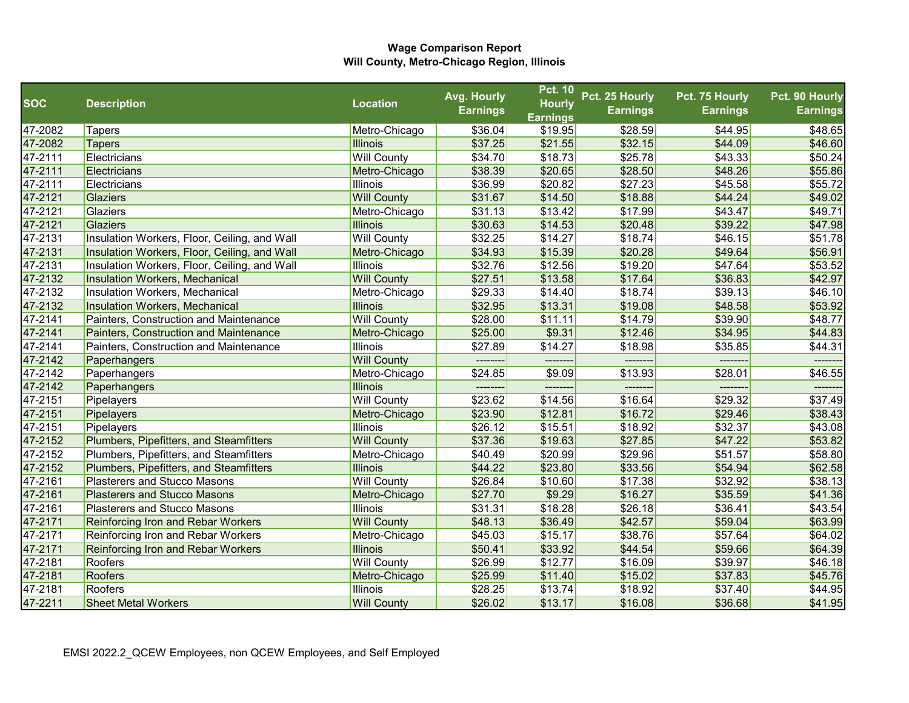|            |                                              |                    | Avg. Hourly     | <b>Pct. 10</b>  | Pct. 25 Hourly  | Pct. 75 Hourly  | Pct. 90 Hourly  |
|------------|----------------------------------------------|--------------------|-----------------|-----------------|-----------------|-----------------|-----------------|
| <b>SOC</b> | <b>Description</b>                           | <b>Location</b>    | <b>Earnings</b> | <b>Hourly</b>   | <b>Earnings</b> | <b>Earnings</b> | <b>Earnings</b> |
|            |                                              |                    |                 | <b>Earnings</b> |                 |                 |                 |
| 47-2082    | <b>Tapers</b>                                | Metro-Chicago      | \$36.04         | \$19.95         | \$28.59         | \$44.95         | \$48.65         |
| 47-2082    | <b>Tapers</b>                                | <b>Illinois</b>    | \$37.25         | \$21.55         | \$32.15         | \$44.09         | \$46.60         |
| 47-2111    | Electricians                                 | <b>Will County</b> | \$34.70         | \$18.73         | \$25.78         | \$43.33         | \$50.24         |
| 47-2111    | Electricians                                 | Metro-Chicago      | \$38.39         | \$20.65         | \$28.50         | \$48.26         | \$55.86         |
| 47-2111    | Electricians                                 | Illinois           | \$36.99         | \$20.82         | \$27.23         | \$45.58         | \$55.72         |
| 47-2121    | <b>Glaziers</b>                              | <b>Will County</b> | \$31.67         | \$14.50         | \$18.88         | \$44.24         | \$49.02         |
| 47-2121    | Glaziers                                     | Metro-Chicago      | \$31.13         | \$13.42         | \$17.99         | \$43.47         | \$49.71         |
| 47-2121    | <b>Glaziers</b>                              | <b>Illinois</b>    | \$30.63         | \$14.53         | \$20.48         | \$39.22         | \$47.98         |
| 47-2131    | Insulation Workers, Floor, Ceiling, and Wall | <b>Will County</b> | \$32.25         | \$14.27         | \$18.74         | \$46.15         | \$51.78         |
| 47-2131    | Insulation Workers, Floor, Ceiling, and Wall | Metro-Chicago      | \$34.93         | \$15.39         | \$20.28         | \$49.64         | \$56.91         |
| 47-2131    | Insulation Workers, Floor, Ceiling, and Wall | <b>Illinois</b>    | \$32.76         | \$12.56         | \$19.20         | \$47.64         | \$53.52         |
| 47-2132    | Insulation Workers, Mechanical               | <b>Will County</b> | \$27.51         | \$13.58         | \$17.64         | \$36.83         | \$42.97         |
| 47-2132    | Insulation Workers, Mechanical               | Metro-Chicago      | \$29.33         | \$14.40         | \$18.74         | \$39.13         | \$46.10         |
| 47-2132    | Insulation Workers, Mechanical               | <b>Illinois</b>    | \$32.95         | \$13.31         | \$19.08         | \$48.58         | \$53.92         |
| 47-2141    | Painters, Construction and Maintenance       | <b>Will County</b> | \$28.00         | \$11.11         | \$14.79         | \$39.90         | \$48.77         |
| 47-2141    | Painters, Construction and Maintenance       | Metro-Chicago      | \$25.00         | \$9.31          | \$12.46         | \$34.95         | \$44.83         |
| 47-2141    | Painters, Construction and Maintenance       | Illinois           | \$27.89         | \$14.27         | \$18.98         | \$35.85         | \$44.31         |
| 47-2142    | Paperhangers                                 | <b>Will County</b> | ---------       | -------         | -------         | --------        | --------        |
| 47-2142    | Paperhangers                                 | Metro-Chicago      | \$24.85         | \$9.09          | \$13.93         | \$28.01         | \$46.55         |
| 47-2142    | Paperhangers                                 | <b>Illinois</b>    |                 |                 |                 |                 |                 |
| 47-2151    | Pipelayers                                   | <b>Will County</b> | \$23.62         | \$14.56         | \$16.64         | \$29.32         | \$37.49         |
| 47-2151    | Pipelayers                                   | Metro-Chicago      | \$23.90         | \$12.81         | \$16.72         | \$29.46         | \$38.43         |
| 47-2151    | Pipelayers                                   | <b>Illinois</b>    | \$26.12         | \$15.51         | \$18.92         | \$32.37         | \$43.08         |
| 47-2152    | Plumbers, Pipefitters, and Steamfitters      | <b>Will County</b> | \$37.36         | \$19.63         | \$27.85         | \$47.22         | \$53.82         |
| 47-2152    | Plumbers, Pipefitters, and Steamfitters      | Metro-Chicago      | \$40.49         | \$20.99         | \$29.96         | \$51.57         | \$58.80         |
| 47-2152    | Plumbers, Pipefitters, and Steamfitters      | <b>Illinois</b>    | \$44.22         | \$23.80         | \$33.56         | \$54.94         | \$62.58         |
| 47-2161    | <b>Plasterers and Stucco Masons</b>          | <b>Will County</b> | \$26.84         | \$10.60         | \$17.38         | \$32.92         | \$38.13         |
| 47-2161    | <b>Plasterers and Stucco Masons</b>          | Metro-Chicago      | \$27.70         | \$9.29          | \$16.27         | \$35.59         | \$41.36         |
| 47-2161    | <b>Plasterers and Stucco Masons</b>          | <b>Illinois</b>    | \$31.31         | \$18.28         | \$26.18         | \$36.41         | \$43.54         |
| 47-2171    | Reinforcing Iron and Rebar Workers           | <b>Will County</b> | \$48.13         | \$36.49         | \$42.57         | \$59.04         | \$63.99         |
| 47-2171    | Reinforcing Iron and Rebar Workers           | Metro-Chicago      | \$45.03         | \$15.17         | \$38.76         | \$57.64         | \$64.02         |
| 47-2171    | Reinforcing Iron and Rebar Workers           | <b>Illinois</b>    | \$50.41         | \$33.92         | \$44.54         | \$59.66         | \$64.39         |
| 47-2181    | Roofers                                      | <b>Will County</b> | \$26.99         | \$12.77         | \$16.09         | \$39.97         | \$46.18         |
| 47-2181    | <b>Roofers</b>                               | Metro-Chicago      | \$25.99         | \$11.40         | \$15.02         | \$37.83         | \$45.76         |
| 47-2181    | Roofers                                      | <b>Illinois</b>    | \$28.25         | \$13.74         | \$18.92         | \$37.40         | \$44.95         |
| 47-2211    | <b>Sheet Metal Workers</b>                   | <b>Will County</b> | \$26.02         | \$13.17         | \$16.08         | \$36.68         | \$41.95         |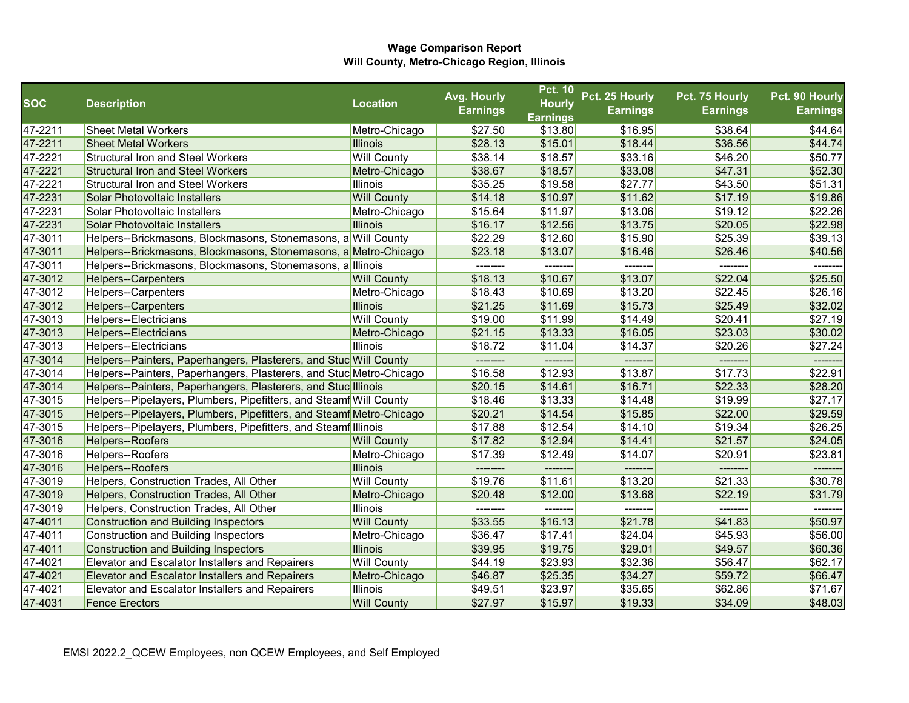|            |                                                                      |                    | Avg. Hourly     | <b>Pct. 10</b>  | Pct. 25 Hourly  | Pct. 75 Hourly  | Pct. 90 Hourly  |
|------------|----------------------------------------------------------------------|--------------------|-----------------|-----------------|-----------------|-----------------|-----------------|
| <b>SOC</b> | <b>Description</b>                                                   | <b>Location</b>    | <b>Earnings</b> | <b>Hourly</b>   | <b>Earnings</b> | <b>Earnings</b> | <b>Earnings</b> |
|            |                                                                      |                    |                 | <b>Earnings</b> |                 |                 |                 |
| 47-2211    | <b>Sheet Metal Workers</b>                                           | Metro-Chicago      | \$27.50         | \$13.80         | \$16.95         | \$38.64         | \$44.64         |
| 47-2211    | <b>Sheet Metal Workers</b>                                           | <b>Illinois</b>    | \$28.13         | \$15.01         | \$18.44         | \$36.56         | \$44.74         |
| 47-2221    | <b>Structural Iron and Steel Workers</b>                             | <b>Will County</b> | \$38.14         | \$18.57         | \$33.16         | \$46.20         | \$50.77         |
| 47-2221    | <b>Structural Iron and Steel Workers</b>                             | Metro-Chicago      | \$38.67         | \$18.57         | \$33.08         | \$47.31         | \$52.30         |
| 47-2221    | <b>Structural Iron and Steel Workers</b>                             | <b>Illinois</b>    | \$35.25         | \$19.58         | \$27.77         | \$43.50         | \$51.31         |
| 47-2231    | Solar Photovoltaic Installers                                        | <b>Will County</b> | \$14.18         | \$10.97         | \$11.62         | \$17.19         | \$19.86         |
| 47-2231    | Solar Photovoltaic Installers                                        | Metro-Chicago      | \$15.64         | \$11.97         | \$13.06         | \$19.12         | \$22.26         |
| 47-2231    | Solar Photovoltaic Installers                                        | <b>Illinois</b>    | \$16.17         | \$12.56         | \$13.75         | \$20.05         | \$22.98         |
| 47-3011    | Helpers--Brickmasons, Blockmasons, Stonemasons, a Will County        |                    | \$22.29         | \$12.60         | \$15.90         | \$25.39         | \$39.13         |
| 47-3011    | Helpers--Brickmasons, Blockmasons, Stonemasons, a Metro-Chicago      |                    | \$23.18         | \$13.07         | \$16.46         | \$26.46         | \$40.56         |
| 47-3011    | Helpers--Brickmasons, Blockmasons, Stonemasons, a Illinois           |                    | --------        | --------        | -------         | --------        | -------         |
| 47-3012    | <b>Helpers--Carpenters</b>                                           | <b>Will County</b> | \$18.13         | \$10.67         | \$13.07         | \$22.04         | \$25.50         |
| 47-3012    | Helpers--Carpenters                                                  | Metro-Chicago      | \$18.43         | \$10.69         | \$13.20         | \$22.45         | \$26.16         |
| 47-3012    | <b>Helpers--Carpenters</b>                                           | <b>Illinois</b>    | \$21.25         | \$11.69         | \$15.73         | \$25.49         | \$32.02         |
| 47-3013    | Helpers--Electricians                                                | <b>Will County</b> | \$19.00         | \$11.99         | \$14.49         | \$20.41         | \$27.19         |
| 47-3013    | Helpers--Electricians                                                | Metro-Chicago      | \$21.15         | \$13.33         | \$16.05         | \$23.03         | \$30.02         |
| 47-3013    | Helpers--Electricians                                                | Illinois           | \$18.72         | \$11.04         | \$14.37         | \$20.26         | \$27.24         |
| 47-3014    | Helpers--Painters, Paperhangers, Plasterers, and Stuc Will County    |                    |                 |                 |                 |                 |                 |
| 47-3014    | Helpers--Painters, Paperhangers, Plasterers, and Stuc Metro-Chicago  |                    | \$16.58         | \$12.93         | \$13.87         | \$17.73         | \$22.91         |
| 47-3014    | Helpers--Painters, Paperhangers, Plasterers, and Stuc Illinois       |                    | \$20.15         | \$14.61         | \$16.71         | \$22.33         | \$28.20         |
| 47-3015    | Helpers--Pipelayers, Plumbers, Pipefitters, and Steamf Will County   |                    | \$18.46         | \$13.33         | \$14.48         | \$19.99         | \$27.17         |
| 47-3015    | Helpers--Pipelayers, Plumbers, Pipefitters, and Steamf Metro-Chicago |                    | \$20.21         | \$14.54         | \$15.85         | \$22.00         | \$29.59         |
| 47-3015    | Helpers--Pipelayers, Plumbers, Pipefitters, and Steamf Illinois      |                    | \$17.88         | \$12.54         | \$14.10         | \$19.34         | \$26.25         |
| 47-3016    | Helpers--Roofers                                                     | <b>Will County</b> | \$17.82         | \$12.94         | \$14.41         | \$21.57         | \$24.05         |
| 47-3016    | Helpers--Roofers                                                     | Metro-Chicago      | \$17.39         | \$12.49         | \$14.07         | \$20.91         | \$23.81         |
| 47-3016    | Helpers--Roofers                                                     | <b>Illinois</b>    |                 |                 |                 |                 |                 |
| 47-3019    | Helpers, Construction Trades, All Other                              | <b>Will County</b> | \$19.76         | \$11.61         | \$13.20         | \$21.33         | \$30.78         |
| 47-3019    | Helpers, Construction Trades, All Other                              | Metro-Chicago      | \$20.48         | \$12.00         | \$13.68         | \$22.19         | \$31.79         |
| 47-3019    | Helpers, Construction Trades, All Other                              | <b>Illinois</b>    | --------        | --------        | --------        | --------        | -------         |
| 47-4011    | Construction and Building Inspectors                                 | <b>Will County</b> | \$33.55         | \$16.13         | \$21.78         | \$41.83         | \$50.97         |
| 47-4011    | <b>Construction and Building Inspectors</b>                          | Metro-Chicago      | \$36.47         | \$17.41         | \$24.04         | \$45.93         | \$56.00         |
| 47-4011    | Construction and Building Inspectors                                 | <b>Illinois</b>    | \$39.95         | \$19.75         | \$29.01         | \$49.57         | \$60.36         |
| 47-4021    | <b>Elevator and Escalator Installers and Repairers</b>               | <b>Will County</b> | \$44.19         | \$23.93         | \$32.36         | \$56.47         | \$62.17         |
| 47-4021    | <b>Elevator and Escalator Installers and Repairers</b>               | Metro-Chicago      | \$46.87         | \$25.35         | \$34.27         | \$59.72         | \$66.47         |
| 47-4021    | <b>Elevator and Escalator Installers and Repairers</b>               | <b>Illinois</b>    | \$49.51         | \$23.97         | \$35.65         | \$62.86         | \$71.67         |
| 47-4031    | <b>Fence Erectors</b>                                                | <b>Will County</b> | \$27.97         | \$15.97         | \$19.33         | \$34.09         | \$48.03         |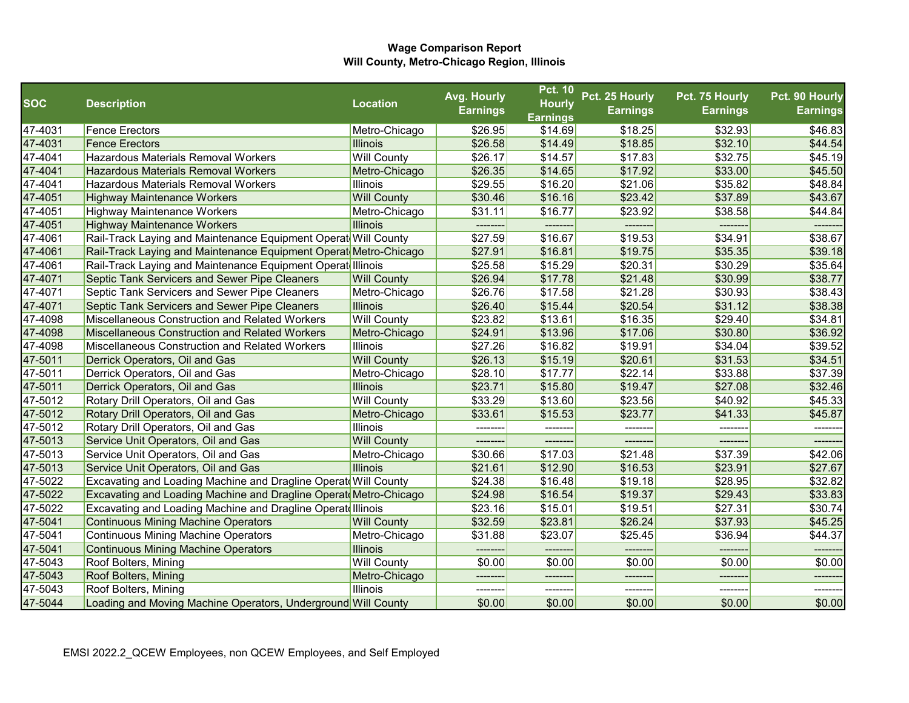|            |                                                                         |                    | Avg. Hourly     | <b>Pct. 10</b>             | Pct. 25 Hourly  | Pct. 75 Hourly  | Pct. 90 Hourly  |
|------------|-------------------------------------------------------------------------|--------------------|-----------------|----------------------------|-----------------|-----------------|-----------------|
| <b>SOC</b> | <b>Description</b>                                                      | <b>Location</b>    | <b>Earnings</b> | <b>Hourly</b>              | <b>Earnings</b> | <b>Earnings</b> | <b>Earnings</b> |
| 47-4031    | <b>Fence Erectors</b>                                                   | Metro-Chicago      | \$26.95         | <b>Earnings</b><br>\$14.69 | \$18.25         | \$32.93         | \$46.83         |
| 47-4031    | <b>Fence Erectors</b>                                                   | <b>Illinois</b>    | \$26.58         | \$14.49                    | \$18.85         | \$32.10         | \$44.54         |
| 47-4041    | Hazardous Materials Removal Workers                                     | <b>Will County</b> | \$26.17         | \$14.57                    | \$17.83         | \$32.75         | \$45.19         |
| 47-4041    | <b>Hazardous Materials Removal Workers</b>                              | Metro-Chicago      | \$26.35         | \$14.65                    | \$17.92         | \$33.00         | \$45.50         |
| 47-4041    | Hazardous Materials Removal Workers                                     | <b>Illinois</b>    | \$29.55         | \$16.20                    | \$21.06         | \$35.82         | \$48.84         |
| 47-4051    | <b>Highway Maintenance Workers</b>                                      | <b>Will County</b> | \$30.46         | \$16.16                    | \$23.42         | \$37.89         | \$43.67         |
| 47-4051    | <b>Highway Maintenance Workers</b>                                      | Metro-Chicago      | \$31.11         | \$16.77                    | \$23.92         | \$38.58         | \$44.84         |
| 47-4051    | <b>Highway Maintenance Workers</b>                                      | <b>Illinois</b>    |                 |                            |                 |                 |                 |
| 47-4061    | Rail-Track Laying and Maintenance Equipment Operat Will County          |                    | \$27.59         | \$16.67                    | \$19.53         | \$34.91         | \$38.67         |
| 47-4061    | Rail-Track Laying and Maintenance Equipment Operat Metro-Chicago        |                    | \$27.91         | \$16.81                    | \$19.75         | \$35.35         | \$39.18         |
| 47-4061    | Rail-Track Laying and Maintenance Equipment Operat Illinois             |                    | \$25.58         | \$15.29                    | \$20.31         | \$30.29         | \$35.64         |
| 47-4071    | Septic Tank Servicers and Sewer Pipe Cleaners                           | <b>Will County</b> | \$26.94         | \$17.78                    | \$21.48         | \$30.99         | \$38.77         |
| 47-4071    | Septic Tank Servicers and Sewer Pipe Cleaners                           | Metro-Chicago      | \$26.76         | \$17.58                    | \$21.28         | \$30.93         | \$38.43         |
| 47-4071    | <b>Septic Tank Servicers and Sewer Pipe Cleaners</b>                    | <b>Illinois</b>    | \$26.40         | \$15.44                    | \$20.54         | \$31.12         | \$38.38         |
| 47-4098    | Miscellaneous Construction and Related Workers                          | <b>Will County</b> | \$23.82         | \$13.61                    | \$16.35         | \$29.40         | \$34.81         |
| 47-4098    | Miscellaneous Construction and Related Workers                          | Metro-Chicago      | \$24.91         | \$13.96                    | \$17.06         | \$30.80         | \$36.92         |
| 47-4098    | Miscellaneous Construction and Related Workers                          | <b>Illinois</b>    | \$27.26         | \$16.82                    | \$19.91         | \$34.04         | \$39.52         |
| 47-5011    | Derrick Operators, Oil and Gas                                          | <b>Will County</b> | \$26.13         | \$15.19                    | \$20.61         | \$31.53         | \$34.51         |
| 47-5011    | Derrick Operators, Oil and Gas                                          | Metro-Chicago      | \$28.10         | \$17.77                    | \$22.14         | \$33.88         | \$37.39         |
| 47-5011    | Derrick Operators, Oil and Gas                                          | <b>Illinois</b>    | \$23.71         | \$15.80                    | \$19.47         | \$27.08         | \$32.46         |
| 47-5012    | Rotary Drill Operators, Oil and Gas                                     | <b>Will County</b> | \$33.29         | \$13.60                    | \$23.56         | \$40.92         | \$45.33         |
| 47-5012    | Rotary Drill Operators, Oil and Gas                                     | Metro-Chicago      | \$33.61         | \$15.53                    | \$23.77         | \$41.33         | \$45.87         |
| 47-5012    | Rotary Drill Operators, Oil and Gas                                     | <b>Illinois</b>    | --------        |                            | -------         |                 |                 |
| 47-5013    | Service Unit Operators, Oil and Gas                                     | <b>Will County</b> |                 |                            |                 |                 |                 |
| 47-5013    | Service Unit Operators, Oil and Gas                                     | Metro-Chicago      | \$30.66         | \$17.03                    | \$21.48         | \$37.39         | \$42.06         |
| 47-5013    | Service Unit Operators, Oil and Gas                                     | <b>Illinois</b>    | \$21.61         | \$12.90                    | \$16.53         | \$23.91         | \$27.67         |
| 47-5022    | <b>Excavating and Loading Machine and Dragline Operat Will County</b>   |                    | \$24.38         | \$16.48                    | \$19.18         | \$28.95         | \$32.82         |
| 47-5022    | <b>Excavating and Loading Machine and Dragline Operat Metro-Chicago</b> |                    | \$24.98         | \$16.54                    | \$19.37         | \$29.43         | \$33.83         |
| 47-5022    | <b>Excavating and Loading Machine and Dragline Operate Illinois</b>     |                    | \$23.16         | \$15.01                    | \$19.51         | \$27.31         | \$30.74         |
| 47-5041    | Continuous Mining Machine Operators                                     | <b>Will County</b> | \$32.59         | \$23.81                    | \$26.24         | \$37.93         | \$45.25         |
| 47-5041    | Continuous Mining Machine Operators                                     | Metro-Chicago      | \$31.88         | \$23.07                    | \$25.45         | \$36.94         | \$44.37         |
| 47-5041    | <b>Continuous Mining Machine Operators</b>                              | <b>Illinois</b>    |                 |                            |                 |                 |                 |
| 47-5043    | Roof Bolters, Mining                                                    | <b>Will County</b> | \$0.00          | \$0.00                     | \$0.00          | \$0.00          | \$0.00          |
| 47-5043    | Roof Bolters, Mining                                                    | Metro-Chicago      |                 |                            | -------         |                 | ------          |
| 47-5043    | Roof Bolters, Mining                                                    | <b>Illinois</b>    |                 |                            | -------         |                 |                 |
| 47-5044    | Loading and Moving Machine Operators, Underground Will County           |                    | \$0.00          | \$0.00                     | \$0.00          | \$0.00          | \$0.00          |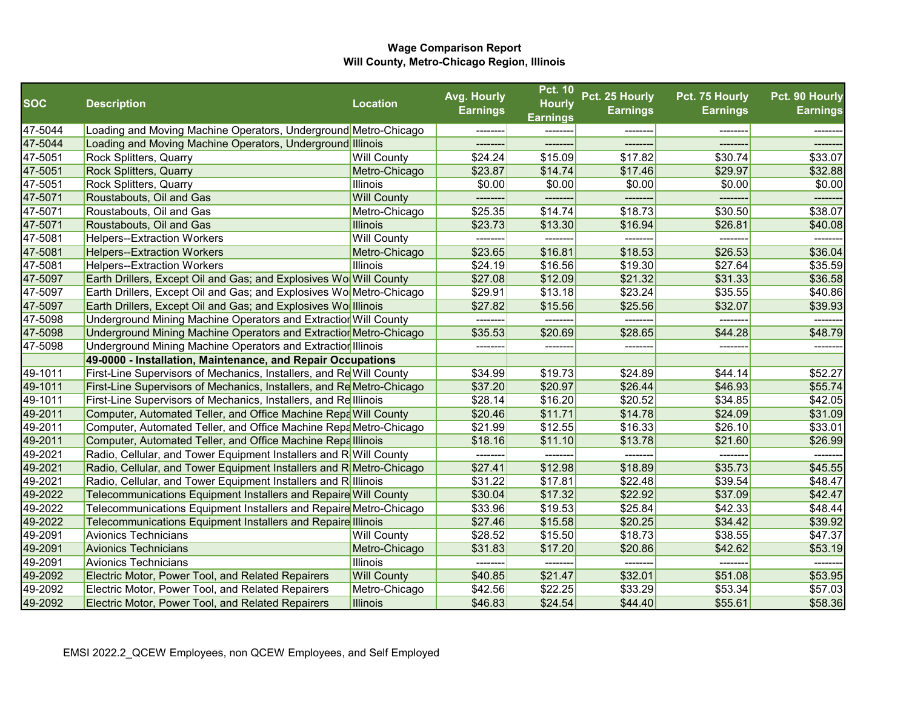|            |                                                                       |                    | Avg. Hourly     | <b>Pct. 10</b>  | Pct. 25 Hourly  | Pct. 75 Hourly  | Pct. 90 Hourly  |
|------------|-----------------------------------------------------------------------|--------------------|-----------------|-----------------|-----------------|-----------------|-----------------|
| <b>SOC</b> | <b>Description</b>                                                    | <b>Location</b>    | <b>Earnings</b> | <b>Hourly</b>   | <b>Earnings</b> | <b>Earnings</b> | <b>Earnings</b> |
|            |                                                                       |                    |                 | <b>Earnings</b> |                 |                 |                 |
| 47-5044    | Loading and Moving Machine Operators, Underground Metro-Chicago       |                    |                 |                 |                 |                 |                 |
| 47-5044    | Loading and Moving Machine Operators, Underground Illinois            |                    | --------        | --------        | -------         |                 | -------         |
| 47-5051    | Rock Splitters, Quarry                                                | <b>Will County</b> | \$24.24         | \$15.09         | \$17.82         | \$30.74         | \$33.07         |
| 47-5051    | <b>Rock Splitters, Quarry</b>                                         | Metro-Chicago      | \$23.87         | \$14.74         | \$17.46         | \$29.97         | \$32.88         |
| 47-5051    | Rock Splitters, Quarry                                                | Illinois           | \$0.00          | \$0.00          | \$0.00          | \$0.00          | \$0.00          |
| 47-5071    | Roustabouts, Oil and Gas                                              | <b>Will County</b> |                 |                 | -------         | --------        | -------         |
| 47-5071    | Roustabouts, Oil and Gas                                              | Metro-Chicago      | \$25.35         | \$14.74         | \$18.73         | \$30.50         | \$38.07         |
| 47-5071    | Roustabouts, Oil and Gas                                              | <b>Illinois</b>    | \$23.73         | \$13.30         | \$16.94         | \$26.81         | \$40.08         |
| 47-5081    | <b>Helpers--Extraction Workers</b>                                    | <b>Will County</b> | --------        | --------        | --------        | --------        | --------        |
| 47-5081    | <b>Helpers--Extraction Workers</b>                                    | Metro-Chicago      | \$23.65         | \$16.81         | \$18.53         | \$26.53         | \$36.04         |
| 47-5081    | <b>Helpers--Extraction Workers</b>                                    | Illinois           | \$24.19         | \$16.56         | \$19.30         | \$27.64         | \$35.59         |
| 47-5097    | Earth Drillers, Except Oil and Gas; and Explosives Wo Will County     |                    | \$27.08         | \$12.09         | \$21.32         | \$31.33         | \$36.58         |
| 47-5097    | Earth Drillers, Except Oil and Gas; and Explosives Wo Metro-Chicago   |                    | \$29.91         | \$13.18         | \$23.24         | \$35.55         | \$40.86         |
| 47-5097    | Earth Drillers, Except Oil and Gas; and Explosives Wolllinois         |                    | \$27.82         | \$15.56         | \$25.56         | \$32.07         | \$39.93         |
| 47-5098    | Underground Mining Machine Operators and Extractior Will County       |                    | --------        | --------        | --------        | ---------       | -------         |
| 47-5098    | Underground Mining Machine Operators and Extractior Metro-Chicago     |                    | \$35.53         | \$20.69         | \$28.65         | \$44.28         | \$48.79         |
| 47-5098    | Underground Mining Machine Operators and Extractior Illinois          |                    | --------        | --------        | -------         | --------        |                 |
|            | 49-0000 - Installation, Maintenance, and Repair Occupations           |                    |                 |                 |                 |                 |                 |
| 49-1011    | First-Line Supervisors of Mechanics, Installers, and Re Will County   |                    | \$34.99         | \$19.73         | \$24.89         | \$44.14         | \$52.27         |
| 49-1011    | First-Line Supervisors of Mechanics, Installers, and Re Metro-Chicago |                    | \$37.20         | \$20.97         | \$26.44         | \$46.93         | \$55.74         |
| 49-1011    | First-Line Supervisors of Mechanics, Installers, and Relllinois       |                    | \$28.14         | \$16.20         | \$20.52         | \$34.85         | \$42.05         |
| 49-2011    | Computer, Automated Teller, and Office Machine Repa Will County       |                    | \$20.46         | \$11.71         | \$14.78         | \$24.09         | \$31.09         |
| 49-2011    | Computer, Automated Teller, and Office Machine Repa Metro-Chicago     |                    | \$21.99         | \$12.55         | \$16.33         | \$26.10         | \$33.01         |
| 49-2011    | Computer, Automated Teller, and Office Machine Repalllinois           |                    | \$18.16         | \$11.10         | \$13.78         | \$21.60         | \$26.99         |
| 49-2021    | Radio, Cellular, and Tower Equipment Installers and R Will County     |                    |                 |                 |                 |                 |                 |
| 49-2021    | Radio, Cellular, and Tower Equipment Installers and R Metro-Chicago   |                    | \$27.41         | \$12.98         | \$18.89         | \$35.73         | \$45.55         |
| 49-2021    | Radio, Cellular, and Tower Equipment Installers and Relllinois        |                    | \$31.22         | \$17.81         | \$22.48         | \$39.54         | \$48.47         |
| 49-2022    | Telecommunications Equipment Installers and Repaire Will County       |                    | \$30.04         | \$17.32         | \$22.92         | \$37.09         | \$42.47         |
| 49-2022    | Telecommunications Equipment Installers and Repaire Metro-Chicago     |                    | \$33.96         | \$19.53         | \$25.84         | \$42.33         | \$48.44         |
| 49-2022    | Telecommunications Equipment Installers and Repaire Illinois          |                    | \$27.46         | \$15.58         | \$20.25         | \$34.42         | \$39.92         |
| 49-2091    | <b>Avionics Technicians</b>                                           | <b>Will County</b> | \$28.52         | \$15.50         | \$18.73         | \$38.55         | \$47.37         |
| 49-2091    | <b>Avionics Technicians</b>                                           | Metro-Chicago      | \$31.83         | \$17.20         | \$20.86         | \$42.62         | \$53.19         |
| 49-2091    | <b>Avionics Technicians</b>                                           | Illinois           | --------        | --------        | --------        | ---------       | --------        |
| 49-2092    | Electric Motor, Power Tool, and Related Repairers                     | <b>Will County</b> | \$40.85         | \$21.47         | \$32.01         | \$51.08         | \$53.95         |
| 49-2092    | Electric Motor, Power Tool, and Related Repairers                     | Metro-Chicago      | \$42.56         | \$22.25         | \$33.29         | \$53.34         | \$57.03         |
| 49-2092    | Electric Motor, Power Tool, and Related Repairers                     | <b>Illinois</b>    | \$46.83         | \$24.54         | \$44.40         | \$55.61         | \$58.36         |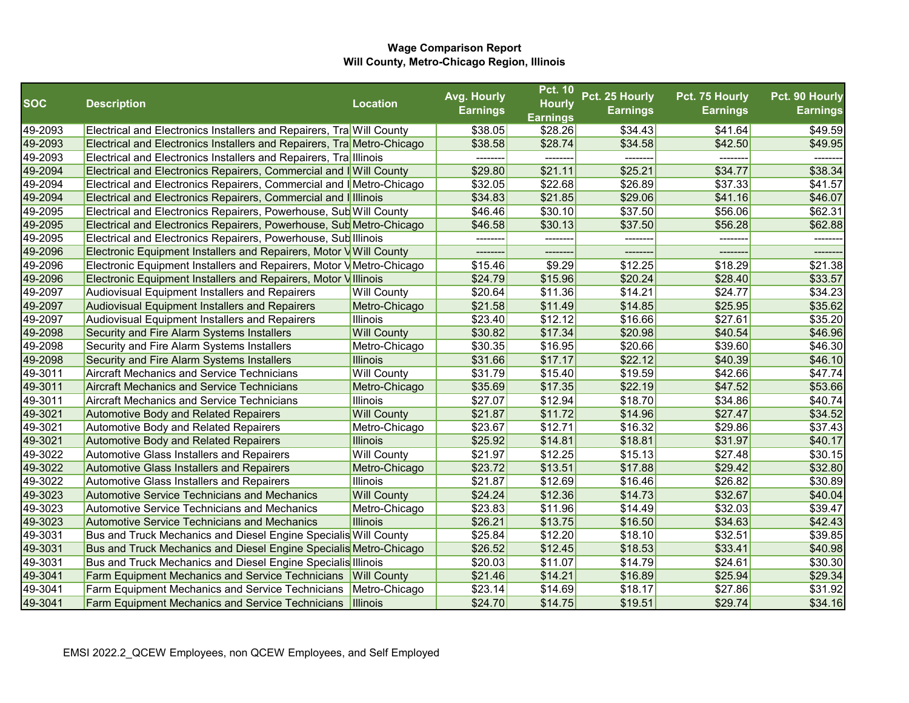|            |                                                                        |                    | Avg. Hourly     | <b>Pct. 10</b>                   | Pct. 25 Hourly  | Pct. 75 Hourly  | Pct. 90 Hourly  |
|------------|------------------------------------------------------------------------|--------------------|-----------------|----------------------------------|-----------------|-----------------|-----------------|
| <b>SOC</b> | <b>Description</b>                                                     | <b>Location</b>    | <b>Earnings</b> | <b>Hourly</b><br><b>Earnings</b> | <b>Earnings</b> | <b>Earnings</b> | <b>Earnings</b> |
| 49-2093    | Electrical and Electronics Installers and Repairers, Tra Will County   |                    | \$38.05         | \$28.26                          | \$34.43         | \$41.64         | \$49.59         |
| 49-2093    | Electrical and Electronics Installers and Repairers, Tra Metro-Chicago |                    | \$38.58         | \$28.74                          | \$34.58         | \$42.50         | \$49.95         |
| 49-2093    | Electrical and Electronics Installers and Repairers, TralIllinois      |                    | --------        | --------                         | --------        | --------        | -------         |
| 49-2094    | Electrical and Electronics Repairers, Commercial and I Will County     |                    | \$29.80         | \$21.11                          | \$25.21         | \$34.77         | \$38.34         |
| 49-2094    | Electrical and Electronics Repairers, Commercial and IMetro-Chicago    |                    | \$32.05         | \$22.68                          | \$26.89         | \$37.33         | \$41.57         |
| 49-2094    | Electrical and Electronics Repairers, Commercial and Illinois          |                    | \$34.83         | \$21.85                          | \$29.06         | \$41.16         | \$46.07         |
| 49-2095    | Electrical and Electronics Repairers, Powerhouse, Sub Will County      |                    | \$46.46         | \$30.10                          | \$37.50         | \$56.06         | \$62.31         |
| 49-2095    | Electrical and Electronics Repairers, Powerhouse, Sub Metro-Chicago    |                    | \$46.58         | \$30.13                          | \$37.50         | \$56.28         | \$62.88         |
| 49-2095    | Electrical and Electronics Repairers, Powerhouse, Sub Illinois         |                    | --------        | --------                         | -------         | --------        | -------         |
| 49-2096    | Electronic Equipment Installers and Repairers, Motor V Will County     |                    |                 |                                  |                 |                 |                 |
| 49-2096    | Electronic Equipment Installers and Repairers, Motor VMetro-Chicago    |                    | \$15.46         | \$9.29                           | \$12.25         | \$18.29         | \$21.38         |
| 49-2096    | Electronic Equipment Installers and Repairers, Motor Villinois         |                    | \$24.79         | \$15.96                          | \$20.24         | \$28.40         | \$33.57         |
| 49-2097    | Audiovisual Equipment Installers and Repairers                         | <b>Will County</b> | \$20.64         | \$11.36                          | \$14.21         | \$24.77         | \$34.23         |
| 49-2097    | <b>Audiovisual Equipment Installers and Repairers</b>                  | Metro-Chicago      | \$21.58         | \$11.49                          | \$14.85         | \$25.95         | \$35.62         |
| 49-2097    | Audiovisual Equipment Installers and Repairers                         | Illinois           | \$23.40         | \$12.12                          | \$16.66         | \$27.61         | \$35.20         |
| 49-2098    | Security and Fire Alarm Systems Installers                             | <b>Will County</b> | \$30.82         | \$17.34                          | \$20.98         | \$40.54         | \$46.96         |
| 49-2098    | Security and Fire Alarm Systems Installers                             | Metro-Chicago      | \$30.35         | \$16.95                          | \$20.66         | \$39.60         | \$46.30         |
| 49-2098    | Security and Fire Alarm Systems Installers                             | <b>Illinois</b>    | \$31.66         | \$17.17                          | \$22.12         | \$40.39         | \$46.10         |
| 49-3011    | <b>Aircraft Mechanics and Service Technicians</b>                      | <b>Will County</b> | \$31.79         | \$15.40                          | \$19.59         | \$42.66         | \$47.74         |
| 49-3011    | <b>Aircraft Mechanics and Service Technicians</b>                      | Metro-Chicago      | \$35.69         | \$17.35                          | \$22.19         | \$47.52         | \$53.66         |
| 49-3011    | <b>Aircraft Mechanics and Service Technicians</b>                      | <b>Illinois</b>    | \$27.07         | \$12.94                          | \$18.70         | \$34.86         | \$40.74         |
| 49-3021    | <b>Automotive Body and Related Repairers</b>                           | <b>Will County</b> | \$21.87         | \$11.72                          | \$14.96         | \$27.47         | \$34.52         |
| 49-3021    | Automotive Body and Related Repairers                                  | Metro-Chicago      | \$23.67         | \$12.71                          | \$16.32         | \$29.86         | \$37.43         |
| 49-3021    | <b>Automotive Body and Related Repairers</b>                           | <b>Illinois</b>    | \$25.92         | \$14.81                          | \$18.81         | \$31.97         | \$40.17         |
| 49-3022    | <b>Automotive Glass Installers and Repairers</b>                       | <b>Will County</b> | \$21.97         | \$12.25                          | \$15.13         | \$27.48         | \$30.15         |
| 49-3022    | <b>Automotive Glass Installers and Repairers</b>                       | Metro-Chicago      | \$23.72         | \$13.51                          | \$17.88         | \$29.42         | \$32.80         |
| 49-3022    | <b>Automotive Glass Installers and Repairers</b>                       | <b>Illinois</b>    | \$21.87         | \$12.69                          | \$16.46         | \$26.82         | \$30.89         |
| 49-3023    | <b>Automotive Service Technicians and Mechanics</b>                    | <b>Will County</b> | \$24.24         | \$12.36                          | \$14.73         | \$32.67         | \$40.04         |
| 49-3023    | <b>Automotive Service Technicians and Mechanics</b>                    | Metro-Chicago      | \$23.83         | \$11.96                          | \$14.49         | \$32.03         | \$39.47         |
| 49-3023    | <b>Automotive Service Technicians and Mechanics</b>                    | <b>Illinois</b>    | \$26.21         | \$13.75                          | \$16.50         | \$34.63         | \$42.43         |
| 49-3031    | Bus and Truck Mechanics and Diesel Engine Specialis Will County        |                    | \$25.84         | \$12.20                          | \$18.10         | \$32.51         | \$39.85         |
| 49-3031    | Bus and Truck Mechanics and Diesel Engine Specialis Metro-Chicago      |                    | \$26.52         | \$12.45                          | \$18.53         | \$33.41         | \$40.98         |
| 49-3031    | <b>Bus and Truck Mechanics and Diesel Engine Specialis Illinois</b>    |                    | \$20.03         | \$11.07                          | \$14.79         | \$24.61         | \$30.30         |
| 49-3041    | <b>Farm Equipment Mechanics and Service Technicians</b>                | <b>Will County</b> | \$21.46         | \$14.21                          | \$16.89         | \$25.94         | \$29.34         |
| 49-3041    | Farm Equipment Mechanics and Service Technicians                       | Metro-Chicago      | \$23.14         | \$14.69                          | \$18.17         | \$27.86         | \$31.92         |
| 49-3041    | <b>Farm Equipment Mechanics and Service Technicians</b>                | <b>Illinois</b>    | \$24.70         | \$14.75                          | \$19.51         | \$29.74         | \$34.16         |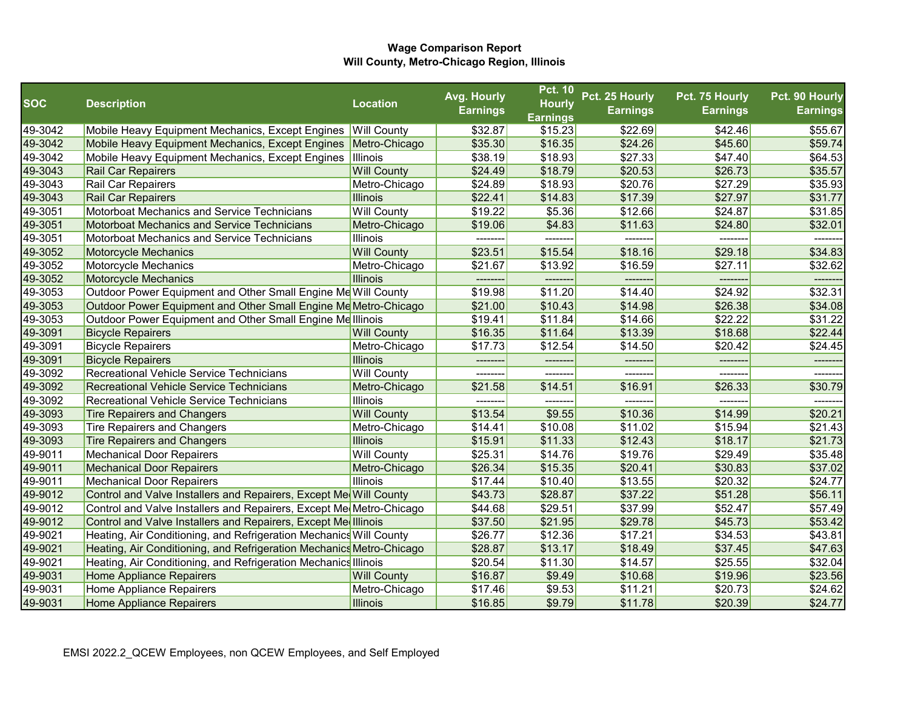|            |                                                                      |                    | Avg. Hourly     | <b>Pct. 10</b>  | Pct. 25 Hourly  | Pct. 75 Hourly  | Pct. 90 Hourly  |
|------------|----------------------------------------------------------------------|--------------------|-----------------|-----------------|-----------------|-----------------|-----------------|
| <b>SOC</b> | <b>Description</b>                                                   | <b>Location</b>    | <b>Earnings</b> | <b>Hourly</b>   | <b>Earnings</b> | <b>Earnings</b> | <b>Earnings</b> |
|            |                                                                      |                    |                 | <b>Earnings</b> |                 |                 |                 |
| 49-3042    | Mobile Heavy Equipment Mechanics, Except Engines                     | <b>Will County</b> | \$32.87         | \$15.23         | \$22.69         | \$42.46         | \$55.67         |
| 49-3042    | Mobile Heavy Equipment Mechanics, Except Engines                     | Metro-Chicago      | \$35.30         | \$16.35         | \$24.26         | \$45.60         | \$59.74         |
| 49-3042    | Mobile Heavy Equipment Mechanics, Except Engines                     | Illinois           | \$38.19         | \$18.93         | \$27.33         | \$47.40         | \$64.53         |
| 49-3043    | <b>Rail Car Repairers</b>                                            | <b>Will County</b> | \$24.49         | \$18.79         | \$20.53         | \$26.73         | \$35.57         |
| 49-3043    | Rail Car Repairers                                                   | Metro-Chicago      | \$24.89         | \$18.93         | \$20.76         | \$27.29         | \$35.93         |
| 49-3043    | <b>Rail Car Repairers</b>                                            | <b>Illinois</b>    | \$22.41         | \$14.83         | \$17.39         | \$27.97         | \$31.77         |
| 49-3051    | Motorboat Mechanics and Service Technicians                          | <b>Will County</b> | \$19.22         | \$5.36          | \$12.66         | \$24.87         | \$31.85         |
| 49-3051    | <b>Motorboat Mechanics and Service Technicians</b>                   | Metro-Chicago      | \$19.06         | \$4.83          | \$11.63         | \$24.80         | \$32.01         |
| 49-3051    | Motorboat Mechanics and Service Technicians                          | Illinois           | --------        | --------        | -------         | --------        | -------         |
| 49-3052    | <b>Motorcycle Mechanics</b>                                          | <b>Will County</b> | \$23.51         | \$15.54         | \$18.16         | \$29.18         | \$34.83         |
| 49-3052    | Motorcycle Mechanics                                                 | Metro-Chicago      | \$21.67         | \$13.92         | \$16.59         | \$27.11         | \$32.62         |
| 49-3052    | <b>Motorcycle Mechanics</b>                                          | <b>Illinois</b>    |                 |                 |                 |                 |                 |
| 49-3053    | Outdoor Power Equipment and Other Small Engine Me Will County        |                    | \$19.98         | \$11.20         | \$14.40         | \$24.92         | \$32.31         |
| 49-3053    | Outdoor Power Equipment and Other Small Engine Me Metro-Chicago      |                    | \$21.00         | \$10.43         | \$14.98         | \$26.38         | \$34.08         |
| 49-3053    | Outdoor Power Equipment and Other Small Engine Melllinois            |                    | \$19.41         | \$11.84         | \$14.66         | \$22.22         | \$31.22         |
| 49-3091    | <b>Bicycle Repairers</b>                                             | <b>Will County</b> | \$16.35         | \$11.64         | \$13.39         | \$18.68         | \$22.44         |
| 49-3091    | <b>Bicycle Repairers</b>                                             | Metro-Chicago      | \$17.73         | \$12.54         | \$14.50         | \$20.42         | \$24.45         |
| 49-3091    | <b>Bicycle Repairers</b>                                             | <b>Illinois</b>    |                 |                 | -------         |                 |                 |
| 49-3092    | Recreational Vehicle Service Technicians                             | <b>Will County</b> |                 |                 |                 |                 |                 |
| 49-3092    | Recreational Vehicle Service Technicians                             | Metro-Chicago      | \$21.58         | \$14.51         | \$16.91         | \$26.33         | \$30.79         |
| 49-3092    | Recreational Vehicle Service Technicians                             | Illinois           |                 |                 | ------          |                 |                 |
| 49-3093    | <b>Tire Repairers and Changers</b>                                   | <b>Will County</b> | \$13.54         | \$9.55          | \$10.36         | \$14.99         | \$20.21         |
| 49-3093    | <b>Tire Repairers and Changers</b>                                   | Metro-Chicago      | \$14.41         | \$10.08         | \$11.02         | \$15.94         | \$21.43         |
| 49-3093    | <b>Tire Repairers and Changers</b>                                   | <b>Illinois</b>    | \$15.91         | \$11.33         | \$12.43         | \$18.17         | \$21.73         |
| 49-9011    | <b>Mechanical Door Repairers</b>                                     | <b>Will County</b> | \$25.31         | \$14.76         | \$19.76         | \$29.49         | \$35.48         |
| 49-9011    | <b>Mechanical Door Repairers</b>                                     | Metro-Chicago      | \$26.34         | \$15.35         | \$20.41         | \$30.83         | \$37.02         |
| 49-9011    | <b>Mechanical Door Repairers</b>                                     | Illinois           | \$17.44         | \$10.40         | \$13.55         | \$20.32         | \$24.77         |
| 49-9012    | Control and Valve Installers and Repairers, Except Me Will County    |                    | \$43.73         | \$28.87         | \$37.22         | \$51.28         | \$56.11         |
| 49-9012    | Control and Valve Installers and Repairers, Except Me Metro-Chicago  |                    | \$44.68         | \$29.51         | \$37.99         | \$52.47         | \$57.49         |
| 49-9012    | Control and Valve Installers and Repairers, Except Me Illinois       |                    | \$37.50         | \$21.95         | \$29.78         | \$45.73         | \$53.42         |
| 49-9021    | Heating, Air Conditioning, and Refrigeration Mechanics Will County   |                    | \$26.77         | \$12.36         | \$17.21         | \$34.53         | \$43.81         |
| 49-9021    | Heating, Air Conditioning, and Refrigeration Mechanics Metro-Chicago |                    | \$28.87         | \$13.17         | \$18.49         | \$37.45         | \$47.63         |
| 49-9021    | Heating, Air Conditioning, and Refrigeration Mechanics Illinois      |                    | \$20.54         | \$11.30         | \$14.57         | \$25.55         | \$32.04         |
| 49-9031    | <b>Home Appliance Repairers</b>                                      | <b>Will County</b> | \$16.87         | \$9.49          | \$10.68         | \$19.96         | \$23.56         |
| 49-9031    | Home Appliance Repairers                                             | Metro-Chicago      | \$17.46         | \$9.53          | \$11.21         | \$20.73         | \$24.62         |
| 49-9031    | <b>Home Appliance Repairers</b>                                      | <b>Illinois</b>    | \$16.85         | \$9.79          | \$11.78         | \$20.39         | \$24.77         |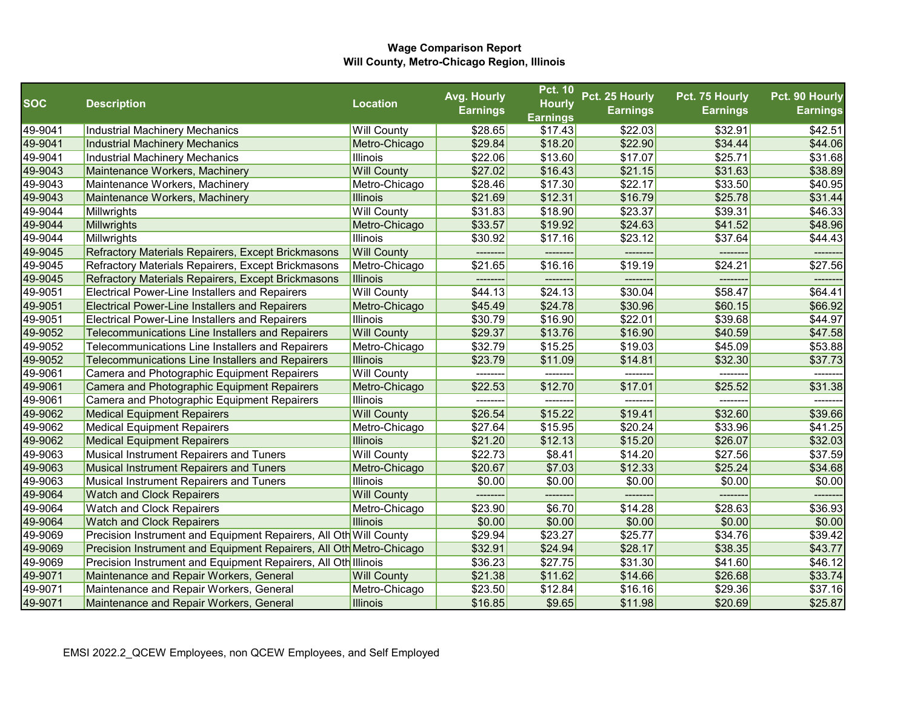|            |                                                                     |                    | Avg. Hourly     | <b>Pct. 10</b>  | Pct. 25 Hourly  | Pct. 75 Hourly  | Pct. 90 Hourly  |
|------------|---------------------------------------------------------------------|--------------------|-----------------|-----------------|-----------------|-----------------|-----------------|
| <b>SOC</b> | <b>Description</b>                                                  | <b>Location</b>    | <b>Earnings</b> | <b>Hourly</b>   | <b>Earnings</b> | <b>Earnings</b> | <b>Earnings</b> |
|            |                                                                     |                    |                 | <b>Earnings</b> |                 |                 |                 |
| 49-9041    | Industrial Machinery Mechanics                                      | <b>Will County</b> | \$28.65         | \$17.43         | \$22.03         | \$32.91         | \$42.51         |
| 49-9041    | Industrial Machinery Mechanics                                      | Metro-Chicago      | \$29.84         | \$18.20         | \$22.90         | \$34.44         | \$44.06         |
| 49-9041    | Industrial Machinery Mechanics                                      | <b>Illinois</b>    | \$22.06         | \$13.60         | \$17.07         | \$25.71         | \$31.68         |
| 49-9043    | Maintenance Workers, Machinery                                      | <b>Will County</b> | \$27.02         | \$16.43         | \$21.15         | \$31.63         | \$38.89         |
| 49-9043    | Maintenance Workers, Machinery                                      | Metro-Chicago      | \$28.46         | \$17.30         | \$22.17         | \$33.50         | \$40.95         |
| 49-9043    | Maintenance Workers, Machinery                                      | <b>Illinois</b>    | \$21.69         | \$12.31         | \$16.79         | \$25.78         | \$31.44         |
| 49-9044    | Millwrights                                                         | <b>Will County</b> | \$31.83         | \$18.90         | \$23.37         | \$39.31         | \$46.33         |
| 49-9044    | Millwrights                                                         | Metro-Chicago      | \$33.57         | \$19.92         | \$24.63         | \$41.52         | \$48.96         |
| 49-9044    | Millwrights                                                         | <b>Illinois</b>    | \$30.92         | \$17.16         | \$23.12         | \$37.64         | \$44.43         |
| 49-9045    | <b>Refractory Materials Repairers, Except Brickmasons</b>           | <b>Will County</b> | --------        |                 | -------         |                 |                 |
| 49-9045    | Refractory Materials Repairers, Except Brickmasons                  | Metro-Chicago      | \$21.65         | \$16.16         | \$19.19         | \$24.21         | \$27.56         |
| 49-9045    | <b>Refractory Materials Repairers, Except Brickmasons</b>           | <b>Illinois</b>    |                 |                 |                 |                 |                 |
| 49-9051    | <b>Electrical Power-Line Installers and Repairers</b>               | <b>Will County</b> | \$44.13         | \$24.13         | \$30.04         | \$58.47         | \$64.41         |
| 49-9051    | <b>Electrical Power-Line Installers and Repairers</b>               | Metro-Chicago      | \$45.49         | \$24.78         | \$30.96         | \$60.15         | \$66.92         |
| 49-9051    | <b>Electrical Power-Line Installers and Repairers</b>               | <b>Illinois</b>    | \$30.79         | \$16.90         | \$22.01         | \$39.68         | \$44.97         |
| 49-9052    | Telecommunications Line Installers and Repairers                    | <b>Will County</b> | \$29.37         | \$13.76         | \$16.90         | \$40.59         | \$47.58         |
| 49-9052    | Telecommunications Line Installers and Repairers                    | Metro-Chicago      | \$32.79         | \$15.25         | \$19.03         | \$45.09         | \$53.88         |
| 49-9052    | Telecommunications Line Installers and Repairers                    | <b>Illinois</b>    | \$23.79         | \$11.09         | \$14.81         | \$32.30         | \$37.73         |
| 49-9061    | Camera and Photographic Equipment Repairers                         | <b>Will County</b> |                 |                 |                 |                 |                 |
| 49-9061    | Camera and Photographic Equipment Repairers                         | Metro-Chicago      | \$22.53         | \$12.70         | \$17.01         | \$25.52         | \$31.38         |
| 49-9061    | Camera and Photographic Equipment Repairers                         | <b>Illinois</b>    |                 |                 |                 |                 |                 |
| 49-9062    | <b>Medical Equipment Repairers</b>                                  | <b>Will County</b> | \$26.54         | \$15.22         | \$19.41         | \$32.60         | \$39.66         |
| 49-9062    | <b>Medical Equipment Repairers</b>                                  | Metro-Chicago      | \$27.64         | \$15.95         | \$20.24         | \$33.96         | \$41.25         |
| 49-9062    | <b>Medical Equipment Repairers</b>                                  | <b>Illinois</b>    | \$21.20         | \$12.13         | \$15.20         | \$26.07         | \$32.03         |
| 49-9063    | Musical Instrument Repairers and Tuners                             | <b>Will County</b> | \$22.73         | \$8.41          | \$14.20         | \$27.56         | \$37.59         |
| 49-9063    | <b>Musical Instrument Repairers and Tuners</b>                      | Metro-Chicago      | \$20.67         | \$7.03          | \$12.33         | \$25.24         | \$34.68         |
| 49-9063    | Musical Instrument Repairers and Tuners                             | <b>Illinois</b>    | \$0.00          | \$0.00          | \$0.00          | \$0.00          | \$0.00          |
| 49-9064    | <b>Watch and Clock Repairers</b>                                    | <b>Will County</b> | --------        | --------        | -------         | --------        |                 |
| 49-9064    | <b>Watch and Clock Repairers</b>                                    | Metro-Chicago      | \$23.90         | \$6.70          | \$14.28         | \$28.63         | \$36.93         |
| 49-9064    | <b>Watch and Clock Repairers</b>                                    | <b>Illinois</b>    | \$0.00          | \$0.00          | \$0.00          | \$0.00          | \$0.00          |
| 49-9069    | Precision Instrument and Equipment Repairers, All Oth Will County   |                    | \$29.94         | \$23.27         | \$25.77         | \$34.76         | \$39.42         |
| 49-9069    | Precision Instrument and Equipment Repairers, All Oth Metro-Chicago |                    | \$32.91         | \$24.94         | \$28.17         | \$38.35         | \$43.77         |
| 49-9069    | Precision Instrument and Equipment Repairers, All Oth Illinois      |                    | \$36.23         | \$27.75         | \$31.30         | \$41.60         | \$46.12         |
| 49-9071    | Maintenance and Repair Workers, General                             | <b>Will County</b> | \$21.38         | \$11.62         | \$14.66         | \$26.68         | \$33.74         |
| 49-9071    | Maintenance and Repair Workers, General                             | Metro-Chicago      | \$23.50         | \$12.84         | \$16.16         | \$29.36         | \$37.16         |
| 49-9071    | Maintenance and Repair Workers, General                             | Illinois           | \$16.85         | \$9.65          | \$11.98         | \$20.69         | \$25.87         |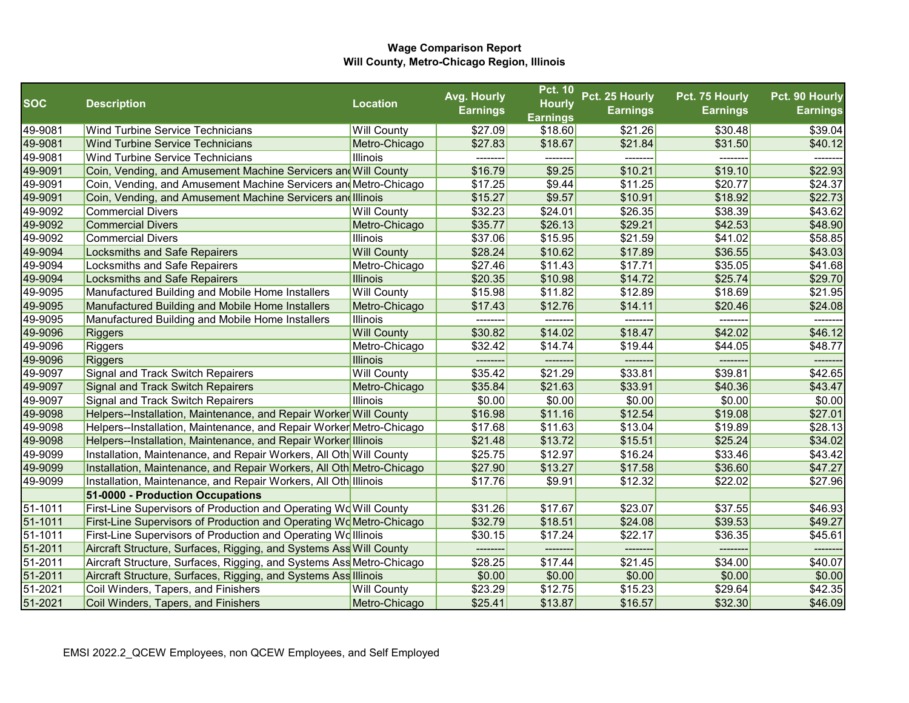|            |                                                                      |                    | Avg. Hourly     | <b>Pct. 10</b>  | Pct. 25 Hourly  | Pct. 75 Hourly  | Pct. 90 Hourly  |
|------------|----------------------------------------------------------------------|--------------------|-----------------|-----------------|-----------------|-----------------|-----------------|
| <b>SOC</b> | <b>Description</b>                                                   | <b>Location</b>    | <b>Earnings</b> | <b>Hourly</b>   | <b>Earnings</b> | <b>Earnings</b> | <b>Earnings</b> |
|            |                                                                      |                    |                 | <b>Earnings</b> |                 |                 |                 |
| 49-9081    | <b>Wind Turbine Service Technicians</b>                              | <b>Will County</b> | \$27.09         | \$18.60         | \$21.26         | \$30.48         | \$39.04         |
| 49-9081    | <b>Wind Turbine Service Technicians</b>                              | Metro-Chicago      | \$27.83         | \$18.67         | \$21.84         | \$31.50         | \$40.12         |
| 49-9081    | Wind Turbine Service Technicians                                     | Illinois           |                 |                 |                 |                 |                 |
| 49-9091    | Coin, Vending, and Amusement Machine Servicers and Will County       |                    | \$16.79         | \$9.25          | \$10.21         | \$19.10         | \$22.93         |
| 49-9091    | Coin, Vending, and Amusement Machine Servicers and Metro-Chicago     |                    | \$17.25         | \$9.44          | \$11.25         | \$20.77         | \$24.37         |
| 49-9091    | Coin, Vending, and Amusement Machine Servicers and Illinois          |                    | \$15.27         | \$9.57          | \$10.91         | \$18.92         | \$22.73         |
| 49-9092    | <b>Commercial Divers</b>                                             | <b>Will County</b> | \$32.23         | \$24.01         | \$26.35         | \$38.39         | \$43.62         |
| 49-9092    | <b>Commercial Divers</b>                                             | Metro-Chicago      | \$35.77         | \$26.13         | \$29.21         | \$42.53         | \$48.90         |
| 49-9092    | <b>Commercial Divers</b>                                             | Illinois           | \$37.06         | \$15.95         | \$21.59         | \$41.02         | \$58.85         |
| 49-9094    | <b>Locksmiths and Safe Repairers</b>                                 | <b>Will County</b> | \$28.24         | \$10.62         | \$17.89         | \$36.55         | \$43.03         |
| 49-9094    | Locksmiths and Safe Repairers                                        | Metro-Chicago      | \$27.46         | \$11.43         | \$17.71         | \$35.05         | \$41.68         |
| 49-9094    | <b>Locksmiths and Safe Repairers</b>                                 | <b>Illinois</b>    | \$20.35         | \$10.98         | \$14.72         | \$25.74         | \$29.70         |
| 49-9095    | Manufactured Building and Mobile Home Installers                     | <b>Will County</b> | \$15.98         | \$11.82         | \$12.89         | \$18.69         | \$21.95         |
| 49-9095    | Manufactured Building and Mobile Home Installers                     | Metro-Chicago      | \$17.43         | \$12.76         | \$14.11         | \$20.46         | \$24.08         |
| 49-9095    | Manufactured Building and Mobile Home Installers                     | Illinois           |                 |                 |                 |                 |                 |
| 49-9096    | <b>Riggers</b>                                                       | <b>Will County</b> | \$30.82         | \$14.02         | \$18.47         | \$42.02         | \$46.12         |
| 49-9096    | Riggers                                                              | Metro-Chicago      | \$32.42         | \$14.74         | \$19.44         | \$44.05         | \$48.77         |
| 49-9096    | <b>Riggers</b>                                                       | Illinois           |                 |                 |                 |                 |                 |
| 49-9097    | Signal and Track Switch Repairers                                    | <b>Will County</b> | \$35.42         | \$21.29         | \$33.81         | \$39.81         | \$42.65         |
| 49-9097    | <b>Signal and Track Switch Repairers</b>                             | Metro-Chicago      | \$35.84         | \$21.63         | \$33.91         | \$40.36         | \$43.47         |
| 49-9097    | Signal and Track Switch Repairers                                    | Illinois           | \$0.00          | \$0.00          | \$0.00          | \$0.00          | \$0.00          |
| 49-9098    | Helpers--Installation, Maintenance, and Repair Worker Will County    |                    | \$16.98         | \$11.16         | \$12.54         | \$19.08         | \$27.01         |
| 49-9098    | Helpers--Installation, Maintenance, and Repair Worker Metro-Chicago  |                    | \$17.68         | \$11.63         | \$13.04         | \$19.89         | \$28.13         |
| 49-9098    | Helpers--Installation, Maintenance, and Repair Worker Illinois       |                    | \$21.48         | \$13.72         | \$15.51         | \$25.24         | \$34.02         |
| 49-9099    | Installation, Maintenance, and Repair Workers, All Oth Will County   |                    | \$25.75         | \$12.97         | \$16.24         | \$33.46         | \$43.42         |
| 49-9099    | Installation, Maintenance, and Repair Workers, All Oth Metro-Chicago |                    | \$27.90         | \$13.27         | \$17.58         | \$36.60         | \$47.27         |
| 49-9099    | Installation, Maintenance, and Repair Workers, All Oth Illinois      |                    | \$17.76         | \$9.91          | \$12.32         | \$22.02         | \$27.96         |
|            | 51-0000 - Production Occupations                                     |                    |                 |                 |                 |                 |                 |
| 51-1011    | First-Line Supervisors of Production and Operating Wo Will County    |                    | \$31.26         | \$17.67         | \$23.07         | \$37.55         | \$46.93         |
| 51-1011    | First-Line Supervisors of Production and Operating WoMetro-Chicago   |                    | \$32.79         | \$18.51         | \$24.08         | \$39.53         | \$49.27         |
| 51-1011    | First-Line Supervisors of Production and Operating Wolllinois        |                    | \$30.15         | \$17.24         | \$22.17         | \$36.35         | \$45.61         |
| 51-2011    | Aircraft Structure, Surfaces, Rigging, and Systems Ass Will County   |                    | --------        | ---------       | --------        | --------        | --------        |
| 51-2011    | Aircraft Structure, Surfaces, Rigging, and Systems Ass Metro-Chicago |                    | \$28.25         | \$17.44         | \$21.45         | \$34.00         | \$40.07         |
| 51-2011    | Aircraft Structure, Surfaces, Rigging, and Systems Ass Illinois      |                    | \$0.00          | \$0.00          | \$0.00          | \$0.00          | \$0.00          |
| 51-2021    | Coil Winders, Tapers, and Finishers                                  | <b>Will County</b> | \$23.29         | \$12.75         | \$15.23         | \$29.64         | \$42.35         |
| 51-2021    | Coil Winders, Tapers, and Finishers                                  | Metro-Chicago      | \$25.41         | \$13.87         | \$16.57         | \$32.30         | \$46.09         |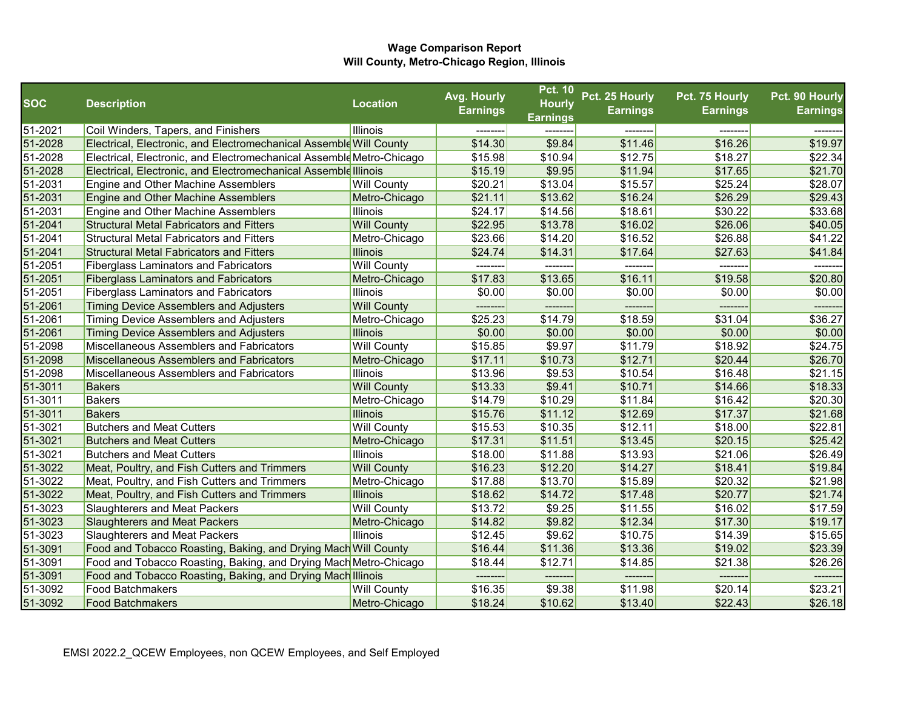|            |                                                                      |                    | Avg. Hourly     | <b>Pct. 10</b>      | Pct. 25 Hourly  | Pct. 75 Hourly  | Pct. 90 Hourly  |
|------------|----------------------------------------------------------------------|--------------------|-----------------|---------------------|-----------------|-----------------|-----------------|
| <b>SOC</b> | <b>Description</b>                                                   | <b>Location</b>    | <b>Earnings</b> | <b>Hourly</b>       | <b>Earnings</b> | <b>Earnings</b> | <b>Earnings</b> |
|            |                                                                      |                    |                 | <b>Earnings</b>     |                 |                 |                 |
| 51-2021    | Coil Winders, Tapers, and Finishers                                  | Illinois           |                 |                     |                 |                 |                 |
| 51-2028    | Electrical, Electronic, and Electromechanical Assemble Will County   |                    | \$14.30         | \$9.84              | \$11.46         | \$16.26         | \$19.97         |
| 51-2028    | Electrical, Electronic, and Electromechanical Assemble Metro-Chicago |                    | \$15.98         | \$10.94             | \$12.75         | \$18.27         | \$22.34         |
| 51-2028    | Electrical, Electronic, and Electromechanical Assemble Illinois      |                    | \$15.19         | \$9.95              | \$11.94         | \$17.65         | \$21.70         |
| 51-2031    | Engine and Other Machine Assemblers                                  | <b>Will County</b> | \$20.21         | \$13.04             | \$15.57         | \$25.24         | \$28.07         |
| 51-2031    | <b>Engine and Other Machine Assemblers</b>                           | Metro-Chicago      | \$21.11         | \$13.62             | \$16.24         | \$26.29         | \$29.43         |
| 51-2031    | Engine and Other Machine Assemblers                                  | Illinois           | \$24.17         | \$14.56             | \$18.61         | \$30.22         | \$33.68         |
| 51-2041    | <b>Structural Metal Fabricators and Fitters</b>                      | <b>Will County</b> | \$22.95         | \$13.78             | \$16.02         | \$26.06         | \$40.05         |
| 51-2041    | <b>Structural Metal Fabricators and Fitters</b>                      | Metro-Chicago      | \$23.66         | \$14.20             | \$16.52         | \$26.88         | \$41.22         |
| 51-2041    | <b>Structural Metal Fabricators and Fitters</b>                      | <b>Illinois</b>    | \$24.74         | \$14.31             | \$17.64         | \$27.63         | \$41.84         |
| 51-2051    | <b>Fiberglass Laminators and Fabricators</b>                         | <b>Will County</b> | --------        |                     | -------         | -------         | ------          |
| 51-2051    | <b>Fiberglass Laminators and Fabricators</b>                         | Metro-Chicago      | \$17.83         | \$13.65             | \$16.11         | \$19.58         | \$20.80         |
| 51-2051    | <b>Fiberglass Laminators and Fabricators</b>                         | Illinois           | \$0.00          | \$0.00              | \$0.00          | \$0.00          | \$0.00          |
| 51-2061    | Timing Device Assemblers and Adjusters                               | <b>Will County</b> | --------        | --------            | -------         | -------         | ------          |
| 51-2061    | <b>Timing Device Assemblers and Adjusters</b>                        | Metro-Chicago      | \$25.23         | \$14.79             | \$18.59         | \$31.04         | \$36.27         |
| 51-2061    | <b>Timing Device Assemblers and Adjusters</b>                        | <b>Illinois</b>    | \$0.00          | \$0.00              | \$0.00          | \$0.00          | \$0.00          |
| 51-2098    | Miscellaneous Assemblers and Fabricators                             | <b>Will County</b> | \$15.85         | \$9.97              | \$11.79         | \$18.92         | \$24.75         |
| 51-2098    | <b>Miscellaneous Assemblers and Fabricators</b>                      | Metro-Chicago      | \$17.11         | \$10.73             | \$12.71         | \$20.44         | \$26.70         |
| 51-2098    | Miscellaneous Assemblers and Fabricators                             | Illinois           | \$13.96         | \$9.53              | \$10.54         | \$16.48         | \$21.15         |
| 51-3011    | <b>Bakers</b>                                                        | <b>Will County</b> | \$13.33         | \$9.41              | \$10.71         | \$14.66         | \$18.33         |
| 51-3011    | Bakers                                                               | Metro-Chicago      | \$14.79         | \$10.29             | \$11.84         | \$16.42         | \$20.30         |
| 51-3011    | <b>Bakers</b>                                                        | <b>Illinois</b>    | \$15.76         | \$11.12             | \$12.69         | \$17.37         | \$21.68         |
| 51-3021    | <b>Butchers and Meat Cutters</b>                                     | <b>Will County</b> | \$15.53         | \$10.35             | \$12.11         | \$18.00         | \$22.81         |
| 51-3021    | <b>Butchers and Meat Cutters</b>                                     | Metro-Chicago      | \$17.31         | \$11.51             | \$13.45         | \$20.15         | \$25.42         |
| 51-3021    | <b>Butchers and Meat Cutters</b>                                     | Illinois           | \$18.00         | $\overline{$}11.88$ | \$13.93         | \$21.06         | \$26.49         |
| 51-3022    | Meat, Poultry, and Fish Cutters and Trimmers                         | <b>Will County</b> | \$16.23         | \$12.20             | \$14.27         | \$18.41         | \$19.84         |
| 51-3022    | Meat, Poultry, and Fish Cutters and Trimmers                         | Metro-Chicago      | \$17.88         | \$13.70             | \$15.89         | \$20.32         | \$21.98         |
| 51-3022    | Meat, Poultry, and Fish Cutters and Trimmers                         | Illinois           | \$18.62         | \$14.72             | \$17.48         | \$20.77         | \$21.74         |
| 51-3023    | <b>Slaughterers and Meat Packers</b>                                 | <b>Will County</b> | \$13.72         | \$9.25              | \$11.55         | \$16.02         | \$17.59         |
| 51-3023    | <b>Slaughterers and Meat Packers</b>                                 | Metro-Chicago      | \$14.82         | \$9.82              | \$12.34         | \$17.30         | \$19.17         |
| 51-3023    | <b>Slaughterers and Meat Packers</b>                                 | Illinois           | \$12.45         | \$9.62              | \$10.75         | \$14.39         | \$15.65         |
| 51-3091    | Food and Tobacco Roasting, Baking, and Drying Mach Will County       |                    | \$16.44         | \$11.36             | \$13.36         | \$19.02         | \$23.39         |
| 51-3091    | Food and Tobacco Roasting, Baking, and Drying Mach Metro-Chicago     |                    | \$18.44         | \$12.71             | \$14.85         | \$21.38         | \$26.26         |
| 51-3091    | Food and Tobacco Roasting, Baking, and Drying Mach Illinois          |                    | --------        | --------            | --------        | --------        | --------        |
| 51-3092    | <b>Food Batchmakers</b>                                              | <b>Will County</b> | \$16.35         | \$9.38              | \$11.98         | \$20.14         | \$23.21         |
| 51-3092    | <b>Food Batchmakers</b>                                              | Metro-Chicago      | \$18.24         | \$10.62             | \$13.40         | \$22.43         | \$26.18         |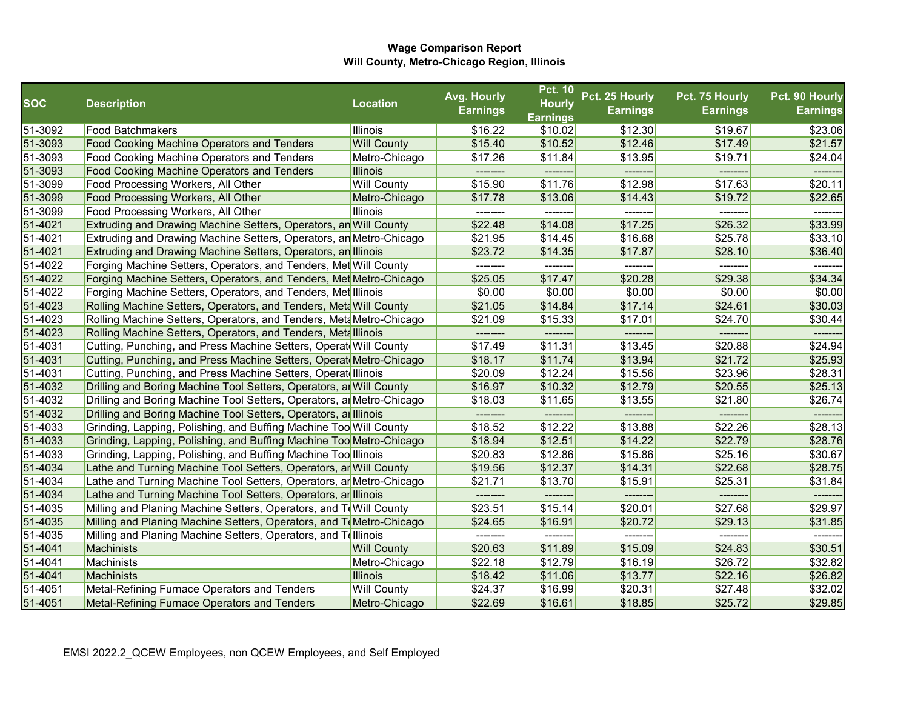|            |                                                                       |                    | Avg. Hourly     | <b>Pct. 10</b>  | Pct. 25 Hourly  | Pct. 75 Hourly  | Pct. 90 Hourly  |
|------------|-----------------------------------------------------------------------|--------------------|-----------------|-----------------|-----------------|-----------------|-----------------|
| <b>SOC</b> | <b>Description</b>                                                    | <b>Location</b>    | <b>Earnings</b> | <b>Hourly</b>   | <b>Earnings</b> | <b>Earnings</b> | <b>Earnings</b> |
|            |                                                                       |                    |                 | <b>Earnings</b> |                 |                 |                 |
| 51-3092    | <b>Food Batchmakers</b>                                               | Illinois           | \$16.22         | \$10.02         | \$12.30         | \$19.67         | \$23.06         |
| 51-3093    | <b>Food Cooking Machine Operators and Tenders</b>                     | <b>Will County</b> | \$15.40         | \$10.52         | \$12.46         | \$17.49         | \$21.57         |
| 51-3093    | <b>Food Cooking Machine Operators and Tenders</b>                     | Metro-Chicago      | \$17.26         | \$11.84         | \$13.95         | \$19.71         | \$24.04         |
| 51-3093    | <b>Food Cooking Machine Operators and Tenders</b>                     | <b>Illinois</b>    | ---------       | ---------       | --------        | --------        |                 |
| 51-3099    | Food Processing Workers, All Other                                    | <b>Will County</b> | \$15.90         | \$11.76         | \$12.98         | \$17.63         | \$20.11         |
| 51-3099    | Food Processing Workers, All Other                                    | Metro-Chicago      | \$17.78         | \$13.06         | \$14.43         | \$19.72         | \$22.65         |
| 51-3099    | Food Processing Workers, All Other                                    | Illinois           | --------        |                 | -------         | --------        |                 |
| 51-4021    | Extruding and Drawing Machine Setters, Operators, an Will County      |                    | \$22.48         | \$14.08         | \$17.25         | \$26.32         | \$33.99         |
| 51-4021    | Extruding and Drawing Machine Setters, Operators, an Metro-Chicago    |                    | \$21.95         | \$14.45         | \$16.68         | \$25.78         | \$33.10         |
| 51-4021    | Extruding and Drawing Machine Setters, Operators, an Illinois         |                    | \$23.72         | \$14.35         | \$17.87         | \$28.10         | \$36.40         |
| 51-4022    | Forging Machine Setters, Operators, and Tenders, Met Will County      |                    | --------        | --------        | -------         | --------        | -------         |
| 51-4022    | Forging Machine Setters, Operators, and Tenders, Met Metro-Chicago    |                    | \$25.05         | \$17.47         | \$20.28         | \$29.38         | \$34.34         |
| 51-4022    | Forging Machine Setters, Operators, and Tenders, Met Illinois         |                    | \$0.00          | \$0.00          | \$0.00          | \$0.00          | \$0.00          |
| 51-4023    | Rolling Machine Setters, Operators, and Tenders, Meta Will County     |                    | \$21.05         | \$14.84         | \$17.14         | \$24.61         | \$30.03         |
| 51-4023    | Rolling Machine Setters, Operators, and Tenders, Meta Metro-Chicago   |                    | \$21.09         | \$15.33         | \$17.01         | \$24.70         | \$30.44         |
| 51-4023    | Rolling Machine Setters, Operators, and Tenders, Meta Illinois        |                    | ---------       | ---------       | --------        | --------        |                 |
| 51-4031    | Cutting, Punching, and Press Machine Setters, Operat Will County      |                    | \$17.49         | \$11.31         | \$13.45         | \$20.88         | \$24.94         |
| 51-4031    | Cutting, Punching, and Press Machine Setters, Operat Metro-Chicago    |                    | \$18.17         | \$11.74         | \$13.94         | \$21.72         | \$25.93         |
| 51-4031    | Cutting, Punching, and Press Machine Setters, Operat Illinois         |                    | \$20.09         | \$12.24         | \$15.56         | \$23.96         | \$28.31         |
| 51-4032    | Drilling and Boring Machine Tool Setters, Operators, an Will County   |                    | \$16.97         | \$10.32         | \$12.79         | \$20.55         | \$25.13         |
| 51-4032    | Drilling and Boring Machine Tool Setters, Operators, an Metro-Chicago |                    | \$18.03         | \$11.65         | \$13.55         | \$21.80         | \$26.74         |
| 51-4032    | Drilling and Boring Machine Tool Setters, Operators, an Illinois      |                    | ---------       | --------        | -------         | --------        | -------         |
| 51-4033    | Grinding, Lapping, Polishing, and Buffing Machine Too Will County     |                    | \$18.52         | \$12.22         | \$13.88         | \$22.26         | \$28.13         |
| 51-4033    | Grinding, Lapping, Polishing, and Buffing Machine Too Metro-Chicago   |                    | \$18.94         | \$12.51         | \$14.22         | \$22.79         | \$28.76         |
| 51-4033    | Grinding, Lapping, Polishing, and Buffing Machine Too Illinois        |                    | \$20.83         | \$12.86         | \$15.86         | \$25.16         | \$30.67         |
| 51-4034    | Lathe and Turning Machine Tool Setters, Operators, ar Will County     |                    | \$19.56         | \$12.37         | \$14.31         | \$22.68         | \$28.75         |
| 51-4034    | Lathe and Turning Machine Tool Setters, Operators, ar Metro-Chicago   |                    | \$21.71         | \$13.70         | \$15.91         | \$25.31         | \$31.84         |
| 51-4034    | Lathe and Turning Machine Tool Setters, Operators, an Illinois        |                    |                 |                 |                 |                 | ------          |
| 51-4035    | Milling and Planing Machine Setters, Operators, and ToWill County     |                    | \$23.51         | \$15.14         | \$20.01         | \$27.68         | \$29.97         |
| 51-4035    | Milling and Planing Machine Setters, Operators, and ToMetro-Chicago   |                    | \$24.65         | \$16.91         | \$20.72         | \$29.13         | \$31.85         |
| 51-4035    | Milling and Planing Machine Setters, Operators, and Telllinois        |                    | --------        | --------        | -------         | --------        | -------         |
| 51-4041    | Machinists                                                            | <b>Will County</b> | \$20.63         | \$11.89         | \$15.09         | \$24.83         | \$30.51         |
| 51-4041    | Machinists                                                            | Metro-Chicago      | \$22.18         | \$12.79         | \$16.19         | \$26.72         | \$32.82         |
| 51-4041    | Machinists                                                            | Illinois           | \$18.42         | \$11.06         | \$13.77         | \$22.16         | \$26.82         |
| 51-4051    | Metal-Refining Furnace Operators and Tenders                          | <b>Will County</b> | \$24.37         | \$16.99         | \$20.31         | \$27.48         | \$32.02         |
| 51-4051    | Metal-Refining Furnace Operators and Tenders                          | Metro-Chicago      | \$22.69         | \$16.61         | \$18.85         | \$25.72         | \$29.85         |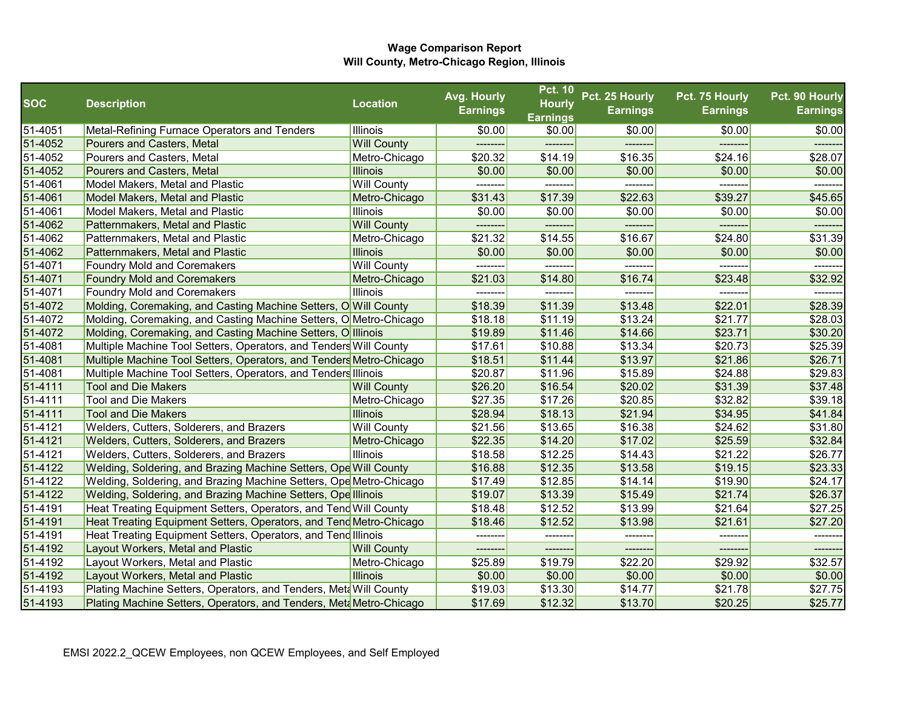|            |                                                                      |                    | Avg. Hourly     | <b>Pct. 10</b>                   | Pct. 25 Hourly  | Pct. 75 Hourly  | Pct. 90 Hourly  |
|------------|----------------------------------------------------------------------|--------------------|-----------------|----------------------------------|-----------------|-----------------|-----------------|
| <b>SOC</b> | <b>Description</b>                                                   | <b>Location</b>    | <b>Earnings</b> | <b>Hourly</b><br><b>Earnings</b> | <b>Earnings</b> | <b>Earnings</b> | <b>Earnings</b> |
| 51-4051    | Metal-Refining Furnace Operators and Tenders                         | <b>Illinois</b>    | \$0.00          | \$0.00                           | \$0.00          | \$0.00          | \$0.00          |
| 51-4052    | Pourers and Casters, Metal                                           | <b>Will County</b> |                 |                                  | -----           |                 |                 |
| 51-4052    | Pourers and Casters, Metal                                           | Metro-Chicago      | \$20.32         | \$14.19                          | \$16.35         | \$24.16         | \$28.07         |
| 51-4052    | Pourers and Casters, Metal                                           | <b>Illinois</b>    | \$0.00          | \$0.00                           | \$0.00          | \$0.00          | \$0.00          |
| 51-4061    | Model Makers, Metal and Plastic                                      | <b>Will County</b> | --------        | --------                         | --------        | -------         |                 |
| 51-4061    | <b>Model Makers, Metal and Plastic</b>                               | Metro-Chicago      | \$31.43         | \$17.39                          | \$22.63         | \$39.27         | \$45.65         |
| 51-4061    | Model Makers, Metal and Plastic                                      | Illinois           | \$0.00          | \$0.00                           | \$0.00          | \$0.00          | \$0.00          |
| 51-4062    | Patternmakers, Metal and Plastic                                     | <b>Will County</b> |                 |                                  | ------          |                 |                 |
| 51-4062    | <b>Patternmakers, Metal and Plastic</b>                              | Metro-Chicago      | \$21.32         | \$14.55                          | \$16.67         | \$24.80         | \$31.39         |
| 51-4062    | Patternmakers, Metal and Plastic                                     | <b>Illinois</b>    | \$0.00          | \$0.00                           | \$0.00          | \$0.00          | \$0.00          |
| 51-4071    | <b>Foundry Mold and Coremakers</b>                                   | <b>Will County</b> | --------        | --------                         | --------        | --------        | -------         |
| 51-4071    | <b>Foundry Mold and Coremakers</b>                                   | Metro-Chicago      | \$21.03         | \$14.80                          | \$16.74         | \$23.48         | \$32.92         |
| 51-4071    | <b>Foundry Mold and Coremakers</b>                                   | <b>Illinois</b>    |                 |                                  |                 |                 |                 |
| 51-4072    | Molding, Coremaking, and Casting Machine Setters, O Will County      |                    | \$18.39         | \$11.39                          | \$13.48         | \$22.01         | \$28.39         |
| 51-4072    | Molding, Coremaking, and Casting Machine Setters, O Metro-Chicago    |                    | \$18.18         | \$11.19                          | \$13.24         | \$21.77         | \$28.03         |
| 51-4072    | Molding, Coremaking, and Casting Machine Setters, O Illinois         |                    | \$19.89         | \$11.46                          | \$14.66         | \$23.71         | \$30.20         |
| 51-4081    | Multiple Machine Tool Setters, Operators, and Tenders Will County    |                    | \$17.61         | \$10.88                          | \$13.34         | \$20.73         | \$25.39         |
| 51-4081    | Multiple Machine Tool Setters, Operators, and Tenders Metro-Chicago  |                    | \$18.51         | \$11.44                          | \$13.97         | \$21.86         | \$26.71         |
| 51-4081    | Multiple Machine Tool Setters, Operators, and Tenders Illinois       |                    | \$20.87         | \$11.96                          | \$15.89         | \$24.88         | \$29.83         |
| 51-4111    | <b>Tool and Die Makers</b>                                           | <b>Will County</b> | \$26.20         | \$16.54                          | \$20.02         | \$31.39         | \$37.48         |
| 51-4111    | <b>Tool and Die Makers</b>                                           | Metro-Chicago      | \$27.35         | \$17.26                          | \$20.85         | \$32.82         | \$39.18         |
| 51-4111    | <b>Tool and Die Makers</b>                                           | <b>Illinois</b>    | \$28.94         | \$18.13                          | \$21.94         | \$34.95         | \$41.84         |
| 51-4121    | <b>Welders, Cutters, Solderers, and Brazers</b>                      | <b>Will County</b> | \$21.56         | \$13.65                          | \$16.38         | \$24.62         | \$31.80         |
| 51-4121    | <b>Welders, Cutters, Solderers, and Brazers</b>                      | Metro-Chicago      | \$22.35         | \$14.20                          | \$17.02         | \$25.59         | \$32.84         |
| 51-4121    | <b>Welders, Cutters, Solderers, and Brazers</b>                      | <b>Illinois</b>    | \$18.58         | \$12.25                          | \$14.43         | \$21.22         | \$26.77         |
| 51-4122    | Welding, Soldering, and Brazing Machine Setters, Ope Will County     |                    | \$16.88         | \$12.35                          | \$13.58         | \$19.15         | \$23.33         |
| 51-4122    | Welding, Soldering, and Brazing Machine Setters, Ope Metro-Chicago   |                    | \$17.49         | \$12.85                          | \$14.14         | \$19.90         | \$24.17         |
| 51-4122    | <b>Welding, Soldering, and Brazing Machine Setters, Ope Illinois</b> |                    | \$19.07         | \$13.39                          | \$15.49         | \$21.74         | \$26.37         |
| 51-4191    | Heat Treating Equipment Setters, Operators, and Tend Will County     |                    | \$18.48         | \$12.52                          | \$13.99         | \$21.64         | \$27.25         |
| 51-4191    | Heat Treating Equipment Setters, Operators, and Tend Metro-Chicago   |                    | \$18.46         | \$12.52                          | \$13.98         | \$21.61         | \$27.20         |
| 51-4191    | Heat Treating Equipment Setters, Operators, and Tend Illinois        |                    | --------        | --------                         | --------        |                 | -------         |
| 51-4192    | Layout Workers, Metal and Plastic                                    | <b>Will County</b> | --------        | --------                         | --------        | -------         | -------         |
| 51-4192    | Layout Workers, Metal and Plastic                                    | Metro-Chicago      | \$25.89         | \$19.79                          | \$22.20         | \$29.92         | \$32.57         |
| 51-4192    | Layout Workers, Metal and Plastic                                    | Illinois           | \$0.00          | \$0.00                           | \$0.00          | \$0.00          | \$0.00          |
| 51-4193    | Plating Machine Setters, Operators, and Tenders, Meta Will County    |                    | \$19.03         | \$13.30                          | \$14.77         | \$21.78         | \$27.75         |
| 51-4193    | Plating Machine Setters, Operators, and Tenders, Meta Metro-Chicago  |                    | \$17.69         | \$12.32                          | \$13.70         | \$20.25         | \$25.77         |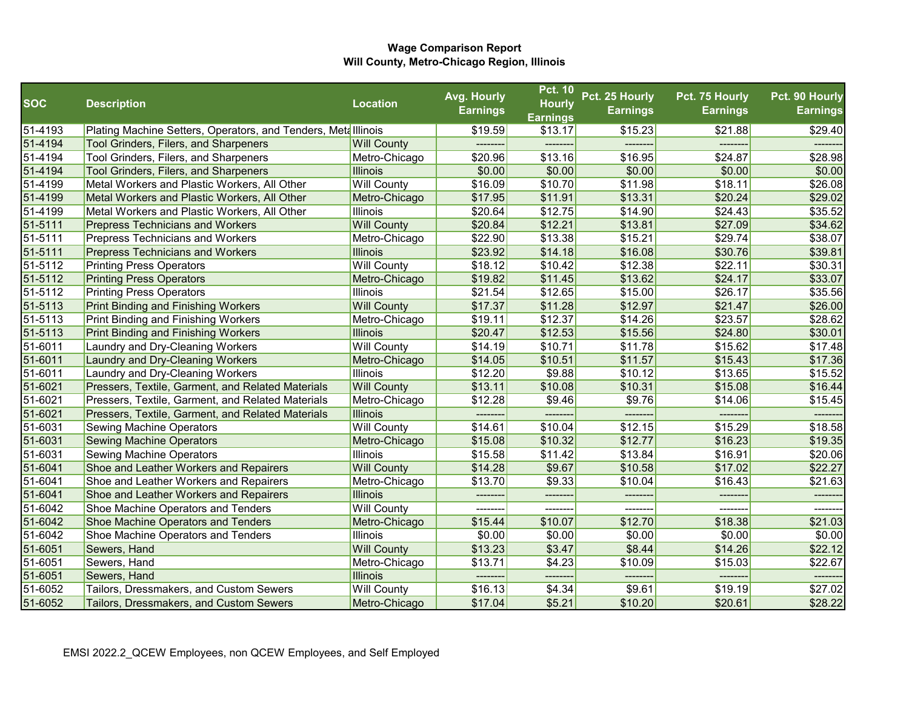|             |                                                                |                    | Avg. Hourly     | <b>Pct. 10</b>  | Pct. 25 Hourly  | Pct. 75 Hourly  | Pct. 90 Hourly  |
|-------------|----------------------------------------------------------------|--------------------|-----------------|-----------------|-----------------|-----------------|-----------------|
| <b>SOC</b>  | <b>Description</b>                                             | <b>Location</b>    | <b>Earnings</b> | <b>Hourly</b>   | <b>Earnings</b> | <b>Earnings</b> | <b>Earnings</b> |
|             |                                                                |                    |                 | <b>Earnings</b> |                 |                 |                 |
| 51-4193     | Plating Machine Setters, Operators, and Tenders, Meta Illinois |                    | \$19.59         | \$13.17         | \$15.23         | \$21.88         | \$29.40         |
| 51-4194     | Tool Grinders, Filers, and Sharpeners                          | <b>Will County</b> |                 |                 |                 |                 |                 |
| 51-4194     | Tool Grinders, Filers, and Sharpeners                          | Metro-Chicago      | \$20.96         | \$13.16         | \$16.95         | \$24.87         | \$28.98         |
| 51-4194     | <b>Tool Grinders, Filers, and Sharpeners</b>                   | <b>Illinois</b>    | \$0.00          | \$0.00          | \$0.00          | \$0.00          | \$0.00          |
| 51-4199     | Metal Workers and Plastic Workers, All Other                   | <b>Will County</b> | \$16.09         | \$10.70         | \$11.98         | \$18.11         | \$26.08         |
| 51-4199     | Metal Workers and Plastic Workers, All Other                   | Metro-Chicago      | \$17.95         | \$11.91         | \$13.31         | \$20.24         | \$29.02         |
| 51-4199     | Metal Workers and Plastic Workers, All Other                   | <b>Illinois</b>    | \$20.64         | \$12.75         | \$14.90         | \$24.43         | \$35.52         |
| $51 - 5111$ | <b>Prepress Technicians and Workers</b>                        | <b>Will County</b> | \$20.84         | \$12.21         | \$13.81         | \$27.09         | \$34.62         |
| 51-5111     | <b>Prepress Technicians and Workers</b>                        | Metro-Chicago      | \$22.90         | \$13.38         | \$15.21         | \$29.74         | \$38.07         |
| 51-5111     | <b>Prepress Technicians and Workers</b>                        | <b>Illinois</b>    | \$23.92         | \$14.18         | \$16.08         | \$30.76         | \$39.81         |
| 51-5112     | <b>Printing Press Operators</b>                                | <b>Will County</b> | \$18.12         | \$10.42         | \$12.38         | \$22.11         | \$30.31         |
| 51-5112     | <b>Printing Press Operators</b>                                | Metro-Chicago      | \$19.82         | \$11.45         | \$13.62         | \$24.17         | \$33.07         |
| 51-5112     | <b>Printing Press Operators</b>                                | <b>Illinois</b>    | \$21.54         | \$12.65         | \$15.00         | \$26.17         | \$35.56         |
| 51-5113     | <b>Print Binding and Finishing Workers</b>                     | <b>Will County</b> | \$17.37         | \$11.28         | \$12.97         | \$21.47         | \$26.00         |
| 51-5113     | Print Binding and Finishing Workers                            | Metro-Chicago      | \$19.11         | \$12.37         | \$14.26         | \$23.57         | \$28.62         |
| 51-5113     | <b>Print Binding and Finishing Workers</b>                     | <b>Illinois</b>    | \$20.47         | \$12.53         | \$15.56         | \$24.80         | \$30.01         |
| 51-6011     | Laundry and Dry-Cleaning Workers                               | <b>Will County</b> | \$14.19         | \$10.71         | \$11.78         | \$15.62         | \$17.48         |
| 51-6011     | Laundry and Dry-Cleaning Workers                               | Metro-Chicago      | \$14.05         | \$10.51         | \$11.57         | \$15.43         | \$17.36         |
| 51-6011     | Laundry and Dry-Cleaning Workers                               | <b>Illinois</b>    | \$12.20         | \$9.88          | \$10.12         | \$13.65         | \$15.52         |
| 51-6021     | Pressers, Textile, Garment, and Related Materials              | <b>Will County</b> | \$13.11         | \$10.08         | \$10.31         | \$15.08         | \$16.44         |
| 51-6021     | Pressers, Textile, Garment, and Related Materials              | Metro-Chicago      | \$12.28         | \$9.46          | \$9.76          | \$14.06         | \$15.45         |
| 51-6021     | Pressers, Textile, Garment, and Related Materials              | <b>Illinois</b>    | --------        |                 |                 | --------        |                 |
| 51-6031     | <b>Sewing Machine Operators</b>                                | <b>Will County</b> | \$14.61         | \$10.04         | \$12.15         | \$15.29         | \$18.58         |
| 51-6031     | <b>Sewing Machine Operators</b>                                | Metro-Chicago      | \$15.08         | \$10.32         | \$12.77         | \$16.23         | \$19.35         |
| 51-6031     | <b>Sewing Machine Operators</b>                                | <b>Illinois</b>    | \$15.58         | \$11.42         | \$13.84         | \$16.91         | \$20.06         |
| 51-6041     | Shoe and Leather Workers and Repairers                         | <b>Will County</b> | \$14.28         | \$9.67          | \$10.58         | \$17.02         | \$22.27         |
| 51-6041     | Shoe and Leather Workers and Repairers                         | Metro-Chicago      | \$13.70         | \$9.33          | \$10.04         | \$16.43         | \$21.63         |
| 51-6041     | Shoe and Leather Workers and Repairers                         | <b>Illinois</b>    | --------        | --------        | -------         | --------        | -------         |
| 51-6042     | Shoe Machine Operators and Tenders                             | <b>Will County</b> | --------        | -------         | -------         | --------        | -------         |
| 51-6042     | Shoe Machine Operators and Tenders                             | Metro-Chicago      | \$15.44         | \$10.07         | \$12.70         | \$18.38         | \$21.03         |
| 51-6042     | Shoe Machine Operators and Tenders                             | <b>Illinois</b>    | \$0.00          | \$0.00          | \$0.00          | \$0.00          | \$0.00          |
| 51-6051     | Sewers, Hand                                                   | <b>Will County</b> | \$13.23         | \$3.47          | \$8.44          | \$14.26         | \$22.12         |
| 51-6051     | Sewers, Hand                                                   | Metro-Chicago      | \$13.71         | \$4.23          | \$10.09         | \$15.03         | \$22.67         |
| 51-6051     | Sewers, Hand                                                   | <b>Illinois</b>    | --------        | --------        | --------        | --------        | -------         |
| 51-6052     | Tailors, Dressmakers, and Custom Sewers                        | <b>Will County</b> | \$16.13         | \$4.34          | \$9.61          | \$19.19         | \$27.02         |
| 51-6052     | Tailors, Dressmakers, and Custom Sewers                        | Metro-Chicago      | \$17.04         | \$5.21          | \$10.20         | \$20.61         | \$28.22         |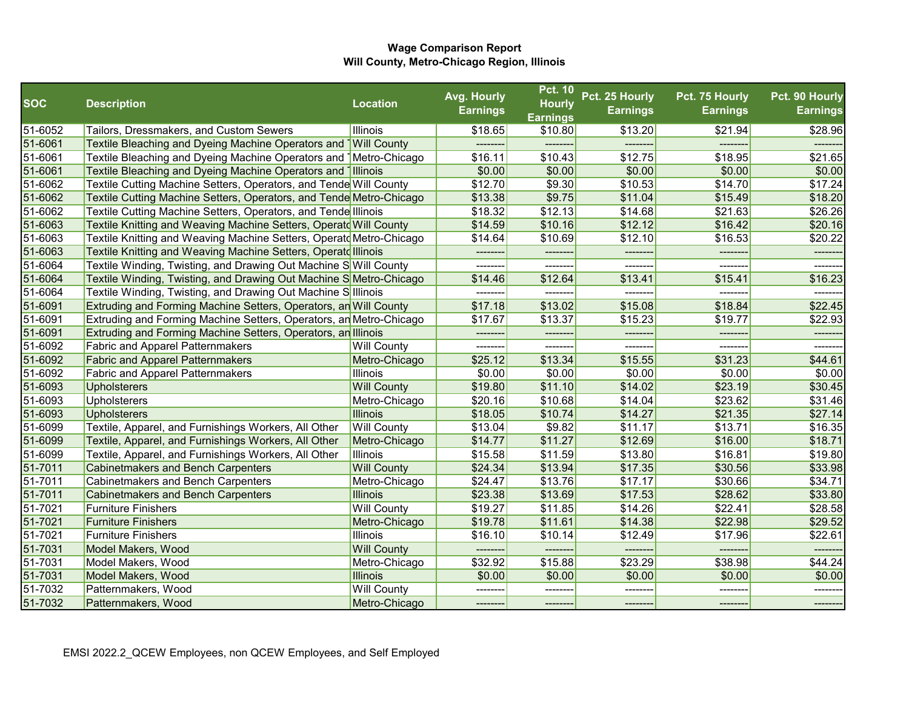|            |                                                                               |                    | Avg. Hourly     | <b>Pct. 10</b>                   | Pct. 25 Hourly  | Pct. 75 Hourly  | Pct. 90 Hourly  |
|------------|-------------------------------------------------------------------------------|--------------------|-----------------|----------------------------------|-----------------|-----------------|-----------------|
| <b>SOC</b> | <b>Description</b>                                                            | <b>Location</b>    | <b>Earnings</b> | <b>Hourly</b><br><b>Earnings</b> | <b>Earnings</b> | <b>Earnings</b> | <b>Earnings</b> |
| 51-6052    | Tailors, Dressmakers, and Custom Sewers                                       | Illinois           | \$18.65         | \$10.80                          | \$13.20         | \$21.94         | \$28.96         |
| 51-6061    | Textile Bleaching and Dyeing Machine Operators and Will County                |                    |                 |                                  |                 |                 |                 |
| 51-6061    | Textile Bleaching and Dyeing Machine Operators and <sup>1</sup> Metro-Chicago |                    | \$16.11         | \$10.43                          | \$12.75         | \$18.95         | \$21.65         |
| 51-6061    | Textile Bleaching and Dyeing Machine Operators and Illinois                   |                    | \$0.00          | \$0.00                           | \$0.00          | \$0.00          | \$0.00          |
| 51-6062    | Textile Cutting Machine Setters, Operators, and Tende Will County             |                    | \$12.70         | \$9.30                           | \$10.53         | \$14.70         | \$17.24         |
| 51-6062    | Textile Cutting Machine Setters, Operators, and Tende Metro-Chicago           |                    | \$13.38         | \$9.75                           | \$11.04         | \$15.49         | \$18.20         |
| 51-6062    | Textile Cutting Machine Setters, Operators, and Tende Illinois                |                    | \$18.32         | \$12.13                          | \$14.68         | \$21.63         | \$26.26         |
| 51-6063    | Textile Knitting and Weaving Machine Setters, Operatd Will County             |                    | \$14.59         | \$10.16                          | \$12.12         | \$16.42         | \$20.16         |
| 51-6063    | Textile Knitting and Weaving Machine Setters, Operatd Metro-Chicago           |                    | \$14.64         | \$10.69                          | \$12.10         | \$16.53         | \$20.22         |
| 51-6063    | Textile Knitting and Weaving Machine Setters, Operatd Illinois                |                    | --------        |                                  | -------         |                 | -------         |
| 51-6064    | Textile Winding, Twisting, and Drawing Out Machine SWill County               |                    | --------        | --------                         | --------        | -------         | ------          |
| 51-6064    | Textile Winding, Twisting, and Drawing Out Machine S Metro-Chicago            |                    | \$14.46         | \$12.64                          | \$13.41         | \$15.41         | \$16.23         |
| 51-6064    | Textile Winding, Twisting, and Drawing Out Machine S Illinois                 |                    |                 |                                  |                 |                 |                 |
| 51-6091    | Extruding and Forming Machine Setters, Operators, an Will County              |                    | \$17.18         | \$13.02                          | \$15.08         | \$18.84         | \$22.45         |
| 51-6091    | <b>Extruding and Forming Machine Setters, Operators, an Metro-Chicago</b>     |                    | \$17.67         | \$13.37                          | \$15.23         | \$19.77         | \$22.93         |
| 51-6091    | <b>Extruding and Forming Machine Setters, Operators, an Illinois</b>          |                    | --------        |                                  | --------        | --------        |                 |
| 51-6092    | <b>Fabric and Apparel Patternmakers</b>                                       | <b>Will County</b> | ---------       | ---------                        | --------        | --------        | --------        |
| 51-6092    | <b>Fabric and Apparel Patternmakers</b>                                       | Metro-Chicago      | \$25.12         | \$13.34                          | \$15.55         | \$31.23         | \$44.61         |
| 51-6092    | <b>Fabric and Apparel Patternmakers</b>                                       | <b>Illinois</b>    | \$0.00          | \$0.00                           | \$0.00          | \$0.00          | \$0.00          |
| 51-6093    | <b>Upholsterers</b>                                                           | <b>Will County</b> | \$19.80         | \$11.10                          | \$14.02         | \$23.19         | \$30.45         |
| 51-6093    | <b>Upholsterers</b>                                                           | Metro-Chicago      | \$20.16         | \$10.68                          | \$14.04         | \$23.62         | \$31.46         |
| 51-6093    | <b>Upholsterers</b>                                                           | <b>Illinois</b>    | \$18.05         | \$10.74                          | \$14.27         | \$21.35         | \$27.14         |
| 51-6099    | Textile, Apparel, and Furnishings Workers, All Other                          | <b>Will County</b> | \$13.04         | \$9.82                           | \$11.17         | \$13.71         | \$16.35         |
| 51-6099    | Textile, Apparel, and Furnishings Workers, All Other                          | Metro-Chicago      | \$14.77         | \$11.27                          | \$12.69         | \$16.00         | \$18.71         |
| 51-6099    | Textile, Apparel, and Furnishings Workers, All Other                          | Illinois           | \$15.58         | \$11.59                          | \$13.80         | \$16.81         | \$19.80         |
| 51-7011    | Cabinetmakers and Bench Carpenters                                            | <b>Will County</b> | \$24.34         | \$13.94                          | \$17.35         | \$30.56         | \$33.98         |
| 51-7011    | Cabinetmakers and Bench Carpenters                                            | Metro-Chicago      | \$24.47         | \$13.76                          | \$17.17         | \$30.66         | \$34.71         |
| 51-7011    | <b>Cabinetmakers and Bench Carpenters</b>                                     | <b>Illinois</b>    | \$23.38         | \$13.69                          | \$17.53         | \$28.62         | \$33.80         |
| 51-7021    | <b>Furniture Finishers</b>                                                    | <b>Will County</b> | \$19.27         | \$11.85                          | \$14.26         | \$22.41         | \$28.58         |
| 51-7021    | <b>Furniture Finishers</b>                                                    | Metro-Chicago      | \$19.78         | \$11.61                          | \$14.38         | \$22.98         | \$29.52         |
| 51-7021    | <b>Furniture Finishers</b>                                                    | <b>Illinois</b>    | \$16.10         | \$10.14                          | \$12.49         | \$17.96         | \$22.61         |
| 51-7031    | Model Makers, Wood                                                            | <b>Will County</b> | --------        |                                  | --------        | --------        | ------          |
| 51-7031    | Model Makers, Wood                                                            | Metro-Chicago      | \$32.92         | \$15.88                          | \$23.29         | \$38.98         | \$44.24         |
| 51-7031    | Model Makers, Wood                                                            | <b>Illinois</b>    | \$0.00          | \$0.00                           | \$0.00          | \$0.00          | \$0.00          |
| 51-7032    | Patternmakers, Wood                                                           | <b>Will County</b> | ---------       | ---------                        | --------        | --------        | --------        |
| 51-7032    | Patternmakers, Wood                                                           | Metro-Chicago      | -------         | --------                         | --------        | -------         | --------        |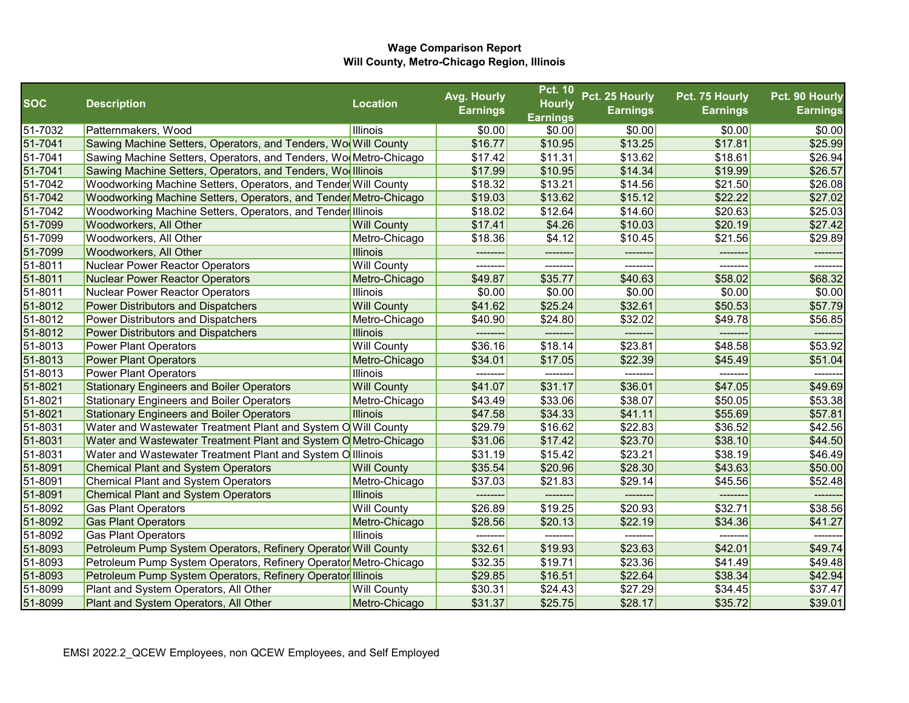|            |                                                                  |                    | Avg. Hourly     | <b>Pct. 10</b>  | Pct. 25 Hourly  | Pct. 75 Hourly  | Pct. 90 Hourly  |
|------------|------------------------------------------------------------------|--------------------|-----------------|-----------------|-----------------|-----------------|-----------------|
| <b>SOC</b> | <b>Description</b>                                               | <b>Location</b>    | <b>Earnings</b> | <b>Hourly</b>   | <b>Earnings</b> | <b>Earnings</b> | <b>Earnings</b> |
|            |                                                                  |                    |                 | <b>Earnings</b> |                 |                 |                 |
| 51-7032    | Patternmakers, Wood                                              | Illinois           | \$0.00          | \$0.00          | \$0.00          | \$0.00          | \$0.00          |
| 51-7041    | Sawing Machine Setters, Operators, and Tenders, Wo Will County   |                    | \$16.77         | \$10.95         | \$13.25         | \$17.81         | \$25.99         |
| 51-7041    | Sawing Machine Setters, Operators, and Tenders, Wo Metro-Chicago |                    | \$17.42         | \$11.31         | \$13.62         | \$18.61         | \$26.94         |
| 51-7041    | Sawing Machine Setters, Operators, and Tenders, Wo Illinois      |                    | \$17.99         | \$10.95         | \$14.34         | \$19.99         | \$26.57         |
| 51-7042    | Woodworking Machine Setters, Operators, and Tender Will County   |                    | \$18.32         | \$13.21         | \$14.56         | \$21.50         | \$26.08         |
| 51-7042    | Woodworking Machine Setters, Operators, and Tender Metro-Chicago |                    | \$19.03         | \$13.62         | \$15.12         | \$22.22         | \$27.02         |
| 51-7042    | Woodworking Machine Setters, Operators, and Tender Illinois      |                    | \$18.02         | \$12.64         | \$14.60         | \$20.63         | \$25.03         |
| 51-7099    | Woodworkers, All Other                                           | <b>Will County</b> | \$17.41         | \$4.26          | \$10.03         | \$20.19         | \$27.42         |
| 51-7099    | Woodworkers, All Other                                           | Metro-Chicago      | \$18.36         | \$4.12          | \$10.45         | \$21.56         | \$29.89         |
| 51-7099    | <b>Woodworkers, All Other</b>                                    | <b>Illinois</b>    | ---------       | --------        | -------         |                 | --------        |
| 51-8011    | Nuclear Power Reactor Operators                                  | <b>Will County</b> | --------        | --------        | -------         | -------         | ------          |
| 51-8011    | Nuclear Power Reactor Operators                                  | Metro-Chicago      | \$49.87         | \$35.77         | \$40.63         | \$58.02         | \$68.32         |
| 51-8011    | Nuclear Power Reactor Operators                                  | <b>Illinois</b>    | \$0.00          | \$0.00          | \$0.00          | \$0.00          | \$0.00          |
| 51-8012    | <b>Power Distributors and Dispatchers</b>                        | <b>Will County</b> | \$41.62         | \$25.24         | \$32.61         | \$50.53         | \$57.79         |
| 51-8012    | Power Distributors and Dispatchers                               | Metro-Chicago      | \$40.90         | \$24.80         | \$32.02         | \$49.78         | \$56.85         |
| 51-8012    | <b>Power Distributors and Dispatchers</b>                        | <b>Illinois</b>    | --------        | --------        | --------        | --------        | -------         |
| 51-8013    | <b>Power Plant Operators</b>                                     | <b>Will County</b> | \$36.16         | \$18.14         | \$23.81         | \$48.58         | \$53.92         |
| 51-8013    | <b>Power Plant Operators</b>                                     | Metro-Chicago      | \$34.01         | \$17.05         | \$22.39         | \$45.49         | \$51.04         |
| 51-8013    | <b>Power Plant Operators</b>                                     | <b>Illinois</b>    |                 |                 |                 |                 |                 |
| 51-8021    | <b>Stationary Engineers and Boiler Operators</b>                 | <b>Will County</b> | \$41.07         | \$31.17         | \$36.01         | \$47.05         | \$49.69         |
| 51-8021    | <b>Stationary Engineers and Boiler Operators</b>                 | Metro-Chicago      | \$43.49         | \$33.06         | \$38.07         | \$50.05         | \$53.38         |
| 51-8021    | <b>Stationary Engineers and Boiler Operators</b>                 | Illinois           | \$47.58         | \$34.33         | \$41.11         | \$55.69         | \$57.81         |
| 51-8031    | Water and Wastewater Treatment Plant and System OWill County     |                    | \$29.79         | \$16.62         | \$22.83         | \$36.52         | \$42.56         |
| 51-8031    | Water and Wastewater Treatment Plant and System OMetro-Chicago   |                    | \$31.06         | \$17.42         | \$23.70         | \$38.10         | \$44.50         |
| 51-8031    | Water and Wastewater Treatment Plant and System Olllinois        |                    | \$31.19         | \$15.42         | \$23.21         | \$38.19         | \$46.49         |
| 51-8091    | <b>Chemical Plant and System Operators</b>                       | <b>Will County</b> | \$35.54         | \$20.96         | \$28.30         | \$43.63         | \$50.00         |
| 51-8091    | <b>Chemical Plant and System Operators</b>                       | Metro-Chicago      | \$37.03         | \$21.83         | \$29.14         | \$45.56         | \$52.48         |
| 51-8091    | <b>Chemical Plant and System Operators</b>                       | <b>Illinois</b>    |                 |                 |                 |                 |                 |
| 51-8092    | <b>Gas Plant Operators</b>                                       | <b>Will County</b> | \$26.89         | \$19.25         | \$20.93         | \$32.71         | \$38.56         |
| 51-8092    | <b>Gas Plant Operators</b>                                       | Metro-Chicago      | \$28.56         | \$20.13         | \$22.19         | \$34.36         | \$41.27         |
| 51-8092    | <b>Gas Plant Operators</b>                                       | Illinois           |                 |                 |                 |                 |                 |
| 51-8093    | Petroleum Pump System Operators, Refinery Operator Will County   |                    | \$32.61         | \$19.93         | \$23.63         | \$42.01         | \$49.74         |
| 51-8093    | Petroleum Pump System Operators, Refinery Operator Metro-Chicago |                    | \$32.35         | \$19.71         | \$23.36         | \$41.49         | \$49.48         |
| 51-8093    | Petroleum Pump System Operators, Refinery Operator Illinois      |                    | \$29.85         | \$16.51         | \$22.64         | \$38.34         | \$42.94         |
| 51-8099    | Plant and System Operators, All Other                            | <b>Will County</b> | \$30.31         | \$24.43         | \$27.29         | \$34.45         | \$37.47         |
| 51-8099    | Plant and System Operators, All Other                            | Metro-Chicago      | \$31.37         | \$25.75         | \$28.17         | \$35.72         | \$39.01         |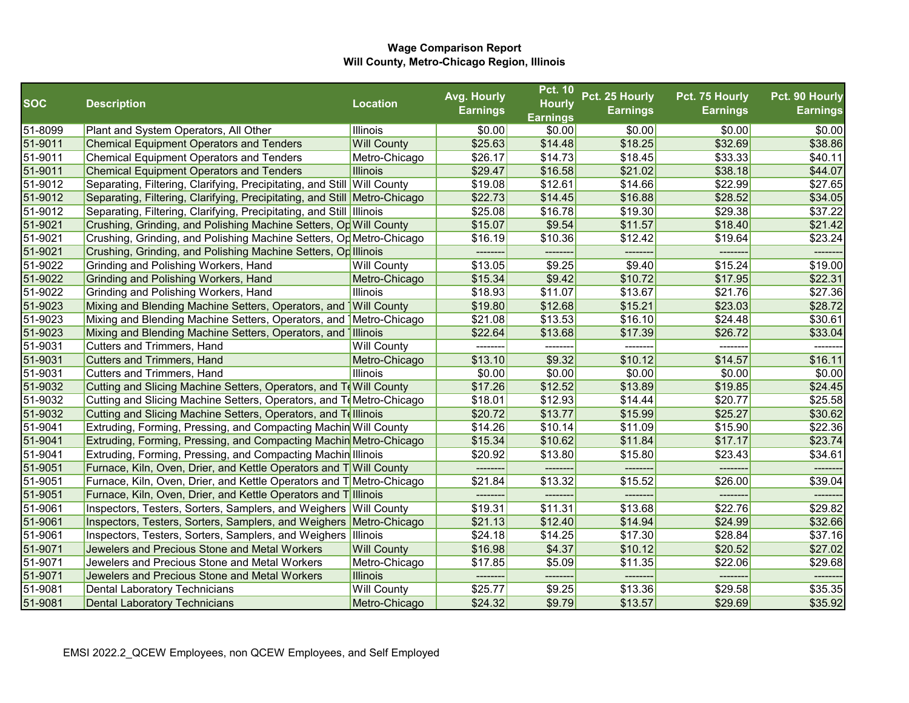|            |                                                                             |                    | Avg. Hourly     | <b>Pct. 10</b>                   | Pct. 25 Hourly  | Pct. 75 Hourly  | Pct. 90 Hourly  |
|------------|-----------------------------------------------------------------------------|--------------------|-----------------|----------------------------------|-----------------|-----------------|-----------------|
| <b>SOC</b> | <b>Description</b>                                                          | <b>Location</b>    | <b>Earnings</b> | <b>Hourly</b><br><b>Earnings</b> | <b>Earnings</b> | <b>Earnings</b> | <b>Earnings</b> |
| 51-8099    | Plant and System Operators, All Other                                       | Illinois           | \$0.00          | \$0.00                           | \$0.00          | \$0.00          | \$0.00          |
| 51-9011    | <b>Chemical Equipment Operators and Tenders</b>                             | <b>Will County</b> | \$25.63         | \$14.48                          | \$18.25         | \$32.69         | \$38.86         |
| 51-9011    | <b>Chemical Equipment Operators and Tenders</b>                             | Metro-Chicago      | \$26.17         | \$14.73                          | \$18.45         | \$33.33         | \$40.11         |
| 51-9011    | <b>Chemical Equipment Operators and Tenders</b>                             | <b>Illinois</b>    | \$29.47         | \$16.58                          | \$21.02         | \$38.18         | \$44.07         |
| 51-9012    | Separating, Filtering, Clarifying, Precipitating, and Still Will County     |                    | \$19.08         | \$12.61                          | \$14.66         | \$22.99         | \$27.65         |
| 51-9012    | Separating, Filtering, Clarifying, Precipitating, and Still Metro-Chicago   |                    | \$22.73         | \$14.45                          | \$16.88         | \$28.52         | \$34.05         |
| 51-9012    | Separating, Filtering, Clarifying, Precipitating, and Still Illinois        |                    | \$25.08         | \$16.78                          | \$19.30         | \$29.38         | \$37.22         |
| 51-9021    | Crushing, Grinding, and Polishing Machine Setters, Op Will County           |                    | \$15.07         | \$9.54                           | \$11.57         | \$18.40         | \$21.42         |
| 51-9021    | Crushing, Grinding, and Polishing Machine Setters, Op Metro-Chicago         |                    | \$16.19         | \$10.36                          | \$12.42         | \$19.64         | \$23.24         |
| 51-9021    | Crushing, Grinding, and Polishing Machine Setters, Op Illinois              |                    | --------        | --------                         | --------        | --------        | -------         |
| 51-9022    | Grinding and Polishing Workers, Hand                                        | <b>Will County</b> | \$13.05         | \$9.25                           | \$9.40          | \$15.24         | \$19.00         |
| 51-9022    | Grinding and Polishing Workers, Hand                                        | Metro-Chicago      | \$15.34         | \$9.42                           | \$10.72         | \$17.95         | \$22.31         |
| 51-9022    | Grinding and Polishing Workers, Hand                                        | Illinois           | \$18.93         | \$11.07                          | \$13.67         | \$21.76         | \$27.36         |
| 51-9023    | Mixing and Blending Machine Setters, Operators, and Will County             |                    | \$19.80         | \$12.68                          | \$15.21         | \$23.03         | \$28.72         |
| 51-9023    | Mixing and Blending Machine Setters, Operators, and Metro-Chicago           |                    | \$21.08         | \$13.53                          | \$16.10         | \$24.48         | \$30.61         |
| 51-9023    | Mixing and Blending Machine Setters, Operators, and Illinois                |                    | \$22.64         | \$13.68                          | \$17.39         | \$26.72         | \$33.04         |
| 51-9031    | Cutters and Trimmers, Hand                                                  | <b>Will County</b> | ---------       | ---------                        | --------        | --------        |                 |
| 51-9031    | <b>Cutters and Trimmers, Hand</b>                                           | Metro-Chicago      | \$13.10         | \$9.32                           | \$10.12         | \$14.57         | \$16.11         |
| 51-9031    | Cutters and Trimmers, Hand                                                  | <b>Illinois</b>    | \$0.00          | \$0.00                           | \$0.00          | \$0.00          | \$0.00          |
| 51-9032    | Cutting and Slicing Machine Setters, Operators, and To Will County          |                    | \$17.26         | \$12.52                          | \$13.89         | \$19.85         | \$24.45         |
| 51-9032    | Cutting and Slicing Machine Setters, Operators, and ToMetro-Chicago         |                    | \$18.01         | \$12.93                          | \$14.44         | \$20.77         | \$25.58         |
| 51-9032    | Cutting and Slicing Machine Setters, Operators, and Telllinois              |                    | \$20.72         | \$13.77                          | \$15.99         | \$25.27         | \$30.62         |
| 51-9041    | Extruding, Forming, Pressing, and Compacting Machin Will County             |                    | \$14.26         | \$10.14                          | \$11.09         | \$15.90         | \$22.36         |
| 51-9041    | Extruding, Forming, Pressing, and Compacting Machin Metro-Chicago           |                    | \$15.34         | \$10.62                          | \$11.84         | \$17.17         | \$23.74         |
| 51-9041    | Extruding, Forming, Pressing, and Compacting Machin Illinois                |                    | \$20.92         | \$13.80                          | \$15.80         | \$23.43         | \$34.61         |
| 51-9051    | <b>Furnace, Kiln, Oven, Drier, and Kettle Operators and T Will County</b>   |                    |                 |                                  |                 |                 |                 |
| 51-9051    | <b>Furnace, Kiln, Oven, Drier, and Kettle Operators and T</b> Metro-Chicago |                    | \$21.84         | \$13.32                          | \$15.52         | \$26.00         | \$39.04         |
| 51-9051    | Furnace, Kiln, Oven, Drier, and Kettle Operators and Tillinois              |                    |                 |                                  |                 |                 |                 |
| 51-9061    | Inspectors, Testers, Sorters, Samplers, and Weighers Will County            |                    | \$19.31         | \$11.31                          | \$13.68         | \$22.76         | \$29.82         |
| 51-9061    | Inspectors, Testers, Sorters, Samplers, and Weighers Metro-Chicago          |                    | \$21.13         | \$12.40                          | \$14.94         | \$24.99         | \$32.66         |
| 51-9061    | Inspectors, Testers, Sorters, Samplers, and Weighers Illinois               |                    | \$24.18         | \$14.25                          | \$17.30         | \$28.84         | \$37.16         |
| 51-9071    | Jewelers and Precious Stone and Metal Workers                               | <b>Will County</b> | \$16.98         | \$4.37                           | \$10.12         | \$20.52         | \$27.02         |
| 51-9071    | Jewelers and Precious Stone and Metal Workers                               | Metro-Chicago      | \$17.85         | \$5.09                           | \$11.35         | \$22.06         | \$29.68         |
| 51-9071    | Jewelers and Precious Stone and Metal Workers                               | <b>Illinois</b>    | --------        |                                  |                 |                 |                 |
| 51-9081    | <b>Dental Laboratory Technicians</b>                                        | <b>Will County</b> | \$25.77         | \$9.25                           | \$13.36         | \$29.58         | \$35.35         |
| 51-9081    | Dental Laboratory Technicians                                               | Metro-Chicago      | \$24.32         | \$9.79                           | \$13.57         | \$29.69         | \$35.92         |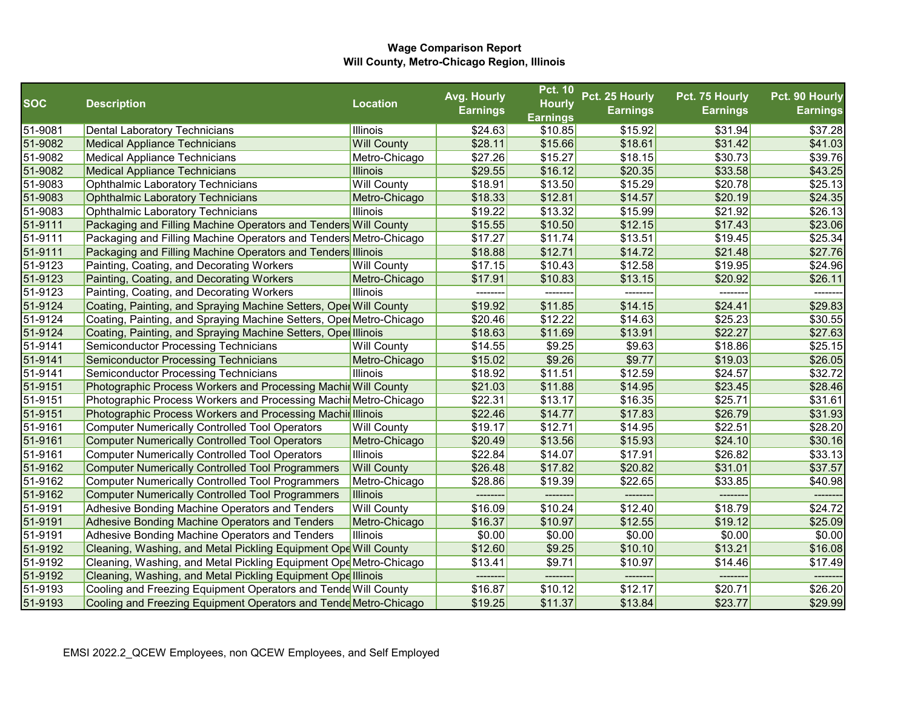|            |                                                                     |                    | Avg. Hourly     | <b>Pct. 10</b>  | Pct. 25 Hourly  | Pct. 75 Hourly  | Pct. 90 Hourly  |
|------------|---------------------------------------------------------------------|--------------------|-----------------|-----------------|-----------------|-----------------|-----------------|
| <b>SOC</b> | <b>Description</b>                                                  | <b>Location</b>    | <b>Earnings</b> | <b>Hourly</b>   | <b>Earnings</b> | <b>Earnings</b> | <b>Earnings</b> |
|            |                                                                     |                    |                 | <b>Earnings</b> |                 |                 |                 |
| 51-9081    | <b>Dental Laboratory Technicians</b>                                | Illinois           | \$24.63         | \$10.85         | \$15.92         | \$31.94         | \$37.28         |
| 51-9082    | <b>Medical Appliance Technicians</b>                                | <b>Will County</b> | \$28.11         | \$15.66         | \$18.61         | \$31.42         | \$41.03         |
| 51-9082    | <b>Medical Appliance Technicians</b>                                | Metro-Chicago      | \$27.26         | \$15.27         | \$18.15         | \$30.73         | \$39.76         |
| 51-9082    | <b>Medical Appliance Technicians</b>                                | <b>Illinois</b>    | \$29.55         | \$16.12         | \$20.35         | \$33.58         | \$43.25         |
| 51-9083    | <b>Ophthalmic Laboratory Technicians</b>                            | <b>Will County</b> | \$18.91         | \$13.50         | \$15.29         | \$20.78         | \$25.13         |
| 51-9083    | <b>Ophthalmic Laboratory Technicians</b>                            | Metro-Chicago      | \$18.33         | \$12.81         | \$14.57         | \$20.19         | \$24.35         |
| 51-9083    | <b>Ophthalmic Laboratory Technicians</b>                            | Illinois           | \$19.22         | \$13.32         | \$15.99         | \$21.92         | \$26.13         |
| 51-9111    | Packaging and Filling Machine Operators and Tenders Will County     |                    | \$15.55         | \$10.50         | \$12.15         | \$17.43         | \$23.06         |
| 51-9111    | Packaging and Filling Machine Operators and Tenders Metro-Chicago   |                    | \$17.27         | \$11.74         | \$13.51         | \$19.45         | \$25.34         |
| 51-9111    | Packaging and Filling Machine Operators and Tenders Illinois        |                    | \$18.88         | \$12.71         | \$14.72         | \$21.48         | \$27.76         |
| 51-9123    | Painting, Coating, and Decorating Workers                           | <b>Will County</b> | \$17.15         | \$10.43         | \$12.58         | \$19.95         | \$24.96         |
| 51-9123    | Painting, Coating, and Decorating Workers                           | Metro-Chicago      | \$17.91         | \$10.83         | \$13.15         | \$20.92         | \$26.11         |
| 51-9123    | Painting, Coating, and Decorating Workers                           | Illinois           | --------        |                 |                 |                 |                 |
| 51-9124    | Coating, Painting, and Spraying Machine Setters, Oper Will County   |                    | \$19.92         | \$11.85         | \$14.15         | \$24.41         | \$29.83         |
| 51-9124    | Coating, Painting, and Spraying Machine Setters, Oper Metro-Chicago |                    | \$20.46         | \$12.22         | \$14.63         | \$25.23         | \$30.55         |
| 51-9124    | Coating, Painting, and Spraying Machine Setters, Oper Illinois      |                    | \$18.63         | \$11.69         | \$13.91         | \$22.27         | \$27.63         |
| 51-9141    | <b>Semiconductor Processing Technicians</b>                         | <b>Will County</b> | \$14.55         | \$9.25          | \$9.63          | \$18.86         | \$25.15         |
| 51-9141    | <b>Semiconductor Processing Technicians</b>                         | Metro-Chicago      | \$15.02         | \$9.26          | \$9.77          | \$19.03         | \$26.05         |
| 51-9141    | <b>Semiconductor Processing Technicians</b>                         | Illinois           | \$18.92         | \$11.51         | \$12.59         | \$24.57         | \$32.72         |
| 51-9151    | Photographic Process Workers and Processing Machir Will County      |                    | \$21.03         | \$11.88         | \$14.95         | \$23.45         | \$28.46         |
| 51-9151    | Photographic Process Workers and Processing Machir Metro-Chicago    |                    | \$22.31         | \$13.17         | \$16.35         | \$25.71         | \$31.61         |
| 51-9151    | Photographic Process Workers and Processing Machir Illinois         |                    | \$22.46         | \$14.77         | \$17.83         | \$26.79         | \$31.93         |
| 51-9161    | <b>Computer Numerically Controlled Tool Operators</b>               | <b>Will County</b> | \$19.17         | \$12.71         | \$14.95         | \$22.51         | \$28.20         |
| 51-9161    | <b>Computer Numerically Controlled Tool Operators</b>               | Metro-Chicago      | \$20.49         | \$13.56         | \$15.93         | \$24.10         | \$30.16         |
| 51-9161    | <b>Computer Numerically Controlled Tool Operators</b>               | Illinois           | \$22.84         | \$14.07         | \$17.91         | \$26.82         | \$33.13         |
| 51-9162    | <b>Computer Numerically Controlled Tool Programmers</b>             | <b>Will County</b> | \$26.48         | \$17.82         | \$20.82         | \$31.01         | \$37.57         |
| 51-9162    | <b>Computer Numerically Controlled Tool Programmers</b>             | Metro-Chicago      | \$28.86         | \$19.39         | \$22.65         | \$33.85         | \$40.98         |
| 51-9162    | <b>Computer Numerically Controlled Tool Programmers</b>             | Illinois           |                 |                 |                 |                 |                 |
| 51-9191    | Adhesive Bonding Machine Operators and Tenders                      | <b>Will County</b> | \$16.09         | \$10.24         | \$12.40         | \$18.79         | \$24.72         |
| 51-9191    | Adhesive Bonding Machine Operators and Tenders                      | Metro-Chicago      | \$16.37         | \$10.97         | \$12.55         | \$19.12         | \$25.09         |
| 51-9191    | Adhesive Bonding Machine Operators and Tenders                      | Illinois           | \$0.00          | \$0.00          | \$0.00          | \$0.00          | \$0.00          |
| 51-9192    | Cleaning, Washing, and Metal Pickling Equipment Ope Will County     |                    | \$12.60         | \$9.25          | \$10.10         | \$13.21         | \$16.08         |
| 51-9192    | Cleaning, Washing, and Metal Pickling Equipment Ope Metro-Chicago   |                    | \$13.41         | \$9.71          | \$10.97         | \$14.46         | \$17.49         |
| 51-9192    | Cleaning, Washing, and Metal Pickling Equipment Ope Illinois        |                    |                 |                 |                 | -------         |                 |
| 51-9193    | Cooling and Freezing Equipment Operators and Tende Will County      |                    | \$16.87         | \$10.12         | \$12.17         | \$20.71         | \$26.20         |
| 51-9193    | Cooling and Freezing Equipment Operators and Tende Metro-Chicago    |                    | \$19.25         | \$11.37         | \$13.84         | \$23.77         | \$29.99         |
|            |                                                                     |                    |                 |                 |                 |                 |                 |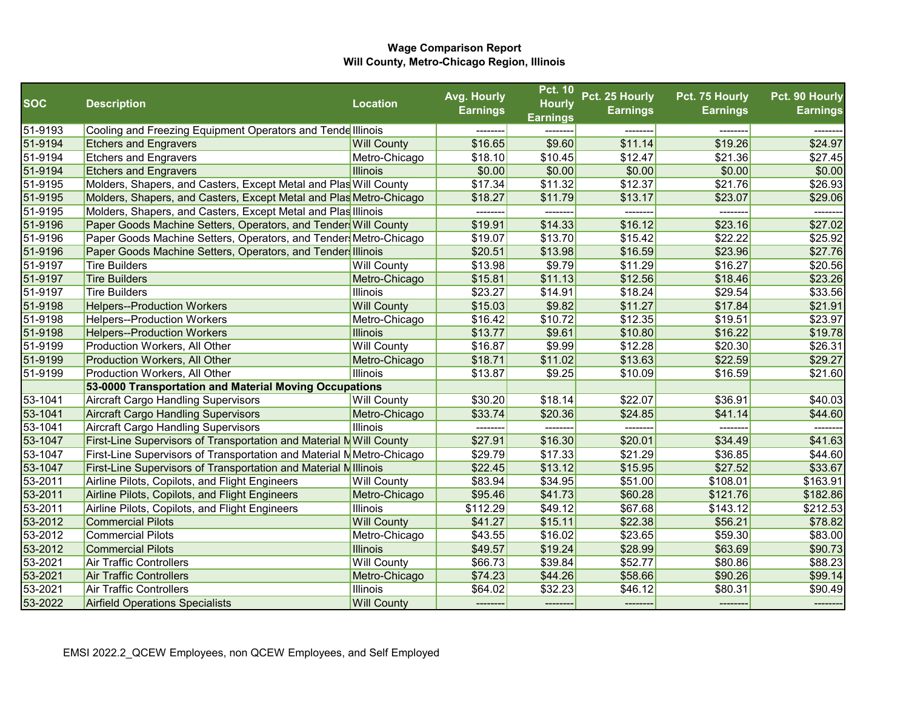|            |                                                                        |                    | Avg. Hourly     | <b>Pct. 10</b>  | Pct. 25 Hourly  | Pct. 75 Hourly  | Pct. 90 Hourly  |
|------------|------------------------------------------------------------------------|--------------------|-----------------|-----------------|-----------------|-----------------|-----------------|
| <b>SOC</b> | <b>Description</b>                                                     | <b>Location</b>    | <b>Earnings</b> | <b>Hourly</b>   | <b>Earnings</b> | <b>Earnings</b> | <b>Earnings</b> |
|            |                                                                        |                    |                 | <b>Earnings</b> |                 |                 |                 |
| 51-9193    | Cooling and Freezing Equipment Operators and Tende Illinois            |                    |                 |                 |                 |                 |                 |
| 51-9194    | <b>Etchers and Engravers</b>                                           | <b>Will County</b> | \$16.65         | \$9.60          | \$11.14         | \$19.26         | \$24.97         |
| 51-9194    | <b>Etchers and Engravers</b>                                           | Metro-Chicago      | \$18.10         | \$10.45         | \$12.47         | \$21.36         | \$27.45         |
| 51-9194    | <b>Etchers and Engravers</b>                                           | <b>Illinois</b>    | \$0.00          | \$0.00          | \$0.00          | \$0.00          | \$0.00          |
| 51-9195    | Molders, Shapers, and Casters, Except Metal and Plas Will County       |                    | \$17.34         | \$11.32         | \$12.37         | \$21.76         | \$26.93         |
| 51-9195    | Molders, Shapers, and Casters, Except Metal and Plas Metro-Chicago     |                    | \$18.27         | \$11.79         | \$13.17         | \$23.07         | \$29.06         |
| 51-9195    | Molders, Shapers, and Casters, Except Metal and Plas Illinois          |                    |                 |                 | -------         |                 |                 |
| 51-9196    | Paper Goods Machine Setters, Operators, and Tenders Will County        |                    | \$19.91         | \$14.33         | \$16.12         | \$23.16         | \$27.02         |
| 51-9196    | Paper Goods Machine Setters, Operators, and Tender Metro-Chicago       |                    | \$19.07         | \$13.70         | \$15.42         | \$22.22         | \$25.92         |
| 51-9196    | Paper Goods Machine Setters, Operators, and Tender Illinois            |                    | \$20.51         | \$13.98         | \$16.59         | \$23.96         | \$27.76         |
| 51-9197    | <b>Tire Builders</b>                                                   | <b>Will County</b> | \$13.98         | \$9.79          | \$11.29         | \$16.27         | \$20.56         |
| 51-9197    | <b>Tire Builders</b>                                                   | Metro-Chicago      | \$15.81         | \$11.13         | \$12.56         | \$18.46         | \$23.26         |
| 51-9197    | <b>Tire Builders</b>                                                   | <b>Illinois</b>    | \$23.27         | \$14.91         | \$18.24         | \$29.54         | \$33.56         |
| 51-9198    | <b>Helpers--Production Workers</b>                                     | <b>Will County</b> | \$15.03         | \$9.82          | \$11.27         | \$17.84         | \$21.91         |
| 51-9198    | <b>Helpers--Production Workers</b>                                     | Metro-Chicago      | \$16.42         | \$10.72         | \$12.35         | \$19.51         | \$23.97         |
| 51-9198    | <b>Helpers--Production Workers</b>                                     | <b>Illinois</b>    | \$13.77         | \$9.61          | \$10.80         | \$16.22         | \$19.78         |
| 51-9199    | Production Workers, All Other                                          | <b>Will County</b> | \$16.87         | \$9.99          | \$12.28         | \$20.30         | \$26.31         |
| 51-9199    | Production Workers, All Other                                          | Metro-Chicago      | \$18.71         | \$11.02         | \$13.63         | \$22.59         | \$29.27         |
| 51-9199    | Production Workers, All Other                                          | <b>Illinois</b>    | \$13.87         | \$9.25          | \$10.09         | \$16.59         | \$21.60         |
|            | 53-0000 Transportation and Material Moving Occupations                 |                    |                 |                 |                 |                 |                 |
| 53-1041    | <b>Aircraft Cargo Handling Supervisors</b>                             | <b>Will County</b> | \$30.20         | \$18.14         | \$22.07         | \$36.91         | \$40.03         |
| 53-1041    | <b>Aircraft Cargo Handling Supervisors</b>                             | Metro-Chicago      | \$33.74         | \$20.36         | \$24.85         | \$41.14         | \$44.60         |
| 53-1041    | <b>Aircraft Cargo Handling Supervisors</b>                             | <b>Illinois</b>    | ---------       |                 | -------         | --------        |                 |
| 53-1047    | First-Line Supervisors of Transportation and Material NWill County     |                    | \$27.91         | \$16.30         | \$20.01         | \$34.49         | \$41.63         |
| 53-1047    | First-Line Supervisors of Transportation and Material NMetro-Chicago   |                    | \$29.79         | \$17.33         | \$21.29         | \$36.85         | \$44.60         |
| 53-1047    | <b>First-Line Supervisors of Transportation and Material Millinois</b> |                    | \$22.45         | \$13.12         | \$15.95         | \$27.52         | \$33.67         |
| 53-2011    | Airline Pilots, Copilots, and Flight Engineers                         | <b>Will County</b> | \$83.94         | \$34.95         | \$51.00         | \$108.01        | \$163.91        |
| 53-2011    | Airline Pilots, Copilots, and Flight Engineers                         | Metro-Chicago      | \$95.46         | \$41.73         | \$60.28         | \$121.76        | \$182.86        |
| 53-2011    | Airline Pilots, Copilots, and Flight Engineers                         | <b>Illinois</b>    | \$112.29        | \$49.12         | \$67.68         | \$143.12        | \$212.53        |
| 53-2012    | <b>Commercial Pilots</b>                                               | <b>Will County</b> | \$41.27         | \$15.11         | \$22.38         | \$56.21         | \$78.82         |
| 53-2012    | <b>Commercial Pilots</b>                                               | Metro-Chicago      | \$43.55         | \$16.02         | \$23.65         | \$59.30         | \$83.00         |
| 53-2012    | <b>Commercial Pilots</b>                                               | <b>Illinois</b>    | \$49.57         | \$19.24         | \$28.99         | \$63.69         | \$90.73         |
| 53-2021    | <b>Air Traffic Controllers</b>                                         | <b>Will County</b> | \$66.73         | \$39.84         | \$52.77         | \$80.86         | \$88.23         |
| 53-2021    | <b>Air Traffic Controllers</b>                                         | Metro-Chicago      | \$74.23         | \$44.26         | \$58.66         | \$90.26         | \$99.14         |
| 53-2021    | <b>Air Traffic Controllers</b>                                         | <b>Illinois</b>    | \$64.02         | \$32.23         | \$46.12         | \$80.31         | \$90.49         |
| 53-2022    | <b>Airfield Operations Specialists</b>                                 | <b>Will County</b> | --------        | --------        | --------        |                 |                 |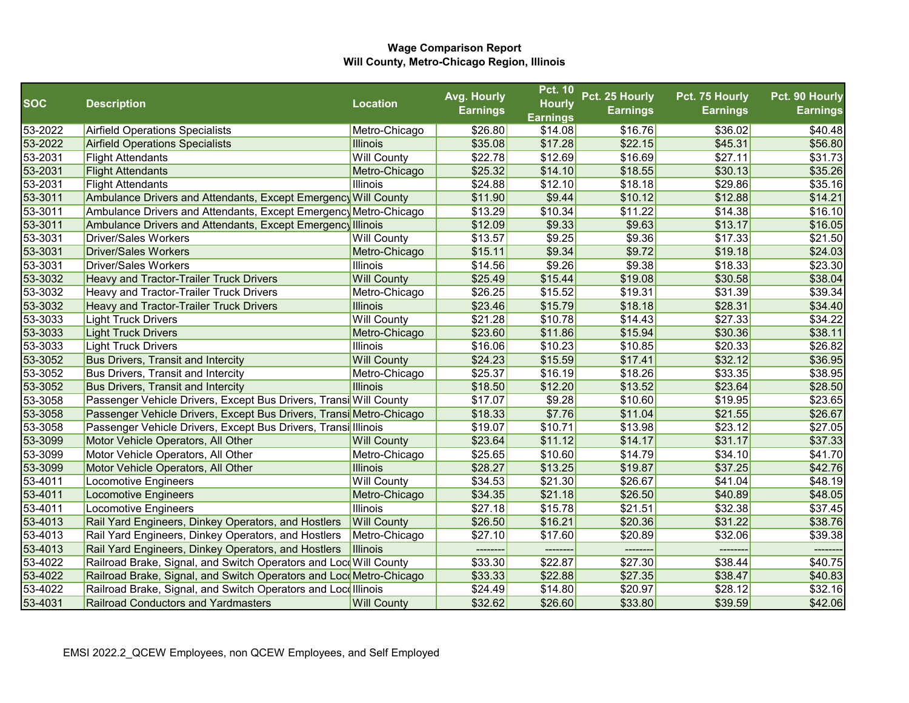|            |                                                                     |                    | Avg. Hourly     | <b>Pct. 10</b>  | Pct. 25 Hourly  | Pct. 75 Hourly  | Pct. 90 Hourly  |
|------------|---------------------------------------------------------------------|--------------------|-----------------|-----------------|-----------------|-----------------|-----------------|
| <b>SOC</b> | <b>Description</b>                                                  | <b>Location</b>    | <b>Earnings</b> | <b>Hourly</b>   | <b>Earnings</b> | <b>Earnings</b> | <b>Earnings</b> |
|            |                                                                     |                    |                 | <b>Earnings</b> |                 |                 |                 |
| 53-2022    | <b>Airfield Operations Specialists</b>                              | Metro-Chicago      | \$26.80         | \$14.08         | \$16.76         | \$36.02         | \$40.48         |
| 53-2022    | Airfield Operations Specialists                                     | <b>Illinois</b>    | \$35.08         | \$17.28         | \$22.15         | \$45.31         | \$56.80         |
| 53-2031    | <b>Flight Attendants</b>                                            | <b>Will County</b> | \$22.78         | \$12.69         | \$16.69         | \$27.11         | \$31.73         |
| 53-2031    | <b>Flight Attendants</b>                                            | Metro-Chicago      | \$25.32         | \$14.10         | \$18.55         | \$30.13         | \$35.26         |
| 53-2031    | <b>Flight Attendants</b>                                            | <b>Illinois</b>    | \$24.88         | \$12.10         | \$18.18         | \$29.86         | \$35.16         |
| 53-3011    | Ambulance Drivers and Attendants, Except Emergency Will County      |                    | \$11.90         | \$9.44          | \$10.12         | \$12.88         | \$14.21         |
| 53-3011    | Ambulance Drivers and Attendants, Except Emergency Metro-Chicago    |                    | \$13.29         | \$10.34         | \$11.22         | \$14.38         | \$16.10         |
| 53-3011    | Ambulance Drivers and Attendants, Except Emergency Illinois         |                    | \$12.09         | \$9.33          | \$9.63          | \$13.17         | \$16.05         |
| 53-3031    | <b>Driver/Sales Workers</b>                                         | <b>Will County</b> | \$13.57         | \$9.25          | \$9.36          | \$17.33         | \$21.50         |
| 53-3031    | <b>Driver/Sales Workers</b>                                         | Metro-Chicago      | \$15.11         | \$9.34          | \$9.72          | \$19.18         | \$24.03         |
| 53-3031    | Driver/Sales Workers                                                | <b>Illinois</b>    | \$14.56         | \$9.26          | \$9.38          | \$18.33         | \$23.30         |
| 53-3032    | <b>Heavy and Tractor-Trailer Truck Drivers</b>                      | <b>Will County</b> | \$25.49         | \$15.44         | \$19.08         | \$30.58         | \$38.04         |
| 53-3032    | Heavy and Tractor-Trailer Truck Drivers                             | Metro-Chicago      | \$26.25         | \$15.52         | \$19.31         | \$31.39         | \$39.34         |
| 53-3032    | <b>Heavy and Tractor-Trailer Truck Drivers</b>                      | <b>Illinois</b>    | \$23.46         | \$15.79         | \$18.18         | \$28.31         | \$34.40         |
| 53-3033    | <b>Light Truck Drivers</b>                                          | <b>Will County</b> | \$21.28         | \$10.78         | \$14.43         | \$27.33         | \$34.22         |
| 53-3033    | <b>Light Truck Drivers</b>                                          | Metro-Chicago      | \$23.60         | \$11.86         | \$15.94         | \$30.36         | \$38.11         |
| 53-3033    | <b>Light Truck Drivers</b>                                          | <b>Illinois</b>    | \$16.06         | \$10.23         | \$10.85         | \$20.33         | \$26.82         |
| 53-3052    | <b>Bus Drivers, Transit and Intercity</b>                           | <b>Will County</b> | \$24.23         | \$15.59         | \$17.41         | \$32.12         | \$36.95         |
| 53-3052    | <b>Bus Drivers, Transit and Intercity</b>                           | Metro-Chicago      | \$25.37         | \$16.19         | \$18.26         | \$33.35         | \$38.95         |
| 53-3052    | <b>Bus Drivers, Transit and Intercity</b>                           | <b>Illinois</b>    | \$18.50         | \$12.20         | \$13.52         | \$23.64         | \$28.50         |
| 53-3058    | Passenger Vehicle Drivers, Except Bus Drivers, Transi Will County   |                    | \$17.07         | \$9.28          | \$10.60         | \$19.95         | \$23.65         |
| 53-3058    | Passenger Vehicle Drivers, Except Bus Drivers, Transi Metro-Chicago |                    | \$18.33         | \$7.76          | \$11.04         | \$21.55         | \$26.67         |
| 53-3058    | Passenger Vehicle Drivers, Except Bus Drivers, Transi Illinois      |                    | \$19.07         | \$10.71         | \$13.98         | \$23.12         | \$27.05         |
| 53-3099    | Motor Vehicle Operators, All Other                                  | <b>Will County</b> | \$23.64         | \$11.12         | \$14.17         | \$31.17         | \$37.33         |
| 53-3099    | Motor Vehicle Operators, All Other                                  | Metro-Chicago      | \$25.65         | \$10.60         | \$14.79         | \$34.10         | \$41.70         |
| 53-3099    | Motor Vehicle Operators, All Other                                  | <b>Illinois</b>    | \$28.27         | \$13.25         | \$19.87         | \$37.25         | \$42.76         |
| 53-4011    | Locomotive Engineers                                                | <b>Will County</b> | \$34.53         | \$21.30         | \$26.67         | \$41.04         | \$48.19         |
| 53-4011    | Locomotive Engineers                                                | Metro-Chicago      | \$34.35         | \$21.18         | \$26.50         | \$40.89         | \$48.05         |
| 53-4011    | Locomotive Engineers                                                | <b>Illinois</b>    | \$27.18         | \$15.78         | \$21.51         | \$32.38         | \$37.45         |
| 53-4013    | Rail Yard Engineers, Dinkey Operators, and Hostlers                 | <b>Will County</b> | \$26.50         | \$16.21         | \$20.36         | \$31.22         | \$38.76         |
| 53-4013    | Rail Yard Engineers, Dinkey Operators, and Hostlers                 | Metro-Chicago      | \$27.10         | \$17.60         | \$20.89         | \$32.06         | \$39.38         |
| 53-4013    | Rail Yard Engineers, Dinkey Operators, and Hostlers                 | Illinois           | --------        | --------        | --------        | --------        | --------        |
| 53-4022    | Railroad Brake, Signal, and Switch Operators and LocoWill County    |                    | \$33.30         | \$22.87         | \$27.30         | \$38.44         | \$40.75         |
| 53-4022    | Railroad Brake, Signal, and Switch Operators and LocoMetro-Chicago  |                    | \$33.33         | \$22.88         | \$27.35         | \$38.47         | \$40.83         |
| 53-4022    | Railroad Brake, Signal, and Switch Operators and Locolllinois       |                    | \$24.49         | \$14.80         | \$20.97         | \$28.12         | \$32.16         |
| 53-4031    | <b>Railroad Conductors and Yardmasters</b>                          | <b>Will County</b> | \$32.62         | \$26.60         | \$33.80         | \$39.59         | \$42.06         |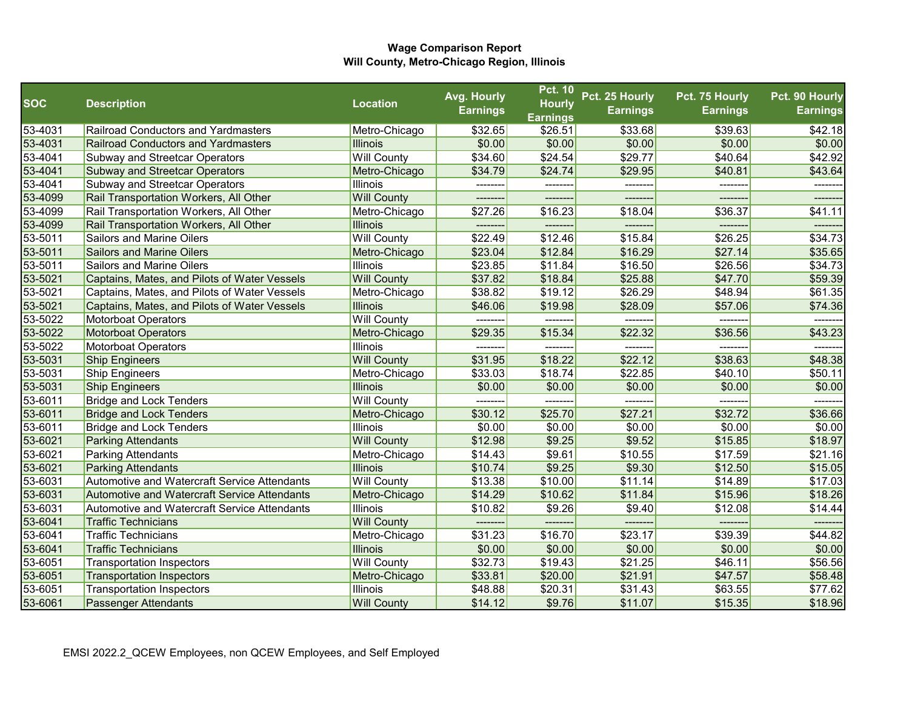|            |                                                     |                    | Avg. Hourly     | <b>Pct. 10</b>  | Pct. 25 Hourly  | Pct. 75 Hourly  | Pct. 90 Hourly  |
|------------|-----------------------------------------------------|--------------------|-----------------|-----------------|-----------------|-----------------|-----------------|
| <b>SOC</b> | <b>Description</b>                                  | <b>Location</b>    | <b>Earnings</b> | <b>Hourly</b>   | <b>Earnings</b> | <b>Earnings</b> | <b>Earnings</b> |
|            |                                                     |                    |                 | <b>Earnings</b> |                 |                 |                 |
| 53-4031    | <b>Railroad Conductors and Yardmasters</b>          | Metro-Chicago      | \$32.65         | \$26.51         | \$33.68         | \$39.63         | \$42.18         |
| 53-4031    | <b>Railroad Conductors and Yardmasters</b>          | <b>Illinois</b>    | \$0.00          | \$0.00          | \$0.00          | \$0.00          | \$0.00          |
| 53-4041    | Subway and Streetcar Operators                      | <b>Will County</b> | \$34.60         | \$24.54         | \$29.77         | \$40.64         | \$42.92         |
| 53-4041    | <b>Subway and Streetcar Operators</b>               | Metro-Chicago      | \$34.79         | \$24.74         | \$29.95         | \$40.81         | \$43.64         |
| 53-4041    | <b>Subway and Streetcar Operators</b>               | <b>Illinois</b>    |                 | --------        | -------         | -------         | -------         |
| 53-4099    | Rail Transportation Workers, All Other              | <b>Will County</b> | -------         | --------        | --------        |                 | -------         |
| 53-4099    | Rail Transportation Workers, All Other              | Metro-Chicago      | \$27.26         | \$16.23         | \$18.04         | \$36.37         | \$41.11         |
| 53-4099    | Rail Transportation Workers, All Other              | <b>Illinois</b>    | -------         |                 | --------        | -------         | -------         |
| 53-5011    | <b>Sailors and Marine Oilers</b>                    | <b>Will County</b> | \$22.49         | \$12.46         | \$15.84         | \$26.25         | \$34.73         |
| 53-5011    | Sailors and Marine Oilers                           | Metro-Chicago      | \$23.04         | \$12.84         | \$16.29         | \$27.14         | \$35.65         |
| 53-5011    | Sailors and Marine Oilers                           | <b>Illinois</b>    | \$23.85         | \$11.84         | \$16.50         | \$26.56         | \$34.73         |
| 53-5021    | Captains, Mates, and Pilots of Water Vessels        | <b>Will County</b> | \$37.82         | \$18.84         | \$25.88         | \$47.70         | \$59.39         |
| 53-5021    | Captains, Mates, and Pilots of Water Vessels        | Metro-Chicago      | \$38.82         | \$19.12         | \$26.29         | \$48.94         | \$61.35         |
| 53-5021    | Captains, Mates, and Pilots of Water Vessels        | <b>Illinois</b>    | \$46.06         | \$19.98         | \$28.09         | \$57.06         | \$74.36         |
| 53-5022    | <b>Motorboat Operators</b>                          | <b>Will County</b> | --------        | --------        | --------        | --------        | -------         |
| 53-5022    | <b>Motorboat Operators</b>                          | Metro-Chicago      | \$29.35         | \$15.34         | \$22.32         | \$36.56         | \$43.23         |
| 53-5022    | <b>Motorboat Operators</b>                          | <b>Illinois</b>    |                 |                 |                 | -------         |                 |
| 53-5031    | <b>Ship Engineers</b>                               | <b>Will County</b> | \$31.95         | \$18.22         | \$22.12         | \$38.63         | \$48.38         |
| 53-5031    | Ship Engineers                                      | Metro-Chicago      | \$33.03         | \$18.74         | \$22.85         | \$40.10         | \$50.11         |
| 53-5031    | <b>Ship Engineers</b>                               | <b>Illinois</b>    | \$0.00          | \$0.00          | \$0.00          | \$0.00          | \$0.00          |
| 53-6011    | <b>Bridge and Lock Tenders</b>                      | <b>Will County</b> |                 |                 |                 |                 |                 |
| 53-6011    | <b>Bridge and Lock Tenders</b>                      | Metro-Chicago      | \$30.12         | \$25.70         | \$27.21         | \$32.72         | \$36.66         |
| 53-6011    | <b>Bridge and Lock Tenders</b>                      | <b>Illinois</b>    | \$0.00          | \$0.00          | \$0.00          | \$0.00          | \$0.00          |
| 53-6021    | <b>Parking Attendants</b>                           | <b>Will County</b> | \$12.98         | \$9.25          | \$9.52          | \$15.85         | \$18.97         |
| 53-6021    | <b>Parking Attendants</b>                           | Metro-Chicago      | \$14.43         | \$9.61          | \$10.55         | \$17.59         | \$21.16         |
| 53-6021    | <b>Parking Attendants</b>                           | <b>Illinois</b>    | \$10.74         | \$9.25          | \$9.30          | \$12.50         | \$15.05         |
| 53-6031    | <b>Automotive and Watercraft Service Attendants</b> | <b>Will County</b> | \$13.38         | \$10.00         | \$11.14         | \$14.89         | \$17.03         |
| 53-6031    | <b>Automotive and Watercraft Service Attendants</b> | Metro-Chicago      | \$14.29         | \$10.62         | \$11.84         | \$15.96         | \$18.26         |
| 53-6031    | Automotive and Watercraft Service Attendants        | Illinois           | \$10.82         | \$9.26          | \$9.40          | \$12.08         | \$14.44         |
| 53-6041    | <b>Traffic Technicians</b>                          | <b>Will County</b> |                 |                 | -------         |                 |                 |
| 53-6041    | <b>Traffic Technicians</b>                          | Metro-Chicago      | \$31.23         | \$16.70         | \$23.17         | \$39.39         | \$44.82         |
| 53-6041    | <b>Traffic Technicians</b>                          | <b>Illinois</b>    | \$0.00          | \$0.00          | \$0.00          | \$0.00          | \$0.00          |
| 53-6051    | Transportation Inspectors                           | <b>Will County</b> | \$32.73         | \$19.43         | \$21.25         | \$46.11         | \$56.56         |
| 53-6051    | <b>Transportation Inspectors</b>                    | Metro-Chicago      | \$33.81         | \$20.00         | \$21.91         | \$47.57         | \$58.48         |
| 53-6051    | Transportation Inspectors                           | <b>Illinois</b>    | \$48.88         | \$20.31         | \$31.43         | \$63.55         | \$77.62         |
| 53-6061    | <b>Passenger Attendants</b>                         | <b>Will County</b> | \$14.12         | \$9.76          | \$11.07         | \$15.35         | \$18.96         |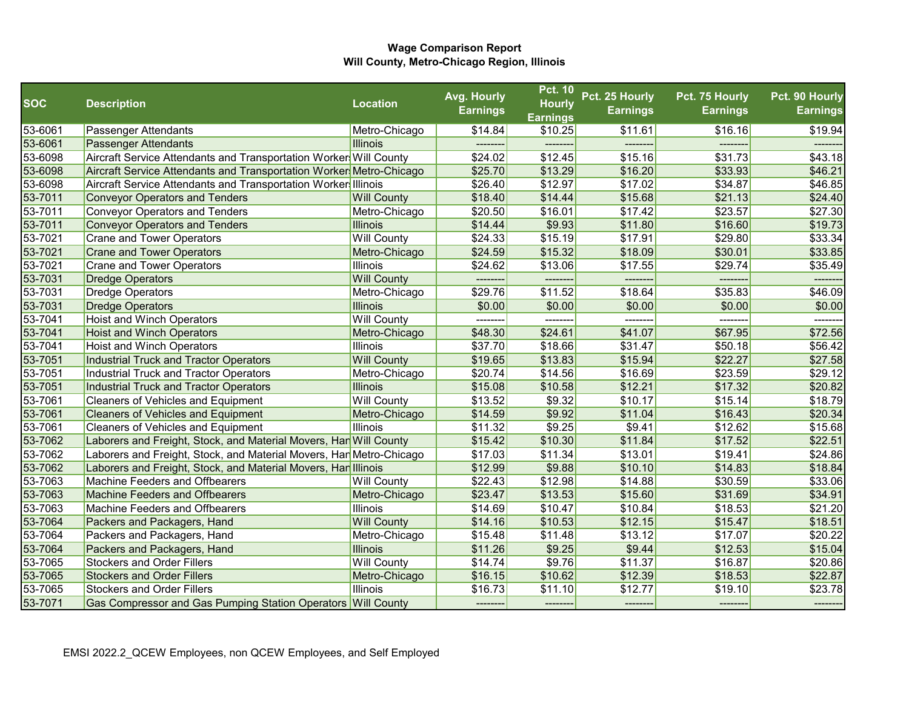|            |                                                                     |                    | Avg. Hourly     | <b>Pct. 10</b>  | Pct. 25 Hourly  | Pct. 75 Hourly  | Pct. 90 Hourly  |
|------------|---------------------------------------------------------------------|--------------------|-----------------|-----------------|-----------------|-----------------|-----------------|
| <b>SOC</b> | <b>Description</b>                                                  | <b>Location</b>    | <b>Earnings</b> | <b>Hourly</b>   | <b>Earnings</b> | <b>Earnings</b> | <b>Earnings</b> |
|            |                                                                     |                    |                 | <b>Earnings</b> |                 |                 |                 |
| 53-6061    | Passenger Attendants                                                | Metro-Chicago      | \$14.84         | \$10.25         | \$11.61         | \$16.16         | \$19.94         |
| 53-6061    | <b>Passenger Attendants</b>                                         | <b>Illinois</b>    |                 |                 |                 |                 |                 |
| 53-6098    | Aircraft Service Attendants and Transportation Worker Will County   |                    | \$24.02         | \$12.45         | \$15.16         | \$31.73         | \$43.18         |
| 53-6098    | Aircraft Service Attendants and Transportation Worker Metro-Chicago |                    | \$25.70         | \$13.29         | \$16.20         | \$33.93         | \$46.21         |
| 53-6098    | Aircraft Service Attendants and Transportation Worker Illinois      |                    | \$26.40         | \$12.97         | \$17.02         | \$34.87         | \$46.85         |
| 53-7011    | <b>Conveyor Operators and Tenders</b>                               | <b>Will County</b> | \$18.40         | \$14.44         | \$15.68         | \$21.13         | \$24.40         |
| 53-7011    | <b>Conveyor Operators and Tenders</b>                               | Metro-Chicago      | \$20.50         | \$16.01         | \$17.42         | \$23.57         | \$27.30         |
| 53-7011    | <b>Conveyor Operators and Tenders</b>                               | <b>Illinois</b>    | \$14.44         | \$9.93          | \$11.80         | \$16.60         | \$19.73         |
| 53-7021    | <b>Crane and Tower Operators</b>                                    | <b>Will County</b> | \$24.33         | \$15.19         | \$17.91         | \$29.80         | \$33.34         |
| 53-7021    | <b>Crane and Tower Operators</b>                                    | Metro-Chicago      | \$24.59         | \$15.32         | \$18.09         | \$30.01         | \$33.85         |
| 53-7021    | <b>Crane and Tower Operators</b>                                    | Illinois           | \$24.62         | \$13.06         | \$17.55         | \$29.74         | \$35.49         |
| 53-7031    | <b>Dredge Operators</b>                                             | <b>Will County</b> | --------        | --------        | -------         |                 | -------         |
| 53-7031    | <b>Dredge Operators</b>                                             | Metro-Chicago      | \$29.76         | \$11.52         | \$18.64         | \$35.83         | \$46.09         |
| 53-7031    | <b>Dredge Operators</b>                                             | <b>Illinois</b>    | \$0.00          | \$0.00          | \$0.00          | \$0.00          | \$0.00          |
| 53-7041    | <b>Hoist and Winch Operators</b>                                    | <b>Will County</b> | ---------       | --------        | -------         | --------        | -------         |
| 53-7041    | <b>Hoist and Winch Operators</b>                                    | Metro-Chicago      | \$48.30         | \$24.61         | \$41.07         | \$67.95         | \$72.56         |
| 53-7041    | Hoist and Winch Operators                                           | Illinois           | \$37.70         | \$18.66         | \$31.47         | \$50.18         | \$56.42         |
| 53-7051    | <b>Industrial Truck and Tractor Operators</b>                       | <b>Will County</b> | \$19.65         | \$13.83         | \$15.94         | \$22.27         | \$27.58         |
| 53-7051    | <b>Industrial Truck and Tractor Operators</b>                       | Metro-Chicago      | \$20.74         | \$14.56         | \$16.69         | \$23.59         | \$29.12         |
| 53-7051    | <b>Industrial Truck and Tractor Operators</b>                       | <b>Illinois</b>    | \$15.08         | \$10.58         | \$12.21         | \$17.32         | \$20.82         |
| 53-7061    | <b>Cleaners of Vehicles and Equipment</b>                           | <b>Will County</b> | \$13.52         | \$9.32          | \$10.17         | \$15.14         | \$18.79         |
| 53-7061    | <b>Cleaners of Vehicles and Equipment</b>                           | Metro-Chicago      | \$14.59         | \$9.92          | \$11.04         | \$16.43         | \$20.34         |
| 53-7061    | <b>Cleaners of Vehicles and Equipment</b>                           | Illinois           | \$11.32         | \$9.25          | \$9.41          | \$12.62         | \$15.68         |
| 53-7062    | Laborers and Freight, Stock, and Material Movers, Han Will County   |                    | \$15.42         | \$10.30         | \$11.84         | \$17.52         | \$22.51         |
| 53-7062    | Laborers and Freight, Stock, and Material Movers, Han Metro-Chicago |                    | \$17.03         | \$11.34         | \$13.01         | \$19.41         | \$24.86         |
| 53-7062    | Laborers and Freight, Stock, and Material Movers, Han Illinois      |                    | \$12.99         | \$9.88          | \$10.10         | \$14.83         | \$18.84         |
| 53-7063    | Machine Feeders and Offbearers                                      | <b>Will County</b> | \$22.43         | \$12.98         | \$14.88         | \$30.59         | \$33.06         |
| 53-7063    | <b>Machine Feeders and Offbearers</b>                               | Metro-Chicago      | \$23.47         | \$13.53         | \$15.60         | \$31.69         | \$34.91         |
| 53-7063    | Machine Feeders and Offbearers                                      | Illinois           | \$14.69         | \$10.47         | \$10.84         | \$18.53         | \$21.20         |
| 53-7064    | Packers and Packagers, Hand                                         | <b>Will County</b> | \$14.16         | \$10.53         | \$12.15         | \$15.47         | \$18.51         |
| 53-7064    | Packers and Packagers, Hand                                         | Metro-Chicago      | \$15.48         | \$11.48         | \$13.12         | \$17.07         | \$20.22         |
| 53-7064    | Packers and Packagers, Hand                                         | <b>Illinois</b>    | \$11.26         | \$9.25          | \$9.44          | \$12.53         | \$15.04         |
| 53-7065    | <b>Stockers and Order Fillers</b>                                   | <b>Will County</b> | \$14.74         | \$9.76          | \$11.37         | \$16.87         | \$20.86         |
| 53-7065    | <b>Stockers and Order Fillers</b>                                   | Metro-Chicago      | \$16.15         | \$10.62         | \$12.39         | \$18.53         | \$22.87         |
| 53-7065    | <b>Stockers and Order Fillers</b>                                   | Illinois           | \$16.73         | \$11.10         | \$12.77         | \$19.10         | \$23.78         |
| 53-7071    | Gas Compressor and Gas Pumping Station Operators Will County        |                    | ---------       | ---------       | ---------       | --------        | --------        |